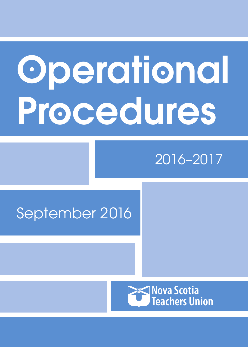# Operational Procedures

# 2016–2017

# September 2016

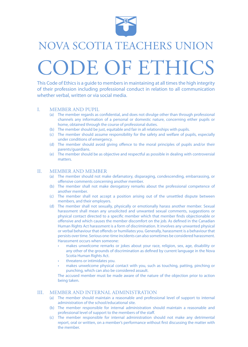

# NOVA SCOTIA TEACHERS UNION CODE OF ETHICS

This Code of Ethics is a guide to members in maintaining at all times the high integrity of their profession including professional conduct in relation to all communication whether verbal, written or via social media.

#### I. MEMBER AND PUPIL

- (a) The member regards as confidential, and does not divulge other than through professional channels any information of a personal or domestic nature, concerning either pupils or home, obtained through the course of professional duties.
- (b) The member should be just, equitable and fair in all relationships with pupils.
- (c) The member should assume responsibility for the safety and welfare of pupils, especially under conditions of emergency.
- (d) The member should avoid giving offence to the moral principles of pupils and/or their parents/guardians.
- (e) The member should be as objective and respectful as possible in dealing with controversial matters.

#### II. MEMBER AND MEMBER

- (a) The member should not make defamatory, disparaging, condescending, embarrassing, or offensive comments concerning another member.
- (b) The member shall not make derogatory remarks about the professional competence of another member.
- (c) The member shall not accept a position arising out of the unsettled dispute between members, and their employers.
- (d) The member shall not sexually, physically or emotionally harass another member. Sexual harassment shall mean any unsolicited and unwanted sexual comments, suggestions or physical contact directed to a specific member which that member finds objectionable or offensive and which causes the member discomfort on the job. As defined in the Canadian Human Rights Act harassment is a form of discrimination. It involves any unwanted physical or verbal behaviour that offends or humiliates you. Generally, harassment is a behaviour that persists over time. Serious one-time incidents can also sometimes be considered harassment. Harassment occurs when someone:
	- makes unwelcome remarks or jokes about your race, religion, sex, age, disability or any other of the grounds of discrimination as defined by current language in the Nova Scotia Human Rights Act.
	- threatens or intimidates you.
	- makes unwelcome physical contact with you, such as touching, patting, pinching or punching, which can also be considered assault.

The accused member must be made aware of the nature of the objection prior to action being taken.

#### III. MEMBER AND INTERNAL ADMINISTRATION

- (a) The member should maintain a reasonable and professional level of support to internal administration of the school/educational site.
- (b) The member responsible for internal administration should maintain a reasonable and professional level of support to the members of the staff.
- (c) The member responsible for internal administration should not make any detrimental report, oral or written, on a member's performance without first discussing the matter with the member.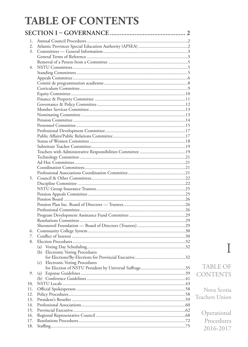### **TABLE OF CONTENTS**

| 1.  |                                            |  |
|-----|--------------------------------------------|--|
| 2.  |                                            |  |
| 3.  |                                            |  |
|     |                                            |  |
|     |                                            |  |
| 4.  |                                            |  |
|     |                                            |  |
|     |                                            |  |
|     |                                            |  |
|     |                                            |  |
|     |                                            |  |
|     |                                            |  |
|     |                                            |  |
|     |                                            |  |
|     |                                            |  |
|     |                                            |  |
|     |                                            |  |
|     |                                            |  |
|     |                                            |  |
|     |                                            |  |
|     |                                            |  |
|     |                                            |  |
|     |                                            |  |
|     |                                            |  |
|     |                                            |  |
|     |                                            |  |
|     |                                            |  |
| 5.  |                                            |  |
|     |                                            |  |
|     |                                            |  |
|     |                                            |  |
|     |                                            |  |
|     |                                            |  |
|     |                                            |  |
|     |                                            |  |
|     |                                            |  |
|     |                                            |  |
| 6.  |                                            |  |
| 7.  |                                            |  |
| 8.  |                                            |  |
|     | (a)                                        |  |
|     | (b) Electronic Voting Procedures           |  |
|     |                                            |  |
|     | (c)<br><b>Electronic Voting Procedures</b> |  |
|     |                                            |  |
| 9.  | (a)                                        |  |
|     |                                            |  |
| 10. |                                            |  |
| 11. |                                            |  |
| 12. |                                            |  |
| 13. |                                            |  |
| 14. |                                            |  |
| 15. |                                            |  |
| 16. |                                            |  |
| 17. |                                            |  |
| 18. |                                            |  |

### $\overline{I}$ **TABLE OF CONTENTS**

Nova Scotia Teachers Union Operational Procedures

2016-2017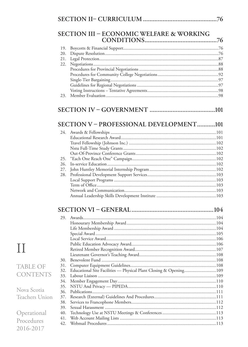|            | SECTION III - ECONOMIC WELFARE & WORKING                          |  |
|------------|-------------------------------------------------------------------|--|
| 19.        |                                                                   |  |
| 20.        |                                                                   |  |
| 21.        |                                                                   |  |
| 22.        |                                                                   |  |
|            |                                                                   |  |
|            |                                                                   |  |
|            |                                                                   |  |
| 23.        |                                                                   |  |
|            |                                                                   |  |
|            | SECTION V - PROFESSIONAL DEVELOPMENT101                           |  |
| 24.        |                                                                   |  |
|            |                                                                   |  |
|            |                                                                   |  |
|            |                                                                   |  |
| 25.        |                                                                   |  |
| 26.        |                                                                   |  |
| 27.        |                                                                   |  |
| 28.        |                                                                   |  |
|            |                                                                   |  |
|            |                                                                   |  |
|            |                                                                   |  |
|            |                                                                   |  |
|            |                                                                   |  |
|            |                                                                   |  |
|            |                                                                   |  |
|            |                                                                   |  |
|            |                                                                   |  |
|            |                                                                   |  |
|            |                                                                   |  |
| 30.        |                                                                   |  |
| 31.<br>32. | Educational Site Facilities - Physical Plant Closing & Opening109 |  |
| 33.        |                                                                   |  |
| 34.        |                                                                   |  |
| 35.        |                                                                   |  |
| 36.        |                                                                   |  |
| 37.<br>38. |                                                                   |  |
| 39.        |                                                                   |  |
|            |                                                                   |  |
| 40.        |                                                                   |  |
| 41.        |                                                                   |  |
| 42.        |                                                                   |  |

# $\prod$

#### **TABLE OF CONTEN**

Nova Scotia Teachers Un

Operationa Procedures 2016-2017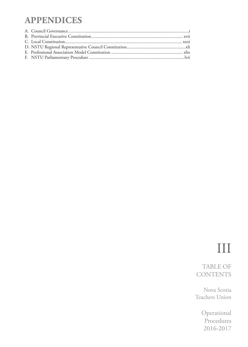### **APPENDICES**

### III

TABLE OF **CONTENTS** 

Nova Scotia Teachers Union

> Operational Procedures 2016-2017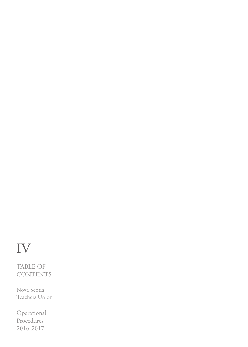# IV

TABLE OF **CONTENTS** 

Nova Scotia Teachers Union

**Operational** Procedures 2016-2017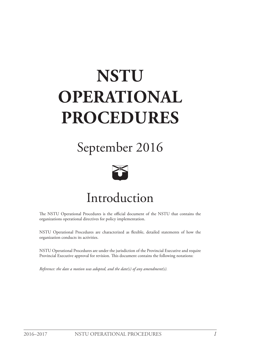# **NSTU OPERATIONAL PROCEDURES**

# September 2016



# Introduction

The NSTU Operational Procedures is the official document of the NSTU that contains the organizations operational directives for policy implementation.

NSTU Operational Procedures are characterized as flexible, detailed statements of how the organization conducts its activities.

NSTU Operational Procedures are under the jurisdiction of the Provincial Executive and require Provincial Executive approval for revision. This document contains the following notations:

*Reference: the date a motion was adopted, and the date(s) of any amendment(s).*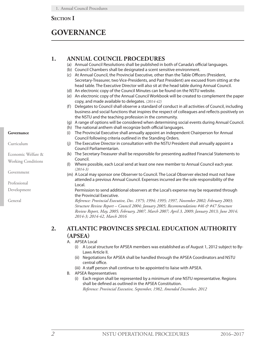#### <span id="page-7-0"></span>**Section I**

### **GOVERNANCE**

#### **1. ANNUAL COUNCIL PROCEDURES**

- (a) Annual Council Resolutions shall be published in both of Canada's official languages.
- (b) Council Chambers shall be designated a scent sensitive environment.
- (c) At Annual Council, the Provincial Executive, other than the Table Officers (President, Secretary-Treasurer, two Vice-Presidents, and Past President) are excused from sitting at the head table. The Executive Director will also sit at the head table during Annual Council.
- (d) An electronic copy of the Council Minutes can be found on the NSTU website.
- (e) An electronic copy of the Annual Council Workbook will be created to complement the paper copy, and made available to delegates. *(2014-42)*
- (f) Delegates to Council shall observe a standard of conduct in all activities of Council, including business and social functions that inspires the respect of colleagues and reflects positively on the NSTU and the teaching profession in the community.
- (g) A range of options will be considered when determining social events during Annual Council.
- (h) The national anthem shall recognize both official languages.
- (i) The Provincial Executive shall annually appoint an independent Chairperson for Annual Council following criteria outlined in the Standing Orders.
- (j) The Executive Director in consultation with the NSTU President shall annually appoint a Council Parliamentarian.
- (k) The Secretary-Treasurer shall be responsible for presenting audited Financial Statements to Council.
- (l) Where possible, each Local send at least one new member to Annual Council each year. *(2014-3)*
- (m) A Local may sponsor one Observer to Council. The Local Observer elected must not have attended a previous Annual Council. Expenses incurred are the sole responsibility of the Local.

Permission to send additional observers at the Local's expense may be requested through the Provincial Executive.

*Reference: Provincial Executive, Dec. 1975; 1994; 1995; 1997, November 2002; February 2003; Structure Review Report – Council 2004; January 2005; Recommendations #46 & #47 Structure Review Report, May, 2005; February, 2007, March 2007; April 3, 2009; January 2013; June 2014; 2014-3; 2014-42, March 2016*

#### **2. ATLANTIC PROVINCES SPECIAL EDUCATION AUTHORITY (APSEA)**

#### A. APSEA Local

- (i) A Local structure for APSEA members was established as of August 1, 2012 subject to By-Laws Article II.
- (ii) Negotiations for APSEA shall be handled through the APSEA Coordinators and NSTU central office.
- (iii) A staff person shall continue to be appointed to liaise with APSEA.
- B. APSEA Representatives
	- (i) Each region shall be represented by a minimum of one NSTU representative. Regions shall be defined as outlined in the APSEA Constitution.

*Reference: Provincial Executive, September, 1982, Amended December, 2012*

#### **Governance**

Curriculum

Economic Welfare &

Working Conditions

Government

Professional

Development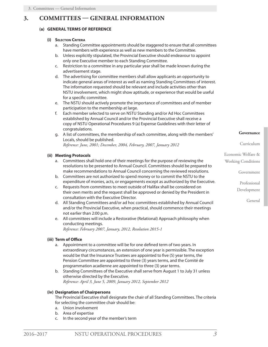#### <span id="page-8-0"></span>**3. COMMITTEES — GENERAL INFORMATION**

#### **(a) GENERAL TERMS OF REFERENCE**

#### **(i) Selection Criteria**

- a. Standing Committee appointments should be staggered to ensure that all committees have members with experience as well as new members to the Committee.
- b. Unless explicitly stipulated, the Provincial Executive should endeavour to appoint only one Executive member to each Standing Committee.
- c. Restriction to a committee in any particular year shall be made known during the advertisement stage.
- d. The advertising for committee members shall allow applicants an opportunity to indicate general areas of interest as well as naming Standing Committees of interest. The information requested should be relevant and include activities other than NSTU involvement, which might show aptitude, or experience that would be useful for a specific committee.
- e. The NSTU should actively promote the importance of committees and of member participation to the membership at large.
- f. Each member selected to serve on NSTU Standing and/or Ad Hoc Committees established by Annual Council and/or the Provincial Executive shall receive a copy of NSTU Operational Procedures 9 (a) Expense Guidelines with their letter of congratulations.
- g. A list of committees, the membership of each committee, along with the members' Locals, should be published.

*Reference: June, 2001; December, 2004, February, 2007, January 2012*

#### **(ii) Meeting Protocols**

- a. Committees shall hold one of their meetings for the purpose of reviewing the resolutions to be presented to Annual Council. Committees should be prepared to make recommendations to Annual Council concerning the reviewed resolutions.
- b. Committees are not authorized to spend money or to commit the NSTU to the expenditure of monies, acts, or engagements except as authorized by the Executive.
- c. Requests from committees to meet outside of Halifax shall be considered on their own merits and the request shall be approved or denied by the President in consultation with the Executive Director.
- d. All Standing Committees and/or ad hoc committees established by Annual Council and/or the Provincial Executive, when practical, should commence their meetings not earlier than 2:00 p.m.
- e. All committees will include a Restorative (Relational) Approach philosophy when conducting meetings. *Reference: February 2007, January, 2012, Resolution 2015-1*

#### **(iii) Term of Office**

- a. Appointment to a committee will be for one defined term of two years. In extraordinary circumstances, an extension of one year is permissible. The exception would be that the Insurance Trustees are appointed to five (5) year terms, the Pension Committee are appointed to three (3) years terms, and the Comité de programmation acadienne are appointed to three (3) year terms.
- b. Standing Committees of the Executive shall serve from August 1 to July 31 unless otherwise directed by the Executive. *Reference: April 3, June 5, 2009, January 2012, September 2012*

#### **(iv) Designation of Chairpersons**

The Provincial Executive shall designate the chair of all Standing Committees. The criteria for selecting the committee chair should be:

- a. Union involvement
- b. Area of expertise
- c. In the second year of the member's term

**Governance**

Curriculum

Economic Welfare &

Working Conditions

Government

Professional

Development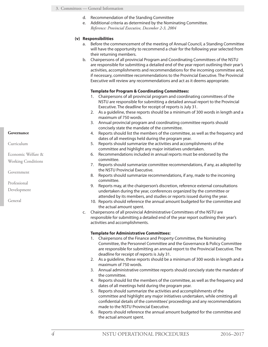- d. Recommendation of the Standing Committee
- e. Additional criteria as determined by the Nominating Committee. *Reference: Provincial Executive, December 2-3, 2004*

#### **(v) Responsibilities**

- a. Before the commencement of the meeting of Annual Council, a Standing Committee will have the opportunity to recommend a chair for the following year selected from their returning members.
- b. Chairpersons of all provincial Program and Coordinating Committees of the NSTU are responsible for submitting a detailed end of the year report outlining their year's activities, accomplishments and recommendations for the incoming committee and, if necessary, committee recommendations to the Provincial Executive. The Provincial Executive will review any recommendations and act as it deems appropriate.

#### **Template for Program & Coordinating Committees:**

- 1. Chairpersons of all provincial program and coordinating committees of the NSTU are responsible for submitting a detailed annual report to the Provincial Executive. The deadline for receipt of reports is July 31.
- 2. As a guideline, these reports should be a minimum of 300 words in length and a maximum of 750 words.
- 3. Annual provincial program and coordinating committee reports should concisely state the mandate of the committee.
- 4. Reports should list the members of the committee, as well as the frequency and dates of all meetings held during the program year.
- 5. Reports should summarize the activities and accomplishments of the committee and highlight any major initiatives undertaken.
- 6. Recommendations included in annual reports must be endorsed by the committee.
- 7. Reports should summarize committee recommendations, if any, as adopted by the NSTU Provincial Executive.
- 8. Reports should summarize recommendations, if any, made to the incoming committee.
- 9. Reports may, at the chairperson's discretion, reference external consultations undertaken during the year, conferences organized by the committee or attended by its members, and studies or reports issued during the year.
- 10. Reports should reference the annual amount budgeted for the committee and the actual amount spent.
- c. Chairpersons of all provincial Administrative Committees of the NSTU are responsible for submitting a detailed end of the year report outlining their year's activities and accomplishments.

#### **Template for Administrative Committees:**

- 1. Chairpersons of the Finance and Property Committee, the Nominating Committee, the Personnel Committee and the Governance & Policy Committee are responsible for submitting an annual report to the Provincial Executive. The deadline for receipt of reports is July 31.
- 2. As a guideline, these reports should be a minimum of 300 words in length and a maximum of 750 words.
- 3. Annual administrative committee reports should concisely state the mandate of the committee.
- 4. Reports should list the members of the committee, as well as the frequency and dates of all meetings held during the program year.
- 5. Reports should summarize the activities and accomplishments of the committee and highlight any major initiatives undertaken, while omitting all confidential details of the committees' proceedings and any recommendations made to the NSTU Provincial Executive.
- 6. Reports should reference the annual amount budgeted for the committee and the actual amount spent.

#### **Governance**

Curriculum

- Economic Welfare &
- Working Conditions

Government

Professional

Development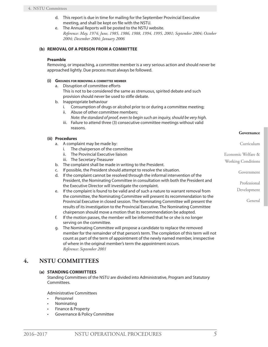- <span id="page-10-0"></span>d. This report is due in time for mailing for the September Provincial Executive meeting, and shall be kept on file with the NSTU.
- e. The Annual Reports will be posted to the NSTU website. *Reference: May, 1974; June, 1985, 1986, 1988, 1994, 1995, 2001; September 2004; October 2004; December 2004; January 2006*

#### **(b) REMOVAL OF A PERSON FROM A COMMITTEE**

#### **Preamble**

Removing, or impeaching, a committee member is a very serious action and should never be approached lightly. Due process must always be followed.

#### **(i) Grounds for removing <sup>a</sup> committee member**

- a. Disruption of committee efforts This is not to be considered the same as strenuous, spirited debate and such provision should never be used to stifle debate.
- b. Inappropriate behaviour
	- i. Consumption of drugs or alcohol prior to or during a committee meeting;
	- ii. Abuse of other committee members;
	- *Note: the standard of proof, even to begin such an inquiry, should be very high.*
	- iii. Failure to attend three (3) consecutive committee meetings without valid reasons.

#### **(ii) Procedures**

- a. A complaint may be made by:
	- i. The chairperson of the committee
	- ii. The Provincial Executive liaison
	- iii. The Secretary-Treasurer
- b. The complaint shall be made in writing to the President.
- c. If possible, the President should attempt to resolve the situation.
- d. If the complaint cannot be resolved through the informal intervention of the President, the Nominating Committee in consultation with both the President and the Executive Director will investigate the complaint.
- e. If the complaint is found to be valid and of such a nature to warrant removal from the committee, the Nominating Committee will present its recommendation to the Provincial Executive in closed session. The Nominating Committee will present the results of its investigation to the Provincial Executive. The Nominating Committee chairperson should move a motion that its recommendation be adopted.
- f. If the motion passes, the member will be informed that he or she is no longer serving on the committee.
- g. The Nominating Committee will propose a candidate to replace the removed member for the remainder of that person's term. The completion of this term will not count as part of the term of appointment of the newly named member, irrespective of where in the original member's term the appointment occurs. *Reference: September 2001*

#### **4. NSTU COMMITTEES**

#### **(a) STANDING COMMITTEES**

Standing Committees of the NSTU are divided into Administrative, Program and Statutory Committees.

Administrative Committees

- **Personnel**
- **Nominating**
- Finance & Property
- Governance & Policy Committee

**Governance**

Curriculum

Government

Professional Development

General

Economic Welfare & Working Conditions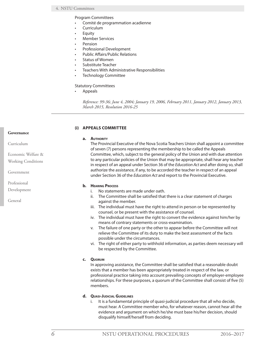<span id="page-11-0"></span>Program Committees

- Comité de programmation acadienne
- Curriculum
- **Equity**
- **Member Services**
- **Pension**
- Professional Development
- Public Affairs/Public Relations
- Status of Women
- Substitute Teacher
- Teachers With Administrative Responsibilities
- Technology Committee

#### Statutory Committees

**Appeals** 

*Reference: 99-36; June 4, 2004; January 19, 2006, February 2011, January 2012, January 2013, March 2015, Resolution 2016-25*

#### **(i) APPEALS COMMITTEE**

#### **a. Authority**

The Provincial Executive of the Nova Scotia Teachers Union shall appoint a committee of seven (7) persons representing the membership to be called the Appeals Committee, which, subject to the general policy of the Union and with due attention to any particular policies of the Union that may be appropriate, shall hear any teacher in respect of an appeal under Section 36 of the *Education Act* and after doing so, shall authorize the assistance, if any, to be accorded the teacher in respect of an appeal under Section 36 of the *Education Act* and report to the Provincial Executive.

#### **b. Hearing Process**

- i. No statements are made under oath.
- ii. The Committee shall be satisfied that there is a clear statement of charges against the member.
- iii. The individual must have the right to attend in person or be represented by counsel, or be present with the assistance of counsel.
- iv. The individual must have the right to convert the evidence against him/her by means of contrary statements or cross-examination.
- v. The failure of one party or the other to appear before the Committee will not relieve the Committee of its duty to make the best assessment of the facts possible under the circumstances.
- vi. The right of either party to withhold information, as parties deem necessary will be respected by the Committee.

#### **c. Quorum**

In approving assistance, the Committee shall be satisfied that a reasonable doubt exists that a member has been appropriately treated in respect of the law, or professional practice taking into account prevailing concepts of employer-employee relationships. For these purposes, a quorum of the Committee shall consist of five (5) members.

- **d. Quasi-Judicial Guidelines**
	- i. It is a fundamental principle of quasi-judicial procedure that all who decide, must hear. A Committee member who, for whatever reason, cannot hear all the evidence and argument on which he/she must base his/her decision, should disqualify himself/herself from deciding.

#### **Governance**

Curriculum

Economic Welfare & Working Conditions

Government

Professional

Development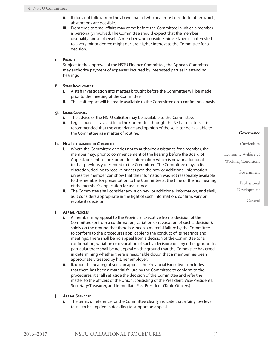- ii. It does not follow from the above that all who hear must decide. In other words, abstentions are possible.
- iii. From time to time, affairs may come before the Committee in which a member is personally involved. The Committee should expect that the member disqualify himself/herself. A member who considers himself/herself interested to a very minor degree might declare his/her interest to the Committee for a decision.

#### **e. Finance**

Subject to the approval of the NSTU Finance Committee, the Appeals Committee may authorize payment of expenses incurred by interested parties in attending hearings.

#### **f. Staff Involvement**

- i. A staff investigation into matters brought before the Committee will be made prior to the meeting of the Committee.
- ii. The staff report will be made available to the Committee on a confidential basis.

#### **g. Legal Counsel**

- i. The advice of the NSTU solicitor may be available to the Committee.
- ii. Legal counsel is available to the Committee through the NSTU solicitors. It is recommended that the attendance and opinion of the solicitor be available to the Committee as a matter of routine.

#### **h. New Information to Committee**

- i. Where the Committee decides not to authorize assistance for a member, the member may, prior to commencement of the hearing before the Board of Appeal, present to the Committee information which is new or additional to that previously presented to the Committee. The Committee may, in its discretion, decline to receive or act upon the new or additional information unless the member can show that the information was not reasonably available to the member for presentation to the Committee at the time of the first hearing of the member's application for assistance.
- ii. The Committee shall consider any such new or additional information, and shall, as it considers appropriate in the light of such information, confirm, vary or revoke its decision.

#### **i. Appeal Process**

- i. A member may appeal to the Provincial Executive from a decision of the Committee (or from a confirmation, variation or revocation of such a decision), solely on the ground that there has been a material failure by the Committee to conform to the procedures applicable to the conduct of its hearings and meetings. There shall be no appeal from a decision of the Committee (or a confirmation, variation or revocation of such a decision) on any other ground. In particular there shall be no appeal on the ground that the Committee has erred in determining whether there is reasonable doubt that a member has been appropriately treated by his/her employer.
- ii. If, upon the hearing of such an appeal, the Provincial Executive concludes that there has been a material failure by the Committee to conform to the procedures, it shall set aside the decision of the Committee and refer the matter to the officers of the Union, consisting of the President, Vice-Presidents, Secretary/Treasurer, and Immediate Past President (Table Officers).

#### **j. Appeal Standard**

i. The terms of reference for the Committee clearly indicate that a fairly low level test is to be applied in deciding to support an appeal.

#### **Governance**

Curriculum

Economic Welfare & Working Conditions

Government

Professional

Development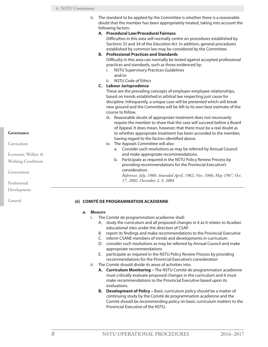<span id="page-13-0"></span>

|                           | ii. | The standard to be applied by the Committee is whether there is a reasonable<br>doubt that the member has been appropriately treated, taking into account the<br>following factors:                                                                                                                                                                                                                                                                                                                               |
|---------------------------|-----|-------------------------------------------------------------------------------------------------------------------------------------------------------------------------------------------------------------------------------------------------------------------------------------------------------------------------------------------------------------------------------------------------------------------------------------------------------------------------------------------------------------------|
|                           |     | A. Procedural Law/Procedural Fairness<br>Difficulties in this area will normally centre on procedures established by<br>Sections 33 and 34 of the Education Act. In addition, general procedures<br>established by common law may be considered by the Committee.<br><b>B.</b> Professional Practices and Standards<br>Difficulty in this area can normally be tested against accepted professional<br>practices and standards, such as those evidenced by:<br><b>NSTU Supervisory Practices Guidelines</b><br>i. |
|                           |     | and/or<br><b>NSTU Code of Ethics</b><br>ii.<br>C. Labour Jurisprudence                                                                                                                                                                                                                                                                                                                                                                                                                                            |
|                           |     | These are the prevailing concepts of employer-employee relationships,<br>based on trends established in arbitral law respecting just cause for<br>discipline. Infrequently, a unique case will be presented which will break<br>new ground and the Committee will be left to its own best estimate of the<br>course to follow.                                                                                                                                                                                    |
| Governance                |     | iii. Reasonable doubt of appropriate treatment does not necessarily<br>require the member to show that the case will succeed before a Board<br>of Appeal. It does mean, however, that there must be a real doubt as<br>to whether appropriate treatment has been accorded to the member,                                                                                                                                                                                                                          |
| Curriculum                |     | having regard to the factors identified above.<br>iv. The Appeals Committee will also:<br>a. Consider such resolutions as may be referred by Annual Council                                                                                                                                                                                                                                                                                                                                                       |
| Economic Welfare &        |     | and make appropriate recommendations.                                                                                                                                                                                                                                                                                                                                                                                                                                                                             |
| <b>Working Conditions</b> |     | Participate as required in the NSTU Policy Review Process by<br>b.<br>providing recommendations for the Provincial Executive's<br>consideration.                                                                                                                                                                                                                                                                                                                                                                  |
| Government                |     | Reference: July, 1980; Amended April, 1982; Nov. 1986; May 1987, Oct.                                                                                                                                                                                                                                                                                                                                                                                                                                             |
| Professional              |     | 17, 2002, December 2, 3, 2004                                                                                                                                                                                                                                                                                                                                                                                                                                                                                     |

#### **(ii) COMITÉ DE PROGRAMMATION ACADIENNE**

#### **a. Mandate**

- i. The Comité de programmation acadienne shall:
	- A. study the curriculum and all proposed changes in it as it relates to Acadian educational sites under the direction of CSAP.
	- B. report its findings and make recommendations to the Provincial Executive
	- C. inform CSANE members of trends and developments in curriculum
	- D. consider such resolutions as may be referred by Annual Council and make appropriate recommendations
	- E. participate as required in the NSTU Policy Review Process by providing recommendations for the Provincial Executive's consideration
- ii. The Comité should divide its areas of activities into:
	- **A. Curriculum Monitoring** The NSTU Comité de programmation acadienne must critically evaluate proposed changes in the curriculum and it must make recommendations to the Provincial Executive based upon its evaluations.
	- **B. Development of Policy** Basic curriculum policy should be a matter of continuing study by the Comité de programmation acadienne and the Comité should be recommending policy on basic curriculum matters to the Provincial Executive of the NSTU.

Development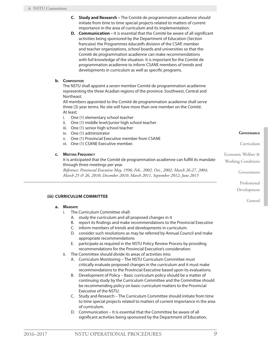- <span id="page-14-0"></span>**C. Study and Research –** The Comité de programmation acadienne should initiate from time to time special projects related to matters of current importance in the area of curriculum and its implementation.
- **D. Communication** It is essential that the Comité be aware of all significant activities being sponsored by the Department of Education (Section francaise) the Programmes éducatifs division of the CSAP, member and teacher organizations, school boards and universities so that the Comité de programmation acadienne can make recommendations with full knowledge of the situation. It is important for the Comité de programmation acadienne to inform CSANE members of trends and developments in curriculum as well as specific programs.

#### **b. Composition**

The NSTU shall appoint a seven member Comité de programmation acadienne representing the three Acadian regions of the province: Southwest, Central and Northeast.

All members appointed to the Comité de programmation acadienne shall serve three (3) year terms. No site will have more than one member on the Comité. At least:

- i. One (1) elementary school teacher
- ii. One (1) middle level/junior high school teacher
- iii. One (1) senior high school teacher
- iv. One (1) administrator
- v. One (1) Provincial Executive member from CSANE
- vi. One (1) CSANE Executive member.

#### **c. Meeting Frequency**

It is anticipated that the Comité de programmation acadienne can fulfill its mandate through three meetings per year.

*Reference: Provincial Executive May, 1996; Feb., 2002, Oct., 2002; March 26-27, 2004; March 25 & 26, 2010; December 2010; March 2011, September 2012; June 2015*

#### **(iii) CURRICULUM COMMITTEE**

#### **a. Mandate**

- i. The Curriculum Committee shall:
	- A. study the curriculum and all proposed changes in it
	- B. report its findings and make recommendations to the Provincial Executive
	- C. inform members of trends and developments in curriculum.
	- D. consider such resolutions as may be referred by Annual Council and make appropriate recommendations
	- E. participate as required in the NSTU Policy Review Process by providing recommendations for the Provincial Executive's consideration.
- ii. The Committee should divide its areas of activities into:
	- A. Curriculum Monitoring The NSTU Curriculum Committee must critically evaluate proposed changes in the curriculum and it must make recommendations to the Provincial Executive based upon its evaluations.
	- B. Development of Policy Basic curriculum policy should be a matter of continuing study by the Curriculum Committee and the Committee should be recommending policy on basic curriculum matters to the Provincial Executive of the NSTU.
	- C. Study and Research The Curriculum Committee should initiate from time to time special projects related to matters of current importance in the area of curriculum.
	- D. Communication It is essential that the Committee be aware of all significant activities being sponsored by the Department of Education,

**Governance**

Curriculum

Economic Welfare &

Working Conditions

Government

Professional

Development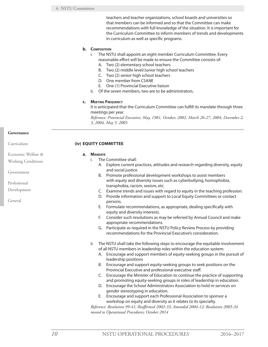teachers and teacher organizations, school boards and universities so that members can be informed and so that the Committee can make recommendations with full knowledge of the situation. It is important for the Curriculum Committee to inform members of trends and developments in curriculum as well as specific programs.

#### <span id="page-15-0"></span>**b. Composition**

- i. The NSTU shall appoint an eight member Curriculum Committee. Every reasonable effort will be made to ensure the Committee consists of:
	- A. Two (2) elementary school teachers
	- B. Two (2) middle level/Junior high school teachers
	- C. Two (2) senior high school teachers
	- D. One member from CSANE
	- E. One (1) Provincial Executive liaison
- ii. Of the seven members, two are to be administrators.

#### **c. Meeting Frequency**

It is anticipated that the Curriculum Committee can fulfill its mandate through three meetings per year.

*Reference: Provincial Executive, May, 1981, October, 2002, March 26-27, 2004, December 2, 3, 2004, May 5, 2005*

#### **Governance**

Curriculum

Government

Professional Development

General

Economic Welfare & Working Conditions

|    |                | (iv) EQUITY COMMITTEE                                                                                                                                                    |  |  |  |  |  |
|----|----------------|--------------------------------------------------------------------------------------------------------------------------------------------------------------------------|--|--|--|--|--|
| a. | <b>MANDATE</b> |                                                                                                                                                                          |  |  |  |  |  |
|    | i.             | The Committee shall:                                                                                                                                                     |  |  |  |  |  |
|    |                | A. Explore current practices, attitudes and research regarding diversity, equity<br>and social justice.                                                                  |  |  |  |  |  |
|    | В.             | Promote professional development workshops to assist members<br>with equity and diversity issues such as cyberbullying, homophobia,<br>transphobia, racism, sexism, etc. |  |  |  |  |  |
|    |                | C. Examine trends and issues with regard to equity in the teaching profession.                                                                                           |  |  |  |  |  |
|    | D.             | Provide information and support to Local Equity Committees or contact<br>persons.                                                                                        |  |  |  |  |  |
|    | Е.             | Formulate recommendations, as appropriate, dealing specifically with<br>equity and diversity interests.                                                                  |  |  |  |  |  |
|    | F.             | Consider such resolutions as may be referred by Annual Council and make<br>appropriate recommendations.                                                                  |  |  |  |  |  |
|    |                | G. Participate as required in the NSTU Policy Review Process by providing<br>recommendations for the Provincial Executive's consideration.                               |  |  |  |  |  |
|    | ii.            | The NSTU shall take the following steps to encourage the equitable involvement                                                                                           |  |  |  |  |  |
|    |                | of all NSTU members in leadership roles within the education system:                                                                                                     |  |  |  |  |  |
|    |                | A. Encourage and support members of equity-seeking groups in the pursuit of<br>leadership positions                                                                      |  |  |  |  |  |
|    | В.             | Encourage and support equity-seeking groups to seek positions on the<br>Provincial Executive and professional executive staff.                                           |  |  |  |  |  |
|    |                | C. Encourage the Minister of Education to continue the practice of supporting<br>and promoting equity-seeking groups in roles of leadership in education.                |  |  |  |  |  |
|    | D.             | Encourage the School Administrators Association to hold in-services on<br>gender stereotyping in education.                                                              |  |  |  |  |  |
|    | Е.             | Encourage and support each Professional Association to sponsor a<br>workshop on equity and diversity as it relates to its specialty.                                     |  |  |  |  |  |
|    |                | Reference: Resolution 99-41; Reaffirmed 2002-33; Amended 2004-12; Resolution 2005-34                                                                                     |  |  |  |  |  |
|    |                | moved to Operational Procedures; October 2014                                                                                                                            |  |  |  |  |  |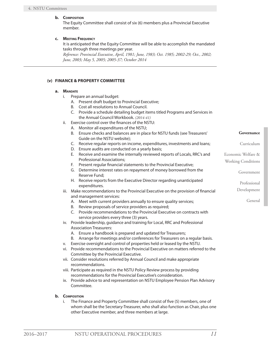#### <span id="page-16-0"></span>**b. Composition**

The Equity Committee shall consist of six (6) members plus a Provincial Executive member.

#### **c. Meeting Frequency**

It is anticipated that the Equity Committee will be able to accomplish the mandated tasks through three meetings per year.

*Reference: Provincial Executive, April, 1981; June, 1983; Oct. 1985; 2002-29; Oct., 2002; June, 2003; May 5, 2005; 2005-37; October 2014*

#### **(v) FINANCE & PROPERTY COMMITTEE**

#### **a. Mandate**

- i. Prepare an annual budget:
	- A. Present draft budget to Provincial Executive;
	- B. Cost all resolutions to Annual Council.
	- C. Provide a schedule detailing budget items titled Programs and Services in the Annual Council Workbook. *(2014-41)*
- ii. Exercise control over the finances of the NSTU:
	- A. Monitor all expenditures of the NSTU;
	- B. Ensure checks and balances are in place for NSTU funds (see Treasurers' Guide on the NSTU website);
	- C. Receive regular reports on income, expenditures, investments and loans;
	- D. Ensure audits are conducted on a yearly basis;
	- E. Receive and examine the internally reviewed reports of Locals, RRC's and Professional Associations;
	- F. Present regular financial statements to the Provincial Executive;
	- G. Determine interest rates on repayment of money borrowed from the Reserve Fund;
	- H. Receive reports from the Executive Director regarding unanticipated expenditures.
- iii. Make recommendations to the Provincial Executive on the provision of financial and management services:
	- A. Meet with current providers annually to ensure quality services;
	- B. Review proposals of service providers as required;
	- C. Provide recommendations to the Provincial Executive on contracts with service providers every three (3) years.
- iv. Provide leadership, guidance and training for Local, RRC and Professional Association Treasurers:
	- A. Ensure a handbook is prepared and updated for Treasurers;
	- B. Arrange for meetings and/or conferences for Treasurers on a regular basis.
- v. Exercise oversight and control of properties held or leased by the NSTU.
- vi. Provide recommendations to the Provincial Executive on matters referred to the Committee by the Provincial Executive.
- vii. Consider resolutions referred by Annual Council and make appropriate recommendations.
- viii. Participate as required in the NSTU Policy Review process by providing recommendations for the Provincial Executive's consideration.
- ix. Provide advice to and representation on NSTU Employee Pension Plan Advisory Committee.

#### **b. Composition**

i. The Finance and Property Committee shall consist of five (5) members, one of whom shall be the Secretary-Treasurer, who shall also function as Chair, plus one other Executive member, and three members at large.

**Governance**

Curriculum

Government

Professional Development

General

Economic Welfare & Working Conditions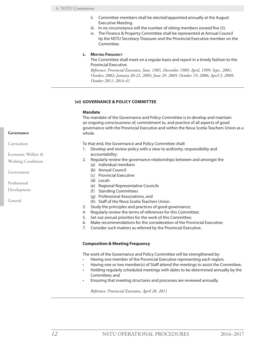- <span id="page-17-0"></span>ii. Committee members shall be elected/appointed annually at the August Executive Meeting.
- iii. In no circumstance will the number of sitting members exceed five (5).
- iv. The Finance & Property Committee shall be represented at Annual Council by the NSTU Secretary-Treasurer and the Provincial Executive member on the Committee.

#### **c. Meeting Frequency**

The Committee shall meet on a regular basis and report in a timely fashion to the Provincial Executive.

*Reference: Provincial Executive, June, 1985, December 1989, April, 1999; Sept., 2001, October, 2002; January 20-22, 2005; June 29, 2005; October 19, 2006; April 3, 2009; October 2011; 2014-41*

#### **(vi) GOVERNANCE & POLICY COMMITTEE**

#### **Mandate**

The mandate of the Governance and Policy Committee is to develop and maintain an ongoing consciousness of, commitment to, and practice of all aspects of good governance with the Provincial Executive and within the Nova Scotia Teachers Union as a whole.

- To that end, the Governance and Policy Committee shall:
- 1. Develop and review policy with a view to authority, responsibility and accountability;
- 2. Regularly review the governance relationships between and amongst the
	- (a) Individual members
	- (b) Annual Council
	- (c) Provincial Executive
	- (d) Locals
	- (e) Regional Representative Councils
	- (f) Standing Committees
	- (g) Professional Associations, and
	- (h) Staff of the Nova Scotia Teachers Union.
- 3. Study the principles and practices of good governance;
- 4. Regularly review the terms of references for this Committee;
- 5. Set out annual priorities for the work of this Committee;
- 6. Make recommendations for the consideration of the Provincial Executive;
- 7. Consider such matters as referred by the Provincial Executive.

#### **Composition & Meeting Frequency**

The work of the Governance and Policy Committee will be strengthened by:

- Having one member of the Provincial Executive representing each region;
	- Having one or two member(s) of Staff attend the meetings to assist the Committee;
- Holding regularly scheduled meetings with dates to be determined annually by the Committee; and
- Ensuring that meeting structures and processes are reviewed annually.

*Reference: Provincial Executive, April 28, 2011*

#### **Governance**

Curriculum

Economic Welfare &

Working Conditions

Government

Professional

Development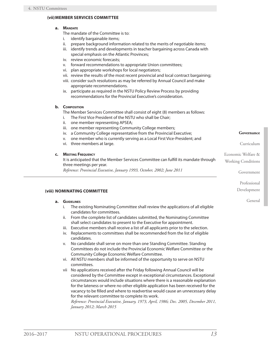#### <span id="page-18-0"></span>**(vii)MEMBER SERVICES COMMITTEE**

#### **a. Mandate**

The mandate of the Committee is to:

- i. identify bargainable items;
- ii. prepare background information related to the merits of negotiable items;
- iii. identify trends and developments in teacher bargaining across Canada with special emphasis on the Atlantic Provinces;
- iv. review economic forecasts;
- v. forward recommendations to appropriate Union committees;
- vi. plan appropriate workshops for local negotiators;
- vii. review the results of the most recent provincial and local contract bargaining;
- viii. consider such resolutions as may be referred by Annual Council and make appropriate recommendations.
- ix. participate as required in the NSTU Policy Review Process by providing recommendations for the Provincial Executive's consideration.

#### **b. Composition**

The Member Services Committee shall consist of eight (8) members as follows:

- i. The First Vice President of the NSTU who shall be Chair;
- ii. one member representing APSEA;
- iii. one member representing Community College members;
- iv. a Community College representative from the Provincial Executive;
- v. one member who is currently serving as a Local First Vice-President; and
- vi. three members at large.

#### **c. Meeting Frequency**

It is anticipated that the Member Services Committee can fulfill its mandate through three meetings per year.

*Reference: Provincial Executive, January 1993, October, 2002; June 2011*

#### **(viii) NOMINATING COMMITTEE**

#### **a. Guidelines**

- i. The existing Nominating Committee shall review the applications of all eligible candidates for committees.
- ii. From the complete list of candidates submitted, the Nominating Committee shall select candidates to present to the Executive for appointment.
- iii. Executive members shall receive a list of all applicants prior to the selection.
- iv. Replacements to committees shall be recommended from the list of eligible candidates.
- v. No candidate shall serve on more than one Standing Committee. Standing Committees do not include the Provincial Economic Welfare Committee or the Community College Economic Welfare Committee.
- vi. All NSTU members shall be informed of the opportunity to serve on NSTU committees.
- vii No applications received after the Friday following Annual Council will be considered by the Committee except in exceptional circumstances. Exceptional circumstances would include situations where there is a reasonable explanation for the lateness or where no other eligible application has been received for the vacancy to be filled and where to readvertise would cause an unnecessary delay for the relevant committee to complete its work.

*Reference: Provincial Executive, January, 1973, April, 1986; Dec. 2005, December 2011, January 2012; March 2015*

Economic Welfare & Working Conditions

Government

Professional

Development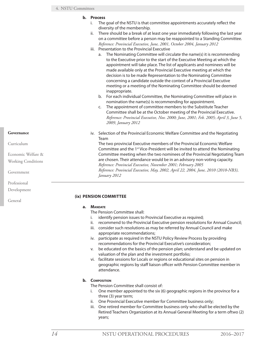#### <span id="page-19-0"></span>**b. Process**

- i. The goal of the NSTU is that committee appointments accurately reflect the diversity of the membership.
- ii. There should be a break of at least one year immediately following the last year on a committee before a person may be reappointed to a Standing Committee. *Reference: Provincial Executive, June, 2001, October 2004, January 2012*
- iii. Presentation to the Provincial Executive
	- a. The Nominating Committee will circulate the name(s) it is recommending to the Executive prior to the start of the Executive Meeting at which the appointment will take place. The list of applicants and nominees will be made available only at the Provincial Executive meeting at which the decision is to be made Representation to the Nominating Committee concerning a candidate outside the context of a Provincial Executive meeting or a meeting of the Nominating Committee should be deemed inappropriate.
	- b. For each individual Committee, the Nominating Committee will place in nomination the name(s) is recommending for appointment.
	- c. The appointment of committee members to the Substitute Teacher Committee shall be at the October meeting of the Provincial Executive. *Reference: Provincial Executive, Nov. 2000; June, 2001; Feb. 2005; April 3, June 5, 2009, January 2012*
- iv. Selection of the Provincial Economic Welfare Committee and the Negotiating Team

The two provincial Executive members of the Provincial Economic Welfare Committee and the 1<sup>st</sup> Vice-President will be invited to attend the Nominating Committee meeting when the two nominees of the Provincial Negotiating Team are chosen. Their attendance would be in an advisory non-voting capacity. *Reference: Provincial Executive, November 2001; February 2005 Reference: Provincial Executive, May, 2002, April 22, 2004, June, 2010 (2010-NB3), January 2012*

#### **(ix) PENSION COMMITTEE**

#### **a. Mandate**

The Pension Committee shall:

- i. identify pension issues to Provincial Executive as required;
- ii. recommend to the Provincial Executive pension resolutions for Annual Council;
- iii. consider such resolutions as may be referred by Annual Council and make appropriate recommendations;
- iv. participate as required in the NSTU Policy Review Process by providing recommendations for the Provincial Executive's consideration;
- v. be educated on the basics of the pension plan; understand and be updated on valuation of the plan and the investment portfolio;
- vi. facilitate sessions for Locals or regions or educational sites on pension in geographic regions by staff liaison officer with Pension Committee member in attendance.

#### **b. Composition**

The Pension Committee shall consist of:

- i. One member appointed to the six (6) geographic regions in the province for a three (3) year term;
- ii. One Provincial Executive member for Committee business only;
- iii. One retired member for Committee business only who shall be elected by the Retired Teachers Organization at its Annual General Meeting for a term oftwo (2) years;

Curriculum

Economic Welfare & Working Conditions

Government

Professional

Development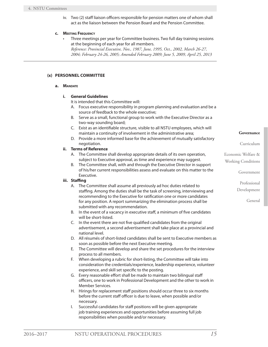iv. Two (2) staff liaison officers responsible for pension matters one of whom shall act as the liaison between the Pension Board and the Pension Committee.

#### <span id="page-20-0"></span>**c. Meeting Frequency**

Three meetings per year for Committee business. Two full day training sessions at the beginning of each year for all members. *Reference: Provincial Executive, Nov., 1987, June, 1995, Oct., 2002, March 26-27, 2004; February 24-26, 2005; Amended February 2009; June 5, 2009, April 25, 2013*

#### **(x) PERSONNEL COMMITTEE**

#### **a. Mandate**

#### **i. General Guidelines**

It is intended that this Committee will:

- A. Focus executive responsibility in program planning and evaluation and be a source of feedback to the whole executive;
- B. Serve as a small, functional group to work with the Executive Director as a two-way sounding board;
- C. Exist as an identifiable structure, visible to all NSTU employees, which will maintain a continuity of involvement in the administrative area;
- D. Provide a more informed base for the achievement of mutually satisfactory negotiation.

#### **ii. Terms of Reference**

- A. The Committee shall develop appropriate details of its own operation, subject to Executive approval, as time and experience may suggest.
- B. The Committee shall, with and through the Executive Director in support of his/her current responsibilities assess and evaluate on this matter to the Executive.

#### **iii. Staffing**

- A. The Committee shall assume all previously ad hoc duties related to staffing. Among the duties shall be the task of screening, interviewing and recommending to the Executive for ratification one or more candidates for any position. A report summarizing the elimination process shall be submitted with any recommendation.
- B. In the event of a vacancy in executive staff, a minimum of five candidates will be short-listed.
- C. In the event there are not five qualified candidates from the original advertisement, a second advertisement shall take place at a provincial and national level.
- D. All résumés of short-listed candidates shall be sent to Executive members as soon as possible before the next Executive meeting.
- E. The Committee will develop and share the set procedures for the interview process to all members.
- F. When developing a rubric for short-listing, the Committee will take into consideration the credentials/experience, leadership experience, volunteer experience, and skill set specific to the posting.
- G. Every reasonable effort shall be made to maintain two bilingual staff officers, one to work in Professional Development and the other to work in Member Services.
- H. Hirings for replacement staff positions should occur three to six months before the current staff officer is due to leave, when possible and/or necessary.
- I. Successful candidates for staff positions will be given appropriate job training experiences and opportunities before assuming full job responsibilities when possible and/or necessary.

#### **Governance**

Curriculum

Economic Welfare &

Working Conditions

Government

Professional

Development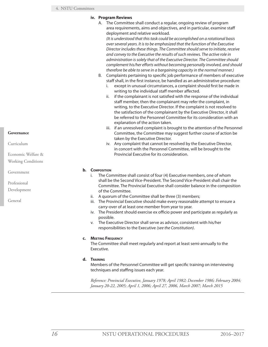#### **iv. Program Reviews**

A. The Committee shall conduct a regular, ongoing review of program area requirements, aims and objectives, and in particular, examine staff deployment and relative workload.

*(It is understood that this task could be accomplished on a rotational basis over several years. It is to be emphasized that the function of the Executive Director includes these things. The Committee should serve to initiate, receive and convey to the Executive the results of such reviews. The active role in administration is solely that of the Executive Director. The Committee should complement his/her efforts without becoming personally involved, and should therefore be able to serve in a bargaining capacity in the normal manner.)*

- B. Complaints pertaining to specific job performance of members of executive staff shall, in the first instance, be handled as an administrative procedure:
	- i. except in unusual circumstances, a complaint should first be made in writing to the individual staff member affected.
	- ii. if the complainant is not satisfied with the response of the individual staff member, then the complainant may refer the complaint, in writing, to the Executive Director. If the complaint is not resolved to the satisfaction of the complainant by the Executive Director, it shall be referred to the Personnel Committee for its consideration with an explanation of the action taken.
	- iii. if an unresolved complaint is brought to the attention of the Personnel Committee, the Committee may suggest further course of action be taken by the Executive Director.
	- iv. Any complaint that cannot be resolved by the Executive Director, in concert with the Personnel Committee, will be brought to the Provincial Executive for its consideration.

#### **b. Composition**

- i. The Committee shall consist of four (4) Executive members, one of whom shall be the Second Vice-President. The Second Vice-President shall chair the Committee. The Provincial Executive shall consider balance in the composition of the Committee.
- ii. A quorum of the Committee shall be three (3) members;
- iii. The Provincial Executive should make every reasonable attempt to ensure a carry-over of at least one member from year to year.
- iv. The President should exercise ex officio power and participate as regularly as possible.
- v. The Executive Director shall serve as advisor, consistent with his/her responsibilities to the Executive *(see the Constitution)*.

#### **c. Meeting Frequency**

The Committee shall meet regularly and report at least semi-annually to the Executive.

#### **d. Training**

Members of the Personnel Committee will get specific training on interviewing techniques and staffing issues each year.

*Reference: Provincial Executive, January 1978; April 1982; December 1986; February 2004; January 20-22, 2005; April 1, 2006; April 27, 2006, March 2007; March 2015*

#### **Governance**

Curriculum

Economic Welfare & Working Conditions

Government

Professional

Development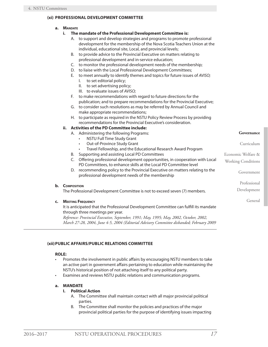#### <span id="page-22-0"></span>**(xi) PROFESSIONAL DEVELOPMENT COMMITTEE**

- **a. Mandate**
	- **i. The mandate of the Professional Development Committee is:**
		- A. to support and develop strategies and programs to promote professional development for the membership of the Nova Scotia Teachers Union at the individual, educational site, Local, and provincial levels;
		- B. to provide advice to the Provincial Executive on matters relating to professional development and in-service education;
		- C. to monitor the professional development needs of the membership;
		- D. to liaise with the Local Professional Development Committees;
		- E. to meet annually to identify themes and topics for future issues of *AVISO;*
			- I. to set editorial policy;
			- II. to set advertising policy;
			- III. to evaluate issues of *AVISO;*
		- F. to make recommendations with regard to future directions for the publication; and to prepare recommendations for the Provincial Executive;
		- G. to consider such resolutions as may be referred by Annual Council and make appropriate recommendations;
		- H. to participate as required in the NSTU Policy Review Process by providing recommendations for the Provincial Executive's consideration.

#### **ii. Activities of the PD Committee include:**

- A. Administering the following Programs:
	- **NSTU Full Time Study Grant**
	- • Out-of-Province Study Grant
	- Travel Fellowship, and the Educational Research Award Program
- B. Supporting and assisting Local PD Committees
- C. Offering professional development opportunities, in cooperation with Local PD Committees, to enhance skills at the Local PD Committee level
- D. recommending policy to the Provincial Executive on matters relating to the professional development needs of the membership

#### **b. Composition**

The Professional Development Committee is not to exceed seven (7) members.

#### **c. Meeting Frequency**

It is anticipated that the Professional Development Committee can fulfill its mandate through three meetings per year.

*Reference: Provincial Executive, September, 1991; May, 1995; May, 2002, October, 2002, March 27-28, 2004, June 4-5, 2004 (Editorial Advisory Committee disbanded; February 2009*

#### **(xii)PUBLIC AFFAIRS/PUBLIC RELATIONS COMMITTEE**

#### **ROLE:**

- Promotes the involvement in public affairs by encouraging NSTU members to take an active part in government affairs pertaining to education while maintaining the NSTU's historical position of not attaching itself to any political party.
- • Examines and reviews NSTU public relations and communication programs.

#### **a. MANDATE**

#### **I. Political Action**

- A. The Committee shall maintain contact with all major provincial political parties.
- B. The Committee shall monitor the policies and practices of the major provincial political parties for the purpose of identifying issues impacting

**Governance**

Curriculum

Economic Welfare &

Working Conditions

Government

Professional

Development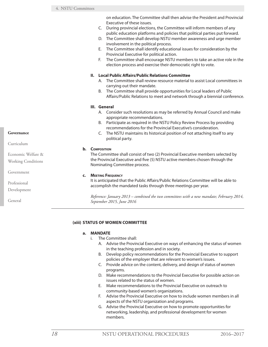on education. The Committee shall then advise the President and Provincial Executive of these issues.

- <span id="page-23-0"></span>C. During provincial elections, the Committee will inform members of any public education platforms and policies that political parties put forward.
- D. The Committee shall develop NSTU member awareness and urge member involvement in the political process.
- E. The Committee shall identify educational issues for consideration by the Provincial Executive for political action.
- F. The Committee shall encourage NSTU members to take an active role in the election process and exercise their democratic right to vote.

#### **II. Local Public Affairs/Public Relations Committee**

- A. The Committee shall review resource material to assist Local committees in carrying out their mandate.
- B. The Committee shall provide opportunities for Local leaders of Public Affairs/Public Relations to meet and network through a biennial conference.

#### **III. General**

- A. Consider such resolutions as may be referred by Annual Council and make appropriate recommendations.
- B. Participate as required in the NSTU Policy Review Process by providing recommendations for the Provincial Executive's consideration.
- C. The NSTU maintains its historical position of not attaching itself to any political party.

#### **b. Composition**

The Committee shall consist of two (2) Provincial Executive members selected by the Provincial Executive and five (5) NSTU active members chosen through the Nominating Committee process.

#### **c. Meeting Frequency**

It is anticipated that the Public Affairs/Public Relations Committee will be able to accomplish the mandated tasks through three meetings per year.

*Reference: January 2013 – combined the two committees with a new mandate; February 2014, September 2015, June 2016*

#### **(xiii) STATUS OF WOMEN COMMITTEE**

#### **a. MANDATE**

- i. The Committee shall:
	- A. Advise the Provincial Executive on ways of enhancing the status of women in the teaching profession and in society.
	- B. Develop policy recommendations for the Provincial Executive to support policies of the employer that are relevant to women's issues.
	- C. Provide advice on the content, delivery, and design of status of women programs.
	- D. Make recommendations to the Provincial Executive for possible action on issues related to the status of women.
	- E. Make recommendations to the Provincial Executive on outreach to community-based women's organizations.
	- F. Advise the Provincial Executive on how to include women members in all aspects of the NSTU organization and programs.
	- G. Advise the Provincial Executive on how to promote opportunities for networking, leadership, and professional development for women members.

**Governance**

Curriculum

Economic Welfare & Working Conditions

Government

Professional

Development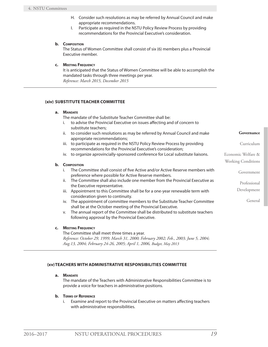- H. Consider such resolutions as may be referred by Annual Council and make appropriate recommendations.
- I. Participate as required in the NSTU Policy Review Process by providing recommendations for the Provincial Executive's consideration.

#### <span id="page-24-0"></span>**b. Composition**

The Status of Women Committee shall consist of six (6) members plus a Provincial Executive member.

#### **c. Meeting Frequency**

It is anticipated that the Status of Women Committee will be able to accomplish the mandated tasks through three meetings per year. *Reference: March 2015, December 2015*

#### **(xiv) SUBSTITUTE TEACHER COMMITTEE**

#### **a. Mandate**

The mandate of the Substitute Teacher Committee shall be:

- i. to advise the Provincial Executive on issues affecting and of concern to substitute teachers;
- ii. to consider such resolutions as may be referred by Annual Council and make appropriate recommendations;
- iii. to participate as required in the NSTU Policy Review Process by providing recommendations for the Provincial Executive's consideration;
- iv. to organize aprovincially-sponsored conference for Local substitute liaisons.

#### **b. Composition**

- i. The Committee shall consist of five Active and/or Active Reserve members with preference where possible for Active Reserve members.
- ii. The Committee shall also include one member from the Provincial Executive as the Executive representative.
- iii. Appointment to this Committee shall be for a one-year renewable term with consideration given to continuity.
- iv. The appointment of committee members to the Substitute Teacher Committee shall be at the October meeting of the Provincial Executive.
- v. The annual report of the Committee shall be distributed to substitute teachers following approval by the Provincial Executive.

#### **c. Meeting Frequency**

The Committee shall meet three times a year. *Reference: October 29, 1999; March 31, 2000; February 2002; Feb., 2003; June 5, 2004; Aug.13, 2004; February 24-26, 2005; April 1, 2006, Budget, May 2013*

#### **(xv)TEACHERS WITH ADMINISTRATIVE RESPONSIBILITIES COMMITTEE**

#### **a. Mandate**

The mandate of the Teachers with Administrative Responsibilities Committee is to provide a voice for teachers in administrative positions.

#### **b. Terms of Reference**

i. Examine and report to the Provincial Executive on matters affecting teachers with administrative responsibilities.

**Governance**

Curriculum

Government

Professional Development

General

Economic Welfare & Working Conditions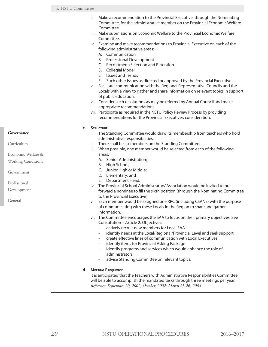- ii. Make a recommendation to the Provincial Executive, through the Nominating Committee, for the administrative member on the Provincial Economic Welfare Committee.
- iii. Make submissions on Economic Welfare to the Provincial Economic Welfare Committee.
- iv. Examine and make recommendations to Provincial Executive on each of the following administrative areas:
	- A. Communication
	- B. Professional Development
	- C. Recruitment/Selection and Retention
	- D. Collegial Model
	- E. Issues and Trends
	- F. Such other issues as directed or approved by the Provincial Executive.
- v. Facilitate communication with the Regional Representative Councils and the Locals with a view to gather and share information on relevant topics in support of public education.
- vi. Consider such resolutions as may be referred by Annual Council and make appropriate recommendations.
- vii. Participate as required in the NSTU Policy Review Process by providing recommendations for the Provincial Executive's consideration.

#### **c. Structure**

- i. The Standing Committee would draw its membership from teachers who hold administrative responsibilities.
- ii. There shall be six members on the Standing Committee.
- iii. When possible, one member would be selected from each of the following areas:
	- A. Senior Administration;
	- B. High School;
	- C. Junior High or Middle;
	- D. Elementary; and
	- E. Department Head.
- iv. The Provincial School Administrators' Association would be invited to put forward a nominee to fill the sixth position (through the Nominating Committee to the Provincial Executive)
- v. Each member would be assigned one RRC (including CSANE) with the purpose of communicating with these Locals in the Region to share and gather information.
- vi. The Committee encourages the SAA to focus on their primary objectives. See Constitution – Article 2: Objectives:
	- actively recruit new members for Local SAA
	- identify needs at the Local/Regional/Provincial Level and seek support
	- create effective lines of communication with Local Executives
	- identify items for Provincial Asking Package
	- identify programs and services which would enhance the role of administrators
	- • advise Standing Committee on relevant topics.

#### **d. Meeting Frequency**

It is anticipated that the Teachers with Administrative Responsibilities Committee will be able to accomplish the mandated tasks through three meetings per year. *Reference: September 20, 2002; October, 2002; March 25-26, 2004*

#### **Governance**

Curriculum

Economic Welfare &

Working Conditions

Government

Professional

Development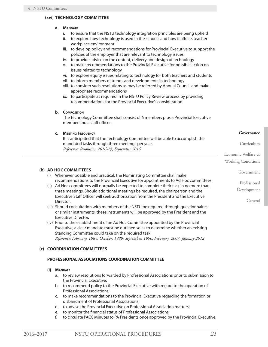#### <span id="page-26-0"></span>**(xvi) TECHNOLOGY COMMITTEE**

#### **a. Mandate**

- i. to ensure that the NSTU technology integration principles are being upheld
- ii. to explore how technology is used in the schools and how it affects teacher workplace environment
- iii. to develop policy and recommendations for Provincial Executive to support the policies of the employer that are relevant to technology issues
- iv. to provide advice on the content, delivery and design of technology
- v. to make recommendations to the Provincial Executive for possible action on issues related to technology
- vi. to explore equity issues relating to technology for both teachers and students
- vii. to inform members of trends and developments in technology
- viii. to consider such resolutions as may be referred by Annual Council and make appropriate recommendations
- ix. to participate as required in the NSTU Policy Review process by providing recommendations for the Provincial Executive's consideration

#### **b. Composition**

The Technology Committee shall consist of 6 members plus a Provincial Executive member and a staff officer.

#### **c. Meeting Frequency**

It is anticipated that the Technology Committee will be able to accomplish the mandated tasks through three meetings per year. *Reference: Resolution 2016-25, September 2016*

#### **(b) AD HOC COMMITTEES**

- (i) Whenever possible and practical, the Nominating Committee shall make recommendations to the Provincial Executive for appointments to Ad Hoc committees.
- (ii) Ad Hoc committees will normally be expected to complete their task in no more than three meetings. Should additional meetings be required, the chairperson and the Executive Staff Officer will seek authorization from the President and the Executive Director.
- (iii) Should consultation with members of the NSTU be required through questionnaires or similar instruments, these instruments will be approved by the President and the Executive Director.
- (iv) Prior to the establishment of an Ad Hoc Committee appointed by the Provincial Executive, a clear mandate must be outlined so as to determine whether an existing Standing Committee could take on the required task. *Reference: February, 1985; October, 1989; September, 1990, February, 2007, January 2012*

#### **(c) COORDINATION COMMITTEES**

#### **PROFESSIONAL ASSOCIATIONS COORDINATION COMMITTEE**

#### **(i) Mandate**

- a. to review resolutions forwarded by Professional Associations prior to submission to the Provincial Executive;
- b. to recommend policy to the Provincial Executive with regard to the operation of Professional Associations;
- c. to make recommendations to the Provincial Executive regarding the formation or disbandment of Professional Associations;
- d. to advise the Provincial Executive on Professional Association matters;
- e. to monitor the financial status of Professional Associations;
- f. to circulate PACC Minutes to PA Presidents once approved by the Provincial Executive;

Economic Welfare & Working Conditions

Government

Professional

Development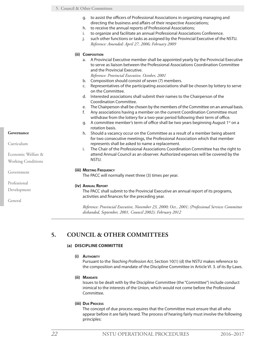- <span id="page-27-0"></span>g. to assist the officers of Professional Associations in organizing managing and directing the business and affairs of their respective Associations;
- h. to receive the annual reports of Professional Associations;
- i. to organize and facilitate an annual Professional Associations Conference.
	- j. such other functions or tasks as assigned by the Provincial Executive of the NSTU. *Reference: Amended: April 27, 2006; February 2009*

#### **(ii) Composition**

- a. A Provincial Executive member shall be appointed yearly by the Provincial Executive to serve as liaison between the Professional Associations Coordination Committee and the Provincial Executive.
	- *Reference: Provincial Executive, October, 2001*
- b. Composition should consist of seven (7) members.
- c. Representatives of the participating associations shall be chosen by lottery to serve on the Committee.
- d. Interested associations shall submit their names to the Chairperson of the Coordination Committee.
- e. The Chairperson shall be chosen by the members of the Committee on an annual basis.
- f. Any associations having a member on the current Coordination Committee must withdraw from the lottery for a two-year period following their term of office.
- g. A committee member's term of office shall be two years beginning August 1<sup>st</sup> on a rotation basis.
- h. Should a vacancy occur on the Committee as a result of a member being absent for two consecutive meetings, the Professional Association which that member represents shall be asked to name a replacement.
- i. The Chair of the Professional Associations Coordination Committee has the right to attend Annual Council as an observer. Authorized expenses will be covered by the NSTU.

#### **(iii) Meeting Frequency**

The PACC will normally meet three (3) times per year.

#### **(iv) Annual Report**

The PACC shall submit to the Provincial Executive an annual report of its programs, activities and finances for the preceding year.

*Reference: Provincial Executive, November 23, 2000; Oct., 2001; (Professional Services Committee disbanded, September, 2001, Council 2002); February 2012*

#### **5. COUNCIL & OTHER COMMITTEES**

#### **(a) DISCIPLINE COMMITTEE**

#### **(i) Authority**

Pursuant to the *Teaching Profession Act*, Section 10(1) (d) the NSTU makes reference to the composition and mandate of the Discipline Committee in Article VI. 3. of its By-Laws.

**(ii) Mandate**

Issues to be dealt with by the Discipline Committee (the "Committee") include conduct inimical to the interests of the Union, which would not come before the Professional Committee.

#### **(iii) Due Process**

The concept of due process requires that the Committee must ensure that all who appear before it are fairly heard. The process of hearing fairly must involve the following principles:

#### **Governance**

Curriculum

Economic Welfare & Working Conditions

Government

Professional

Development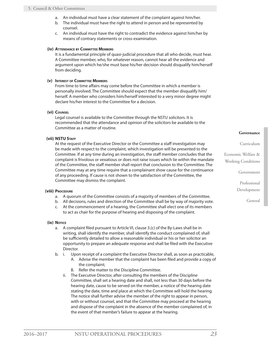- a. An individual must have a clear statement of the complaint against him/her.
- b. The individual must have the right to attend in person and be represented by counsel.
- c. An individual must have the right to contradict the evidence against him/her by means of contrary statements or cross-examination.

#### **(iv) Attendance by Committee Members**

It is a fundamental principle of quasi-judicial procedure that all who decide, must hear. A Committee member, who, for whatever reason, cannot hear all the evidence and argument upon which he/she must base his/her decision should disqualify him/herself from deciding.

#### **(v) Interest of Committee Members**

From time to time affairs may come before the Committee in which a member is personally involved. The Committee should expect that the member disqualify him/ herself. A member who considers him/herself interested to a very minor degree might declare his/her interest to the Committee for a decision.

#### **(vi) Counsel**

Legal counsel is available to the Committee through the NSTU solicitors. It is recommended that the attendance and opinion of the solicitors be available to the Committee as a matter of routine.

#### **(vii) NSTU Staff**

At the request of the Executive Director or the Committee a staff investigation may be made with respect to the complaint, which investigation will be presented to the Committee. If at any time during an investigation, the staff member concludes that the complaint is frivolous or vexatious or does not raise issues which lie within the mandate of the Committee, the staff member shall report that conclusion to the Committee. The Committee may at any time require that a complainant show cause for the continuance of any proceeding. If cause is not shown to the satisfaction of the Committee, the Committee may dismiss the complaint.

#### **(viii) Procedure**

- a. A quorum of the Committee consists of a majority of members of the Committee.
- b. All decisions, rules and direction of the Committee shall be by way of majority vote.
- c. At the commencement of a hearing, the Committee shall elect one of its members to act as chair for the purpose of hearing and disposing of the complaint.

#### **(ix) Notice**

- a. A complaint filed pursuant to Article VI, clause 3.(c) of the By-Laws shall be in writing, shall identify the member, shall identify the conduct complained of, shall be sufficiently detailed to allow a reasonable individual or his or her solicitor an opportunity to prepare an adequate response and shall be filed with the Executive Director.
- b. i. Upon receipt of a complaint the Executive Director shall, as soon as practicable,
	- A. Advise the member that the complaint has been filed and provide a copy of the complaint;
	- B. Refer the matter to the Discipline Committee.
	- ii. The Executive Director, after consulting the members of the Discipline Committee, shall set a hearing date and shall, not less than 30 days before the hearing date, cause to be served on the member, a notice of the hearing date stating the date, time and place at which the Committee will hold the hearing. The notice shall further advise the member of the right to appear in person, with or without counsel, and that the Committee may proceed at the hearing and dispose of the complaint in the absence of the member complained of, in the event of that member's failure to appear at the hearing.

#### **Governance**

Curriculum

Economic Welfare & Working Conditions

Government

Professional Development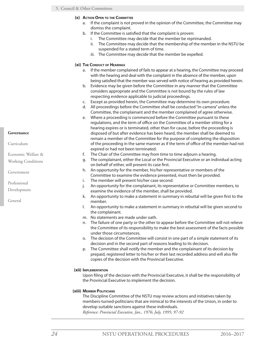- **(x) Action Open to the Committee**
	- a. If the complaint is not proved in the opinion of the Committee, the Committee may dismiss the complaint.
	- b. If the Committee is satisfied that the complaint is proven:
		- i. The Committee may decide that the member be reprimanded.
		- ii. The Committee may decide that the membership of the member in the NSTU be suspended for a stated term of time.
		- iii. The Committee may decide that the member be expelled.

#### **(xi) The Conduct of Hearings**

- a. If the member complained of fails to appear at a hearing, the Committee may proceed with the hearing and deal with the complaint in the absence of the member, upon being satisfied that the member was served with notice of hearing as provided herein.
- b. Evidence may be given before the Committee in any manner that the Committee considers appropriate and the Committee is not bound by the rules of law respecting evidence applicable to judicial proceedings.
- c. Except as provided herein, the Committee may determine its own procedure.
- d. All proceedings before the Committee shall be conducted "in-camera" unless the Committee, the complainant and the member complained of agree otherwise.
- e. Where a proceeding is commenced before the Committee pursuant to these regulations, and the term of office on the Committee of a member sitting for a hearing expires or is terminated, other than for cause, before the proceeding is disposed of but after evidence has been heard, the member shall be deemed to remain a member of the Committee for the purpose of completing the disposition of the proceeding in the same manner as if the term of office of the member had not expired or had not been terminated.
- f. The Chair of the Committee may from time to time adjourn a hearing.
- g. The complainant, either the Local or the Provincial Executive or an individual acting on behalf of either, will present its case first.
- h. An opportunity for the member, his/her representative or members of the Committee to examine the evidence presented, must then be provided.
- i. The member will present his/her case second.
- j. An opportunity for the complainant, its representative or Committee members, to examine the evidence of the member, shall be provided.
- k. An opportunity to make a statement in summary in rebuttal will be given first to the member.
- l. An opportunity to make a statement in summary in rebuttal will be given second to the complainant.
- m. No statements are made under oath.
- n. The failure of one party or the other to appear before the Committee will not relieve the Committee of its responsibility to make the best assessment of the facts possible under those circumstances.
- o. The decision of the Committee will consist in one part of a simple statement of its decision and in the second part of reasons leading to its decision.
- p. The Committee shall notify the member and the complainant of its decision by prepaid, registered letter to his/her or their last recorded address and will also file copies of the decision with the Provincial Executive.

#### **(xii) Implementation**

Upon filing of the decision with the Provincial Executive, it shall be the responsibility of the Provincial Executive to implement the decision.

#### **(xiii) Member Politicians**

The Discipline Committee of the NSTU may review actions and initiatives taken by members-turned-politicians that are inimical to the interests of the Union, in order to develop suitable sanctions against these individuals.

*Reference: Provincial Executive, Jan., 1976; July, 1995; 97-92*

#### **Governance**

Curriculum

Economic Welfare &

Working Conditions

Government

Professional

Development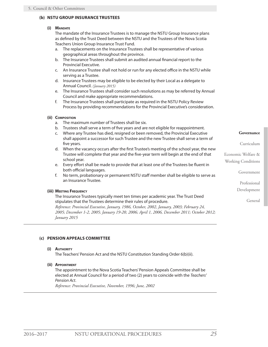#### <span id="page-30-0"></span>**(b) NSTU GROUP INSURANCE TRUSTEES**

#### **(i) Mandate**

The mandate of the Insurance Trustees is to manage the NSTU Group Insurance plans as defined by the Trust Deed between the NSTU and the Trustees of the Nova Scotia Teachers Union Group Insurance Trust Fund.

- a. The replacements on the Insurance Trustees shall be representative of various geographical areas throughout the province.
- b. The Insurance Trustees shall submit an audited annual financial report to the Provincial Executive.
- c. An Insurance Trustee shall not hold or run for any elected office in the NSTU while serving as a Trustee.
- d. Insurance Trustees may be eligible to be elected by their Local as a delegate to Annual Council. *(January 2015)*
- e. The Insurance Trustees shall consider such resolutions as may be referred by Annual Council and make appropriate recommendations.
- f. The Insurance Trustees shall participate as required in the NSTU Policy Review Process by providing recommendations for the Provincial Executive's consideration.

#### **(ii) Composition**

- a. The maximum number of Trustees shall be six.
- b. Trustees shall serve a term of five years and are not eligible for reappointment.
- c. Where any Trustee has died, resigned or been removed, the Provincial Executive shall appoint a successor for such Trustee and the new Trustee shall serve a term of five years.
- d. When the vacancy occurs after the first Trustee's meeting of the school year, the new Trustee will complete that year and the five-year term will begin at the end of that school year.
- e. Every effort shall be made to provide that at least one of the Trustees be fluent in both official languages.
- f. No term, probationary or permanent NSTU staff member shall be eligible to serve as an Insurance Trustee.

#### **(iii) Meeting Frequency**

The Insurance Trustees typically meet ten times per academic year. The Trust Deed stipulates that the Trustees determine their rules of procedure. *Reference: Provincial Executive, January, 1986, October, 2002, January, 2003; February 24, 2005; December 1-2, 2005; January 19-20, 2006; April 1, 2006, December 2011; October 2012;* 

*January 2015*

#### **(c) PENSION APPEALS COMMITTEE**

#### **(i) Authority**

The Teachers' Pension Act and the NSTU Constitution Standing Order 6(b)(ii).

**(ii) Appointment**

The appointment to the Nova Scotia Teachers' Pension Appeals Committee shall be elected at Annual Council for a period of two (2) years to coincide with the *Teachers' Pension Act*.

*Reference: Provincial Executive, November, 1996; June, 2002*

#### **Governance**

Curriculum

Economic Welfare &

Working Conditions

Government

Professional

Development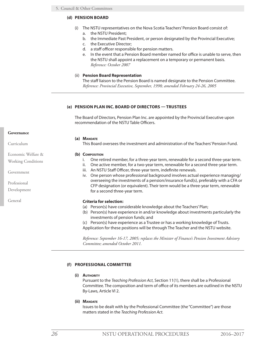#### <span id="page-31-0"></span>**(d) PENSION BOARD**

- (i) The NSTU representatives on the Nova Scotia Teachers' Pension Board consist of: a. the NSTU President;
	- b. the Immediate Past President, or person designated by the Provincial Executive;
	- c. the Executive Director;
	- d. a staff officer responsible for pension matters.
	- e. In the event that a Pension Board member named for office is unable to serve, then the NSTU shall appoint a replacement on a temporary or permanent basis. *Reference: October 2007*

#### (ii) **Pension Board Representation**

The staff liaison to the Pension Board is named designate to the Pension Committee. *Reference: Provincial Executive, September, 1998; amended February 24-26, 2005*

#### **(e) PENSION PLAN INC. BOARD OF DIRECTORS — TRUSTEES**

The Board of Directors, Pension Plan Inc. are appointed by the Provincial Executive upon recommendation of the NSTU Table Officers.

#### **(a) Mandate**

This Board oversees the investment and administration of the Teachers' Pension Fund.

#### **(b) Composition**

- i. One retired member, for a three-year term, renewable for a second three-year term.
- ii. One active member, for a two-year term, renewable for a second three-year term.
- iii. An NSTU Staff Officer, three-year term, indefinite renewals.
- iv. One person whose professional background involves actual experience managing/ overseeing the investments of a pension/insurance fund(s), preferably with a CFA or CFP designation (or equivalent). Their term would be a three-year term, renewable for a second three-year term.

#### **Criteria for selection:**

- (a) Person(s) have considerable knowledge about the Teachers' Plan;
- (b) Person(s) have experience in and/or knowledge about investments particularly the investments of pension funds; and
- (c) Person(s) have experience as a Trustee or has a working knowledge of Trusts. Application for these positions will be through The Teacher and the NSTU website.

*Reference: September 16-17, 2005; replaces the Minister of Finance's Pension Investment Advisory Committee; amended October 2011.*

#### **(f) PROFESSIONAL COMMITTEE**

#### **(i) Authority**

Pursuant to the *Teaching Profession Act*, Section 11(1), there shall be a Professional Committee. The composition and term of office of its members are outlined in the NSTU By-Laws, Article VI 2.

#### **(ii) Mandate**

Issues to be dealt with by the Professional Committee (the "Committee") are those matters stated in the *Teaching Profession Act.*

#### **Governance**

Curriculum

Economic Welfare & Working Conditions

Government

Professional

Development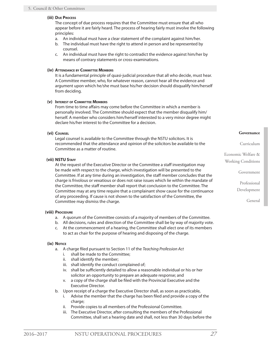#### **(iii) Due Process**

The concept of due process requires that the Committee must ensure that all who appear before it are fairly heard. The process of hearing fairly must involve the following principles:

- a. An individual must have a clear statement of the complaint against him/her.
- b. The individual must have the right to attend in person and be represented by counsel.
- c. An individual must have the right to contradict the evidence against him/her by means of contrary statements or cross-examinations.

#### **(iv) Attendance by Committee Members**

It is a fundamental principle of quasi-judicial procedure that all who decide, must hear. A Committee member, who, for whatever reason, cannot hear all the evidence and argument upon which he/she must base his/her decision should disqualify him/herself from deciding.

#### **(v) Interest of Committee Members**

From time to time affairs may come before the Committee in which a member is personally involved. The Committee should expect that the member disqualify him/ herself. A member who considers him/herself interested to a very minor degree might declare his/her interest to the Committee for a decision.

#### **(vi) Counsel**

Legal counsel is available to the Committee through the NSTU solicitors. It is recommended that the attendance and opinion of the solicitors be available to the Committee as a matter of routine.

#### **(vii) NSTU Staff**

At the request of the Executive Director or the Committee a staff investigation may be made with respect to the charge, which investigation will be presented to the Committee. If at any time during an investigation, the staff member concludes that the charge is frivolous or vexatious or does not raise issues which lie within the mandate of the Committee, the staff member shall report that conclusion to the Committee. The Committee may at any time require that a complainant show cause for the continuance of any proceeding. If cause is not shown to the satisfaction of the Committee, the Committee may dismiss the charge.

#### **(viii) Procedure**

- a. A quorum of the Committee consists of a majority of members of the Committee.
- b. All decisions, rules and direction of the Committee shall be by way of majority vote.
- c. At the commencement of a hearing, the Committee shall elect one of its members to act as chair for the purpose of hearing and disposing of the charge.

#### **(ix) Notice**

- a. A charge filed pursuant to Section 11 of the *Teaching Profession Act*
	- i. shall be made to the Committee;
	- ii. shall identify the member;
	- iii. shall identify the conduct complained of;
	- iv. shall be sufficiently detailed to allow a reasonable individual or his or her solicitor an opportunity to prepare an adequate response; and
	- v. a copy of the charge shall be filed with the Provincial Executive and the Executive Director.
- b. Upon receipt of a charge the Executive Director shall, as soon as practicable,
	- i. Advise the member that the charge has been filed and provide a copy of the charge;
	- ii. Provide copies to all members of the Professional Committee.
	- iii. The Executive Director, after consulting the members of the Professional Committee, shall set a hearing date and shall, not less than 30 days before the

Economic Welfare & Working Conditions

Government

Professional Development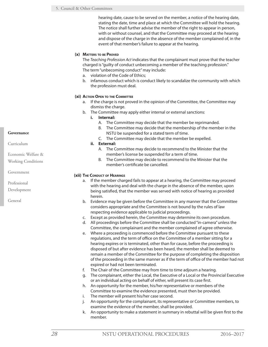hearing date, cause to be served on the member, a notice of the hearing date, stating the date, time and place at which the Committee will hold the hearing. The notice shall further advise the member of the right to appear in person, with or without counsel, and that the Committee may proceed at the hearing and dispose of the charge in the absence of the member complained of, in the event of that member's failure to appear at the hearing.

#### **(x) Matters to be Proved**

The *Teaching Profession Act* indicates that the complainant must prove that the teacher charged is "guilty of conduct unbecoming a member of the teaching profession." The term "unbecoming conduct" may include:

- a. violation of the Code of Ethics;
- b. infamous conduct which is conduct likely to scandalize the community with which the profession must deal.

#### **(xi) Action Open to the Committee**

- a. If the charge is not proved in the opinion of the Committee, the Committee may dismiss the charge.
- b. The Committee may apply either internal or external sanctions:
	- **i. Internal:**
		- A. The Committee may decide that the member be reprimanded.
		- B. The Committee may decide that the membership of the member in the NSTU be suspended for a stated term of time.
		- C. The Committee may decide that the member be expelled.
	- **ii. External:**
		- A. The Committee may decide to recommend to the Minister that the member's license be suspended for a term of time.
		- B. The Committee may decide to recommend to the Minister that the member's certificate be cancelled.

#### **(xii) The Conduct of Hearings**

- a. If the member charged fails to appear at a hearing, the Committee may proceed with the hearing and deal with the charge in the absence of the member, upon being satisfied, that the member was served with notice of hearing as provided herein.
- b. Evidence may be given before the Committee in any manner that the Committee considers appropriate and the Committee is not bound by the rules of law respecting evidence applicable to judicial proceedings.
- c. Except as provided herein, the Committee may determine its own procedure.
- d. All proceedings before the Committee shall be conducted "in-camera" unless the Committee, the complainant and the member complained of agree otherwise.
- e. Where a proceeding is commenced before the Committee pursuant to these regulations, and the term of office on the Committee of a member sitting for a hearing expires or is terminated, other than for cause, before the proceeding is disposed of but after evidence has been heard, the member shall be deemed to remain a member of the Committee for the purpose of completing the disposition of the proceeding in the same manner as if the term of office of the member had not expired or had not been terminated.
- f. The Chair of the Committee may from time to time adjourn a hearing.
- g. The complainant, either the Local, the Executive of a Local or the Provincial Executive or an individual acting on behalf of either, will present its case first.
- h. An opportunity for the member, his/her representative or members of the Committee to examine the evidence presented, must then be provided.
- i. The member will present his/her case second.
- j. An opportunity for the complainant, its representative or Committee members, to examine the evidence of the member, shall be provided.
- k. An opportunity to make a statement in summary in rebuttal will be given first to the member.

**Governance**

Curriculum

Economic Welfare &

Working Conditions

Government

Professional

Development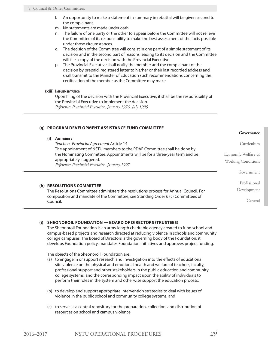- <span id="page-34-0"></span>l. An opportunity to make a statement in summary in rebuttal will be given second to the complainant.
- m. No statements are made under oath.
- n. The failure of one party or the other to appear before the Committee will not relieve the Committee of its responsibility to make the best assessment of the facts possible under those circumstances.
- o. The decision of the Committee will consist in one part of a simple statement of its decision and in the second part of reasons leading to its decision and the Committee will file a copy of the decision with the Provincial Executive.
- p. The Provincial Executive shall notify the member and the complainant of the decision by prepaid, registered letter to his/her or their last recorded address and shall transmit to the Minister of Education such recommendations concerning the certification of the member as the Committee may make.

#### **(xiii) Implementation**

Upon filing of the decision with the Provincial Executive, it shall be the responsibility of the Provincial Executive to implement the decision. *Reference: Provincial Executive, January 1976, July 1995*

#### **(g) PROGRAM DEVELOPMENT ASSISTANCE FUND COMMITTEE**

#### **(i) Authority**

*Teachers' Provincial Agreement* Article 14 The appointment of NSTU members to the PDAF Committee shall be done by the Nominating Committee. Appointments will be for a three-year term and be appropriately staggered. *Reference: Provincial Executive, January 1997*

#### **(h) RESOLUTIONS COMMITTEE**

The Resolutions Committee administers the resolutions process for Annual Council. For composition and mandate of the Committee, see Standing Order 6 (c) Committees of Council.

#### **(i) SHEONOROIL FOUNDATION — BOARD OF DIRECTORS (TRUSTEES)**

The Sheonoroil Foundation is an arms-length charitable agency created to fund school and campus-based projects and research directed at reducing violence in schools and community college campuses. The Board of Directors is the governing body of the Foundation; it develops Foundation policy, mandates Foundation initiatives and approves project funding.

The objects of the Sheonoroil Foundation are:

- (a) to engage in or support research and investigation into the effects of educational site violence on the physical and emotional health and welfare of teachers, faculty, professional support and other stakeholders in the public education and community college systems, and the corresponding impact upon the ability of individuals to perform their roles in the system and otherwise support the education process;
- (b) to develop and support appropriate intervention strategies to deal with issues of violence in the public school and community college systems, and
- (c) to serve as a central repository for the preparation, collection, and distribution of resources on school and campus violence

#### **Governance**

Curriculum

Economic Welfare & Working Conditions Government

Professional

Development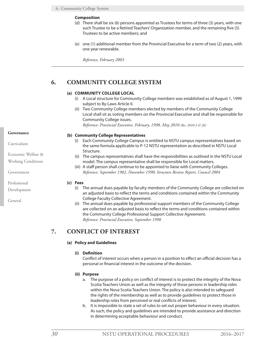#### <span id="page-35-0"></span>**Composition**

- (d) There shall be six (6) persons appointed as Trustees for terms of three (3) years, with one such Trustee to be a Retired Teachers' Organization member, and the remaining five (5) Trustees to be active members; and
- (e) one (1) additional member from the Provincial Executive for a term of two (2) years, with one year renewable.

*Reference, February 2003*

#### **6. COMMUNITY COLLEGE SYSTEM**

#### **(a) COMMUNITY COLLEGE LOCAL**

- (i) A Local structure for Community College members was established as of August 1, 1999 subject to By-Laws Article II.
- (ii) Two Community College members elected by members of the Community College Local shall sit as voting members on the Provincial Executive and shall be responsible for Community College issues.

*Reference: Provincial Executive, February, 1998, May 2010 (Res. 2010-3 & 26)*

#### **(b) Community College Representatives**

- (i) Each Community College Campus is entitled to NSTU campus representatives based on the same formula applicable to P-12 NSTU representation as described in NSTU Local Structure.
- (ii) The campus representatives shall have the responsibilities as outlined in the NSTU Local model. The campus representative shall be responsible for Local matters.
- (iii) A staff person shall continue to be appointed to liaise with Community Colleges. *Reference: September 1982, November 1990; Structure Review Report, Council 2004*

#### **(c) Fees**

- (i) The annual dues payable by faculty members of the Community College are collected on an adjusted basis to reflect the terms and conditions contained within the Community College Faculty Collective Agreement.
- (ii) The annual dues payable by professional support members of the Community College are collected on an adjusted basis to reflect the terms and conditions contained within the Community College Professional Support Collective Agreement. *Reference: Provincial Executive, September 1998*

#### **7. CONFLICT OF INTEREST**

#### **(a) Policy and Guidelines**

#### **(i) Definition**

Conflict of interest occurs when a person in a position to effect an official decision has a personal or financial interest in the outcome of the decision.

#### **(ii) Purpose**

- a. The purpose of a policy on conflict of interest is to protect the integrity of the Nova Scotia Teachers Union as well as the integrity of those persons in leadership roles within the Nova Scotia Teachers Union. The policy is also intended to safeguard the rights of the membership as well as to provide guidelines to protect those in leadership roles from perceived or real conflicts of interest.
- b. It is impossible to state a set of rules to set out proper behaviour in every situation. As such, the policy and guidelines are intended to provide assistance and direction in determining acceptable behaviour and conduct.

#### **Governance**

Curriculum

Economic Welfare & Working Conditions

Government

Professional

Development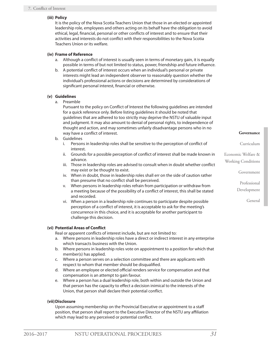# **(iii) Policy**

It is the policy of the Nova Scotia Teachers Union that those in an elected or appointed leadership role, employees and others acting on its behalf have the obligation to avoid ethical, legal, financial, personal or other conflicts of interest and to ensure that their activities and interests do not conflict with their responsibilities to the Nova Scotia Teachers Union or its welfare.

# **(iv) Frame of Reference**

- a. Although a conflict of interest is usually seen in terms of monetary gain, it is equally possible in terms of but not limited to status, power, friendship and future influence.
- b. A potential conflict of interest occurs when an individual's personal or private interests might lead an independent observer to reasonably question whether the individual's professional actions or decisions are determined by considerations of significant personal interest, financial or otherwise.

# **(v) Guidelines**

a. Preamble

Pursuant to the policy on Conflict of Interest the following guidelines are intended for a quick reference only. Before listing guidelines it should be noted that guidelines that are adhered to too strictly may deprive the NSTU of valuable input and judgment. It may also amount to denial of personal rights, to independence of thought and action, and may sometimes unfairly disadvantage persons who in no way have a conflict of interest.

- b. Guidelines
	- i. Persons in leadership roles shall be sensitive to the perception of conflict of interest.
	- ii. Grounds for a possible perception of conflict of interest shall be made known in advance.
	- iii. Those in leadership roles are advised to consult when in doubt whether conflict may exist or be thought to exist.
	- iv. When in doubt, those in leadership roles shall err on the side of caution rather than presume that no conflict shall be perceived.
	- v. When persons in leadership roles refrain from participation or withdraw from a meeting because of the possibility of a conflict of interest, this shall be stated and recorded.
	- vi. When a person in a leadership role continues to participate despite possible perception of a conflict of interest, it is acceptable to ask for the meeting's concurrence in this choice, and it is acceptable for another participant to challenge this decision.

# **(vi) Potential Areas of Conflict**

Real or apparent conflicts of interest include, but are not limited to:

- a. Where persons in leadership roles have a direct or indirect interest in any enterprise which transacts business with the Union.
- b. Where persons in leadership roles vote on appointment to a position for which that member(s) has applied.
- c. Where a person serves on a selection committee and there are applicants with respect to whom that member should be disqualified.
- d. Where an employee or elected official renders service for compensation and that compensation is an attempt to gain favour.
- e. Where a person has a dual leadership role, both within and outside the Union and that person has the capacity to effect a decision inimical to the interests of the Union, that person shall declare their potential conflict.

# **(vii)Disclosure**

Upon assuming membership on the Provincial Executive or appointment to a staff position, that person shall report to the Executive Director of the NSTU any affiliation which may lead to any perceived or potential conflict.

#### **Governance**

Curriculum

Economic Welfare & Working Conditions

Government

Professional Development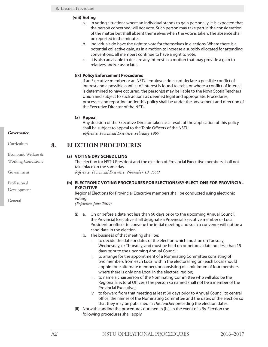### **(viii) Voting**

- a. In voting situations where an individual stands to gain personally, it is expected that the person concerned will not vote. Such person may take part in the consideration of the matter but shall absent themselves when the vote is taken. The absence shall be reported in the minutes.
- b. Individuals do have the right to vote for themselves in elections. Where there is a potential collective gain, as in a motion to increase a subsidy allocated for attending conventions, all members continue to have a right to vote.
- c. It is also advisable to declare any interest in a motion that may provide a gain to relatives and/or associates.

# **(ix) Policy Enforcement Procedures**

If an Executive member or an NSTU employee does not declare a possible conflict of interest and a possible conflict of interest is found to exist, or where a conflict of interest is determined to have occurred, the person(s) may be liable to the Nova Scotia Teachers Union and subject to such actions as deemed legal and appropriate. Procedures, processes and reporting under this policy shall be under the advisement and direction of the Executive Director of the NSTU.

# **(x) Appeal**

Any decision of the Executive Director taken as a result of the application of this policy shall be subject to appeal to the Table Officers of the NSTU. *Reference: Provincial Executive, February 1999*

# **8. ELECTION PROCEDURES**

# **(a) VOTING DAY SCHEDULING**

The election for NSTU President and the election of Provincial Executive members shall not take place on the same day. *Reference: Provincial Executive, November 19, 1999*

# **(b) ELECTRONIC VOTING PROCEDURES FOR ELECTIONS/BY-ELECTIONS FOR PROVINCIAL EXECUTIVE**

Regional Elections for Provincial Executive members shall be conducted using electronic voting*.*

*(Reference: June 2009)*

- (i) a. On or before a date not less than 60 days prior to the upcoming Annual Council, the Provincial Executive shall designate a Provincial Executive member or Local President or officer to convene the initial meeting and such a convenor will not be a candidate in the election.
	- b. The business of that meeting shall be:
		- i. to decide the date or dates of the election which must be on Tuesday, Wednesday, or Thursday, and must be held on or before a date not less than 15 days prior to the upcoming Annual Council;
		- ii. to arrange for the appointment of a Nominating Committee consisting of two members from each Local within the electoral region (each Local should appoint one alternate member), or consisting of a minimum of four members where there is only one Local in the electoral region;
		- iii. to name a chairperson of the Nominating Committee who will also be the Regional Electoral Officer; (The person so named shall not be a member of the Provincial Executive;)
		- iv. to forward from that meeting at least 30 days prior to Annual Council to central office, the names of the Nominating Committee and the dates of the election so that they may be published in *The Teacher* preceding the election dates.
- (ii) Notwithstanding the procedures outlined in (b.), in the event of a By-Election the following procedures shall apply.

# **Governance**

Curriculum

Economic Welfare & Working Conditions

Government

Professional Development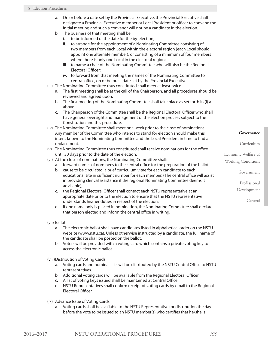- a. On or before a date set by the Provincial Executive, the Provincial Executive shall designate a Provincial Executive member or Local President or officer to convene the initial meeting and such a convenor will not be a candidate in the election.
- b. The business of that meeting shall be:
	- i. to be informed of the date for the by-election;
	- ii. to arrange for the appointment of a Nominating Committee consisting of two members from each Local within the electoral region (each Local should appoint one alternate member), or consisting of a minimum of four members where there is only one Local in the electoral region;
	- iii. to name a chair of the Nominating Committee who will also be the Regional Electoral Officer;
	- iv. to forward from that meeting the names of the Nominating Committee to central office, on or before a date set by the Provincial Executive.
- (iii) The Nominating Committee thus constituted shall meet at least twice.
	- a. The first meeting shall be at the call of the Chairperson, and all procedures should be reviewed and agreed upon.
	- b. The first meeting of the Nominating Committee shall take place as set forth in (i) a. above.
	- c. The Chairperson of the Committee shall be the Regional Electoral Officer who shall have general oversight and management of the election process subject to the Constitution and this procedure.
- (iv) The Nominating Committee shall meet one week prior to the close of nominations. Any member of the Committee who intends to stand for election should make this intent known to the Nominating Committee and the Local President in time to find a replacement.
- (v) The Nominating Committee thus constituted shall receive nominations for the office until 30 days prior to the date of the election.
- (vi) At the close of nominations, the Nominating Committee shall:
	- a. forward names of nominees to the central office for the preparation of the ballot;.
		- b. cause to be circulated, a brief curriculum vitae for each candidate to each educational site in sufficient number for each member. (The central office will assist in providing clerical assistance if the regional Nominating Committee deems it advisable);
	- c. the Regional Electoral Officer shall contact each NSTU representative at an appropriate date prior to the election to ensure that the NSTU representative understands his/her duties in respect of the election;
	- d. if one name only is placed in nomination, the Nominating Committee shall declare that person elected and inform the central office in writing.
- (vii) Ballot
	- a. The electronic ballot shall have candidates listed in alphabetical order on the NSTU website (www.nstu.ca). Unless otherwise instructed by a candidate, the full name of the candidate shall be posted on the ballot.
	- b. Voters will be provided with a voting card which contains a private voting key to access the electronic ballot.

(viii)Distribution of Voting Cards

- a. Voting cards and nominal lists will be distributed by the NSTU Central Office to NSTU representatives.
- b. Additional voting cards will be available from the Regional Electoral Officer.
- c. A list of voting keys issued shall be maintained at Central Office.
- d. NSTU Representatives shall confirm receipt of voting cards by email to the Regional Electoral Officer.
- (ix) Advance Issue of Voting Cards
	- a. Voting cards shall be available to the NSTU Representative for distribution the day before the vote to be issued to an NSTU member(s) who certifies that he/she is

#### **Governance**

Curriculum

Economic Welfare & Working Conditions

Government

Professional

Development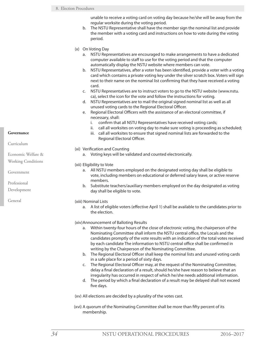### 8. Election Procedures

unable to receive a voting card on voting day because he/she will be away from the regular worksite during the voting period.

- b. The NSTU Representative shall have the member sign the nominal list and provide the member with a voting card and instructions on how to vote during the voting period.
- (x) On Voting Day
	- a. NSTU Representatives are encouraged to make arrangements to have a dedicated computer available to staff to use for the voting period and that the computer automatically display the NSTU website where members can vote.
	- b. NSTU Representatives, after a voter has been identified, provide a voter with a voting card which contains a private voting key under the silver scratch box. Voters will sign next to their name on the nominal list confirming that they have received a voting card.
	- c. NSTU Representatives are to instruct voters to go to the NSTU website (www.nstu. ca), select the icon for the vote and follow the instructions for voting.
	- d. NSTU Representatives are to mail the original signed nominal list as well as all unused voting cards to the Regional Electoral Officer.
	- e. Regional Electoral Officers with the assistance of an electoral committee, if necessary, shall:
		- i. confirm that all NSTU Representatives have received voting cards;
		- ii. call all worksites on voting day to make sure voting is proceeding as scheduled;
		- iii. call all worksites to ensure that signed nominal lists are forwarded to the Regional Electoral Officer.
- (xi) Verification and Counting
	- a. Voting keys will be validated and counted electronically.
- (xii) Eligibility to Vote
	- a. All NSTU members employed on the designated voting day shall be eligible to vote, including members on educational or deferred salary leave, or active reserve members.
	- b. Substitute teachers/auxiliary members employed on the day designated as voting day shall be eligible to vote.
- (xiii) Nominal Lists
	- a. A list of eligible voters (effective April 1) shall be available to the candidates prior to the election.
- (xiv)Announcement of Balloting Results
	- a. Within twenty-four hours of the close of electronic voting, the chairperson of the Nominating Committee shall inform the NSTU central office, the Locals and the candidates promptly of the vote results with an indication of the total votes received by each candidate The information to NSTU central office shall be confirmed in writing by the Chairperson of the Nominating Committee.
	- b. The Regional Electoral Officer shall keep the nominal lists and unused voting cards in a safe place for a period of sixty days.
	- c. The Regional Electoral Officer may, at the request of the Nominating Committee, delay a final declaration of a result, should he/she have reason to believe that an irregularity has occurred in respect of which he/she needs additional information.
	- d. The period by which a final declaration of a result may be delayed shall not exceed five days.

(xv) All elections are decided by a plurality of the votes cast.

(xvi) A quorum of the Nominating Committee shall be more than fifty percent of its membership.

**Governance**

Curriculum

### Economic Welfare &

Working Conditions

Government

Professional

Development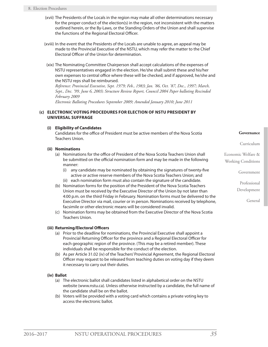- (xvii) The Presidents of the Locals in the region may make all other determinations necessary for the proper conduct of the election(s) in the region, not inconsistent with the matters outlined herein, or the By-Laws, or the Standing Orders of the Union and shall supervise the functions of the Regional Electoral Officer.
- (xviii) In the event that the Presidents of the Locals are unable to agree, an appeal may be made to the Provincial Executive of the NSTU, which may refer the matter to the Chief Electoral Officer of the Union for determination.
- (xix) The Nominating Committee Chairperson shall accept calculations of the expenses of NSTU representatives engaged in the election. He/she shall submit these and his/her own expenses to central office where these will be checked, and if approved, he/she and the NSTU reps shall be reimbursed.

*Reference: Provincial Executive, Sept. 1979; Feb., 1983; Jan. '86, Oct. '87, Dec., 1997; March, Sept., Dec. '99, June 6, 2003; Structure Review Report, Council 2004 Paper balloting Rescinded February 2009*

*Electronic Balloting Procedures September 2009; Amended January 2010; June 2011*

# **(c) ELECTRONIC VOTING PROCEDURES FOR ELECTION OF NSTU PRESIDENT BY UNIVERSAL SUFFRAGE**

# **(i) Eligibility of Candidates**

Candidates for the office of President must be active members of the Nova Scotia Teachers Union.

# **(ii) Nominations**

- (a) Nominations for the office of President of the Nova Scotia Teachers Union shall be submitted on the official nomination form and may be made in the following manner:
	- (i) any candidate may be nominated by obtaining the signatures of twenty-five active or active reserve members of the Nova Scotia Teachers Union; and
	- (ii) each nomination form must also contain the signature of the candidate.
- (b) Nomination forms for the position of the President of the Nova Scotia Teachers Union must be received by the Executive Director of the Union by not later than 4:00 p.m. on the third Friday in February. Nomination forms must be delivered to the Executive Director via mail, courier or in person. Nominations received by telephone, facsimile or other electronic means will be considered invalid.
- (c) Nomination forms may be obtained from the Executive Director of the Nova Scotia Teachers Union.

# **(iii) Returning/Electoral Officers**

- (a) Prior to the deadline for nominations, the Provincial Executive shall appoint a Provincial Returning Officer for the province and a Regional Electoral Officer for each geographic region of the province. (This may be a retired member). These individuals shall be responsible for the conduct of the election.
- (b) As per Article 31.02 (iv) of the Teachers' Provincial Agreement, the Regional Electoral Officer may request to be released from teaching duties on voting day if they deem it necessary to carry out their duties.

### **(iv) Ballot**

- (a) The electronic ballot shall candidates listed in alphabetical order on the NSTU website (www.nstu.ca). Unless otherwise instructed by a candidate, the full name of the candidate shall be on the ballot.
- (b) Voters will be provided with a voting card which contains a private voting key to access the electronic ballot.

**Governance**

Curriculum

Economic Welfare & Working Conditions

Government

Professional

Development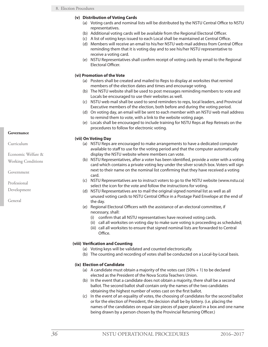# **(v) Distribution of Voting Cards**

- (a) Voting cards and nominal lists will be distributed by the NSTU Central Office to NSTU representatives.
- (b) Additional voting cards will be available from the Regional Electoral Officer.
- (c) A list of voting keys issued to each Local shall be maintained at Central Office.
- (d) Members will receive an email to his/her NSTU web mail address from Central Office reminding them that it is voting day and to see his/her NSTU representative to receive a voting card.
- (e) NSTU Representatives shall confirm receipt of voting cards by email to the Regional Electoral Officer.

# **(vi) Promotion of the Vote**

- (a) Posters shall be created and mailed to Reps to display at worksites that remind members of the election dates and times and encourage voting.
- (b) The NSTU website shall be used to post messages reminding members to vote and Locals be encouraged to use their websites as well.
- (c) NSTU web mail shall be used to send reminders to reps, local leaders, and Provincial Executive members of the election, both before and during the voting period.
- (d) On voting day, an email will be sent to each member with an NSTU web mail address to remind them to vote, with a link to the website voting page.
- (e) Locals shall be encouraged to include training for NSTU Reps at Rep Retreats on the procedures to follow for electronic voting.

# **(vii) On Voting Day**

- (a) NSTU Reps are encouraged to make arrangements to have a dedicated computer available to staff to use for the voting period and that the computer automatically display the NSTU website where members can vote.
- (b) NSTU Representatives, after a voter has been identified, provide a voter with a voting card which contains a private voting key under the silver scratch box. Voters will sign next to their name on the nominal list confirming that they have received a voting card.
- (c) NSTU Representatives are to instruct voters to go to the NSTU website (www.nstu.ca) select the icon for the vote and follow the instructions for voting.
- (d) NSTU Representatives are to mail the original signed nominal list as well as all unused voting cards to NSTU Central Office in a Postage Paid Envelope at the end of the day.
- (e) Regional Electoral Officers with the assistance of an electoral committee, if necessary, shall:
	- (i) confirm that all NSTU representatives have received voting cards.
	- (ii) call all worksites on voting day to make sure voting is proceeding as scheduled;
	- (iii) call all worksites to ensure that signed nominal lists are forwarded to Central Office.

### **(viii) Verification and Counting**

- (a) Voting keys will be validated and counted electronically.
- (b) The counting and recording of votes shall be conducted on a Local-by-Local basis.

### **(ix) Election of Candidate**

- (a) A candidate must obtain a majority of the votes cast  $(50% + 1)$  to be declared elected as the President of the Nova Scotia Teachers Union.
- (b) In the event that a candidate does not obtain a majority, there shall be a second ballot. The second ballot shall contain only the names of the two candidates obtaining the highest number of votes cast on the first ballot.
- (c) In the event of an equality of votes, the choosing of candidates for the second ballot or for the election of President, the decision shall be by lottery. (i.e. placing the names of the candidates on equal size pieces of paper placed in a box and one name being drawn by a person chosen by the Provincial Returning Officer.)

### **Governance**

Curriculum

Economic Welfare &

Working Conditions

Government

Professional

Development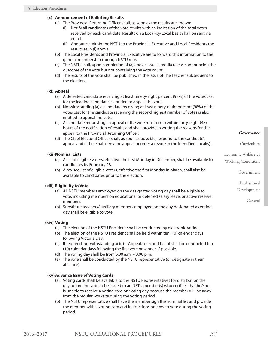# **(x) Announcement of Balloting Results**

- (a) The Provincial Returning Officer shall, as soon as the results are known:
	- (i) Notify all candidates of the vote results with an indication of the total votes received by each candidate. Results on a Local-by-Local basis shall be sent via email.
	- (ii) Announce within the NSTU to the Provincial Executive and Local Presidents the results as in (i) above.
- (b) The Local Presidents and Provincial Executive are to forward this information to the general membership through NSTU reps.
- (c) The NSTU shall, upon completion of (a) above, issue a media release announcing the outcome of the vote but not containing the vote count.
- (d) The results of the vote shall be published in the issue of The Teacher subsequent to the election.

# **(xi) Appeal**

- (a) A defeated candidate receiving at least ninety-eight percent (98%) of the votes cast for the leading candidate is entitled to appeal the vote.
- (b) Notwithstanding (a) a candidate receiving at least ninety-eight percent (98%) of the votes cast for the candidate receiving the second highest number of votes is also entitled to appeal the vote.
- (c) A candidate requesting an appeal of the vote must do so within forty-eight (48) hours of the notification of results and shall provide in writing the reasons for the appeal to the Provincial Returning Officer.
- (d) The Chief Electoral Officer shall, as soon as possible, respond to the candidate's appeal and either shall deny the appeal or order a revote in the identified Local(s).

# **(xii) Nominal Lists**

- (a) A list of eligible voters, effective the first Monday in December, shall be available to candidates by February 28.
- (b) A revised list of eligible voters, effective the first Monday in March, shall also be available to candidates prior to the election.

### **(xiii) Eligibility to Vote**

- (a) All NSTU members employed on the designated voting day shall be eligible to vote, including members on educational or deferred salary leave, or active reserve members.
- (b) Substitute teachers/auxiliary members employed on the day designated as voting day shall be eligible to vote.

### **(xiv) Voting**

- (a) The election of the NSTU President shall be conducted by electronic voting.
- (b) The election of the NSTU President shall be held within ten (10) calendar days following Victoria Day.
- (c) If required, notwithstanding xi (d) Appeal, a second ballot shall be conducted ten (10) calendar days following the first vote or sooner, if possible.
- (d) The voting day shall be from 6:00 a.m. 8:00 p.m.
- (e) The vote shall be conducted by the NSTU representative (or designate in their absence).

### **(xv)Advance Issue of Voting Cards**

- (a) Voting cards shall be available to the NSTU Representatives for distribution the day before the vote to be issued to an NSTU member(s) who certifies that he/she is unable to receive a voting card on voting day because the member will be away from the regular worksite during the voting period.
- (b) The NSTU representative shall have the member sign the nominal list and provide the member with a voting card and instructions on how to vote during the voting period.

# **Governance**

#### Curriculum

Economic Welfare & Working Conditions

#### Government

Professional

Development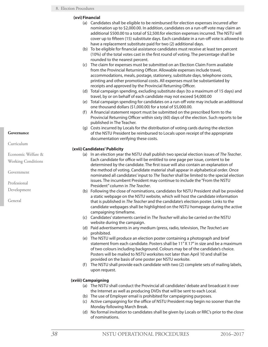# **(xvi)Financial**

- (a) Candidates shall be eligible to be reimbursed for election expenses incurred after nomination up to \$2,000.00. In addition, candidates on a run-off vote may claim an additional \$500.00 to a total of \$2,500.for election expenses incurred. The NSTU will cover up to fifteen (15) substitute days. Each candidate in a run-off vote is allowed to have a replacement substitute paid for two (2) additional days.
- (b) To be eligible for financial assistance candidates must receive at least ten percent (10%) of the total votes cast in the first round of voting. The percentage shall be rounded to the nearest percent.
- (c) The claim for expenses must be submitted on an Election Claim Form available from the Provincial Returning Officer. Allowable expenses include travel, accommodations, meals, postage, stationery, substitute days, telephone costs, printing and other promotional costs. All expenses must be substantiated by receipts and approved by the Provincial Returning Officer.
- (d) Total campaign spending, excluding substitute days (to a maximum of 15 days) and travel, by or on behalf of each candidate may not exceed \$4,000.00
- (e) Total campaign spending for candidates on a run-off vote may include an additional one thousand dollars (\$1,000.00) for a total of \$5,000.00.
- (f) A financial statement report must be submitted on the prescribed form to the Provincial Returning Officer within sixty (60) days of the election. Such reports to be published in The Teacher.
- (g) Costs incurred by Locals for the distribution of voting cards during the election of the NSTU President be reimbursed to Locals upon receipt of the appropriate documentation verifying these costs.

# **(xvii) Candidates' Publicity**

- (a) In an election year the NSTU shall publish two special election issues of *The Teacher*. Each candidate for office will be entitled to one page per issue, content to be determined by the candidate. The first issue will also contain an explanation of the method of voting. Candidate material shall appear in alphabetical order. Once nominated all candidates' input to *The Teacher* shall be limited to the special election issues. The incumbent President may continue to include the "From the NSTU President" column in *The Teacher*.
- (b) Following the close of nominations, candidates for NSTU President shall be provided a static webpage on the NSTU website, which will host the candidate information that is published in *The Teacher* and the candidate's election poster. Links to the candidate webpages shall be highlighted on the NSTU homepage during the active campaigning timeframe.
- (c) Candidates' statements carried in *The Teacher* will also be carried on the NSTU website during the campaign.
- (d) Paid advertisements in any medium (press, radio, television, *The Teacher*) are prohibited.
- (e) The NSTU will produce an election poster containing a photograph and brief statement from each candidate. Posters shall be 11" X 17" in size and be a maximum of two colours including background. Colours may be of the candidate's choice. Posters will be mailed to NSTU worksites not later than April 10 and shall be provided on the basis of one poster per NSTU worksite.
- (f) The NSTU shall provide each candidate with two (2) complete sets of mailing labels, upon request.

# **(xviii) Campaigning**

- (a) The NSTU shall conduct the Provincial all candidates' debate and broadcast it over the Internet as well as producing DVDs that will be sent to each Local.
- (b) The use of Employer email is prohibited for campaigning purposes.
- (c) Active campaigning for the office of NSTU President may begin no sooner than the Monday following March Break.
- (d) No formal invitation to candidates shall be given by Locals or RRC's prior to the close of nominations.

### **Governance**

Curriculum

- Economic Welfare &
- Working Conditions

Government

Professional

Development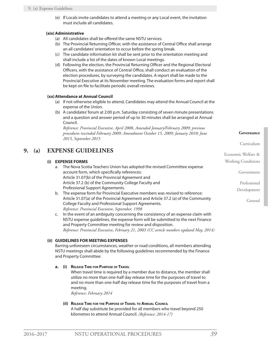(e) If Locals invite candidates to attend a meeting or any Local event, the invitation must include all candidates.

# **(xix)Administrative**

- (a) All candidates shall be offered the same NSTU services.
- (b) The Provincial Returning Officer, with the assistance of Central Office shall arrange an all candidates' orientation to occur before the spring break.
- (c) The candidate information kit shall be sent prior to the orientation meeting and shall include a list of the dates of known Local meetings.
- (d) Following the election, the Provincial Returning Officer and the Regional Electoral Officers, with the assistance of Central Office, shall conduct an evaluation of the election procedures, by surveying the candidates. A report shall be made to the Provincial Executive at its November meeting. The evaluation forms and report shall be kept on file to facilitate periodic overall reviews.

# **(xx)Attendance at Annual Council**

- (a) If not otherwise eligible to attend, Candidates may attend the Annual Council at the expense of the Union.
- (b) A candidates' forum at 2:00 p.m. Saturday consisting of seven minute presentations and a question and answer period of up to 30 minutes shall be arranged at Annual Council.

*Reference: Provincial Executive, April 2008, Amended January/February 2009; previous procedures rescinded February 2009; Amendment October 15, 2009; January 2010; June 2015, September 2015*

# **9. (a) EXPENSE GUIDELINES**

# **(i) EXPENSE FORMS**

- a. The Nova Scotia Teachers Union has adopted the revised Committee expense account form, which specifically references: Article 31.07(b) of the Provincial Agreement and Article 37.2 (b) of the Community College Faculty and Professional Support Agreements.
- b. The expense form for Provincial Executive members was revised to reference: Article 31.07(a) of the Provincial Agreement and Article 37.2 (a) of the Community College Faculty and Professional Support Agreements. *Reference: Provincial Executive, September, 1998*
- c. In the event of an ambiguity concerning the consistency of an expense claim with NSTU expense guidelines, the expense form will be submitted to the next Finance and Property Committee meeting for review and disposition. *Reference: Provincial Executive, February 21, 2003 (CC article numbers updated May, 2014)*

### **(ii) GUIDELINES FOR MEETING EXPENSES**

Barring unforeseen circumstances, weather or road conditions, all members attending NSTU meetings shall abide by the following guidelines recommended by the Finance and Property Committee:

### **a. (i) Release Time for Purpose of Travel**

When travel time is required by a member due to distance, the member shall utilize no more than one-half day release time for the purposes of travel to and no more than one-half day release time for the purposes of travel from a meeting.

*Reference: February 2014*

## **(ii) Release Time for the Purpose of Travel to Annual Council** A half day substitute be provided for all members who travel beyond 250 kilometres to attend Annual Council. *(Reference: 2014-17)*

**Governance**

Curriculum

Government

Professional Development

General

Economic Welfare & Working Conditions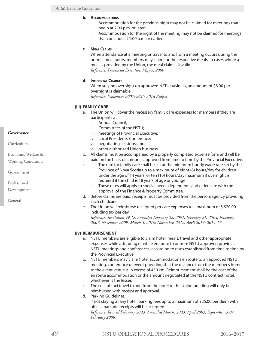### **b. Accommodations**

- i. Accommodation for the previous night may not be claimed for meetings that begin at 2:00 p.m. or later;
- ii. Accommodation for the night of the meeting may not be claimed for meetings that conclude at 1:00 p.m. or earlier.

### **c. Meal Claims**

When attendance at a meeting or travel to and from a meeting occurs during the normal meal hours, members may claim for the respective meals. In cases where a meal is provided by the Union, the meal claim is invalid. *Reference: Provincial Executive, May 5, 2000*

### **d. Incidental Charges**

When staying overnight on approved NSTU business, an amount of \$8.00 per overnight is claimable.

*Reference: September 2007; 2015-2016 Budget*

### **(iii) FAMILY CARE**

- a. The Union will cover the necessary family care expenses for members if they are participants at
	- i. Annual Council;
	- ii. Committees of the NSTU;
	- iii. meetings of Provincial Executive;
	- iv. Local Presidents' Conference;
	- v. negotiating sessions; and
	- vi. other authorized Union business.
- b. All claims must be accompanied by a properly completed expense form and will be paid on the basis of amounts approved from time to time by the Provincial Executive.
- c. i. The rate for family care shall be set at the minimum hourly wage rate set by the Province of Nova Scotia up to a maximum of eight (8) hours/day for children under the age of 14 years, or ten (10) hours/day maximum if overnight is required if the child is 18 years of age or younger.
	- ii. These rates will apply to special needs dependents and elder care with the approval of the Finance & Property Committee.
- d. Before claims are paid, receipts must be provided from the person/agency providing such childcare.
- e. The Union will reimburse receipted pet care expenses to a maximum of \$ \$20.00 including tax per day

*Reference: Resolution 99-18, amended February 22, 2001; February 21, 2003, February, 2007, November 2009, March 5, 2010; November, 2012; April 2013; 2014-17*

### **(iv) REIMBURSEMENT**

- a. NSTU members are eligible to claim hotel, meals, travel and other appropriate expenses while attending or while en route to or from NSTU approved provincial NSTU meetings and conferences, according to rates established from time to time by the Provincial Executive.
- b. NSTU members may claim hotel accommodations en route to an approved NSTU meeting, conference or event providing that the distance from the member's home to the event venue is in excess of 450 km. Reimbursement shall be the cost of the en route accommodation or the amount negotiated at the NSTU contract hotel, whichever is the lesser.
- c. The cost of taxi travel to and from the hotel to the Union building will only be reimbursed with receipt and approval.
- d. Parking Guidelines: If not staying at any hotel, parking fees up to a maximum of \$25.00 per diem with official parkade receipts will be accepted. *Reference: Revised February 2003; Amended March, 2003; April 2003, September 2007, February 2008*

### **Governance**

Curriculum

- Economic Welfare &
- Working Conditions

Government

Professional

Development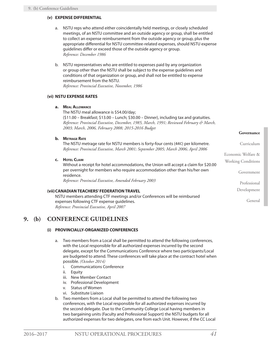# **(v) EXPENSE DIFFERENTIAL**

- a. NSTU reps who attend either coincidentally held meetings, or closely scheduled meetings, of an NSTU committee and an outside agency or group, shall be entitled to collect an expense reimbursement from the outside agency or group, plus the appropriate differential for NSTU committee-related expenses, should NSTU expense guidelines differ or exceed those of the outside agency or group. *Reference: December 1986*
- b. NSTU representatives who are entitled to expenses paid by any organization or group other than the NSTU shall be subject to the expense guidelines and conditions of that organization or group, and shall not be entitled to expense reimbursement from the NSTU. *Reference: Provincial Executive, November, 1986*

# **(vi) NSTU EXPENSE RATES**

### **a. Meal Allowance**

The NSTU meal allowance is \$54.00/day; (\$11.00 – Breakfast; \$13.00 – Lunch; \$30.00 – Dinner), including tax and gratuities. *Reference: Provincial Executive, December, 1985, March, 1991; Reviewed February & March, 2003; March, 2006, February 2008; 2015-2016 Budget*

### **b. Metrage Rate**

The NSTU metrage rate for NSTU members is forty-four cents (44¢) per kilometre. *Reference: Provincial Executive, March 2001; September 2005; March 2006; April 2006*

**c. Hotel Claim**

Without a receipt for hotel accommodations, the Union will accept a claim for \$20.00 per overnight for members who require accommodation other than his/her own residence.

*Reference: Provincial Executive, Amended February 2003*

### **(vii)CANADIAN TEACHERS' FEDERATION TRAVEL**

NSTU members attending CTF meetings and/or Conferences will be reimbursed expenses following CTF expense guidelines. *Reference: Provincial Executive, April 2007*

# **9. (b) CONFERENCE GUIDELINES**

# **(i) PROVINCIALLY-ORGANIZED CONFERENCES**

- a. Two members from a Local shall be permitted to attend the following conferences, with the Local responsible for all authorized expenses incurred by the second delegate, except for the Communications Conference where two participants/Local are budgeted to attend. These conferences will take place at the contract hotel when possible. *(October 2014)*
	- i. Communications Conference
	- ii. Equity
	- iii. New Member Contact
	- iv. Professional Development
	- v. Status of Women
	- vi. Substitute Liaison
- b. Two members from a Local shall be permitted to attend the following two conferences, with the Local responsible for all authorized expenses incurred by the second delegate. Due to the Community College Local having members in two bargaining units (Faculty and Professional Support) the NSTU budgets for all authorized expenses for two delegates, one from each Unit. However, if the CC Local

**Governance**

Curriculum

Government

Professional Development

General

Economic Welfare & Working Conditions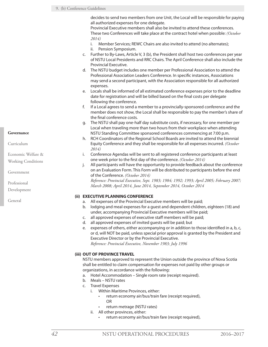### 9. (b) Conference Guidelines

decides to send two members from one Unit, the Local will be responsible for paying all authorized expenses for one delegate.

Provincial Executive members shall also be invited to attend these conferences. These two Conferences will take place at the contract hotel when possible: *(October 2014)*

- i. Member Services; REWC Chairs are also invited to attend (no alternates);
- ii. Pension Symposium.
- c. Further to By-Laws, Article V, 3 (b), the President shall host two conferences per year of NSTU Local Presidents and RRC Chairs. The April Conference shall also include the Provincial Executive.
- d. The NSTU budget includes one member per Professional Association to attend the Professional Association Leaders Conference. In specific instances, Associations may send a second participant, with the Association responsible for all authorized expenses.
- e. Locals shall be informed of all estimated conference expenses prior to the deadline date for registration and will be billed based on the final costs per delegate following the conference.
- f. If a Local agrees to send a member to a provincially-sponsored conference and the member does not show, the Local shall be responsible to pay the member's share of the final conference costs.
- g. The NSTU shall pay one-half day substitute costs, if necessary, for one member per Local when traveling more than two hours from their workplace when attending NSTU Standing Committee sponsored conferences commencing at 7:00 p.m.
- h. RCH Coordinators of the Regional School Boards are invited to attend the biennial Equity Conference and they shall be responsible for all expenses incurred. *(October 2014)*
- i. Conference Agendas will be sent to all registered conference participants at least one week prior to the first day of the conference. *(October 2014)*
- j. All participants will have the opportunity to provide feedback about the conference on an Evaluation Form. This Form will be distributed to participants before the end of the Conference. *(October 2014)*

*Reference: Provincial Executive, Sept. 1983; 1984; 1992; 1993; April 2005; February 2007; March 2008; April 2014, June 2014, September 2014, October 2014*

### **(ii) EXECUTIVE PLANNING CONFERENCE**

- a. All expenses of the Provincial Executive members will be paid;
- b. lodging and meal expenses for a guest and dependent children, eighteen (18) and under, accompanying Provincial Executive members will be paid;
- c. all approved expenses of executive staff members will be paid;
- d. all approved expenses of invited guests will be paid; but
- e. expenses of others, either accompanying or in addition to those identified in a, b, c, or d, will NOT be paid, unless special prior approval is granted by the President and Executive Director or by the Provincial Executive.

*Reference: Provincial Executive, November 1983; July 1996*

### **(iii) OUT OF PROVINCE TRAVEL**

NSTU members approved to represent the Union outside the province of Nova Scotia shall be entitled to claim compensation for expenses not paid by other groups or organizations, in accordance with the following:

- a. Hotel Accommodation Single room rate (receipt required).
- b. Meals NSTU rates
- c. Travel Expenses
	- i. Within Maritime Provinces, either:
		- return economy air/bus/train fare (receipt required), OR
		- • return metrage (NSTU rates)
	- ii. All other provinces, either:
		- return economy air/bus/train fare (receipt required),

Curriculum

Economic Welfare &

Working Conditions

Government

Professional

Development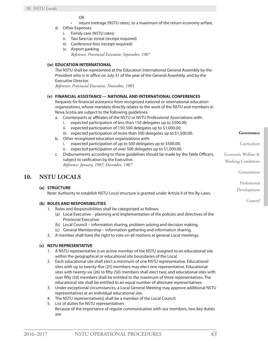OR

- • return metrage (NSTU rates), to a maximum of the return economy airfare.
- d. Other Expenses
	- i. Family care (NSTU rates)
	- ii. Taxi fare/car rental (receipt required)
	- iii. Conference fees (receipt required)
	- iv. Airport parking *Reference: Provincial Executive, September, 1987*

# **(iv) EDUCATION INTERNATIONAL**

The NSTU shall be represented at the Education International General Assembly by the President who is in office on July 31 of the year of the General Assembly, and by the Executive Director.

*Reference: Provincial Executive, November, 1985*

# **(v) FINANCIAL ASSISTANCE — NATIONAL AND INTERNATIONAL CONFERENCES**

Requests for financial assistance from recognized national or international education organizations, whose mandate directly relates to the work of the NSTU and members in Nova Scotia are subject to the following guidelines:

- a. Counterparts or affiliates of the NSTU or NSTU Professional Associations with:
	- i. expected participation of less than 150 delegates up to \$500.00;
	- ii. expected participation of 150-500 delegates up to \$1,000.00;
	- iii. expected participation of more than 500 delegates up to \$1,500.00.
- b. Other recognized education organizations with:
	- i. expected participation of up to 500 delegates up to \$500.00;
	- expected participation of over 500 delegates up to \$1,000.00.
- c. Disbursements according to these guidelines should be made by the Table Officers, subject to ratification by the Executive. *Reference: January, 1987; December, 1987*

# **10. NSTU LOCALS**

# **(a) STRUCTURE**

Note: Authority to establish NSTU Local structure is granted under Article II of the By-Laws.

# **(b) ROLES AND RESPONSIBILITIES**

- 1. Roles and Responsibilities shall be categorized as follows:
	- (a) Local Executive planning and implementation of the policies and directives of the Provincial Executive.
	- (b) Local Council information sharing, problem solving and decision making.
	- (c) General Membership information gathering and information sharing.
- 2. A member shall have the right to vote on all motions at general Local meetings.

# **(c) NSTU REPRESENTATIVE**

- 1. A NSTU representative is an active member of the NSTU assigned to an educational site within the geographical or educational site boundaries of the Local.
- 2. Each educational site shall elect a minimum of one NSTU representative. Educational sites with up to twenty-five (25) members may elect one representative. Educational sites with twenty-six (26) to fifty (50) members shall elect two; and educational sites with over fifty (50) members shall be entitled to the maximum of three representatives. The educational site shall be entitled to an equal number of alternate representatives.
- 3. Under exceptional circumstances, a Local General Meeting may approve additional NSTU representatives at an individual educational site.
- 4. The NSTU representative(s) shall be a member of the Local Council.
- 5. List of duties for NSTU representatives Because of the importance of regular communication with our members, two key duties are:

**Governance**

Curriculum

Economic Welfare & Working Conditions

Government

Professional

Development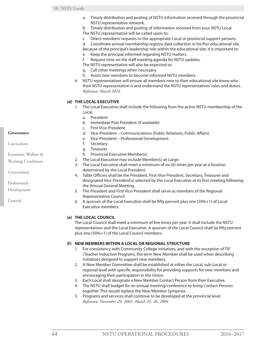- a. Timely distribution and posting of NSTU information received through the provincial NSTU representative network.
- b. Timely distribution and posting of information received from your NSTU Local.
- The NSTU representative will be called upon to:
- c. Direct members' requests to the appropriate Local or provincial support persons.
- d. Coordinate annual membership registry data collection in his/her educational site.
- Because of the principal's leadership role within the educational site, it is important to:
- e. Keep the principal informed regarding NSTU matters.
- f. Request time on the staff meeting agenda for NSTU updates.
- The NSTU representative will also be expected to:
- g. Call other meetings when necessary.
- h. Assist new members to become informed NSTU members.
- 6. NSTU representatives will ensure all members new to their educational site know who their NSTU representative is and understand the NSTU representatives' roles and duties. *Reference: March 2016*

# **(d) THE LOCAL EXECUTIVE**

- 1. The Local Executive shall include the following from the active NSTU membership of the Local.
	- a. President
	- b. Immediate Past President (if available)
	- c. First Vice-President
	- d. Vice-President Communications (Public Relations, Public Affairs)
	- e. Vice-President Professional Development
	- f. Secretary
	- g. Treasurer
	- h. Provincial Executive Member(s)
- 2. The Local Executive may include Member(s)-at-Large.
- 3. The Local Executive shall meet a minimum of six (6) times per year at a location determined by the Local President.
- 4. Table Officers shall be the President, First-Vice President, Secretary, Treasurer and designated Vice-President(s) selected by the Local Executive at its first meeting following the Annual General Meeting.
- 5. The President and First Vice-President shall serve as members of the Regional Representative Council.
- 6. A quorum of the Local Executive shall be fifty percent plus one (50%+1) of Local Executive members.

# **(e) THE LOCAL COUNCIL**

The Local Council shall meet a minimum of five times per year. It shall include the NSTU representatives and the Local Executive. A quorum of the Local Council shall be fifty percent plus one (50%+1) of the Local Council members.

# **(f) NEW MEMBERS WITHIN A LOCAL OR REGIONAL STRUCTURE**

- 1. For consistency with Community College initiatives, and with the exception of TIP (Teacher Induction Program), the term New Member shall be used when describing initiatives designed to support new members.
- 2. A New Member Committee shall be established at either the Local, sub-Local or regional level with specific responsibility for providing supports for new members and encouraging their participation in the Union.
- 3. Each Local shall designate a New Member Contact Person from their Executive.
- 4. The NSTU shall budget for an annual meeting/conference to bring Contact Persons together. This would replace the New Member Symposia.
- 5. Programs and services shall continue to be developed at the provincial level. *Reference: November 29, 2001; March 25, 26, 2004*

### **Governance**

Curriculum

- Economic Welfare &
- Working Conditions

Government

Professional

Development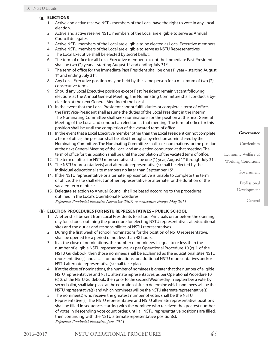# **(g) ELECTIONS**

- 1. Active and active reserve NSTU members of the Local have the right to vote in any Local election.
- 2. Active and active reserve NSTU members of the Local are eligible to serve as Annual Council delegates.
- 3. Active NSTU members of the Local are eligible to be elected as Local Executive members.
- 4. Active NSTU members of the Local are eligible to serve as NSTU Representatives.
- 5. The Local Executive shall be elected by secret ballot.
- 6. The term of office for all Local Executive members except the Immediate Past President shall be two (2) years – starting August  $1<sup>st</sup>$  and ending July 31 $<sup>st</sup>$ .</sup>
- 7. The term of office for the Immediate Past President shall be one (1) year starting August 1<sup>st</sup> and ending July 31<sup>st</sup>.
- 8. Any Local Executive position may be held by the same person for a maximum of two (2) consecutive terms.
- 9. Should any Local Executive position except Past President remain vacant following elections at the Annual General Meeting, the Nominating Committee shall conduct a byelection at the next General Meeting of the Local.
- 10 In the event that the Local President cannot fulfill duties or complete a term of office, the First Vice-President shall assume the duties of the Local President in the interim. The Nominating Committee shall seek nominations for the position at the next General Meeting of the Local and conduct an election at that meeting. The term of office for this position shall be until the completion of the vacated term of office.
- 11. In the event that a Local Executive member other than the Local President cannot complete a term of office, the position shall be filled through a by-election administered by the Nominating Committee. The Nominating Committee shall seek nominations for the position at the next General Meeting of the Local and an election conducted at that meeting. The term of office for this position shall be until the completion of the vacated term of office.
- 12. The term of office for NSTU representative shall be one  $(1)$  year, August 1<sup>st</sup> through July 31<sup>st</sup>.
- 13. The NSTU representative(s) and alternate representative(s) shall be elected by the individual educational site members no later than September 15<sup>th</sup>.
- 14. If the NSTU representative or alternate representative is unable to complete the term of office, the site shall elect another representative or alternate for the duration of the vacated term of office.
- 15. Delegate selection to Annual Council shall be based according to the procedures outlined in the Local's Operational Procedures. *Reference: Provincial Executive November 2007; nomenclature change May 2011*

# **(h) ELECTION PROCEDURES FOR NSTU REPRESENTATIVES – PUBLIC SCHOOL**

- 1. A letter shall be sent from Local Presidents to school Principals on or before the opening day for schools outlining the procedure for electing NSTU representatives at educational sites and the duties and responsibilities of NSTU representatives.
- 2. During the first week of school, nominations for the position of NSTU representative, shall be opened for a period of not less than 48 hours.
- 3. If at the close of nominations, the number of nominees is equal to or less than the number of eligible NSTU representatives, as per Operational Procedure 10 (c) 2. of the NSTU Guidebook, then those nominees shall be acclaimed as the educational sites NSTU representative(s) and a call for nominations for additional NSTU representatives and/or NSTU alternate representative(s) shall take place.
- 4. If at the close of nominations, the number of nominees is greater that the number of eligible NSTU representatives and NSTU alternate representatives, as per Operational Procedure 10 (c) 2. of the NSTU Guidebook, then prior to the second Wednesday in September a vote, by secret ballot, shall take place at the educational site to determine which nominees will be the NSTU representative(s) and which nominees will be the NSTU alternate representative(s).
- 5. The nominee(s) who receive the greatest number of votes shall be the NSTU Representative(s). The NSTU representative and NSTU alternate representative positions shall be filled in sequence, starting with the nominee who received the greatest number of votes in descending vote count order, until all NSTU representative positions are filled, then continuing with the NSTU alternate representative position(s). *Reference: Provincial Executive, June 2015*

**Governance**

Curriculum

Economic Welfare & Working Conditions

Government

Professional

Development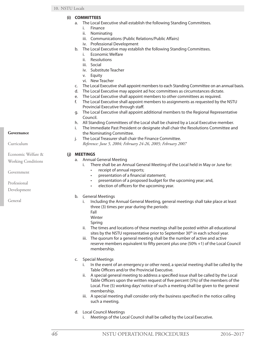- **(i) COMMITTEES**
	- a. The Local Executive shall establish the following Standing Committees.
		- i. Finance
		- ii. Nominating
		- iii. Communications (Public Relations/Public Affairs)
		- iv. Professional Development
	- b. The Local Executive may establish the following Standing Committees.
		- i. Economic Welfare
		- ii. Resolutions
		- iii. Social
		- iv. Substitute Teacher
		- v. Equity
		- vi. New Teacher
	- c. The Local Executive shall appoint members to each Standing Committee on an annual basis.
	- d. The Local Executive may appoint ad hoc committees as circumstances dictate.
	- e. The Local Executive shall appoint members to other committees as required.
	- f. The Local Executive shall appoint members to assignments as requested by the NSTU Provincial Executive through staff.
	- g. The Local Executive shall appoint additional members to the Regional Representative Council.
	- h. All Standing Committees of the Local shall be chaired by a Local Executive member.
	- i. The Immediate Past President or designate shall chair the Resolutions Committee and the Nominating Committee.
	- j. The Local Treasurer shall chair the Finance Committee. *Reference: June 5, 2004; February 24-26, 2005; February 2007*

# **(j) MEETINGS**

- a. Annual General Meeting
	- i. There shall be an Annual General Meeting of the Local held in May or June for:
		- receipt of annual reports;
		- presentation of a financial statement;
		- presentation of a proposed budget for the upcoming year; and,
		- election of officers for the upcoming year.
- b. General Meetings
	- i. Including the Annual General Meeting, general meetings shall take place at least three (3) times per year during the periods:
		- Fall

Winter

- Spring
- ii. The times and locations of these meetings shall be posted within all educational sites by the NSTU representative prior to September 30<sup>th</sup> in each school year.
- iii. The quorum for a general meeting shall be the number of active and active reserve members equivalent to fifty percent plus one (50% +1) of the Local Council membership.
- c. Special Meetings
	- i. In the event of an emergency or other need, a special meeting shall be called by the Table Officers and/or the Provincial Executive.
	- ii. A special general meeting to address a specified issue shall be called by the Local Table Officers upon the written request of five percent (5%) of the members of the Local. Five (5) working days' notice of such a meeting shall be given to the general membership.
	- iii. A special meeting shall consider only the business specified in the notice calling such a meeting.
- d. Local Council Meetings
	- i. Meetings of the Local Council shall be called by the Local Executive.

# **Governance**

Curriculum

Economic Welfare &

Working Conditions

Government

Professional

Development

General

*46* NSTU OPERATIONAL PROCEDURES 2016–2017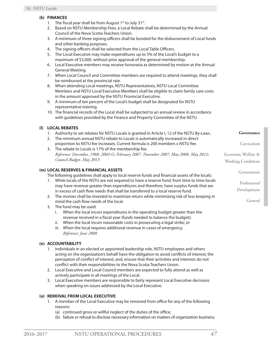# **(k) FINANCES**

- 1. The fiscal year shall be from August  $1^{st}$  to July 31 $st$ .
- 2. Based on NSTU Membership Fees, a Local Rebate shall be determined by the Annual Council of the Nova Scotia Teachers Union.
- 3. A minimum of three signing officers shall be bonded for the disbursement of Local funds and other banking purposes.
- 4. The signing officers shall be selected from the Local Table Officers.
- 5. The Local Executive may make expenditures up to 5% of the Local's budget to a maximum of \$3,000. without prior approval of the general membership.
- 6. Local Executive members may receive honoraria as determined by motion at the Annual General Meeting.
- 7. When Local Council and Committee members are required to attend meetings, they shall be reimbursed at the provincial rate.
- 8. When attending Local meetings, NSTU Representatives, NSTU Local Committee Members and NSTU Local Executive Members shall be eligible to claim family care costs in the amount approved by the NSTU Provincial Executive.
- 9. A minimum of ten percent of the Local's budget shall be designated for NSTU representative training.
- 10. The financial records of the Local shall be subjected to an annual review in accordance with guidelines provided by the Finance and Property Committee of the NSTU.

# **(l) LOCAL REBATES**

- 1. Authority to set rebates for NSTU Locals is granted in Article I, 12 of the NSTU By-Laws.
- 2. The minimum annual NSTU rebate to Locals is automatically increased in direct proportion to NSTU fee increases. Current formula is 200 members x NSTU fee.
- 3. The rebate to Locals is 17% of the membership fee. *Reference: December, 1988; 2003-G; February 2007, November 2007, May 2008, May 2012; Council Budget, May 2013*

# **(m) LOCAL RESERVES & FINANCIAL ASSETS**

The following guidelines shall apply to local reserve funds and financial assets of the locals:

- 1. While locals of the NSTU are not required to have a reserve fund, from time to time locals may have revenue greater than expenditures and therefore, have surplus funds that are in excess of cash flow needs that shall be transferred to a local reserve fund.
- 2. The monies shall be invested to maximize return while minimizing risk of loss keeping in mind the cash flow needs of the local.
- 3. The fund may be used:
	- i. When the local incurs expenditures in the operating budget greater than the revenue received in a fiscal year (funds needed to balance the budget);
	- ii. When the local incurs reasonable costs in prosecuting a legal strike; or
	- iii. When the local requires additional revenue in cases of emergency. *Reference: June 2008*

# **(n) ACCOUNTABILITY**

- 1. Individuals in an elected or appointed leadership role, NSTU employees and others acting on the organization's behalf have the obligation to avoid conflicts of interest; the perception of conflict of interest; and, ensure that their activities and interests do not conflict with their responsibilities to the Nova Scotia Teachers Union.
- 2. Local Executive and Local Council members are expected to fully attend as well as actively participate in all meetings of the Local.
- 3. Local Executive members are responsible to fairly represent Local Executive decisions when speaking on issues addressed by the Local Executive.

# **(o) REMOVAL FROM LOCAL EXECUTIVE**

- 1. A member of the Local Executive may be removed from office for any of the following reasons:
	- (a) continued gross or willful neglect of the duties of the office;
	- (b) failure or refusal to disclose necessary information on matters of organization business;

Government

**Governance**

Curriculum

Professional

Development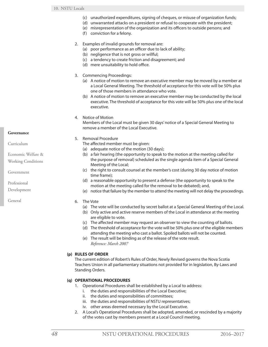- (c) unauthorized expenditures, signing of cheques, or misuse of organization funds;
- (d) unwarranted attacks on a president or refusal to cooperate with the president;
- (e) misrepresentation of the organization and its officers to outside persons; and
- (f) conviction for a felony.
- 2. Examples of invalid grounds for removal are:
	- (a) poor performance as an officer due to lack of ability;
	- (b) negligence that is not gross or willful;
	- (c) a tendency to create friction and disagreement; and
	- (d) mere unsuitability to hold office.
- 3. Commencing Proceedings:
	- (a) A notice of motion to remove an executive member may be moved by a member at a Local General Meeting. The threshold of acceptance for this vote will be 50% plus one of those members in attendance who vote.
	- (b) A notice of motion to remove an executive member may be conducted by the local executive. The threshold of acceptance for this vote will be 50% plus one of the local executive.
- 4. Notice of Motion

Members of the Local must be given 30 days' notice of a Special General Meeting to remove a member of the Local Executive.

- 5. Removal Procedure
	- The affected member must be given:
	- (a) adequate notice of the motion (30 days);
	- (b) a fair hearing (the opportunity to speak to the motion at the meeting called for the purpose of removal) scheduled as the single agenda item of a Special General Meeting of the Local;
	- (c) the right to consult counsel at the member's cost (during 30 day notice of motion time frame);
	- (d) a reasonable opportunity to present a defense (the opportunity to speak to the motion at the meeting called for the removal to be debated); and,
	- (e) notice that failure by the member to attend the meeting will not delay the proceedings.
- 6. The Vote
	- (a) The vote will be conducted by secret ballot at a Special General Meeting of the Local.
	- (b) Only active and active reserve members of the Local in attendance at the meeting are eligible to vote.
	- (c) The affected member may request an observer to view the counting of ballots.
	- (d) The threshold of acceptance for the vote will be 50% plus one of the eligible members attending the meeting who cast a ballot. Spoiled ballots will not be counted.
	- (e) The result will be binding as of the release of the vote result. *Reference: March 2007*

# **(p) RULES OF ORDER**

The current edition of Robert's Rules of Order, Newly Revised governs the Nova Scotia Teachers Union in all parliamentary situations not provided for in legislation, By-Laws and Standing Orders.

# **(q) OPERATIONAL PROCEDURES**

- 1. Operational Procedures shall be established by a Local to address:
	- i. the duties and responsibilities of the Local Executive;
	- ii. the duties and responsibilities of committees;
	- iii. the duties and responsibilities of NSTU representatives;
	- iv. other areas deemed necessary by the Local Executive.
- 2. A Local's Operational Procedures shall be adopted, amended, or rescinded by a majority of the votes cast by members present at a Local Council meeting.

#### **Governance**

Curriculum

- Economic Welfare &
- Working Conditions

Government

Professional

Development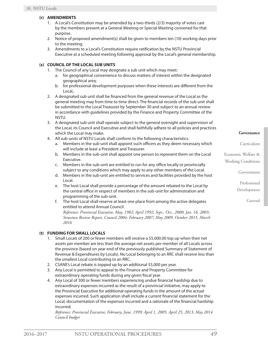# **(r) AMENDMENTS**

- 1. A Local's Constitution may be amended by a two-thirds (2/3) majority of votes cast by the members present at a General Meeting or Special Meeting convened for that purpose.
- 2. Notice of proposed amendment(s) shall be given to members ten (10) working days prior to the meeting.
- 3. Amendments to a Local's Constitution require ratification by the NSTU Provincial Executive at a scheduled meeting following approval by the Local's general membership.

# **(s) COUNCIL OF THE LOCAL SUB UNITS**

- 1. The Council of any Local may designate a sub unit which may meet:
	- a. for geographical convenience to discuss matters of interest within the designated geographical area;
	- b. for professional development purposes when these interests are different from the Local,.
- 2. A designated sub unit shall be financed from the general revenue of the Local as the general meeting may from time to time direct. The financial records of the sub unit shall be submitted to the Local Treasurer by September 30 and subject to an annual review in accordance with guidelines provided by the Finance and Property Committee of the NSTU.
- 3. A designated sub unit shall operate subject to the general oversight and supervision of the Local, its Council and Executive and shall faithfully adhere to all policies and practices which the Local may make.
- 4. All sub-units of NSTU Locals shall conform to the following characteristics:
	- a. Members in the sub-unit shall appoint such officers as they deem necessary which will include at least a President and Treasurer.
	- b. Members in the sub-unit shall appoint one person to represent them on the Local Executive.
	- c. Members in the sub-unit are entitled to run for any office locally or provincially subject to any conditions which may apply to any other members of the Local.
	- d. Members in the sub-unit are entitled to services and facilities provided by the host Local.
	- e. The host Local shall provide a percentage of the amount rebated to the Local by the central office in respect of members in the sub-unit for administration and programming of the sub-unit.
	- f. The host Local shall reserve at least one place from among the active delegates entitled to attend Annual Council.

*Reference: Provincial Executive, May, 1982; April 1992; Sept., Oct., 2000; Jan. 16, 2003; Structure Review Report, Council 2004; February 2007; May 2009, October 2015, March 2016*

# **(t) FUNDING FOR SMALL LOCALS**

- 1. Small Locals of 200 or fewer members will receive a \$5,000.00 top up when their net assets per member are less than the average net assets per member of all Locals across the province (based on year end of the previously published Summary of Statement of Revenue & Expenditures by Locals). No Local belonging to an RRC shall receive less than the smallest Local contributing to an RRC.
- 2. CSANE's Local rebate is topped up by an additional \$5,000 per year.
- 3. Any Local is permitted to appeal to the Finance and Property Committee for extraordinary operating funds during any given fiscal year.
- 4. Any Local of 300 or fewer members experiencing undue financial hardship due to extraordinary expenses incurred as the result of a provincial initiative, may apply to the Provincial Executive for additional operating funds in the amount of the actual expenses incurred. Such application shall include a current financial statement for the Local, documentation of the expenses incurred and a rationale of the financial hardship incurred.

*Reference: Provincial Executive, February, June, 1999; April 1, 2005, April 25, 2013, May 2014 Council budget*

**Governance**

Curriculum

Economic Welfare & Working Conditions

Government

Professional Development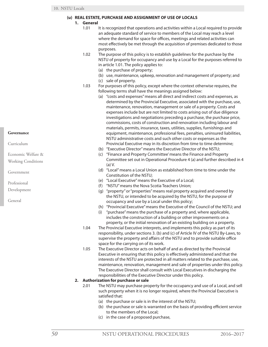### **(u) REAL ESTATE, PURCHASE AND ASSIGNMENT OF USE OF LOCALS**

- **1. General**
	- 1.01 It is recognized that operations and activities within a Local required to provide an adequate standard of service to members of the Local may reach a level where the demand for space for offices, meetings and related activities can most effectively be met through the acquisition of premises dedicated to those purposes.
	- 1.02 The purpose of this policy is to establish guidelines for the purchase by the NSTU of property for occupancy and use by a Local for the purposes referred to in article 1.01. The policy applies to:
		- (a) the purchase of property;
		- (b) use, maintenance, upkeep, renovation and management of property; and
		- (c) sale of property.
	- 1.03 For purposes of this policy, except where the context otherwise requires, the following terms shall have the meanings assigned below:
		- (a) "costs and expenses" means all direct and indirect costs and expenses, as determined by the Provincial Executive, associated with the purchase, use, maintenance, renovation, management or sale of a property. Costs and expenses include but are not limited to costs arising out of due diligence investigations and negotiations preceding a purchase, the purchase price, commissions, costs of construction and renovation including labour and materials, permits, insurance, taxes, utilities, supplies, furnishings and equipment, maintenance, professional fees, penalties, uninsured liabilities, NSTU administrative costs and such other costs or expenses as the Provincial Executive may in its discretion from time to time determine;
		- (b) "Executive Director" means the Executive Director of the NSTU;
		- (c) "Finance and Property Committee' means the Finance and Property Committee set out in Operational Procedure 4 (a) and further described in 4 (a) V.
		- (d) "Local" means a Local Union as established from time to time under the Constitution of the NSTU;
		- (e) "Local Executive" means the Executive of a Local;
		- (f) "NSTU" means the Nova Scotia Teachers Union;
		- (g) "property" or "properties" means real property acquired and owned by the NSTU, or intended to be acquired by the NSTU, for the purpose of occupancy and use by a Local under this policy;
		- (h) "Provincial Executive" means the Executive of the Council of the NSTU; and
		- (i) "purchase" means the purchase of a property and, where applicable, includes the construction of a building or other improvements on a property, or the initial renovation of an existing building on a property.
	- 1.04 The Provincial Executive interprets, and implements this policy as part of its responsibility, under sections 3. (b) and (c) of Article IV of the NSTU By-Laws, to supervise the property and affairs of the NSTU and to provide suitable office space for the carrying on of its work.
	- 1.05 The Executive Director acts on behalf of and as directed by the Provincial Executive in ensuring that this policy is effectively administered and that the interests of the NSTU are protected in all matters related to the purchase, use, maintenance, renovation, management and sale of properties under this policy. The Executive Director shall consult with Local Executives in discharging the responsibilities of the Executive Director under this policy.

# **2. Authorization for purchase or sale**

- 2.01 The NSTU may purchase property for the occupancy and use of a Local, and sell such property when it is no longer required, where the Provincial Executive is satisfied that:
	- (a) the purchase or sale is in the interest of the NSTU;
	- (b) the purchase or sale is warranted on the basis of providing efficient service to the members of the Local;
	- (c) in the case of a proposed purchase,

### **Governance**

Curriculum

- Economic Welfare &
- Working Conditions

Government

Professional

- Development
- General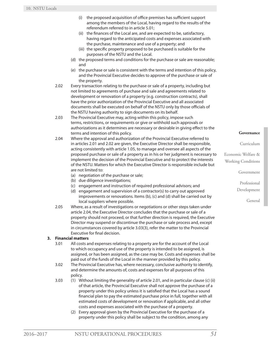- (i) the proposed acquisition of office premises has sufficient support among the members of the Local, having regard to the results of the referendum referred to in article 5.01;
- (ii) the finances of the Local are, and are expected to be, satisfactory, having regard to the anticipated costs and expenses associated with the purchase, maintenance and use of a property; and
- (iii) the specific property proposed to be purchased is suitable for the purposes of the NSTU and the Local.
- (d) the proposed terms and conditions for the purchase or sale are reasonable; and
- (e) the purchase or sale is consistent with the terms and intention of this policy, and the Provincial Executive decides to approve of the purchase or sale of the property.
- 2.02 Every transaction relating to the purchase or sale of a property, including but not limited to agreements of purchase and sale and agreements related to development or renovation of a property (e.g. construction contracts), shall have the prior authorization of the Provincial Executive and all associated documents shall be executed on behalf of the NSTU only by those officials of the NSTU having authority to sign documents on its behalf.
- 2.03 The Provincial Executive may, acting within this policy, impose such terms, restrictions, or requirements or give or withhold such approvals or authorizations as it determines are necessary or desirable in giving effect to the terms and intention of this policy.
- 2.04 Where the approval and authorization of the Provincial Executive referred to in articles 2.01 and 2.02 are given, the Executive Director shall be responsible, acting consistently with article 1.05, to manage and oversee all aspects of the proposed purchase or sale of a property as in his or her judgment is necessary to implement the decision of the Provincial Executive and to protect the interests of the NSTU. Matters for which the Executive Director is responsible include but are not limited to:
	- (a) negotiation of the purchase or sale;
	- (b) due diligence investigations;
	- (c) engagement and instruction of required professional advisors; and
	- (d) engagement and supervision of a contractor(s) to carry out approved improvements or renovations. Items (b), (c) and (d) shall be carried out by local suppliers where possible.
- 2.05 Where, as a result of investigations or negotiations or other steps taken under article 2.04, the Executive Director concludes that the purchase or sale of a property should not proceed, or that further direction is required, the Executive Director may suspend or discontinue the purchase or sale process and, except in circumstances covered by article 3.03(3), refer the matter to the Provincial Executive for final decision.

# **3. Financial matters**

- 3.01 All costs and expenses relating to a property are for the account of the Local to which occupancy and use of the property is intended to be assigned, is assigned, or has been assigned, as the case may be. Costs and expenses shall be paid out of the funds of the Local in the manner provided by this policy.
- 3.02 The Provincial Executive has, where necessary, conclusive authority to identify, and determine the amounts of, costs and expenses for all purposes of this policy.
- 3.03 (1) Without limiting the generality of article 2.01, and in particular clause (c) (ii) of that article, the Provincial Executive shall not approve the purchase of a property under this policy unless it is satisfied that the Local has a sound financial plan to pay the estimated purchase price in full, together with all estimated costs of development or renovation if applicable, and all other costs and expenses associated with the purchase of a property.
	- (2) Every approval given by the Provincial Executive for the purchase of a property under this policy shall be subject to the condition, among any

#### **Governance**

#### Curriculum

Economic Welfare & Working Conditions

Government

Professional

Development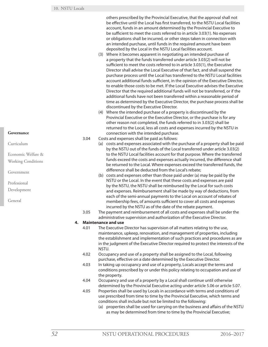others prescribed by the Provincial Executive, that the approval shall not be effective until the Local has first transferred, to the NSTU Local facilities account, funds in an amount determined by the Provincial Executive to be sufficient to meet the costs referred to in article 3.03(1). No expenses or obligations shall be incurred, or other steps taken in connection with an intended purchase, until funds in the required amount have been deposited by the Local in the NSTU Local facilities account.

- (3) Where it becomes apparent in negotiating an intended purchase of a property that the funds transferred under article 3.03(2) will not be sufficient to meet the costs referred to in article 3.03(1), the Executive Director shall advise the Local Executive of that fact, and shall suspend the purchase process until the Local has transferred to the NSTU Local facilities account additional funds sufficient, in the opinion of the Executive Director, to enable those costs to be met. If the Local Executive advises the Executive Director that the required additional funds will not be transferred, or if the additional funds have not been transferred within a reasonable period of time as determined by the Executive Director, the purchase process shall be discontinued by the Executive Director.
- (4) Where the intended purchase of a property is discontinued by the Provincial Executive or the Executive Director, or the purchase is for any other reason not completed, the funds referred to in 3.03(2) shall be returned to the Local, less all costs and expenses incurred by the NSTU in connection with the intended purchase.
- 3.04 Costs and expenses shall be paid as follows:
	- (a) costs and expenses associated with the purchase of a property shall be paid by the NSTU out of the funds of the Local transferred under article 3.03(2) to the NSTU Local facilities account for that purpose. Where the transferred funds exceed the costs and expenses actually incurred, the difference shall be returned to the Local. Where expenses exceed the transferred funds, the difference shall be deducted from the Local's rebate;
	- (b) costs and expenses other than those paid under (a) may be paid by the NSTU or the Local. In the event that these costs and expenses are paid by the NSTU, the NSTU shall be reimbursed by the Local for such costs and expenses. Reimbursement shall be made by way of deductions, from each of the semi-annual payments to the Local on account of rebates of membership fees, of amounts sufficient to cover all costs and expenses incurred by the NSTU as of the date of the rebate payment.
- 3.05 The payment and reimbursement of all costs and expenses shall be under the administrative supervision and authorization of the Executive Director.

### **4. Maintenance and use**

- 4.01 The Executive Director has supervision of all matters relating to the use, maintenance, upkeep, renovation, and management of properties, including the establishment and implementation of such practices and procedures as are in the judgment of the Executive Director required to protect the interests of the NSTU.
- 4.02 Occupancy and use of a property shall be assigned to the Local, following purchase, effective on a date determined by the Executive Director.
- 4.03 In taking up occupancy and use of a property, Locals accept the terms and conditions prescribed by or under this policy relating to occupation and use of the property.
- 4.04 Occupancy and use of a property by a Local shall continue until otherwise determined by the Provincial Executive acting under article 5.06 or article 5.07.
- 4.05 Properties shall be used by Locals in accordance with terms and conditions of use prescribed from time to time by the Provincial Executive, which terms and conditions shall include but not be limited to the following:
	- (a) properties shall be used for carrying on the business and affairs of the NSTU as may be determined from time to time by the Provincial Executive;

### **Governance**

Curriculum

Economic Welfare &

Working Conditions

Government

Professional

Development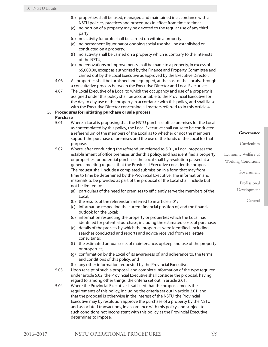- (b) properties shall be used, managed and maintained in accordance with all NSTU policies, practices and procedures in effect from time to time;
- (c) no portion of a property may be devoted to the regular use of any third party;
- (d) no activity for profit shall be carried on within a property;
- (e) no permanent liquor bar or ongoing social use shall be established or conducted on a property;
- (f) no activity shall be carried on a property which is contrary to the interests of the NSTU;
- (g) no renovations or improvements shall be made to a property, in excess of \$5,000.00, except as authorized by the Finance and Property Committee and carried out by the Local Executive as approved by the Executive Director.
- 4.06 All properties shall be furnished and equipped, at the cost of the Locals, through a consultative process between the Executive Director and Local Executives.
- 4.07 The Local Executive of a Local to which the occupancy and use of a property is assigned under this policy shall be accountable to the Provincial Executive for the day to day use of the property in accordance with this policy, and shall liaise with the Executive Director concerning all matters referred to in this Article 4.

# **5. Procedures for initiating purchase or sale process**

# **Purchase**

- 5.01 Where a Local is proposing that the NSTU purchase office premises for the Local as contemplated by this policy, the Local Executive shall cause to be conducted a referendum of the members of the Local as to whether or not the members support the purchase of premises and the use of the funds of the Local for that purpose.
- 5.02 Where, after conducting the referendum referred to 5.01, a Local proposes the establishment of office premises under this policy, and has identified a property or properties for potential purchase, the Local shall by resolution passed at a general meeting request that the Provincial Executive consider the proposal. The request shall include a completed submission in a form that may from time to time be determined by the Provincial Executive. The information and materials to be provided as part of the proposal of the Local shall include but not be limited to:
	- (a) particulars of the need for premises to efficiently serve the members of the Local;
	- (b) the results of the referendum referred to in article 5.01;
	- (c) information respecting the current financial position of, and the financial outlook for, the Local;
	- (d) information respecting the property or properties which the Local has identified for potential purchase, including the estimated costs of purchase;
	- (e) details of the process by which the properties were identified, including searches conducted and reports and advice received from real estate consultants;
	- (f) the estimated annual costs of maintenance, upkeep and use of the property or properties;
	- (g) confirmation by the Local of its awareness of, and adherence to, the terms and conditions of this policy; and
	- (h) any other information requested by the Provincial Executive.
- 5.03 Upon receipt of such a proposal, and complete information of the type required under article 5.02, the Provincial Executive shall consider the proposal, having regard to, among other things, the criteria set out in article 2.01.
- 5.04 Where the Provincial Executive is satisfied that the proposal meets the requirements of this policy, including the criteria set out in article 2.01, and that the proposal is otherwise in the interest of the NSTU, the Provincial Executive may by resolution approve the purchase of a property by the NSTU and associated transactions, in accordance with this policy, and subject to such conditions not inconsistent with this policy as the Provincial Executive determines to impose.

#### **Governance**

Curriculum

Economic Welfare & Working Conditions

Government

Professional

Development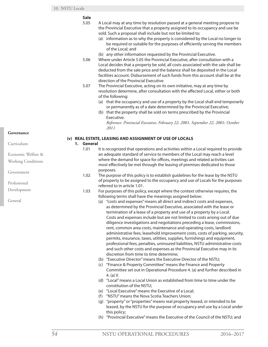# **Sale**

- 5.05 A Local may at any time by resolution passed at a general meeting propose to the Provincial Executive that a property assigned to its occupancy and use be sold. Such a proposal shall include but not be limited to:
	- (a) information as to why the property is considered by the Local no longer to be required or suitable for the purposes of efficiently serving the members of the Local; and
	- (b) any other information requested by the Provincial Executive.
- 5.06 Where under Article 5.05 the Provincial Executive, after consultation with a Local decides that a property be sold, all costs associated with the sale shall be deducted from the sale price and the balance shall be deposited in the Local facilities account. Disbursement of such funds from this account shall be at the direction of the Provincial Executive.
- 5.07 The Provincial Executive, acting on its own initiative, may at any time by resolution determine, after consultation with the affected Local, either or both of the following:
	- (a) that the occupancy and use of a property by the Local shall end temporarily or permanently as of a date determined by the Provincial Executive;
	- (b) that the property shall be sold on terms prescribed by the Provincial Executive.

*Reference: Provincial Executive, February 22, 2001, September 22, 2001; October 2011*

# **(v) REAL ESTATE, LEASING AND ASSIGNMENT OF USE OF LOCALS**

### **1. General**

- 1.01 It is recognized that operations and activities within a Local required to provide an adequate standard of service to members of the Local may reach a level where the demand for space for offices, meetings and related activities can most effectively be met through the leasing of premises dedicated to those purposes.
- 1.02 The purpose of this policy is to establish guidelines for the lease by the NSTU of property to be assigned to the occupancy and use of Locals for the purposes referred to in article 1.01.
- 1.03 For purposes of this policy, except where the context otherwise requires, the following terms shall have the meanings assigned below:
	- (a) "costs and expenses" means all direct and indirect costs and expenses, as determined by the Provincial Executive, associated with the lease or termination of a lease of a property and use of a property by a Local. Costs and expenses include but are not limited to costs arising out of due diligence investigations and negotiations preceding a lease, commissions, rent, common area costs, maintenance and operating costs, landlord administrative fees, leasehold improvement costs, costs of parking, security, permits, insurance, taxes, utilities, supplies, furnishings and equipment, professional fees, penalties, uninsured liabilities, NSTU administrative costs and such other costs and expenses as the Provincial Executive may in its discretion from time to time determine;
	- (b) "Executive Director" means the Executive Director of the NSTU;
	- (c) "Finance & Property Committee" means the Finance and Property Committee set out in Operational Procedure 4. (a) and further described in 4. (a) V.
	- (d) "Local" means a Local Union as established from time to time under the constitution of the NSTU;
	- (e) "Local Executive" means the Executive of a Local;
	- (f) "NSTU" means the Nova Scotia Teachers Union;
	- (g) "property" or "properties" means real property leased, or intended to be leased, by the NSTU for the purpose of occupancy and use by a Local under this policy;
	- (h) "Provincial Executive" means the Executive of the Council of the NSTU; and

### **Governance**

| Curriculum                                      |
|-------------------------------------------------|
| Economic Welfare &<br><b>Working Conditions</b> |
| Government                                      |

Professional

Development

General

*54* NSTU OPERATIONAL PROCEDURES 2016–2017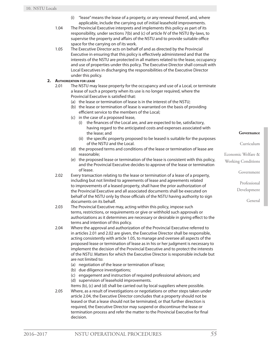- (i) "lease" means the lease of a property, or any renewal thereof, and, where applicable, include the carrying out of initial leasehold improvements.
- 1.04 The Provincial Executive interprets and implements this policy as part of its responsibility, under sections 7(b) and (c) of article IV of the NSTU By-laws, to supervise the property and affairs of the NSTU and to provide suitable office space for the carrying on of its work.
- 1.05 The Executive Director acts on behalf of and as directed by the Provincial Executive in ensuring that this policy is effectively administered and that the interests of the NSTU are protected in all matters related to the lease, occupancy and use of properties under this policy. The Executive Director shall consult with Local Executives in discharging the responsibilities of the Executive Director under this policy.

# **2. Authorization for lease**

- 2.01 The NSTU may lease property for the occupancy and use of a Local, or terminate a lease of such a property when its use is no longer required, where the Provincial Executive is satisfied that:
	- (a) the lease or termination of lease is in the interest of the NSTU;
	- (b) the lease or termination of lease is warranted on the basis of providing efficient service to the members of the Local;
	- (c) in the case of a proposed lease,
		- (i) the finances of the Local are, and are expected to be, satisfactory, having regard to the anticipated costs and expenses associated with the lease; and
		- (ii) the specific property proposed to be leased is suitable for the purposes of the NSTU and the Local.
	- (d) the proposed terms and conditions of the lease or termination of lease are reasonable;
	- (e) the proposed lease or termination of the lease is consistent with this policy, and the Provincial Executive decides to approve of the lease or termination of lease.
- 2.02 Every transaction relating to the lease or termination of a lease of a property, including but not limited to agreements of lease and agreements related to improvements of a leased property, shall have the prior authorization of the Provincial Executive and all associated documents shall be executed on behalf of the NSTU only by those officials of the NSTU having authority to sign documents on its behalf.
- 2.03 The Provincial Executive may, acting within this policy, impose such terms, restrictions, or requirements or give or withhold such approvals or authorizations as it determines are necessary or desirable in giving effect to the terms and intention of this policy.
- 2.04 Where the approval and authorization of the Provincial Executive referred to in articles 2.01 and 2.02 are given, the Executive Director shall be responsible, acting consistently with article 1.05, to manage and oversee all aspects of the proposed lease or termination of lease as in his or her judgment is necessary to implement the decision of the Provincial Executive and to protect the interests of the NSTU. Matters for which the Executive Director is responsible include but are not limited to:
	- (a) negotiation of the lease or termination of lease;
	- (b) due diligence investigations;
	- (c) engagement and instruction of required professional advisors; and
	- (d) supervision of leasehold improvements.
- Items (b), (c) and (d) shall be carried out by local suppliers where possible. 2.05 Where, as a result of investigations or negotiations or other steps taken under article 2.04, the Executive Director concludes that a property should not be leased or that a lease should not be terminated, or that further direction is required, the Executive Director may suspend or discontinue the lease or termination process and refer the matter to the Provincial Executive for final decision.

#### **Governance**

Curriculum

Economic Welfare & Working Conditions

Government

Professional Development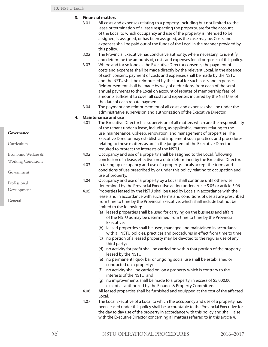# **3. Financial matters**

- 3.01 All costs and expenses relating to a property, including but not limited to, the lease or termination of a lease respecting the property, are for the account of the Local to which occupancy and use of the property is intended to be assigned, is assigned, or has been assigned, as the case may be. Costs and expenses shall be paid out of the funds of the Local in the manner provided by this policy.
- 3.02 The Provincial Executive has conclusive authority, where necessary, to identify and determine the amounts of, costs and expenses for all purposes of this policy.
- 3.03 Where and for so long as the Executive Director consents, the payment of costs and expenses shall be made directly by the relevant Local. In the absence of such consent, payment of costs and expenses shall be made by the NSTU and the NSTU shall be reimbursed by the Local for such costs and expenses. Reimbursement shall be made by way of deductions, from each of the semiannual payments to the Local on account of rebates of membership fees, of amounts sufficient to cover all costs and expenses incurred by the NSTU as of the date of each rebate payment.
- 3.04 The payment and reimbursement of all costs and expenses shall be under the administrative supervision and authorization of the Executive Director.

# **4. Maintenance and use**

- 4.01 The Executive Director has supervision of all matters which are the responsibility of the tenant under a lease, including, as applicable, matters relating to the use, maintenance, upkeep, renovation, and management of properties. The Executive Director may establish and implement such practices and procedures relating to these matters as are in the judgment of the Executive Director required to protect the interests of the NSTU.
- 4.02 Occupancy and use of a property shall be assigned to the Local, following conclusion of a lease, effective on a date determined by the Executive Director.
- 4.03 In taking up occupancy and use of a property, Locals accept the terms and conditions of use prescribed by or under this policy relating to occupation and use of property.
- 4.04 Occupancy and use of a property by a Local shall continue until otherwise determined by the Provincial Executive acting under article 5.05 or article 5.06.
- 4.05 Properties leased by the NSTU shall be used by Locals in accordance with the lease, and in accordance with such terms and conditions of use as are prescribed from time to time by the Provincial Executive, which shall include but not be limited to the following:
	- (a) leased properties shall be used for carrying on the business and affairs of the NSTU as may be determined from time to time by the Provincial Executive;
	- (b) leased properties shall be used, managed and maintained in accordance with all NSTU policies, practices and procedures in effect from time to time;
	- (c) no portion of a leased property may be devoted to the regular use of any third party;
	- (d) no activity for profit shall be carried on within that portion of the property leased by the NSTU;
	- (e) no permanent liquor bar or ongoing social use shall be established or conducted on a property;
	- (f) no activity shall be carried on, on a property which is contrary to the interests of the NSTU; and
	- (g) no improvements shall be made to a property, in excess of \$5,000.00, except as authorized by the Finance & Property Committee.
- 4.06 All leased properties shall be furnished and equipped at the cost of the affected Local.
- 4.07 The Local Executive of a Local to which the occupancy and use of a property has been leased under this policy shall be accountable to the Provincial Executive for the day to day use of the property in accordance with this policy and shall liaise with the Executive Director concerning all matters referred to in this article 4.

#### **Governance**

Curriculum

| Economic Welfare &<br><b>Working Conditions</b> |
|-------------------------------------------------|
| Government                                      |
| Professional                                    |
| Development                                     |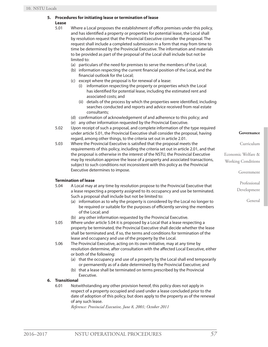### **5. Procedures for initiating lease or termination of lease Lease**

- 5.01 Where a Local proposes the establishment of office premises under this policy, and has identified a property or properties for potential lease, the Local shall by resolution request that the Provincial Executive consider the proposal. The request shall include a completed submission in a form that may from time to time be determined by the Provincial Executive. The information and materials to be provided as part of the proposal of the Local shall include but not be limited to:
	- (a) particulars of the need for premises to serve the members of the Local;
	- (b) information respecting the current financial position of the Local, and the financial outlook for the Local;
	- (c) except where the proposal is for renewal of a lease:
		- (i) information respecting the property or properties which the Local has identified for potential lease, including the estimated rent and associated costs; and
		- (ii) details of the process by which the properties were identified, including searches conducted and reports and advice received from real estate consultants;
	- (d) confirmation of acknowledgement of and adherence to this policy; and
	- (e) any other information requested by the Provincial Executive.
- 5.02 Upon receipt of such a proposal, and complete information of the type required under article 5.01, the Provincial Executive shall consider the proposal, having regard, among other things, to the criteria set out in article 2.01.
- 5.03 Where the Provincial Executive is satisfied that the proposal meets the requirements of this policy, including the criteria set out in article 2.01, and that the proposal is otherwise in the interest of the NSTU, the Provincial Executive may by resolution approve the lease of a property and associated transactions, subject to such conditions not inconsistent with this policy as the Provincial Executive determines to impose.

# **Termination of lease**

- 5.04 A Local may at any time by resolution propose to the Provincial Executive that a lease respecting a property assigned to its occupancy and use be terminated. Such a proposal shall include but not be limited to:
	- (a) information as to why the property is considered by the Local no longer to be required or suitable for the purposes of efficiently serving the members of the Local; and

(b) any other information requested by the Provincial Executive.

- 5.05 Where under article 5.04 it is proposed by a Local that a lease respecting a property be terminated, the Provincial Executive shall decide whether the lease shall be terminated and, if so, the terms and conditions for termination of the lease and occupancy and use of the property by the Local.
- 5.06 The Provincial Executive, acting on its own initiative, may at any time by resolution determine, after consultation with the affected Local Executive, either or both of the following:
	- (a) that the occupancy and use of a property by the Local shall end temporarily or permanently as of a date determined by the Provincial Executive; and
	- (b) that a lease shall be terminated on terms prescribed by the Provincial Executive.

# **6. Transitional**

6.01 Notwithstanding any other provision hereof, this policy does not apply in respect of a property occupied and used under a lease concluded prior to the date of adoption of this policy, but does apply to the property as of the renewal of any such lease.

*Reference: Provincial Executive, June 8, 2001; October 2011*

**Governance**

Curriculum

Economic Welfare & Working Conditions

Government

Professional

Development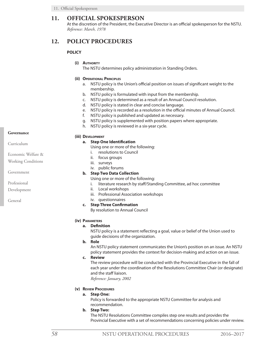# **11. OFFICIAL SPOKESPERSON**

At the discretion of the President, the Executive Director is an official spokesperson for the NSTU. *Reference: March, 1978*

# **12. POLICY PROCEDURES**

# **POLICY**

**(i) Authority**

The NSTU determines policy administration in Standing Orders.

# **(ii) Operational Principles**

- a. NSTU policy is the Union's official position on issues of significant weight to the membership.
- b. NSTU policy is formulated with input from the membership.
- c. NSTU policy is determined as a result of an Annual Council resolution.
- d. NSTU policy is stated in clear and concise language.
- e. NSTU policy is recorded as a resolution in the official minutes of Annual Council.
- f. NSTU policy is published and updated as necessary.
- g. NSTU policy is supplemented with position papers where appropriate.
- h. NSTU policy is reviewed in a six-year cycle.

### **Governance**

Curriculum

Economic Welfare &

Working Conditions

Government

Professional

Development

General

### **(iii) Development**

# **a. Step One Identification**

Using one or more of the following:

- i. resolutions to Council
- ii. focus groups
- iii. surveys
- iv. public forums

# **b. Step Two Data Collection**

Using one or more of the following:

- i. literature research by staff/Standing Committee, ad hoc committee
- ii. Local workshops
- iii. Professional Association workshops
- iv. questionnaires

# **c. Step Three Confirmation**

By resolution to Annual Council

# **(iv) Parameters**

# **a. Definition**

NSTU policy is a statement reflecting a goal, value or belief of the Union used to guide decisions of the organization.

**b. Role**

An NSTU policy statement communicates the Union's position on an issue. An NSTU policy statement provides the context for decision-making and action on an issue.

**c. Review**

The review procedure will be conducted with the Provincial Executive in the fall of each year under the coordination of the Resolutions Committee Chair (or designate) and the staff liaison.

*Reference: January, 2002*

# **(v) Review Procedures**

# **a. Step One:**

Policy is forwarded to the appropriate NSTU Committee for analysis and recommendation.

**b. Step Two:**

The NSTU Resolutions Committee compiles step one results and provides the Provincial Executive with a set of recommendations concerning policies under review.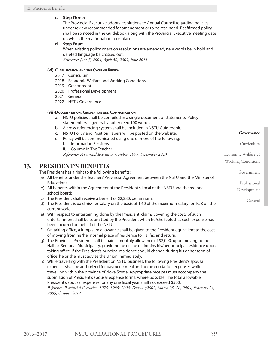# **c. Step Three:**

The Provincial Executive adopts resolutions to Annual Council regarding policies under review recommended for amendment or to be rescinded. Reaffirmed policy shall be so noted in the Guidebook along with the Provincial Executive meeting date on which the reaffirmation took place.

# **d. Step Four:**

When existing policy or action resolutions are amended, new words be in bold and deleted language be crossed out.

*Reference: June 5, 2004; April 30, 2009, June 2011*

# **(vi) Classification and the Cycle of Review**

- 2017 Curriculum
- 2018 Economic Welfare and Working Conditions
- 2019 Government
- 2020 Professional Development
- 2021 General
- 2022 NSTU Governance

# **(vii)Documentation, Circulation and Communication**

- a. NSTU policies shall be compiled in a single document of statements. Policy statements will generally not exceed 100 words.
- b. A cross-referencing system shall be included in NSTU Guidebook.
- c. NSTU Policy and Position Papers will be posted on the website.
- d. Policy will be communicated using one or more of the following:
	- i. Information Sessions
	- ii. Column in The Teacher
	- *Reference: Provincial Executive, October, 1997, September 2013*

# **13. PRESIDENT'S BENEFITS**

The President has a right to the following benefits:

- (a) All benefits under the Teachers' Provincial Agreement between the NSTU and the Minister of Education;
- (b) All benefits within the Agreement of the President's Local of the NSTU and the regional school board;
- (c) The President shall receive a benefit of \$2,280. per annum.
- (d) The President is paid his/her salary on the basis of 1.60 of the maximum salary for TC 8 on the current scale.
- (e) With respect to entertaining done by the President, claims covering the costs of such entertainment shall be submitted by the President when he/she feels that such expense has been incurred on behalf of the NSTU.
- (f) On taking office, a lump sum allowance shall be given to the President equivalent to the cost of moving from his/her normal place of residence to Halifax and return.
- (g) The Provincial President shall be paid a monthly allowance of \$2,000. upon moving to the Halifax Regional Municipality, providing he or she maintains his/her principal residence upon taking office. If the President's principal residence should change during his or her term of office, he or she must advise the Union immediately.
- (h) While travelling with the President on NSTU business, the following President's spousal expenses shall be authorized for payment: meal and accommodation expenses while travelling within the province of Nova Scotia. Appropriate receipts must accompany the submission of President's spousal expense forms, where possible. The total allowable President's spousal expenses for any one fiscal year shall not exceed \$500. *Reference: Provincial Executive, 1975; 1985; 2000; February2002; March 25, 26, 2004; February 24, 2005; October 2012*

**Governance**

Curriculum

Government

Professional Development

General

Economic Welfare & Working Conditions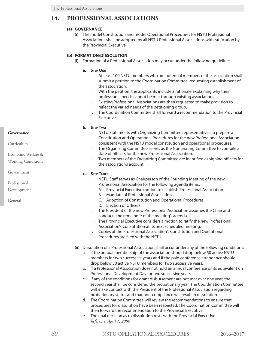# **14. PROFESSIONAL ASSOCIATIONS**

# **(a) GOVERNANCE**

(i) The model Constitution and model Operational Procedures for NSTU Professional Associations shall be adopted by all NSTU Professional Associations with ratification by the Provincial Executive.

# **(b) FORMATION/DISSOLUTION**

(i) Formation of a Professional Association may occur under the following guidelines:

### **a. Step One**

- i. At least 100 NSTU members who are potential members of the association shall submit a petition to the Coordination Committee, requesting establishment of the association.
- ii. With the petition, the applicants include a rationale explaining why their professional needs cannot be met through existing associations.
- iii. Existing Professional Associations are then requested to make provision to reflect the varied needs of the petitioning group.
- iv. The Coordination Committee shall forward a recommendation to the Provincial Executive.

# **b. Step Two**

- i. NSTU Staff meets with Organizing Committee representatives to prepare a Constitution and Operational Procedures for the new Professional Association consistent with the NSTU model constitution and operational procedures.
- ii. The Organizing Committee serves as the Nominating Committee to compile a slate of officers for the new Professional Association.
- iii. Two members of the Organizing Committee are identified as signing officers for the association's account.

# **c. Step Three**

- i. NSTU Staff serves as Chairperson of the Founding Meeting of the new Professional Association for the following agenda items:
	- A. Provincial Executive motion to establish Professional Association
	- B. Mandate of Professional Association
	- C. Adoption of Constitution and Operational Procedures
	- D. Election of Officers
- ii. The President of the new Professional Association assumes the Chair and conducts the remainder of the meeting's agenda.
- iii. The Provincial Executive considers a motion to ratify the new Professional Association's Constitution at its next scheduled meeting.
- iv. Copies of the Professional Association's Constitution and Operational Procedures are filed with the NSTU.
- (ii) Dissolution of a Professional Association shall occur under any of the following conditions:
	- a. If the annual membership of the association should drop below 50 active NSTU members for two successive years and if the paid conference attendance should drop below 50 active NSTU members for two successive years.
	- b. If a Professional Association does not hold an annual conference or its equivalent on Professional Development Day for two successive years.
	- c. If any of the conditions for grant disbursement are not met over one year, the second year shall be considered the probationary year. The Coordination Committee will make contact with the President of the Professional Association regarding probationary status and that non-compliance will result in dissolution.
	- d. The Coordination Committee will review the recommendations to ensure that procedures for dissolution have been respected. The Coordination Committee will then forward the recommendation to the Provincial Executive.
	- e. The final decision as to dissolution rests with the Provincial Executive. *Reference: April 1, 2006*

# **Governance**

Curriculum

Economic Welfare &

Working Conditions

Government

Professional

Development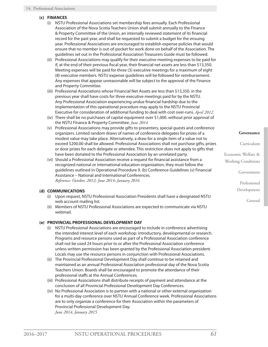# **(c) FINANCES**

- (i) NSTU Professional Associations set membership fees annually. Each Professional Association of the Nova Scotia Teachers Union shall submit annually to the Finance & Property Committee of the Union, an internally reviewed statement of its financial record for the past year, and shall be requested to submit a budget for the ensuing year. Professional Associations are encouraged to establish expense policies that would ensure that no member is out-of-pocket for work done on behalf of the Association. The guidelines set out in the Professional Association Treasurers Guide must be followed.
- (ii) Professional Associations may qualify for their executive meeting expenses to be paid for if, at the end of their previous fiscal year, their financial net assets are less than \$13,350. Meeting expenses will be paid for three (3) executive meetings for a maximum of eight (8) executive members. NSTU expense guidelines will be followed for reimbursement. Any expenses that appear unreasonable will be subject to the approval of the Finance and Property Committee.
- (iii) Professional Associations whose Financial Net Assets are less than \$13,350. in the previous year shall have costs for three executive meetings paid for by the NSTU. Any Professional Association experiencing undue financial hardship due to the implementation of this operational procedure may apply to the NSTU Provincial Executive for consideration of additional funding to deal with cost over-runs. *April 2012*
- (iv) There shall be no purchases of capital equipment over \$1,000. without prior approval of the NSTU Finance & Property Committee. *June 2014*
- (v) Professional Associations may provide gifts to presenters, special guests and conference organizers. Limited random draws of names of conference delegates for prizes of a modest value may take place. Alternatively, a draw for a single item of a value not to exceed \$200.00 shall be allowed. Professional Associations shall not purchase gifts, prizes or door prizes for each delegate or attendee. This restriction does not apply to gifts that have been donated to the Professional Association by an unrelated party.
- (vi) Should a Professional Association receive a request for financial assistance from a recognized national or international education organization, they must follow the guidelines outlined in Operational Procedure 9. (b) Conference Guidelines (v) Financial Assistance – National and International Conferences. *Reference: October, 2012; June 2014; January 2016*

# **(d) COMMUNICATIONS**

- (i) Upon request, NSTU Professional Association Presidents shall have a designated NSTU web account mailing list.
- (ii) Members of NSTU Professional Associations are expected to communicate via NSTU webmail.

# **(e) PROVINCIAL PROFESSIONAL DEVELOPMENT DAY**

- (i) NSTU Professional Associations are encouraged to include in conference advertising the intended interest level of each workshop: introductory, developmental or research. Programs and resource persons used as part of a Professional Association conference shall not be used 24 hours prior to or after the Professional Association conference unless written permission has been granted by the Professional Association president. Locals may use the resource persons in conjunction with Professional Associations.
- (ii) The Provincial Professional Development Day shall continue to be retained and maintained as an annual Professional Association professional day of the Nova Scotia Teachers Union. Boards shall be encouraged to promote the attendance of their professional staffs at the Annual Conferences.
- (iii) Professional Associations shall distribute receipts of payment and attendance at the conclusion of all Provincial Professional Development Day Conferences.
- (iv) No Professional Association is to partner with a national or other external organization for a multi-day conference over NSTU Annual Conference week. Professional Associations are to only organize a conference for their Association within the parameters of Provincial Professional Development Day. *June 2014; January 2015*

#### **Governance**

Curriculum

Economic Welfare & Working Conditions

Government

Professional

Development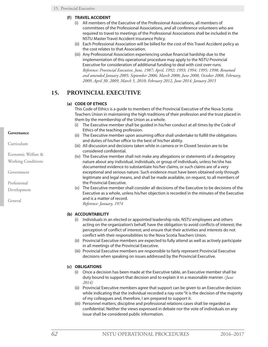- **(f) TRAVEL ACCIDENT**
	- (i) All members of the Executive of the Professional Associations, all members of committees of the Professional Associations, and all conference volunteers who are required to travel to meetings of the Professional Associations shall be included in the NSTU Master Travel Accident Insurance Policy.
	- (ii) Each Professional Association will be billed for the cost of this Travel Accident policy as the cost relates to that Association.
	- (iii) Any Professional Association experiencing undue financial hardship due to the implementation of this operational procedure may apply to the NSTU Provincial Executive for consideration of additional funding to deal with cost over-runs. *Reference: Provincial Executive, June, 1987; April, 1992; 1993; 1994; 1995; 1998; Renamed and amended January 2005; September 2006; March 2008; June 2008, October 2008, February, 2009, April 30, 2009, March 5, 2010; February 2012, June 2014; January 2015*

# **15. PROVINCIAL EXECUTIVE**

# **(a) CODE OF ETHICS**

This Code of Ethics is a guide to members of the Provincial Executive of the Nova Scotia Teachers Union in maintaining the high traditions of their profession and the trust placed in them by the membership of the Union as a whole.

- (i) The Executive member shall be guided in his/her conduct at all times by the Code of Ethics of the teaching profession.
- (ii) The Executive member upon assuming office shall undertake to fulfill the obligations and duties of his/her office to the best of his/her ability.
- (iii) All discussion and decisions taken while in camera or in Closed Session are to be considered confidential.
- (iv) The Executive member shall not make any allegations or statements of a derogatory nature about any individual, individuals, or group of individuals, unless he/she has documented evidence to substantiate his/her claims, or such claims are of a very exceptional and serious nature. Such evidence must have been obtained only through legitimate and legal means, and shall be made available, on request, to all members of the Provincial Executive.
- (v) The Executive member shall consider all decisions of the Executive to be decisions of the Executive as a whole, unless his/her objection is recorded in the minutes of the Executive and is a matter of record.

*Reference: January, 1974*

# **(b) ACCOUNTABILITY**

- (i) Individuals in an elected or appointed leadership role, NSTU employees and others acting on the organization's behalf, have the obligation to avoid conflicts of interest; the perception of conflict of interest; and ensure that their activities and interests do not conflict with their responsibilities to the Nova Scotia Teachers Union.
- (ii) Provincial Executive members are expected to fully attend as well as actively participate in all meetings of the Provincial Executive.
- (iii) Provincial Executive members are responsible to fairly represent Provincial Executive decisions when speaking on issues addressed by the Provincial Executive.

# **(c) OBLIGATIONS**

- (i) Once a decision has been made at the Executive table, an Executive member shall be duty bound to support that decision and to explain it in a reasonable manner. *(June 2014)*
- (ii) Provincial Executive members agree that support can be given to an Executive decision while indicating that the individual recorded a nay vote "It is the decision of the majority of my colleagues and, therefore, I am prepared to support it.
- (iii) Personnel matters, discipline and professional relations cases shall be regarded as confidential. Neither the views expressed in debate nor the vote of individuals on any issue shall be considered public information.

# **Governance**

Curriculum

Economic Welfare &

Working Conditions

Government

Professional

Development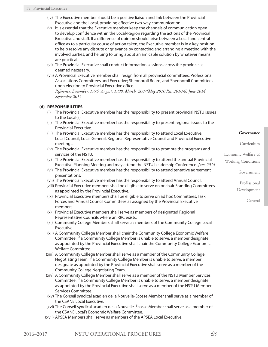- (iv) The Executive member should be a positive liaison and link between the Provincial Executive and the Local, providing effective two-way communication.
- (v) It is essential that the Executive member keep the channels of communication open to develop confidence within the Local/Region regarding the actions of the Provincial Executive and staff. If a difference of opinion should arise between a Local and central office as to a particular course of action taken, the Executive member is in a key position to help resolve any dispute or grievance by contacting and arranging a meeting with the involved parties, and helping to bring about an amicable solution by whatever means are practical.
- (vi) The Provincial Executive shall conduct information sessions across the province as deemed necessary.
- (vii) A Provincial Executive member shall resign from all provincial committees, Professional Associations Committees and Executive; Sheonoroil Board, and Sheonoroil Committees upon election to Provincial Executive office.

*Reference: December, 1975, August, 1998, March, 2007(May 2010 Res. 2010-6) June 2014, September 2015*

# **(d) RESPONSIBILITIES**

- (i) The Provincial Executive member has the responsibility to present provincial NSTU issues to the Local(s).
- (ii) The Provincial Executive member has the responsibility to present regional issues to the Provincial Executive.
- (iii) The Provincial Executive member has the responsibility to attend Local Executive, Local Council, Local General, Regional Representative Council and Provincial Executive meetings.
- (iv) The Provincial Executive member has the responsibility to promote the programs and services of the NSTU.
- (v) The Provincial Executive member has the responsibility to attend the annual Provincial Executive Planning Meeting and may attend the NSTU Leadership Conference. *June 2014*
- (vi) The Provincial Executive member has the responsibility to attend tentative agreement presentations.
- (vii) The Provincial Executive member has the responsibility to attend Annual Council.
- (viii) Provincial Executive members shall be eligible to serve on or chair Standing Committees as appointed by the Provincial Executive.
- (ix) Provincial Executive members shall be eligible to serve on ad hoc Committees, Task Forces and Annual Council Committees as assigned by the Provincial Executive members.
- (x) Provincial Executive members shall serve as members of designated Regional Representative Councils where an RRC exists.
- (xi) Community College Members shall serve as members of the Community College Local Executive.
- (xii) A Community College Member shall chair the Community College Economic Welfare Committee. If a Community College Member is unable to serve, a member designate as appointed by the Provincial Executive shall chair the Community College Economic Welfare Committee.
- (xiii) A Community College Member shall serve as a member of the Community College Negotiating Team. If a Community College Member is unable to serve, a member designate as appointed by the Provincial Executive shall serve as a member of the Community College Negotiating Team.
- (xiv) A Community College Member shall serve as a member of the NSTU Member Services Committee. If a Community College Member is unable to serve, a member designate as appointed by the Provincial Executive shall serve as a member of the NSTU Member Services Committee.
- (xv) The Conseil syndical acadien de la Nouvelle-Écosse Member shall serve as a member of the CSANE Local Executive.
- (xvi) The Conseil syndical acadien de la Nouvelle-Écosse Member shall serve as a member of the CSANE Local's Economic Welfare Committee.
- (xvii) APSEA Members shall serve as members of the APSEA Local Executive.

**Governance**

Curriculum

Economic Welfare & Working Conditions

Government

Professional Development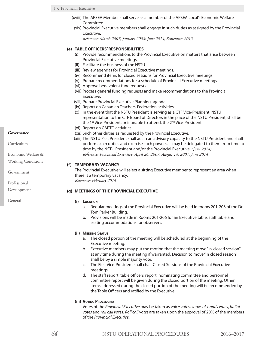- (xviii) The APSEA Member shall serve as a member of the APSEA Local's Economic Welfare Committee.
- (xix) Provincial Executive members shall engage in such duties as assigned by the Provincial Executive.

*Reference: March 2007; January 2008; June 2014; September 2015*

# **(e) TABLE OFFICERS' RESPONSIBILITIES**

- (i) Provide recommendations to the Provincial Executive on matters that arise between Provincial Executive meetings.
- (ii) Facilitate the business of the NSTU.
- (iii) Review agendas for Provincial Executive meetings.
- (iv) Recommend items for closed sessions for Provincial Executive meetings.
- (v) Prepare recommendations for a schedule of Provincial Executive meetings.
- (vi) Approve benevolent fund requests.
- (vii) Process general funding requests and make recommendations to the Provincial Executive.
- (viii) Prepare Provincial Executive Planning agenda.
- (ix) Report on Canadian Teachers' Federation activities.
- (x) In the event that the NSTU President is serving as a CTF Vice-President, NSTU representation to the CTF Board of Directors in the place of the NSTU President, shall be the 1<sup>st</sup> Vice-President, or if unable to attend, the 2<sup>nd</sup> Vice-President.
- (xi) Report on CAPTO activities.
- (xii) Such other duties as requested by the Provincial Executive.
- (xiii) The NSTU Past President shall act in an advisory capacity to the NSTU President and shall perform such duties and exercise such powers as may be delegated to them from time to time by the NSTU President and/or the Provincial Executive. *(June 2014) Reference: Provincial Executive, April 26, 2007, August 14, 2007, June 2014*

# **(f) TEMPORARY VACANCY**

The Provincial Executive will select a sitting Executive member to represent an area when there is a temporary vacancy. *Reference: February 2014*

# **(g) MEETINGS OF THE PROVINCIAL EXECUTIVE**

### **(i) Location**

- a. Regular meetings of the Provincial Executive will be held in rooms 201-206 of the Dr. Tom Parker Building.
- b. Provisions will be made in Rooms 201-206 for an Executive table, staff table and seating accommodations for observers.

### **(ii) Meeting Status**

- a. The closed portion of the meeting will be scheduled at the beginning of the Executive meeting.
- b. Executive members may put the motion that the meeting move "in-closed session" at any time during the meeting if warranted. Decision to move "in closed session" shall be by a simple majority vote.
- c. The First Vice-President shall chair Closed Sessions of the Provincial Executive meetings.
- d. The staff report, table officers' report, nominating committee and personnel committee report will be given during the closed portion of the meeting. Other items addressed during the closed portion of the meeting will be recommended by the Table Officers and ratified by the Executive.

# **(iii) Voting Procedures**

Votes of the *Provincial Executive* may be taken as *voice votes*, *show-of-hands votes*, *ballot votes* and *roll call votes*. *Roll call votes* are taken upon the approval of 20% of the members of the *Provincial Executive*.

# **Governance**

Curriculum

Economic Welfare &

Working Conditions

Government

Professional

Development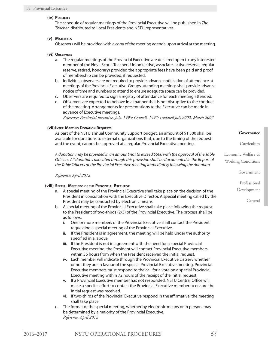### **(iv) Publicity**

The schedule of regular meetings of the Provincial Executive will be published in *The Teacher*, distributed to Local Presidents and NSTU representatives.

# **(v) Materials**

Observers will be provided with a copy of the meeting agenda upon arrival at the meeting.

# **(vi) Observers**

- a. The regular meetings of the Provincial Executive are declared open to any interested member of the Nova Scotia Teachers Union (active, associate, active reserve, regular reserve, retired, honorary) provided the appropriate fees have been paid and proof of membership can be provided, if requested.
- b. Individual observers are not required to provide advance notification of attendance at meetings of the Provincial Executive. Groups attending meetings shall provide advance notice of time and numbers to attend to ensure adequate space can be provided.
- c. Observers are required to sign a registry of attendance for each meeting attended.
- d. Observers are expected to behave in a manner that is not disruptive to the conduct of the meeting. Arrangements for presentations to the Executive can be made in advance of Executive meetings.

*Reference: Provincial Executive, July, 1996; Council, 1997; Updated July 2002, March 2007*

# **(vii)Inter-Meeting Donation Requests**

As part of the NSTU annual Community Support budget, an amount of \$1,500 shall be available for donations to external organizations that, due to the timing of the request and the event, cannot be approved at a regular Provincial Executive meeting.

*A donation may be provided in an amount not to exceed \$500 with the approval of the Table Officers. All donations allocated through this provision shall be documented in the Report of the Table Officers at the Provincial Executive meeting immediately following the donation.*

*Reference: April 2012*

### **(viii) Special Meetings of the Provincial Executive**

- a. A special meeting of the Provincial Executive shall take place on the decision of the President in consultation with the Executive Director. A special meeting called by the President may be conducted by electronic means.
- b. A special meeting of the Provincial Executive shall take place following the request to the President of two-thirds (2/3) of the Provincial Executive. The process shall be as follows:
	- i. One or more members of the Provincial Executive shall contact the President requesting a special meeting of the Provincial Executive.
	- ii. If the President is in agreement, the meeting will be held under the authority specified in a. above.
	- iii. If the President is not in agreement with the need for a special Provincial Executive meeting, the President will contact Provincial Executive members within 36 hours from when the President received the initial request.
	- iv. Each member will indicate through the Provincial Executive Listserv whether or not they are in favour of the special Provincial Executive meeting. Provincial Executive members must respond to the call for a vote on a special Provincial Executive meeting within 72 hours of the receipt of the initial request.
	- v. If a Provincial Executive member has not responded, NSTU Central Office will make a specific effort to contact the Provincial Executive member to ensure the initial request was received.
	- vi. If two-thirds of the Provincial Executive respond in the affirmative, the meeting shall take place.
- c. The format of the special meeting, whether by electronic means or in person, may be determined by a majority of the Provincial Executive. *Reference: April 2012*

**Governance**

Curriculum

Economic Welfare & Working Conditions

Government

Professional

Development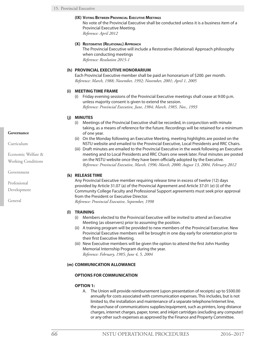### **(IX) Voting Between Provincial Executive Meetings**

No vote of the Provincial Executive shall be conducted unless it is a business item of a Provincial Executive Meeting.

*Reference: April 2012*

### **(X) Restorative (Relational) Approach**

The Provincial Executive will include a Restorative (Relational) Approach philosophy when conducting meetings *Reference: Resolution 2015-1*

### **(h) PROVINCIAL EXECUTIVE HONORARIUM**

Each Provincial Executive member shall be paid an honorarium of \$200. per month. *Reference: March, 1988; November, 1992; November, 2001; April 1, 2005*

# **(i) MEETING TIME FRAME**

(i) Friday evening sessions of the Provincial Executive meetings shall cease at 9:00 p.m. unless majority consent is given to extend the session. *Reference: Provincial Executive, June, 1984; March, 1985, Nov., 1993*

# **(j) MINUTES**

- (i) Meetings of the Provincial Executive shall be recorded, in conjunction with minute taking, as a means of reference for the future. Recordings will be retained for a minimum of one year.
- (ii) On the Monday following an Executive Meeting, meeting highlights are posted on the NSTU website and emailed to the Provincial Executive, Local Presidents and RRC Chairs.
- (iii) Draft minutes are emailed to the Provincial Executive in the week following an Executive meeting and to Local Presidents and RRC Chairs one week later. Final minutes are posted on the NSTU website once they have been officially adopted by the Executive. *Reference: Provincial Executive, March, 1996; March, 2000; August 13, 2004, February 2012*

### **(k) RELEASE TIME**

Any Provincial Executive member requiring release time in excess of twelve (12) days provided by Article 31.07 (a) of the Provincial Agreement and Article 37.01 (e) (i) of the Community College Faculty and Professional Support agreements must seek prior approval from the President or Executive Director.

*Reference: Provincial Executive, September, 1998*

### **(l) TRAINING**

- (i) Members elected to the Provincial Executive will be invited to attend an Executive Meeting (as observers) prior to assuming the position.
- (ii) A training program will be provided to new members of the Provincial Executive. New Provincial Executive members will be brought in one day early for orientation prior to their first Executive Meeting.
- (iii) New Executive members will be given the option to attend the first John Huntley Memorial Internship Program during the year. *Reference: February, 1985; June 4, 5, 2004*

### **(m) COMMUNICATION ALLOWANCE**

### **OPTIONS FOR COMMUNICATION**

### **OPTION 1:**

A. The Union will provide reimbursement (upon presentation of receipts) up to \$500.00 annually for costs associated with communication expenses. This includes, but is not limited to, the installation and maintenance of a separate telephone/internet line, the purchase of communications supplies/equipment, such as printers, long distance charges, internet charges, paper, toner, and inkjet cartridges (excluding any computer) or any other such expenses as approved by the Finance and Property Committee.

### **Governance**

Curriculum

Economic Welfare & Working Conditions

Government

Professional Development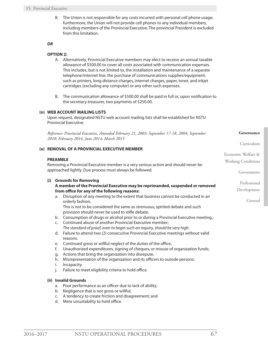B. The Union is not responsible for any costs incurred with personal cell phone usage; furthermore, the Union will not provide cell phones to any individual members, including members of the Provincial Executive. The provincial President is excluded from this limitation.

#### *OR*

### **OPTION 2:**

- A. Alternatively, Provincial Executive members may elect to receive an annual taxable allowance of \$500.00 to cover all costs associated with communication expenses. This includes, but is not limited to, the installation and maintenance of a separate telephone/internet line, the purchase of communications supplies/equipment, such as printers, long distance charges, internet charges, paper, toner, and inkjet cartridges (excluding any computer) or any other such expenses.
- B. The communication allowance of \$500.00 shall be paid in full or, upon notification to the secretary-treasurer, two payments of \$250.00.

### **(n) WEB ACCOUNT MAILING LISTS**

Upon request, designated NSTU web account mailing lists shall be established for NSTU Provincial Executive.

*Reference: Provincial Executive, Amended February 21, 2003; September 17-18, 2004; September 2010, February 2014, June 2014; March 2015*

### **(o) REMOVAL OF A PROVINCIAL EXECUTIVE MEMBER**

### **PREAMBLE**

Removing a Provincial Executive member is a very serious action and should never be approached lightly. Due process must always be followed.

### **(i) Grounds for Removing**

### **A member of the Provincial Executive may be reprimanded, suspended or removed from office for any of the following reasons:**

a. Disruption of any meeting to the extent that business cannot be conducted in an orderly fashion.

This is not to be considered the same as strenuous, spirited debate and such provision should never be used to stifle debate.

- b. Consumption of drugs or alcohol prior to or during a Provincial Executive meeting.;
- c. Continued abuse of another Provincial Executive member; *The standard of proof, even to begin such an inquiry, should be very high.*
- d. Failure to attend two (2) consecutive Provincial Executive meetings without valid reasons.
- e. Continued gross or willful neglect of the duties of the office;
- f. Unauthorized expenditures, signing of cheques, or misuse of organization funds;
- g. Actions that bring the organization into disrepute.
- h. Misrepresentation of the organization and its officers to outside persons;
- i. Incapacity.
- j. Failure to meet eligibility criteria to hold office.

### **(ii) Invalid Grounds**

- a. Poor performance as an officer due to lack of ability;
- b. Negligence that is not gross or willful;
- c. A tendency to create friction and disagreement; and
- d. Mere unsuitability to hold office.

**Governance**

Curriculum

Government

Professional Development

General

Economic Welfare & Working Conditions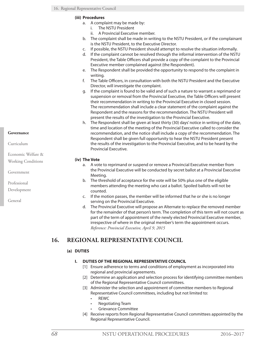# **(iii) Procedures**

- a. A complaint may be made by:
	- i. The NSTU President
	- ii. A Provincial Executive member.
- b. The complaint shall be made in writing to the NSTU President, or if the complainant is the NSTU President, to the Executive Director.
- c. If possible, the NSTU President should attempt to resolve the situation informally.
- d. If the complaint cannot be resolved through the informal intervention of the NSTU President, the Table Officers shall provide a copy of the complaint to the Provincial Executive member complained against (the Respondent).
- e. The Respondent shall be provided the opportunity to respond to the complaint in writing.
- f. The Table Officers, in consultation with both the NSTU President and the Executive Director, will investigate the complaint.
- g. If the complaint is found to be valid and of such a nature to warrant a reprimand or suspension or removal from the Provincial Executive, the Table Officers will present their recommendation in writing to the Provincial Executive in closed session. The recommendation shall include a clear statement of the complaint against the Respondent and the reasons for the recommendation. The NSTU President will present the results of the investigation to the Provincial Executive.
- h. The Respondent shall be given at least thirty (30) days' notice in writing of the date, time and location of the meeting of the Provincial Executive called to consider the recommendation, and the notice shall include a copy of the recommendation. The Respondent shall be given full opportunity to hear the NSTU President present the results of the investigation to the Provincial Executive, and to be heard by the Provincial Executive.

# **(iv) The Vote**

- a. A vote to reprimand or suspend or remove a Provincial Executive member from the Provincial Executive will be conducted by secret ballot at a Provincial Executive Meeting.
- b. The threshold of acceptance for the vote will be 50% plus one of the eligible members attending the meeting who cast a ballot. Spoiled ballots will not be counted.
- c. If the motion passes, the member will be informed that he or she is no longer serving on the Provincial Executive.
- d. The Provincial Executive will propose an Alternate to replace the removed member for the remainder of that person's term. The completion of this term will not count as part of the term of appointment of the newly elected Provincial Executive member, irrespective of where in the original member's term the appointment occurs. *Reference: Provincial Executive, April 9, 2015*

# **16. REGIONAL REPRESENTATIVE COUNCIL**

# **(a) DUTIES**

# **I. DUTIES OF THE REGIONAL REPRESENTATIVE COUNCIL**

- [1] Ensure adherence to terms and conditions of employment as incorporated into regional and provincial agreements.
- [2] Determine an application and selection process for identifying committee members of the Regional Representative Council committees.
- [3] Administer the selection and appointment of committee members to Regional Representative Council committees, including but not limited to:
	- • REWC
	- • Negotiating Team
	- **Grievance Committee**
- [4] Receive reports from Regional Representative Council committees appointed by the Regional Representative Council.

Curriculum

Economic Welfare &

Working Conditions

Government

Professional

Development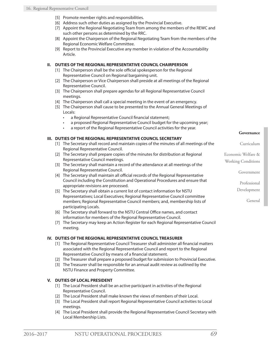- [5] Promote member rights and responsibilities.
- [6] Address such other duties as assigned by the Provincial Executive.
- [7] Appoint the Regional Negotiating Team from among the members of the REWC and such other persons as determined by the RRC.
- [8] Appoint the Chairperson of the Regional Negotiating Team from the members of the Regional Economic Welfare Committee.
- [9] Report to the Provincial Executive any member in violation of the Accountability Article.

### **II. DUTIES OF THE REGIONAL REPRESENTATIVE COUNCIL CHAIRPERSON**

- [1] The Chairperson shall be the sole official spokesperson for the Regional Representative Council on Regional bargaining unit.
- [2] The Chairperson or Vice Chairperson shall preside at all meetings of the Regional Representative Council.
- [3] The Chairperson shall prepare agendas for all Regional Representative Council meetings.
- [4] The Chairperson shall call a special meeting in the event of an emergency.
- [5] The Chairperson shall cause to be presented to the Annual General Meetings of Locals:
	- a Regional Representative Council financial statement;
	- a proposed Regional Representative Council budget for the upcoming year;
	- a report of the Regional Representative Council activities for the year.

### **III. DUTIES OF THE REGIONAL REPRESENTATIVE COUNCIL SECRETARY**

- [1] The Secretary shall record and maintain copies of the minutes of all meetings of the Regional Representative Council.
- [2] The Secretary shall prepare copies of the minutes for distribution at Regional Representative Council meetings.
- [3] The Secretary shall maintain a record of the attendance at all meetings of the Regional Representative Council.
- [4] The Secretary shall maintain all official records of the Regional Representative Council including the Constitution and Operational Procedures and ensure that appropriate revisions are processed.
- [5] The Secretary shall obtain a current list of contact information for NSTU Representatives; Local Executives; Regional Representative Council committee members; Regional Representative Council members; and, membership lists of participating Locals.
- [6] The Secretary shall forward to the NSTU Central Office names, and contact information for members of the Regional Representative Council.
- [7] The Secretary may keep an Action Register for each Regional Representative Council meeting.

### **IV. DUTIES OF THE REGIONAL REPRESENTATIVE COUNCIL TREASURER**

- [1] The Regional Representative Council Treasurer shall administer all financial matters associated with the Regional Representative Council and report to the Regional Representative Council by means of a financial statement.
- [2] The Treasurer shall prepare a proposed budget for submission to Provincial Executive.
- [3] The Treasurer shall be responsible for an annual audit review as outlined by the NSTU Finance and Property Committee.

# **V. DUTIES OF LOCAL PRESIDENT**

- [1] The Local President shall be an active participant in activities of the Regional Representative Council.
- [2] The Local President shall make known the views of members of their Local.
- [3] The Local President shall report Regional Representative Council activities to Local meetings.
- [4] The Local President shall provide the Regional Representative Council Secretary with Local Membership Lists.

#### **Governance**

Curriculum Economic Welfare & Working Conditions Government

Professional

Development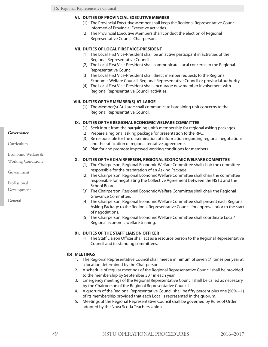#### **VI. DUTIES OF PROVINCIAL EXECUTIVE MEMBER**

- [1] The Provincial Executive Member shall keep the Regional Representative Council informed of Provincial Executive activities.
- [2] The Provincial Executive Members shall conduct the election of Regional Representative Council Chairperson.

### **VII. DUTIES OF LOCAL FIRST VICE-PRESIDENT**

- [1] The Local First Vice-President shall be an active participant in activities of the Regional Representative Council.
- [2] The Local First Vice-President shall communicate Local concerns to the Regional Representative Council.
- [3] The Local First Vice-President shall direct member requests to the Regional Economic Welfare Council, Regional Representative Council or provincial authority.
- [4] The Local First Vice-President shall encourage new member involvement with Regional Representative Council activities.

### **VIII. DUTIES OF THE MEMBER(S)-AT-LARGE**

[1] The Member(s)-At-Large shall communicate bargaining unit concerns to the Regional Representative Council.

### **IX. DUTIES OF THE REGIONAL ECONOMIC WELFARE COMMITTEE**

- [1] Seek input from the bargaining unit's membership for regional asking packages.
- [2] Prepare a regional asking package for presentation to the RRC.
- [3] Be responsible for the dissemination of information regarding regional negotiations and the ratification of regional tentative agreements.
- [4] Plan for and promote improved working conditions for members.

### **X. DUTIES OF THE CHAIRPERSON, REGIONAL ECONOMIC WELFARE COMMITTEE**

- [1] The Chairperson, Regional Economic Welfare Committee shall chair the committee responsible for the preparation of an Asking Package.
- [2] The Chairperson, Regional Economic Welfare Committee shall chair the committee responsible for negotiating the Collective Agreement between the NSTU and the School Board.
- [3] The Chairperson, Regional Economic Welfare Committee shall chair the Regional Grievance Committee.
- [4] The Chairperson, Regional Economic Welfare Committee shall present each Regional Asking Package to the Regional Representative Council for approval prior to the start of negotiations.
- [5] The Chairperson, Regional Economic Welfare Committee shall coordinate Local/ Regional economic welfare training.

### **XI. DUTIES OF THE STAFF LIAISON OFFICER**

[1] The Staff Liaison Officer shall act as a resource person to the Regional Representative Council and its standing committees.

### **(b) MEETINGS**

- 1. The Regional Representative Council shall meet a minimum of seven (7) times per year at a location determined by the Chairperson.
- 2. A schedule of regular meetings of the Regional Representative Council shall be provided to the membership by September  $30<sup>th</sup>$  in each year.
- 3. Emergency meetings of the Regional Representative Council shall be called as necessary by the Chairperson of the Regional Representative Council.
- 4. A quorum of the Regional Representative Council shall be fifty percent plus one (50% +1) of its membership provided that each Local is represented in the quorum.
- 5. Meetings of the Regional Representative Council shall be governed by Rules of Order adopted by the Nova Scotia Teachers Union.

#### **Governance**

Curriculum

- Economic Welfare &
- Working Conditions

Government

Professional

Development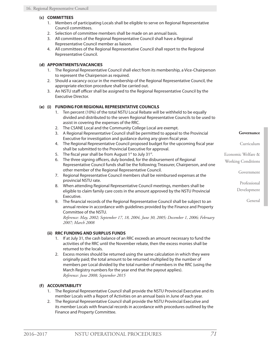# **(c) COMMITTEES**

- 1. Members of participating Locals shall be eligible to serve on Regional Representative Council committees.
- 2. Selection of committee members shall be made on an annual basis.
- 3. All committees of the Regional Representative Council shall have a Regional Representative Council member as liaison.
- 4. All committees of the Regional Representative Council shall report to the Regional Representative Council.

# **(d) APPOINTMENTS/VACANCIES**

- 1. The Regional Representative Council shall elect from its membership, a Vice-Chairperson to represent the Chairperson as required.
- 2. Should a vacancy occur in the membership of the Regional Representative Council, the appropriate election procedure shall be carried out.
- 3. An NSTU staff officer shall be assigned to the Regional Representative Council by the Executive Director.

# **(e) (i) FUNDING FOR REGIONAL REPRESENTATIVE COUNCILS**

- 1. Ten percent (10%) of the total NSTU Local Rebate will be withheld to be equally divided and distributed to the seven Regional Representative Councils to be used to assist in covering the expenses of the RRC.
- 2. The CSANE Local and the Community College Local are exempt.
- 3. A Regional Representative Council shall be permitted to appeal to the Provincial Executive for investigation and guidance during any given fiscal year.
- 4. The Regional Representative Council proposed budget for the upcoming fiscal year shall be submitted to the Provincial Executive for approval.
- 5. The fiscal year shall be from August  $1<sup>st</sup>$  to July  $31<sup>st</sup>$ .
- 6. The three signing officers, duly bonded, for the disbursement of Regional Representative Council funds shall be the following; Treasurer, Chairperson, and one other member of the Regional Representative Council.
- 7. Regional Representative Council members shall be reimbursed expenses at the provincial NSTU rate.
- 8. When attending Regional Representative Council meetings, members shall be eligible to claim family care costs in the amount approved by the NSTU Provincial Executive.
- 9. The financial records of the Regional Representative Council shall be subject to an annual review in accordance with guidelines provided by the Finance and Property Committee of the NSTU.

*Reference: May, 2002; September 17, 18, 2004, June 30, 2005; December 1, 2006; February 2007; March 2008*

# **(ii) RRC FUNDING AND SURPLUS FUNDS**

- 1. If at July 31, the cash balance of an RRC exceeds an amount necessary to fund the activities of the RRC until the November rebate, then the excess monies shall be returned to the locals.
- 2. Excess monies should be returned using the same calculation in which they were originally paid; the total amount to be returned multiplied by the number of members per Local divided by the total number of members in the RRC (using the March Registry numbers for the year end that the payout applies). *Reference: June 2008; September 2015*

# **(f) ACCOUNTABILITY**

- 1. The Regional Representative Council shall provide the NSTU Provincial Executive and its member Locals with a Report of Activities on an annual basis in June of each year.
- 2. The Regional Representative Council shall provide the NSTU Provincial Executive and its member Locals with financial records in accordance with procedures outlined by the Finance and Property Committee.

**Governance**

Curriculum

Economic Welfare &

Working Conditions

Government

Professional

Development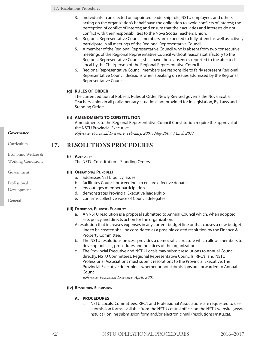- 3. Individuals in an elected or appointed leadership role, NSTU employees and others acting on the organization's behalf have the obligation to avoid conflicts of interest; the perception of conflict of interest; and ensure that their activities and interests do not conflict with their responsibilities to the Nova Scotia Teachers Union.
- 4. Regional Representative Council members are expected to fully attend as well as actively participate in all meetings of the Regional Representative Council.
- 5. A member of the Regional Representative Council who is absent from two consecutive meetings of the Regional Representative Council without reasons satisfactory to the Regional Representative Council, shall have those absences reported to the affected Local by the Chairperson of the Regional Representative Council.
- 6. Regional Representative Council members are responsible to fairly represent Regional Representative Council decisions when speaking on issues addressed by the Regional Representative Council.

# **(g) RULES OF ORDER**

The current edition of Robert's Rules of Order, Newly Revised governs the Nova Scotia Teachers Union in all parliamentary situations not provided for in legislation, By-Laws and Standing Orders.

# **(h) AMENDMENTS TO CONSTITUTION**

Amendments to the Regional Representative Council Constitution require the approval of the NSTU Provincial Executive. *Reference: Provincial Executive, February, 2007; May 2009, March 2011*

# **17. RESOLUTIONS PROCEDURES**

### **(i) Authority**

The NSTU Constitution – Standing Orders.

# **(ii) Operational Principles**

- a. addresses NSTU policy issues
- b. facilitates Council proceedings to ensure effective debate
- c. encourages member participation
- d. demonstrates Provincial Executive leadership
- e. confirms collective voice of Council delegates

# **(iii) Definition, Purpose, Eligibility**

- a. An NSTU resolution is a proposal submitted to Annual Council which, when adopted, sets policy and directs action for the organization.
- A resolution that increases expenses in any current budget line or that causes a new budget line to be created shall be considered as a possible costed resolution by the Finance & Property Committee.
- b. The NSTU resolutions process provides a democratic structure which allows members to develop policies, procedures and practices of the organization.
- c. The Provincial Executive and NSTU Locals may submit resolutions to Annual Council directly. NSTU Committees, Regional Representative Councils (RRC's) and NSTU Professional Associations must submit resolutions to the Provincial Executive. The Provincial Executive determines whether or not submissions are forwarded to Annual Council.

*Reference: Provincial Executive, April, 2007*

# **(iv) Resolution Submission**

# **A. PROCEDURES**

i. NSTU Locals, Committees, RRC's and Professional Associations are requested to use submission forms available from the NSTU central office, on the NSTU website (www. nstu.ca), online submission form and/or electronic mail (resolutions@nstu.ca).

```
Curriculum
```
Economic Welfare & Working Conditions

Government

Professional

Development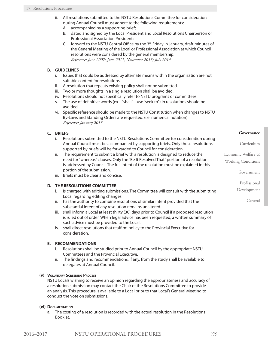- ii. All resolutions submitted to the NSTU Resolutions Committee for consideration during Annual Council must adhere to the following requirements:
	- A. accompanied by a supporting brief;
	- B. dated and signed by the Local President and Local Resolutions Chairperson or Professional Association President;
	- C. forward to the NSTU Central Office by the  $3<sup>rd</sup>$  Friday in January, draft minutes of the General Meeting of the Local or Professional Association at which Council resolutions were considered by the general membership. *Reference: June 2007; June 2011, November 2013; July 2014*

# **B. GUIDELINES**

- i. Issues that could be addressed by alternate means within the organization are not suitable content for resolutions.
- ii. A resolution that repeats existing policy shall not be submitted.
- iii. Two or more thoughts in a single resolution shall be avoided.
- iv. Resolutions should not specifically refer to NSTU programs or committees.
- v. The use of definitive words (ex "shall" use "seek to") in resolutions should be avoided.
- vi. Specific reference should be made to the NSTU Constitution when changes to NSTU By-Laws and Standing Orders are requested. (i.e. numerical notation) *Reference: January 2013*

# **C. BRIEFS**

- i. Resolutions submitted to the NSTU Resolutions Committee for consideration during Annual Council must be accompanied by supporting briefs. Only those resolutions supported by briefs will be forwarded to Council for consideration.
- ii. The requirement to submit a brief with a resolution is designed to reduce the need for "whereas" clauses. Only the "Be It Resolved That" portion of a resolution is addressed by Council. The full intent of the resolution must be explained in this portion of the submission.
- iii. Briefs must be clear and concise.

# **D. THE RESOLUTIONS COMMITTEE**

- i. is charged with editing submissions. The Committee will consult with the submitting Local regarding editing changes.
- ii. has the authority to combine resolutions of similar intent provided that the substantial intent of any resolution remains unaltered.
- iii. shall inform a Local at least thirty (30) days prior to Council if a proposed resolution is ruled out of order. When legal advice has been requested, a written summary of such advice must be provided to the Local.
- iv. shall direct resolutions that reaffirm policy to the Provincial Executive for consideration.

### **E. RECOMMENDATIONS**

- i. Resolutions shall be studied prior to Annual Council by the appropriate NSTU Committees and the Provincial Executive.
- ii. The findings and recommendations, if any, from the study shall be available to delegates at Annual Council.

### **(v) Voluntary Screening Process**

NSTU Locals wishing to receive an opinion regarding the appropriateness and accuracy of a resolution submission may contact the Chair of the Resolutions Committee to provide an analysis. This procedure is available to a Local prior to that Local's General Meeting to conduct the vote on submissions.

### **(vi) Documentation**

a. The costing of a resolution is recorded with the actual resolution in the Resolutions Booklet.

Curriculum

Economic Welfare &

Working Conditions

Government

Professional

Development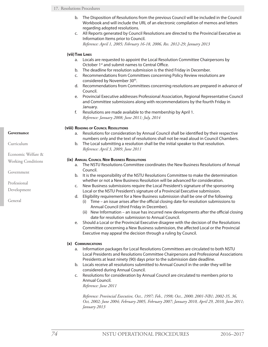- b. The Disposition of Resolutions from the previous Council will be included in the Council Workbook and will include the URL of an electronic compilation of memos and letters regarding adopted resolutions.
- c. All Reports generated by Council Resolutions are directed to the Provincial Executive as Information Items prior to Council.

*Reference: April 1, 2005; February 16-18, 2006, Res. 2012-29; January 2013*

# **(vii)Time Lines**

- a. Locals are requested to appoint the Local Resolution Committee Chairpersons by October 1<sup>st</sup> and submit names to Central Office.
- b. The deadline for resolution submission is the third Friday in December.
- c. Recommendations from Committees concerning Policy Review resolutions are considered by November 30th.
- d. Recommendations from Committees concerning resolutions are prepared in advance of Council.
- e. Provincial Executive addresses Professional Association, Regional Representative Council and Committee submissions along with recommendations by the fourth Friday in January.
- f. Resolutions are made available to the membership by April 1. *Reference: January 2008; June 2011; July, 2014*

### **(viii) Reading of Council Resolutions**

- a. Resolutions for consideration by Annual Council shall be identified by their respective numbers only and the text of resolutions shall not be read aloud in Council Chambers.
- b. The Local submitting a resolution shall be the initial speaker to that resolution. *Reference: April 3, 2009, June 2011*

### **(ix) Annual Council New Business Resolutions**

- a. The NSTU Resolutions Committee coordinates the New Business Resolutions of Annual Council.
- b. It is the responsibility of the NSTU Resolutions Committee to make the determination whether or not a New Business Resolution will be advanced for consideration.
- c. New Business submissions require the Local President's signature of the sponsoring Local or the NSTU President's signature of a Provincial Executive submission.
- d. Eligibility requirement for a New Business submission shall be one of the following:
	- (i) Time an issue arises after the official closing date for resolution submissions to Annual Council (third Friday in December).
	- (ii) New Information an issue has incurred new developments after the official closing date for resolution submission to Annual Council.
- e. Should a Local or the Provincial Executive disagree with the decision of the Resolutions Committee concerning a New Business submission, the affected Local or the Provincial Executive may appeal the decision through a ruling by Council.

### **(x) Communications**

- a. Information packages for Local Resolutions Committees are circulated to both NSTU Local Presidents and Resolutions Committee Chairpersons and Professional Associations Presidents at least ninety (90) days prior to the submission date deadline.
- b. Locals receive all resolutions submitted to Annual Council in the order they will be considered during Annual Council.
- c. Resolutions for consideration by Annual Council are circulated to members prior to Annual Council.

*Reference: June 2011*

*Reference: Provincial Executive, Oct., 1997; Feb., 1998; Oct., 2000; 2001-NB1; 2002-35, 36, Oct, 2002; June 2004; February 2005, February 2007; January 2010, April 29, 2010, June 2011; January 2013*

### **Governance**

Curriculum

Economic Welfare &

Working Conditions

Government

Professional

Development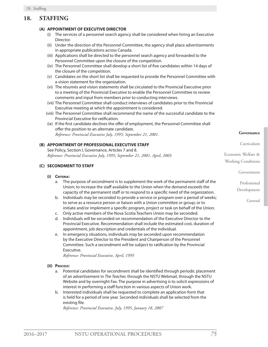# **18. STAFFING**

### **(A) APPOINTMENT OF EXECUTIVE DIRECTOR**

- (i) The services of a personnel search agency shall be considered when hiring an Executive Director.
- (ii) Under the direction of the Personnel Committee, the agency shall place advertisements in appropriate publications across Canada.
- (iii) Applications shall be directed to the personnel search agency and forwarded to the Personnel Committee upon the closure of the competition.
- (iv) The Personnel Committee shall develop a short list of five candidates within 14 days of the closure of the competition.
- (v) Candidates on the short list shall be requested to provide the Personnel Committee with a vision statement for the organization.
- (vi) The résumés and vision statements shall be circulated to the Provincial Executive prior to a meeting of the Provincial Executive to enable the Personnel Committee to review comments and input from members prior to conducting interviews.
- (vii) The Personnel Committee shall conduct interviews of candidates prior to the Provincial Executive meeting at which the appointment is considered.
- (viii) The Personnel Committee shall recommend the name of the successful candidate to the Provincial Executive for ratification.
- (ix) If the first candidate declines the offer of employment, the Personnel Committee shall offer the position to an alternate candidate. *Reference: Provincial Executive July, 1995; September 21, 2001.*

# **(B) APPOINTMENT OF PROFESSIONAL EXECUTIVE STAFF**

See Policy, Section I, Governance, Articles 7 and 8. *Reference: Provincial Executive July, 1995; September 21, 2001, April, 2003*

### **(C) SECONDMENT TO STAFF**

### **(i) Criteria:**

- a. The purpose of secondment is to supplement the work of the permanent staff of the Union; to increase the staff available to the Union when the demand exceeds the capacity of the permanent staff or to respond to a specific need of the organization.
- b. Individuals may be seconded to provide a service or program over a period of weeks; to serve as a resource person or liaison with a Union committee or group; or to initiate and/or implement a specific program, project or task on behalf of the Union.
- c. Only active members of the Nova Scotia Teachers Union may be seconded.
- d. Individuals will be seconded on recommendation of the Executive Director to the Provincial Executive. Recommendation shall include the estimated cost, duration of appointment, job description and credentials of the individual.
- e. In emergency situations, individuals may be seconded upon recommendation by the Executive Director to the President and Chairperson of the Personnel Committee. Such a secondment will be subject to ratification by the Provincial Executive.

*Reference: Provincial Executive, April, 1995*

#### **(ii) Process:**

- a. Potential candidates for secondment shall be identified through periodic placement of an advertisement in *The Teacher,* through the NSTU Webmail, through the NSTU Website and by overnight Fax. The purpose in advertising is to solicit expressions of interest in performing a staff function in various aspects of Union work.
- b. Interested individuals shall be requested to complete an application form that is held for a period of one year. Seconded individuals shall be selected from the existing file.

*Reference: Provincial Executive, July, 1995, January 18, 2007*

**Governance**

#### Curriculum

Economic Welfare & Working Conditions

Government

Professional

Development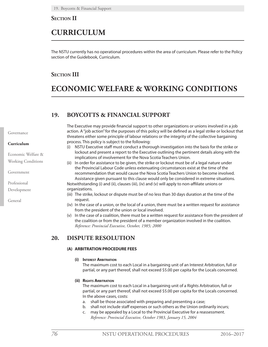**Section II**

# **CURRICULUM**

The NSTU currently has no operational procedures within the area of curriculum. Please refer to the Policy section of the Guidebook, Curriculum.

# **Section III**

# **ECONOMIC WELFARE & WORKING CONDITIONS**

# **19. BOYCOTTS & FINANCIAL SUPPORT**

The Executive may provide financial support to other organizations or unions involved in a job action. A "job action" for the purposes of this policy will be defined as a legal strike or lockout that threatens either some principle of labour relations or the integrity of the collective bargaining process. This policy is subject to the following:

- (i) NSTU Executive staff must conduct a thorough investigation into the basis for the strike or lockout and present a report to the Executive outlining the pertinent details along with the implications of involvement for the Nova Scotia Teachers Union.
- (ii) In order for assistance to be given, the strike or lockout must be of a legal nature under the Provincial Labour Code unless extenuating circumstances exist at the time of the recommendation that would cause the Nova Scotia Teachers Union to become involved. Assistance given pursuant to this clause would only be considered in extreme situations. Notwithstanding (i) and (ii), clauses (iii), (iv) and (v) will apply to non-affiliate unions or organizations.
- (iii) The strike, lockout or dispute must be of no less than 30 days duration at the time of the request.
- (iv) In the case of a union, or the local of a union, there must be a written request for assistance from the president of the union or local involved.
- (v) In the case of a coalition, there must be a written request for assistance from the president of the coalition or from the president of a member organization involved in the coalition. *Reference: Provincial Executive, October, 1985; 2000*

# **20. DISPUTE RESOLUTION**

# **(A) ARBITRATION PROCEDURE FEES**

# **(i) Interest Arbitration**

The maximum cost to each Local in a bargaining unit of an Interest Arbitration, full or partial, or any part thereof, shall not exceed \$5.00 per capita for the Locals concerned.

# **(ii) Rights Arbitration**

The maximum cost to each Local in a bargaining unit of a Rights Arbitration, full or partial, or any part thereof, shall not exceed \$5.00 per capita for the Locals concerned. In the above cases, costs:

- a. shall be those associated with preparing and presenting a case;
- b. shall not include staff expenses or such others as the Union ordinarily incurs;
- c. may be appealed by a Local to the Provincial Executive for a reassessment. *Reference: Provincial Executive, October 1983, January 15, 2004*

Governance

### **Curriculum**

Economic Welfare & Working Conditions

Government

Professional

Development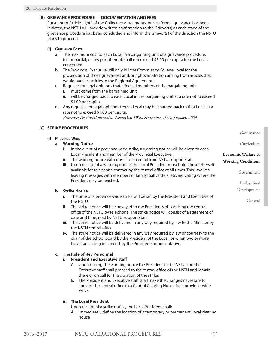### **(B) GRIEVANCE PROCEDURE — DOCUMENTATION AND FEES**

Pursuant to Article 11/42 of the Collective Agreements, once a formal grievance has been initiated, the NSTU will provide written confirmation to the Grievor(s) as each stage of the grievance procedure has been concluded and inform the Grievor(s) of the direction the NSTU plans to proceed.

# **(i) Grievance Costs**

- a. The maximum cost to each Local in a bargaining unit of a grievance procedure, full or partial, or any part thereof, shall not exceed \$5.00 per capita for the Locals concerned.
- b. The Provincial Executive will only bill the Community College Local for the prosecution of those grievances and/or rights arbitration arising from articles that would parallel articles in the Regional Agreements.
- c. Requests for legal opinions that affect all members of the bargaining unit:
	- i. must come from the bargaining unit
	- ii. will be charged back to each Local in the bargaining unit at a rate not to exceed \$1.00 per capita.
- d. Any requests for legal opinions from a Local may be charged back to that Local at a rate not to exceed \$1.00 per capita. *Reference: Provincial Executive, November, 1980; September, 1999; January, 2004*

### **(C) STRIKE PROCEDURES**

### **(i) Province-Wide**

### **a. Warning Notice**

- i. In the event of a province-wide strike, a warning notice will be given to each Local President and member of the Provincial Executive.
- ii. The warning notice will consist of an email from NSTU support staff.
- iii. Upon receipt of a warning notice, the Local President must hold himself/herself available for telephone contact by the central office at all times. This involves leaving messages with members of family, babysitters, etc. indicating where the President may be reached.

### **b. Strike Notice**

- i. The time of a province-wide strike will be set by the President and Executive of the NSTU.
- ii. The strike notice will be conveyed to the Presidents of Locals by the central office of the NSTU by telephone. The strike notice will consist of a statement of date and time, read by NSTU support staff.
- iii. The strike notice will be delivered in any way required by law to the Minister by the NSTU central office.
- iv. The strike notice will be delivered in any way required by law or courtesy to the chair of the school board by the President of the Local, or when two or more Locals are acting in concert by the Presidents' representative.

# **c. The Role of Key Personnel**

### **i. President and Executive staff**

- A. Upon issuing the warning notice the President of the NSTU and the Executive staff shall proceed to the central office of the NSTU and remain there or on call for the duration of the strike.
- B. The President and Executive staff shall make the changes necessary to convert the central office to a Central Clearing House for a province-wide strike.

# **ii. The Local President**

Upon receipt of a strike notice, the Local President shall:

A. immediately define the location of a temporary or permanent Local clearing house

Governance

Curriculum

# **Economic Welfare & Working Conditions**

Government

Professional

Development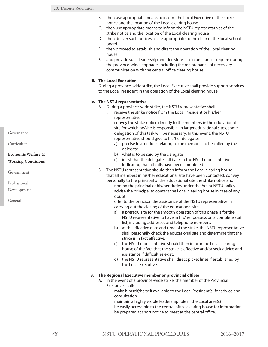- B. then use appropriate means to inform the Local Executive of the strike notice and the location of the Local clearing house
- C. then use appropriate means to inform the NSTU representatives of the strike notice and the location of the Local clearing house
- D. then deliver such notices as are appropriate to the chair of the local school board
- E. then proceed to establish and direct the operation of the Local clearing house
- F. and provide such leadership and decisions as circumstances require during the province-wide stoppage, including the maintenance of necessary communication with the central office clearing house.

# **iii. The Local Executive**

During a province-wide strike, the Local Executive shall provide support services to the Local President in the operation of the Local clearing house.

### **iv. The NSTU representative**

- A. During a province-wide strike, the NSTU representative shall:
	- I. receive the strike notice from the Local President or his/her representative
	- II. convey the strike notice directly to the members in the educational site for which he/she is responsible. In larger educational sites, some delegation of this task will be necessary. In this event, the NSTU representative should give to his/her delegates:
		- a) precise instructions relating to the members to be called by the delegate
		- b) what is to be said by the delegate
		- c) insist that the delegate call back to the NSTU representative indicating that all calls have been completed.
- B. The NSTU representative should then inform the Local clearing house that all members in his/her educational site have been contacted, convey personally to the principal of the educational site the strike notice and
	- I. remind the principal of his/her duties under the Act or NSTU policy
	- II. advise the principal to contact the Local clearing house in case of any doubt
	- III. offer to the principal the assistance of the NSTU representative in carrying out the closing of the educational site
		- a) a prerequisite for the smooth operation of this phase is for the NSTU representative to have in his/her possession a complete staff list, including addresses and telephone numbers.
		- b) at the effective date and time of the strike, the NSTU representative shall personally check the educational site and determine that the strike is in fact effective.
		- c) the NSTU representative should then inform the Local clearing house of the fact that the strike is effective and/or seek advice and assistance if difficulties exist.
		- d) the NSTU representative shall direct picket lines if established by the Local Executive.

# **v. The Regional Executive member or provincial officer**

- A. in the event of a province-wide strike, the member of the Provincial Executive shall:
	- I. make himself/herself available to the Local President(s) for advice and consultation
	- II. maintain a highly visible leadership role in the Local area(s)
	- III. be easily accessible to the central office clearing house for information be prepared at short notice to meet at the central office.

Governance

Curriculum

# **Economic Welfare & Working Conditions**

Government

Professional

Development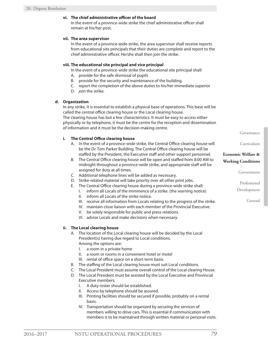# **vi. The chief administrative officer of the board**

In the event of a province-wide strike the chief administrative officer shall remain at his/her post.

### **vii. The area supervisor**

In the event of a province-wide strike, the area supervisor shall receive reports from educational site principals that their duties are complete and report to the chief administrative officer. He/she shall then join the strike.

### **viii. The educational site principal and vice principal**

In the event of a province-wide strike the educational site principal shall:

- A. provide for the safe dismissal of pupils
- B. provide for the security and maintenance of the building.
- C. report the completion of the above duties to his/her immediate superior
- D. join the strike.

# **d. Organization**

In any strike, it is essential to establish a physical base of operations. This base will be called the central office clearing house or the Local clearing house. The clearing house has but a few characteristics. It must be easy to access either physically or by telephone, it must be the centre for the reception and dissemination of information and it must be the decision-making centre.

### **i. The Central Office clearing house**

- A. In the event of a province-wide strike, the Central Office clearing house will be the Dr. Tom Parker Building. The Central Office clearing house will be staffed by the President, the Executive staff and other support personnel.
- B. The Central Office clearing house will be open and staffed from 8:00 AM to midnight throughout a province-wide strike, and appropriate staff will be assigned for duty at all times.
- C. Additional telephone lines will be added as necessary.
- D. Strike-related material will take priority over all other print jobs.
- E. The Central Office clearing house during a province-wide strike shall:
	- I. inform all Locals of the imminence of a strike. (the warning notice)
	- II. inform all Locals of the strike notice.
	- III. receive all information from Locals relating to the progress of the strike.
	- IV. maintain close liaison with each member of the Provincial Executive.
	- V. be solely responsible for public and press relations.
	- VI. advise Locals and make decisions when necessary.

# **ii. The Local clearing house**

- A. The location of the Local clearing house will be decided by the Local President(s) having due regard to Local conditions. Among the options are:
	- I. a room in a private home
	- II. a room or rooms in a convenient hotel or motel
	- III. rental of office space on a short term basis.
- B. The staffing of the Local clearing house must suit Local conditions.
- C. The Local President must assume overall control of the Local clearing House.
- D. The Local President must be assisted by the Local Executive and Provincial Executive members.
	- I. A duty roster should be established.
	- II. Access by telephone should be assured.
	- III. Printing facilities should be secured if possible, probably on a rental basis.
	- IV. Transportation should be organized by securing the services of members willing to drive cars. This is essential if communication with members is to be maintained through written material or personal visits.

Governance

Curriculum

# **Economic Welfare & Working Conditions**

Government

Professional

Development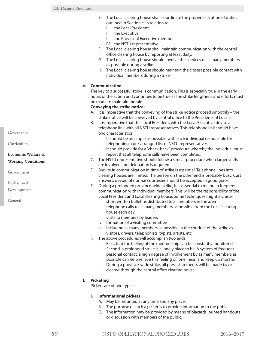- E. The Local clearing house shall coordinate the proper execution of duties outlined in Section c. in relation to:
	- I. the Local President
	- II. the Executive
	- III. the Provincial Executive member
	- IV. the NSTU representative.
- F. The Local clearing house shall maintain communication with the central office clearing house by reporting at least daily.
- G. The Local clearing house should involve the services of as many members as possible during a strike.
- H. The Local clearing house should maintain the closest possible contact with individual members during a strike.

# **e. Communication**

The key to a successful strike is communication. This is especially true in the early hours of the action and continues to be true as the strike lengthens and efforts must be made to maintain morale.

### **Conveying the strike notice:**

- A. It is imperative that the conveying of the strike notice proceed smoothly the strike notice will be conveyed by central office to the Presidents of Locals.
- B. It is imperative that the Local President, with the Local Executive devise a telephone link with all NSTU representatives. This telephone link should have two characteristics:
	- i. It should be as simple as possible with each individual responsible for telephoning a pre-arranged list of NSTU representatives.
	- ii. It should provide for a "check-back" procedure whereby the individual must report that all telephone calls have been completed.
- C. The NSTU representative should follow a similar procedure when larger staffs are involved and delegation is required.
- D. Brevity in communication in time of strike is essential. Telephone lines into clearing houses are limited. The person on the other end is probably busy. Curt answers, devoid of normal courtesies should be accepted in good grace.
- E. During a prolonged province-wide strike, it is essential to maintain frequent communication with individual members. This will be the responsibility of the Local President and Local clearing house. Some techniques might include:
	- i. short written bulletins distributed to all members in the area
	- ii. telephone calls to as many members as possible from the Local clearing house each day.
	- iii. visits to members by leaders
	- iv. formation of a visiting committee
	- v. including as many members as possible in the conduct of the strike as visitors, drivers, telephonists, typists, artists, etc.
- F. The above procedures will accomplish two ends:
	- i. First, that the feeling of the membership can be constantly monitored.
	- ii. Second, a prolonged strike is a lonely place to be. A system of frequent personal contact, a high degree of involvement by as many members as possible can help relieve this feeling of loneliness, and keep up morale.
	- iii. During a province-wide strike, all press statements will be made by or cleared through the central office clearing house.

# **f. Picketing**

Pickets are of two types:

# **i. Informational pickets**

- A. May be mounted at any time and any place.
- B. The purpose of such a picket is to provide information to the public.
- C. The information may be provided by means of placards, printed handouts or discussion with members of the public.

Governance

Curriculum

# **Economic Welfare & Working Conditions**

Government

Professional

Development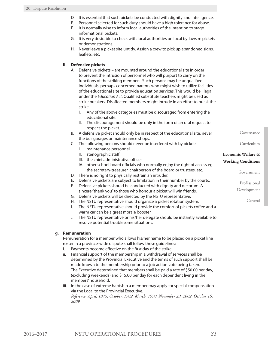- D. It is essential that such pickets be conducted with dignity and intelligence.
- E. Personnel selected for such duty should have a high tolerance for abuse.
- F. It is normally wise to inform local authorities of the intention to stage informational pickets.
- G. It is very desirable to check with local authorities on local by-laws re pickets or demonstrations.
- H. Never leave a picket site untidy. Assign a crew to pick up abandoned signs, leaflets, etc.

# **ii. Defensive pickets**

- A. Defensive pickets are mounted around the educational site in order to prevent the intrusion of personnel who will purport to carry on the functions of the striking members. Such persons may be unqualified individuals, perhaps concerned parents who might wish to utilize facilities of the educational site to provide education services. This would be illegal under the *Education Act*. Qualified substitute teachers might be used as strike breakers. Disaffected members might intrude in an effort to break the strike.
	- I. Any of the above categories must be discouraged from entering the educational site.
	- II. The discouragement should be only in the form of an oral request to respect the picket.
- B. A defensive picket should only be in respect of the educational site, never the bus garages or maintenance shops.
- C. The following persons should never be interfered with by pickets:
	- I. maintenance personnel
	- II. stenographic staff
	- III. the chief administrative officer
	- IV. other school board officials who normally enjoy the right of access eg. the secretary-treasurer, chairperson of the board or trustees, etc.
- D. There is no right to physically restrain an intruder.
- E. Defensive pickets are subject to limitation in their number by the courts.
- F. Defensive pickets should be conducted with dignity and decorum. A sincere "thank you" to those who honour a picket will win friends.
- G. Defensive pickets will be directed by the NSTU representative.
- H. The NSTU representative should organize a picket rotation system.
- I. The NSTU representative should provide the comfort of pickets coffee and a warm car can be a great morale booster.
- J. The NSTU representative or his/her delegate should be instantly available to resolve potential troublesome situations.

# **g. Remuneration**

Remuneration for a member who allows his/her name to be placed on a picket line roster in a province-wide dispute shall follow these guidelines:

- i. Payments become effective on the first day of the strike.
- ii. Financial support of the membership in a withdrawal of services shall be determined by the Provincial Executive and the terms of such support shall be made known to the membership prior to a job action vote being taken. The Executive determined that members shall be paid a rate of \$50.00 per day, (excluding weekends) and \$15.00 per day for each dependent living in the members' household.
- iii. In the case of extreme hardship a member may apply for special compensation via the Local to the Provincial Executive.

*Reference: April, 1975; October, 1982; March, 1990, November 29, 2002; October 15, 2009*

**Economic Welfare & Working Conditions**

Governance

Curriculum

Government

Professional

Development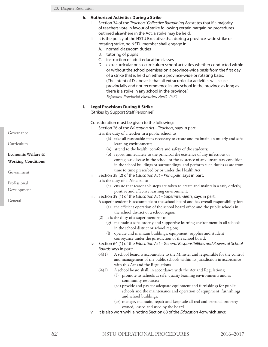# **h. Authorized Activities During a Strike**

- i. Section 34 of the *Teachers' Collective Bargaining Act* states that if a majority of teachers vote in favour of strike following certain bargaining procedures outlined elsewhere in the Act, a strike may be held.
- ii. It is the policy of the NSTU Executive that during a province-wide strike or rotating strike, no NSTU member shall engage in:
	- A. normal classroom duties
	- B. tutoring of pupils
	- C. instruction of adult education classes
	- D. extracurricular or co-curriculum school activities whether conducted within or without the school premises on a province-wide basis from the first day of a strike that is held on either a province-wide or rotating basis. (The intent of D. above is that all extracurricular activities will cease provincially and not recommence in any school in the province as long as there is a strike in any school in the province.) *Reference: Provincial Executive, April, 1975*

# **i. Legal Provisions During A Strike**

(Strikes by Support Staff Personnel)

Consideration must be given to the following:

i. Section 26 of the *Education Act – Teachers*, says in part:

It is the duty of a teacher in a public school to

- (k) take all reasonable steps necessary to create and maintain an orderly and safe learning environment;
- (n) attend to the health, comfort and safety of the students;
- (o) report immediately to the principal the existence of any infectious or contagious disease in the school or the existence of any unsanitary condition in the school buildings or surroundings, and perform such duties as are from time to time prescribed by or under the Health Act.
- ii. Section 38 (2) of the *Education Act Principals*, says in part:
	- It is the duty of a Principal to
		- (e) ensure that reasonable steps are taken to create and maintain a safe, orderly, positive and effective learning environment.
- iii. Section 39 (1) of the *Education Act Superintendents*, says in part:
	- A superintendent is accountable to the school board and has overall responsibility for: (a) the efficient operation of the school board office and the public schools in the school district or a school region;
	- (2) It is the duty of a superintendent to
		- (g) maintain a safe, orderly and supportive learning environment in all schools in the school district or school region;
		- (l) operate and maintain buildings, equipment, supplies and student conveyance under the jurisdiction of the school board.
- iv. Section 64 (1) of the *Education Act General Responsibilities and Powers of School Boards* says in part:
	- 64(1) A school board is accountable to the Minister and responsible for the control and management of the public schools within its jurisdiction in accordance with this Act and the Regulations
	- 64(2) A school board shall, in accordance with the Act and Regulations;
		- (f) promote its schools as safe, quality learning environments and as community resources;
		- (ad) provide and pay for adequate equipment and furnishings for public schools and the maintenance and operation of equipment, furnishings and school buildings;
		- (ae) manage, maintain, repair and keep safe all real and personal property owned, leased and used by the board.
- v. It is also worthwhile noting Section 68 of the *Education Act* which says:

Governance

Curriculum

# **Economic Welfare & Working Conditions**

Government

Professional

Development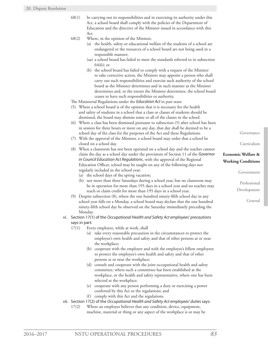- 68(1) In carrying out its responsibilities and in exercising its authority under this Act, a school board shall comply with the policies of the Department of Education and the directive of the Minister issued in accordance with this Act.
- 68(2) Where, in the opinion of the Minister,
	- (a) the health, safety or educational welfare of the students of a school are endangered or the resources of a school board are not being used in a responsible manner;
	- (aa) a school board has failed to meet the standards referred to in subsection 64(6); or
	- (b) the school board has failed to comply with a request of the Minister to take corrective action, the Minister may appoint a person who shall carry out such responsibilities and exercise such authority of the school board as the Minister determines and in such manner as the Minister determines and, to the extent the Minister determines, the school board ceases to have such responsibilities or authority.

The Ministerial Regulations under the *Education Act* in part state:

- (5) Where a school board is of the opinion that it is necessary for the health and safety of students in a school that a class or classes of students should be dismissed, the board may dismiss some or all of the classes in the school.
- (6) Where a class has been dismissed pursuant to subsection (5) after school has been in session for three hours or more on any day, that day shall be deemed to be a school day of the class for the purposes of the Act and these Regulations.
- (7) With the approval of the Minister, a school board may order that a school be closed on a school day.
- (8) When a classroom has not been operated on a school day and the teacher cannot claim the day as a school day under the provisions of Section 11 of the *Governor in Council Education Act Regulations*, with the approval of the Regional Education Officer, school may be taught on any of the following days not regularly included in the school year:
	- (a) the school days of the spring vacation;
	- (b) not more than three Saturdays during a school year, but no classroom may be in operation for more than 195 days in a school year and no teacher may teach or claim credit for more than 195 days in a school year.
- (9) Despite subsection (8), where the one hundred ninety-fifth school day in any school year falls on a Monday, a school board may declare that the one hundred ninety-fifth school day be observed on the Saturday immediately preceding the Monday.
- vi. Section 17(1) of the *Occupational Health and Safety Act employees' precautions*  says in part:
	- 17(1) Every employee, while at work, shall
		- (a) take every reasonable precaution in the circumstances to protect the employee's own health and safety and that of other persons at or near the workplace;
		- (b) cooperate with the employer and with the employee's fellow employees to protect the employee's own health and safety and that of other persons at or near the workplace;
		- (d) consult and cooperate with the joint occupational health and safety committee, where such a committee has been established at the workplace, or the health and safety representative, where one has been selected at the workplace;
		- (e) cooperate with any person performing a duty or exercising a power conferred by this Act or the regulations; and
		- (f) comply with this Act and the regulations.
- vii. Section 17(2) of the *Occupational Health and Safety Act employees' duties* says:
	- 17(2) Where an employee believes that any condition, device, equipment, machine, material or thing or any aspect of the workplace is or may be

Governance

Curriculum

# **Economic Welfare & Working Conditions**

Government

Professional Development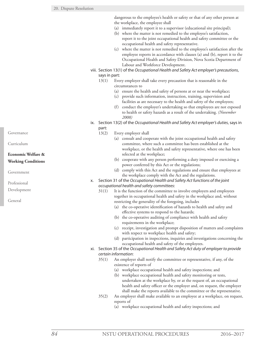dangerous to the employee's health or safety or that of any other person at the workplace, the employee shall

- (a) immediately report it to a supervisor (educational site principal);
- (b) where the matter is not remedied to the employee's satisfaction,
	- report it to the joint occupational health and safety committee or the occupational health and safety representative.
- (c) where the matter is not remedied to the employee's satisfaction after the employee reports in accordance with clauses (a) and (b), report it to the Occupational Health and Safety Division, Nova Scotia Department of Labour and Workforce Development.
- viii. Section 13(1) of the *Occupational Health and Safety Act employer's precautions*, says in part:
	- 13(1) Every employer shall take every precaution that is reasonable in the circumstances to
		- (a) ensure the health and safety of persons at or near the workplace;
		- (c) provide such information, instruction, training, supervision and facilities as are necessary to the health and safety of the employees;
		- (f) conduct the employer's undertaking so that employees are not exposed to health or safety hazards as a result of the undertaking. *(November 2008)*
- ix. Section 13(2) of the *Occupational Health and Safety Act employer's duties*, says in part:
	- 13(2) Every employer shall
		- (a) consult and cooperate with the joint occupational health and safety committee, where such a committee has been established at the workplace, or the health and safety representative, where one has been selected at the workplace;
		- (b) cooperate with any person performing a duty imposed or exercising a power conferred by this Act or the regulations;
		- (d) comply with this Act and the regulations and ensure that employees at the workplace comply with the Act and the regulations.
- x. Section 31 of the *Occupational Health and Safety Act functions of the joint occupational health and safety committees*:
	- 31(1) It is the function of the committee to involve employers and employees together in occupational health and safety in the workplace and, without restricting the generality of the foregoing, includes
		- (a) the co-operative identification of hazards to health and safety and effective systems to respond to the hazards;
		- (b) the co-operative auditing of compliance with health and safety requirements in the workplace;
		- (c) receipt, investigation and prompt disposition of matters and complaints with respect to workplace health and safety;
		- (d) participation in inspections, inquiries and investigations concerning the occupational health and safety of the employees.
- xi. Section 35 of the *Occupational Health and Safety Act duty of employer to provide certain information*:
	- 35(1) An employer shall notify the committee or representative, if any, of the existence of reports of
		- (a) workplace occupational health and safety inspections; and
		- (b) workplace occupational health and safety monitoring or tests, undertaken at the workplace by, or at the request of, an occupational health and safety officer or the employer and, on request, the employer shall make the reports available to the committee or the representative.
	- 35(2) An employer shall make available to an employee at a workplace, on request, reports of
		- (a) workplace occupational health and safety inspections; and

Governance

Curriculum

# **Economic Welfare & Working Conditions**

Government

Professional

Development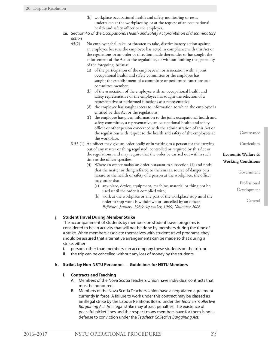- (b) workplace occupational health and safety monitoring or tests, undertaken at the workplace by, or at the request of an occupational health and safety officer or the employer.
- xii. Section 45 of the *Occupational Health and Safety Act prohibition of discriminatory action*

45(2) No employer shall take, or threaten to take, discriminatory action against an employee because the employee has acted in compliance with this Act or the regulations or an order or direction made thereunder or has sought the enforcement of the Act or the regulations, or without limiting the generality of the foregoing, because

- (a) of the participation of the employee in, or association with, a joint occupational health and safety committee or the employee has sought the establishment of a committee or performed functions as a committee member;
- (b) of the association of the employee with an occupational health and safety representative or the employee has sought the selection of a representative or performed functions as a representative;
- (d) the employee has sought access to information to which the employee is entitled by this Act or the regulations;
- (f) the employee has given information to the joint occupational health and safety committee, a representative, an occupational health and safety officer or other person concerned with the administration of this Act or the regulations with respect to the health and safety of the employees at the workplace.
- S 55 (1) An officer may give an order orally or in writing to a person for the carrying out of any matter or thing regulated, controlled or required by this Act or the regulations, and may require that the order be carried out within such time as the officer specifies.
	- (4) Where an officer makes an order pursuant to subsection (1) and finds that the matter or thing referred to therein is a source of danger or a hazard to the health or safety of a person at the workplace, the officer may order that
		- (a) any place, device, equipment, machine, material or thing not be used until the order is complied with;
		- (b) work at the workplace or any part of the workplace stop until the order to stop work is withdrawn or cancelled by an officer. *Reference: January, 1986; September, 1999; November 2008*

# **j. Student Travel During Member Strike**

The accompaniment of students by members on student travel programs is considered to be an activity that will not be done by members during the time of a strike. When members associate themselves with student travel programs, they should be assured that alternative arrangements can be made so that during a strike, either

- i. persons other than members can accompany these students on the trip, or
- ii. the trip can be cancelled without any loss of money by the students.

# **k. Strikes by Non-NSTU Personnel — Guidelines for NSTU Members**

### **i. Contracts and Teaching**

- A. Members of the Nova Scotia Teachers Union have individual contracts that must be honoured.
- B. Members of the Nova Scotia Teachers Union have a negotiated agreement currently in force. A failure to work under this contract may be classed as an illegal strike by the Labour Relations Board under the *Teachers' Collective Bargaining Act*. An illegal strike may attract penalties. The existence of peaceful picket lines and the respect many members have for them is not a defense to conviction under the *Teachers' Collective Bargaining Act*.

Governance

Curriculum

# **Economic Welfare & Working Conditions**

Government

Professional Development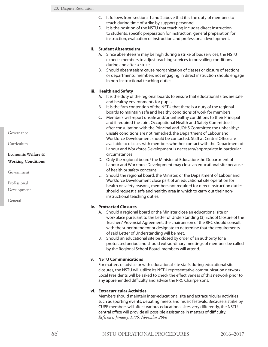- C. It follows from sections 1 and 2 above that it is the duty of members to teach during time of strike by support personnel.
- D. It is the position of the NSTU that teaching includes direct instruction to students, specific preparation for instruction, general preparation for instruction, evaluation of instruction and professional development.

# **ii. Student Absenteeism**

- A. Since absenteeism may be high during a strike of bus services, the NSTU expects members to adjust teaching services to prevailing conditions during and after a strike.
- B. Should absenteeism cause reorganization of classes or closure of sections or departments, members not engaging in direct instruction should engage in non-instructional teaching duties.

# **iii. Health and Safety**

- A. It is the duty of the regional boards to ensure that educational sites are safe and healthy environments for pupils.
- B. It is the firm contention of the NSTU that there is a duty of the regional boards to maintain safe and healthy conditions of work for members.
- C. Members will report unsafe and/or unhealthy conditions to their Principal and if required the Joint Occupational Health and Safety Committee. If after consultation with the Principal and JOHS Committee the unhealthy/ unsafe conditions are not remedied, the Department of Labour and Workforce Development should be contacted. Staff at Central Office are available to discuss with members whether contact with the Department of Labour and Workforce Development is necessary/appropriate in particular circumstances
- D. Only the regional board/ the Minister of Education/the Department of Labour and Workforce Development may close an educational site because of health or safety concerns.
- E. Should the regional board, the Minister, or the Department of Labour and Workforce Development close part of an educational site operation for health or safety reasons, members not required for direct instruction duties should request a safe and healthy area in which to carry out their noninstructional teaching duties.

# **iv. Protracted Closures**

- A. Should a regional board or the Minister close an educational site or workplace pursuant to the Letter of Understanding (3) School Closure of the Teachers' Provincial Agreement, the chairperson of the RRC should consult with the superintendent or designate to determine that the requirements of said Letter of Understanding will be met.
- B. Should an educational site be closed by order of an authority for a protracted period and should extraordinary meetings of members be called by the Regional School Board, members will attend.

# **v. NSTU Communications**

For matters of advice or with educational site staffs during educational site closures, the NSTU will utilize its NSTU representative communication network. Local Presidents will be asked to check the effectiveness of this network prior to any apprehended difficulty and advise the RRC Chairpersons.

# **vi. Extracurricular Activities**

Members should maintain inter-educational site and extracurricular activities such as sporting events, debating meets and music festivals. Because a strike by CUPE members will affect various educational sites very differently, the NSTU central office will provide all possible assistance in matters of difficulty. *Reference: January, 1986; November 2008*

Governance

Curriculum

# **Economic Welfare & Working Conditions**

Government

Professional

Development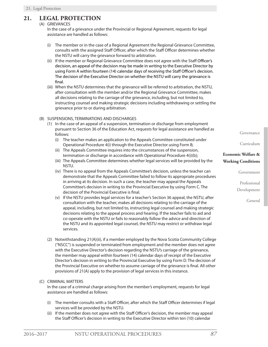# **21. LEGAL PROTECTION**

# (A) GRIEVANCES

In the case of a grievance under the Provincial or Regional Agreement, requests for legal assistance are handled as follows:

- (i) The member or in the case of a Regional Agreement the Regional Grievance Committee, consults with the assigned Staff Officer, after which the Staff Officer determines whether the NSTU will carry the grievance forward to arbitration.
- (ii) If the member or Regional Grievance Committee does not agree with the Staff Officer's decision, an appeal of the decision may be made in writing to the Executive Director by using Form A within fourteen (14) calendar days of receiving the Staff Officer's decision. The decision of the Executive Director on whether the NSTU will carry the grievance is final.
- (iii) When the NSTU determines that the grievance will be referred to arbitration, the NSTU, after consultation with the member and/or the Regional Grievance Committee, makes all decisions relating to the carriage of the grievance, including, but not limited to, instructing counsel and making strategic decisions including withdrawing or settling the grievance prior to or during arbitration.

### (B) SUSPENSIONS, TERMINATIONS AND DISCHARGES

- (1) In the case of an appeal of a suspension, termination or discharge from employment pursuant to Section 36 of the Education Act, requests for legal assistance are handled as follows:
	- (i) The teacher makes an application to the Appeals Committee constituted under Operational Procedure 4(i) through the Executive Director using Form B;
	- (ii) The Appeals Committee inquires into the circumstances of the suspension, termination or discharge in accordance with Operational Procedure 4(i)(b);
	- (iii) The Appeals Committee determines whether legal services will be provided by the NSTU.
	- (iv) There is no appeal from the Appeals Committee's decision, unless the teacher can demonstrate that the Appeals Committee failed to follow its appropriate procedures in arriving at its decision. In such a case, the teacher may appeal the Appeals Committee's decision in writing to the Provincial Executive by using Form C. The decision of the Provincial Executive is final.
	- (v) If the NSTU provides legal services for a teacher's Section 36 appeal, the NSTU, after consultation with the teacher, makes all decisions relating to the carriage of the appeal, including, but not limited to, instructing legal counsel and making strategic decisions relating to the appeal process and hearing. If the teacher fails to aid and co-operate with the NSTU or fails to reasonably follow the advice and direction of the NSTU and its appointed legal counsel, the NSTU may restrict or withdraw legal services.
- (2) Notwithstanding 21(A)(ii), if a member employed by the Nova Scotia Community College ("NSCC") is suspended or terminated from employment and the member does not agree with the Executive Director's decision regarding the NSTU's carriage of the grievance, the member may appeal within fourteen (14) calendar days of receipt of the Executive Director's decision in writing to the Provincial Executive by using Form D. The decision of the Provincial Executive on whether to assume carriage of the grievance is final. All other provisions of 21(A) apply to the provision of legal services in this instance.

# (C) CRIMINAL MATTERS

In the case of a criminal charge arising from the member's employment, requests for legal assistance are handled as follows:

- (i) The member consults with a Staff Officer, after which the Staff Officer determines if legal services will be provided by the NSTU.
- (ii) If the member does not agree with the Staff Officer's decision, the member may appeal the Staff Officer's decision in writing to the Executive Director within ten (10) calendar

Governance

Curriculum

# **Economic Welfare & Working Conditions**

Government

Professional Development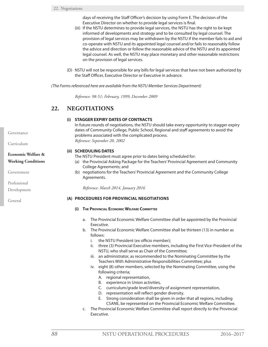days of receiving the Staff Officer's decision by using Form E. The decision of the Executive Director on whether to provide legal services is final.

- (iii) If the NSTU determines to provide legal services, the NSTU has the right to be kept informed of developments and strategy and to be consulted by legal counsel. The provision of legal services may be withdrawn by the NSTU if the member fails to aid and co-operate with NSTU and its appointed legal counsel and/or fails to reasonably follow the advice and direction or follow the reasonable advice of the NSTU and its appointed legal counsel. As well, the NSTU may place monetary and other reasonable restrictions on the provision of legal services.
- (D) NSTU will not be responsible for any bills for legal services that have not been authorized by the Staff Officer, Executive Director or Executive in advance.

*(The Forms referenced here are available from the NSTU Member Services Department)*

*Reference: 98-51; February, 1999; December 2009*

# **22. NEGOTIATIONS**

# **(i) STAGGER EXPIRY DATES OF CONTRACTS**

In future rounds of negotiations, the NSTU should take every opportunity to stagger expiry dates of Community College, Public School, Regional and staff agreements to avoid the problems associated with the complicated process. *Reference: September 20, 2002*

### **(ii) SCHEDULING DATES**

The NSTU President must agree prior to dates being scheduled for:

- (a) the Provincial Asking Package for the Teachers' Provincial Agreement and Community College Agreements; and
- (b) negotiations for the Teachers' Provincial Agreement and the Community College Agreements.

*Reference: March 2014, January 2016*

### **(A) PROCEDURES FOR PROVINCIAL NEGOTIATIONS**

- **(i) The Provincial Economic Welfare Committee**
	- a. The Provincial Economic Welfare Committee shall be appointed by the Provincial Executive.
	- b. The Provincial Economic Welfare Committee shall be thirteen (13) in number as follows:
		- i. the NSTU President (ex officio member);
		- ii. three (3) Provincial Executive members, including the First Vice-President of the NSTU, who shall serve as Chair of the Committee;
		- iii. an administrator, as recommended to the Nominating Committee by the Teachers With Administrative Responsibilities Committee; plus
		- iv. eight (8) other members, selected by the Nominating Committee, using the following criteria;
			- A. regional representation,
			- B. experience in Union activities,
			- C. curriculum/grade level/diversity of assignment representation,
			- D. representation will reflect gender diversity.
			- E. Strong consideration shall be given in order that all regions, including CSANE, be represented on the Provincial Economic Welfare Committee.
	- c. The Provincial Economic Welfare Committee shall report directly to the Provincial Executive.

Governance

Curriculum

# **Economic Welfare & Working Conditions**

Government

Professional

Development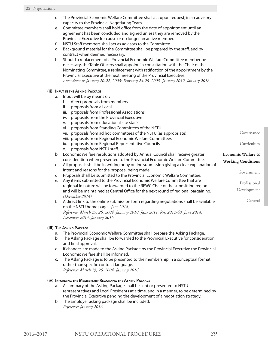- d. The Provincial Economic Welfare Committee shall act upon request, in an advisory capacity to the Provincial Negotiating Team.
- e. Committee members shall hold office from the date of appointment until an agreement has been concluded and signed unless they are removed by the Provincial Executive for cause or no longer an active member.
- f. NSTU Staff members shall act as advisors to the Committee.
- g. Background material for the Committee shall be prepared by the staff, and by contract when deemed necessary.
- h. Should a replacement of a Provincial Economic Welfare Committee member be necessary, the Table Officers shall appoint, in consultation with the Chair of the Nominating Committee, a replacement with ratification of the appointment by the Provincial Executive at the next meeting of the Provincial Executive. *Amendments: January 20-22, 2005; February 24-26, 2005, January 2012, January 2016*

### **(ii) Input in the Asking Package**

- a. Input will be by means of:
	- i. direct proposals from members
	- ii. proposals from a Local
	- iii. proposals from Professional Associations
	- iv. proposals from the Provincial Executive
	- v. proposals from educational site staffs
	- vi. proposals from Standing Committees of the NSTU
	- vii. proposals from ad hoc committees of the NSTU (as appropriate)
	- viii. proposals from Regional Economic Welfare Committees
	- ix. proposals from Regional Representative Councils
	- x. proposals from NSTU staff.
- b. Economic Welfare resolutions adopted by Annual Council shall receive greater consideration when presented to the Provincial Economic Welfare Committee.
- c. All proposals shall be in writing or by online submission giving a clear explanation of intent and reasons for the proposal being made.
- d. Proposals shall be submitted to the Provincial Economic Welfare Committee.
- e. Any items submitted to the Provincial Economic Welfare Committee that are regional in nature will be forwarded to the REWC Chair of the submitting region and will be maintained at Central Office for the next round of regional bargaining. *(December 2014)*
- f. A direct link to the online submission form regarding negotiations shall be available on the NSTU home page. *(June 2014) Reference: March 25, 26, 2004; January 2010; June 2011, Res. 2012-69; June 2014, December 2014, January 2016*

### **(iii) The Asking Package**

- a. The Provincial Economic Welfare Committee shall prepare the Asking Package.
- b. The Asking Package shall be forwarded to the Provincial Executive for consideration and final approval.
- c. If changes are made to the Asking Package by the Provincial Executive the Provincial Economic Welfare shall be informed.
- c. The Asking Package is to be presented to the membership in a conceptual format rather than specific contract language. *Reference: March 25, 26, 2004, January 2016*

### **(iv) Informing the Membership Regarding the Asking Package**

- a. A summary of the Asking Package shall be sent or presented to NSTU representatives and Local Presidents at a time, and in a manner, to be determined by the Provincial Executive pending the development of a negotiation strategy.
- b. The Employer asking package shall be included. *Reference: January 2016*

Professional Development

Government

Governance

Curriculum

**Economic Welfare & Working Conditions**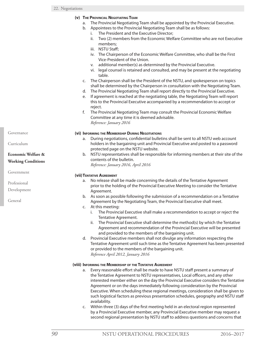### **(v) The Provincial Negotiating Team**

- a. The Provincial Negotiating Team shall be appointed by the Provincial Executive.
- b. Appointees to the Provincial Negotiating Team shall be as follows:
	- i. The President and the Executive Director;
		- ii. Two (2) members from the Economic Welfare Committee who are not Executive members;
		- iii. NSTU Staff;
		- iv. The Chairperson of the Economic Welfare Committee, who shall be the First Vice-President of the Union.
		- v. additional member(s) as determined by the Provincial Executive.
		- vi. legal counsel is retained and consulted, and may be present at the negotiating table.
- c. The Chairperson shall be the President of the NSTU, and spokesperson on topics shall be determined by the Chairperson in consultation with the Negotiating Team.
- d. The Provincial Negotiating Team shall report directly to the Provincial Executive.
- e. If agreement is reached at the negotiating table, the Negotiating Team will report this to the Provincial Executive accompanied by a recommendation to accept or reject.
- f. The Provincial Negotiating Team may consult the Provincial Economic Welfare Committee at any time it is deemed advisable. *Reference: January 2016*

### **(vi) Informing the Membership During Negotiations**

- a. During negotiations, confidential bulletins shall be sent to all NSTU web account holders in the bargaining unit and Provincial Executive and posted to a password protected page on the NSTU website.
- b. NSTU representatives shall be responsible for informing members at their site of the contents of the bulletin.

*Reference: January 2016, April 2016*

### **(vii)Tentative Agreement**

- a. No release shall be made concerning the details of the Tentative Agreement prior to the holding of the Provincial Executive Meeting to consider the Tentative Agreement.
- b. As soon as possible following the submission of a recommendation on a Tentative Agreement by the Negotiating Team, the Provincial Executive shall meet.
- c. At this meeting:
	- i. The Provincial Executive shall make a recommendation to accept or reject the Tentative Agreement.
	- ii. The Provincial Executive shall determine the method(s) by which the Tentative Agreement and recommendation of the Provincial Executive will be presented and provided to the members of the bargaining unit.
- d. Provincial Executive members shall not divulge any information respecting the Tentative Agreement until such time as the Tentative Agreement has been presented or provided to the members of the bargaining unit. *Reference April 2012, January 2016*

### **(viii) Informing the Membership of the Tentative Agreement**

- a. Every reasonable effort shall be made to have NSTU staff present a summary of the Tentative Agreement to NSTU representatives, Local officers, and any other interested member either on the day the Provincial Executive considers the Tentative Agreement or on the days immediately following consideration by the Provincial Executive. When scheduling these regional meetings, consideration shall be given to such logistical factors as previous presentation schedules, geography and NSTU staff availability.
- c. Within three (3) days of the first meeting held in an electoral region represented by a Provincial Executive member, any Provincial Executive member may request a second regional presentation by NSTU staff to address questions and concerns that

Governance

Curriculum

# **Economic Welfare & Working Conditions**

Government

Professional

Development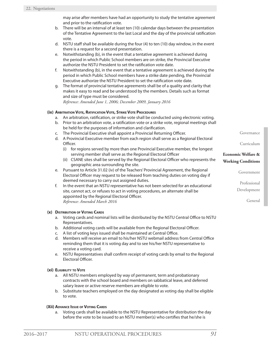may arise after members have had an opportunity to study the tentative agreement and prior to the ratification vote.

- b. There will be an interval of at least ten (10) calendar days between the presentation of the Tentative Agreement to the last Local and the day of the provincial ratification vote.
- d. NSTU staff shall be available during the four (4) to ten (10) day window, in the event there is a request for a second presentation.
- e. Notwithstanding (b), in the event that a tentative agreement is achieved during the period in which Public School members are on strike, the Provincial Executive authorize the NSTU President to set the ratification vote date.
- f. Notwithstanding (b), in the event that a tentative agreement is achieved during the period in which Public School members have a strike date pending, the Provincial Executive authorize the NSTU President to set the ratification vote date.
- g. The format of provincial tentative agreements shall be of a quality and clarity that makes it easy to read and be understood by the members. Details such as format and size of type must be considered.

*Reference: Amended June 1, 2006; December 2009, January 2016*

# **(ix) Arbitration Vote, Ratification Vote, Strike Vote Procedures**

- a. An arbitration, ratification, or strike vote shall be conducted using electronic voting.
- b. Prior to an arbitration vote, a ratification vote or a strike vote, regional meetings shall be held for the purposes of information and clarification.
- c. The Provincial Executive shall appoint a Provincial Returning Officer.
- d. A Provincial Executive member from each region shall serve as a Regional Electoral Officer.
	- (i) for regions served by more than one Provincial Executive member, the longest serving member shall serve as the Regional Electoral Officer
	- (ii) CSANE sites shall be served by the Regional Electoral Officer who represents the geographic area surrounding the site.
- e. Pursuant to Article 31.02 (iv) of the Teachers' Provincial Agreement, the Regional Electoral Officer may request to be released from teaching duties on voting day if deemed necessary to carry out assigned duties.
- f. In the event that an NSTU representative has not been selected for an educational site, cannot act, or refuses to act in voting procedures, an alternate shall be appointed by the Regional Electoral Officer. *Reference: Amended March 2016*

# **(x) Distribution of Voting Cards**

- a. Voting cards and nominal lists will be distributed by the NSTU Central Office to NSTU Representatives.
- b. Additional voting cards will be available from the Regional Electoral Officer.
- c. A list of voting keys issued shall be maintained at Central Office.
- d. Members will receive an email to his/her NSTU webmail address from Central Office reminding them that it is voting day and to see his/her NSTU representative to receive a voting card.
- e. NSTU Representatives shall confirm receipt of voting cards by email to the Regional Electoral Officer.

# **(xi) Eligibility to Vote**

- a. All NSTU members employed by way of permanent, term and probationary contracts with the school board and members on sabbatical leave, and deferred salary leave or active reserve members are eligible to vote.
- b. Substitute teachers employed on the day designated as voting day shall be eligible to vote.

### **(Xii) Advance Issue of Voting Cards**

a. Voting cards shall be available to the NSTU Representative for distribution the day before the vote to be issued to an NSTU member(s) who certifies that he/she is

Professional Development

Government

Governance

Curriculum

**Economic Welfare & Working Conditions**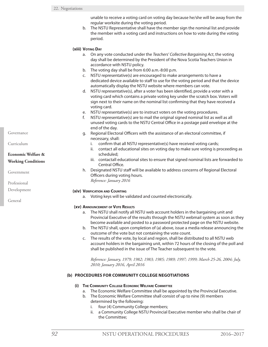unable to receive a voting card on voting day because he/she will be away from the regular worksite during the voting period.

b. The NSTU Representative shall have the member sign the nominal list and provide the member with a voting card and instructions on how to vote during the voting period.

#### **(xiii) Voting Day**

- a. On any vote conducted under the *Teachers' Collective Bargaining Act*, the voting day shall be determined by the President of the Nova Scotia Teachers Union in accordance with NSTU policy.
- b. The voting day shall be from 6:00 a.m.-8:00 p.m.
- c. NSTU representative(s) are encouraged to make arrangements to have a dedicated device available to staff to use for the voting period and that the device automatically display the NSTU website where members can vote.
- d. NSTU representative(s), after a voter has been identified, provide a voter with a voting card which contains a private voting key under the scratch box. Voters will sign next to their name on the nominal list confirming that they have received a voting card.
- e. NSTU representative(s) are to instruct voters on the voting procedures.
- f. NSTU representative(s) are to mail the original signed nominal list as well as all unused voting cards to the NSTU Central Office in a postage paid envelope at the end of the day.
- g. Regional Electoral Officers with the assistance of an electoral committee, if necessary, shall:
	- i. confirm that all NSTU representative(s) have received voting cards;
	- ii. contact all educational sites on voting day to make sure voting is proceeding as scheduled;
	- iii. contactall educational sites to ensure that signed nominal lists are forwarded to Central Office.
- h. Designated NSTU staff will be available to address concerns of Regional Electoral Officers during voting hours. *Reference: January 2016*

#### **(xiv) Verification and Counting**

a. Voting keys will be validated and counted electronically.

#### **(xv) Announcement of Vote Results**

- a. The NSTU shall notify all NSTU web account holders in the bargaining unit and Provincial Executive of the results through the NSTU webmail system as soon as they become available and posted to a password protected page on the NSTU website.
- b. The NSTU shall, upon completion of (a) above, issue a media release announcing the outcome of the vote but not containing the vote count.
- c. The results of the vote, by local and region, shall be distributed to all NSTU web account holders in the bargaining unit, within 72 hours of the closing of the poll and shall be published in the issue of The Teacher subsequent to the vote.

*Reference: January, 1979; 1982; 1983; 1985; 1989; 1997; 1999; March 25-26, 2004; July, 2010; January 2016, April 2016*

#### **(b) PROCEDURES FOR COMMUNITY COLLEGE NEGOTIATIONS**

#### **(i) The Community College Economic Welfare Committee**

- a. The Economic Welfare Committee shall be appointed by the Provincial Executive.
- b. The Economic Welfare Committee shall consist of up to nine (9) members determined by the following:
	- i. four (4) Community College members;
	- ii. a Community College NSTU Provincial Executive member who shall be chair of the Committee;

Curriculum

# **Economic Welfare & Working Conditions**

Government

Professional

Development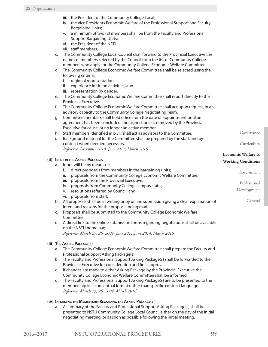- iii. the President of the Community College Local;
- iv. the Vice Presidents Economic Welfare of the Professional Support and Faculty Bargaining Units;
- v. a minimum of two (2) members shall be from the Faculty and Professional Support Bargaining Units;
- vi. the President of the NSTU;
- vii. staff members.

c. The Community College Local Council shall forward to the Provincial Executive the names of members selected by the Council from the list of Community College members who apply for the Community College Economic Welfare Committee.

- d. The Community College Economic Welfare Committee shall be selected using the following criteria:
	- i. regional representation;
	- ii. experience in Union activities; and
	- iii. representation by gender.
- e. The Community College Economic Welfare Committee shall report directly to the Provincial Executive.
- f. The Community College Economic Welfare Committee shall act upon request, in an advisory capacity to the Community College Negotiating Team.
- g. Committee members shall hold office from the date of appointment until an agreement has been concluded and signed, unless removed by the Provincial Executive for cause, or no longer an active member.
- h. Staff members identified in b.vii. shall act as advisors to the Committee.
- i. Background material for the Committee shall be prepared by the staff, and by contract when deemed necessary. *Reference: December 2010; June 2011, March 2016*
- 

### **(ii) Input in the Asking Packages**

| a. | Input will be by means of:                                                                                                        | working Continuous |
|----|-----------------------------------------------------------------------------------------------------------------------------------|--------------------|
|    | direct proposals from members in the bargaining units;<br>proposals from the Community College Economic Welfare Committee;<br>ii. | Government         |
|    | proposals from the Provincial Executive;<br>iii.                                                                                  | Professional       |
|    | proposals from Community College campus staffs;<br>iv.                                                                            |                    |
|    | resolutions referred by Council; and<br>v.                                                                                        | Development        |
|    | vi. proposals from staff.                                                                                                         |                    |
| b. | All proposals shall be in writing or by online submission giving a clear explanation of                                           | General            |
|    | intent and reasons for the proposal being made.                                                                                   |                    |
| C. | Proposals shall be submitted to the Community College Economic Welfare                                                            |                    |
|    | Committee.                                                                                                                        |                    |

d. A direct link to the online submission forms regarding negotiations shall be available on the NSTU home page. *Reference: March 25, 26, 2004; June 2011;June 2014, March 2016*

# **(iii) The Asking Package(s)**

- a. The Community College Economic Welfare Committee shall prepare the Faculty and Professional Support Asking Package(s).
- b. The Faculty and Professional Support Asking Package(s) shall be forwarded to the Provincial Executive for consideration and final approval.
- c. If changes are made to either Asking Package by the Provincial Executive the Community College Economic Welfare Committee shall be informed.
- d. The Faculty and Professional Support Asking Package(s) are to be presented to the membership in a conceptual format rather than specific contract language. *Reference: March 25, 26, 2004, March 2016*

### **(iv) Informing the Membership Regarding the Asking Package(s)**

a. A summary of the Faculty and Professional Support Asking Package(s) shall be presented to NSTU Community College Local Council either on the day of the initial negotiating meeting, or as soon as possible following the initial meeting.

Governance

Curriculum

**Economic Welfare & Working Conditions**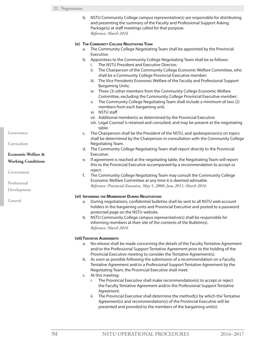b. NSTU Community College campus representative(s) are responsible for distributing and presenting the summary of the Faculty and Professional Support Asking Package(s) at staff meetings called for that purpose. *Reference: March 2016*

### **(v) The Community College Negotiating Team**

- a. The Community College Negotiating Team shall be appointed by the Provincial Executive.
- b. Appointees to the Community College Negotiating Team shall be as follows:
	- i. The NSTU President and Executive Director;
	- ii. The Chairperson of the Community College Economic Welfare Committee, who shall be a Community College Provincial Executive member;
	- iii. The Vice Presidents Economic Welfare of the Faculty and Professional Support Bargaining Units;
	- iv. Three (3) other members from the Community College Economic Welfare Committee, excluding the Community College Provincial Executive member;
	- v. The Community College Negotiating Team shall include a minimum of two (2) members from each bargaining unit,
	- vi. NSTU staff
	- vii. Additional member(s) as determined by the Provincial Executive
	- viii. Legal Counsel is retained and consulted, and may be present at the negotiating table.
- c. The Chairperson shall be the President of the NSTU, and spokesperson(s) on topics shall be determined by the Chairperson in consultation with the Community College Negotiating Team.
- d. The Community College Negotiating Team shall report directly to the Provincial Executive.
- e. If agreement is reached at the negotiating table, the Negotiating Team will report this to the Provincial Executive accompanied by a recommendation to accept or reject.
- f. The Community College Negotiating Team may consult the Community College Economic Welfare Committee at any time it is deemed advisable. *Reference: Provincial Executive, May 5, 2000; June 2011; March 2016*

### **(vi) Informing the Membership During Negotiations**

- a. During negotiations, confidential bulletins shall be sent to all NSTU web account holders in the bargaining units and Provincial Executive and posted to a password protected page on the NSTU website.
- b. NSTU Community College campus representative(s) shall be responsible for informing members at their site of the contents of the Bulletin(s). *Reference: March 2016*

### **(vii)Tentative Agreements**

- a. No release shall be made concerning the details of the Faculty Tentative Agreement and/or the Professional Support Tentative Agreement prior to the holding of the Provincial Executive meeting to consider the Tentative Agreement(s).
- b. As soon as possible following the submission of a recommendation on a Faculty Tentative Agreement and/or a Professional Support Tentative Agreement by the Negotiating Team, the Provincial Executive shall meet.
- c. At this meeting:
	- i. The Provincial Executive shall make recommendation(s) to accept or reject the Faculty Tentative Agreement and/or the Professional Support Tentative Agreement.
	- ii. The Provincial Executive shall determine the method(s) by which the Tentative Agreement(s) and recommendation(s) of the Provincial Executive will be presented and provided to the members of the bargaining unit(s).

Governance

Curriculum

# **Economic Welfare & Working Conditions**

Government

Professional

Development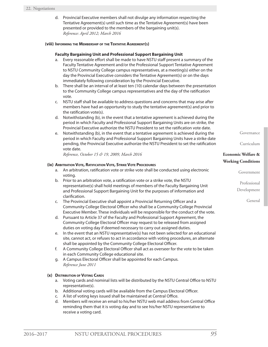d. Provincial Executive members shall not divulge any information respecting the Tentative Agreement(s) until such time as the Tentative Agreement(s) have been presented or provided to the members of the bargaining unit(s). *Reference: April 2012; March 2016*

#### **(viii) Informing the Membership of the Tentative Agreement(s)**

### **Faculty Bargaining Unit and Professional Support Bargaining Unit**

- a. Every reasonable effort shall be made to have NSTU staff present a summary of the Faculty Tentative Agreement and/or the Professional Support Tentative Agreement to NSTU Community College campus representatives, at a meeting(s) either on the day the Provincial Executive considers the Tentative Agreement(s) or on the days immediately following consideration by the Provincial Executive.
- b. There shall be an interval of at least ten (10) calendar days between the presentation to the Community College campus representatives and the day of the ratification vote.
- c. NSTU staff shall be available to address questions and concerns that may arise after members have had an opportunity to study the tentative agreement(s) and prior to the ratification vote(s).
- d. Notwithstanding (b), in the event that a tentative agreement is achieved during the period in which Faculty and Professional Support Bargaining Units are on strike, the Provincial Executive authorize the NSTU President to set the ratification vote date.
- e. Notwithstanding (b), in the event that a tentative agreement is achieved during the period in which Faculty and Professional Support Bargaining Units have a strike date pending, the Provincial Executive authorize the NSTU President to set the ratification vote date.

*Reference, October 15 & 19, 2009, March 2016*

### **(ix) Arbitration Vote, Ratification Vote, Strike Vote Procedures**

- a. An arbitration, ratification vote or strike vote shall be conducted using electronic voting.
- b. Prior to an arbitration vote, a ratification vote or a strike vote, the NSTU representative(s) shall hold meetings of members of the Faculty Bargaining Unit and Professional Support Bargaining Unit for the purposes of information and clarification.
- c. The Provincial Executive shall appoint a Provincial Returning Officer and a Community College Electoral Officer who shall be a Community College Provincial Executive Member. These individuals will be responsible for the conduct of the vote.
- d. Pursuant to Article 37 of the Faculty and Professional Support Agreement, the Community College Electoral Officer may request to be released from assigned duties on voting day if deemed necessary to carry out assigned duties.
- e. In the event that an NSTU representative(s) has not been selected for an educational site, cannot act, or refuses to act in accordance with voting procedures, an alternate shall be appointed by the Community College Electoral Officer.
- f. A Community College Electoral Officer shall act as overseer for the vote to be taken in each Community College educational site.
- g. A Campus Electoral Officer shall be appointed for each Campus. *Reference June 2011*

### **(x) Distribution of Voting Cards**

- a. Voting cards and nominal lists will be distributed by the NSTU Central Office to NSTU representative(s).
- b. Additional voting cards will be available from the Campus Electoral Officer.
- c. A list of voting keys issued shall be maintained at Central Office.
- d. Members will receive an email to his/her NSTU web mail address from Central Office reminding them that it is voting day and to see his/her NSTU representative to receive a voting card.

Governance

Curriculum

# **Economic Welfare & Working Conditions**

Government

Professional Development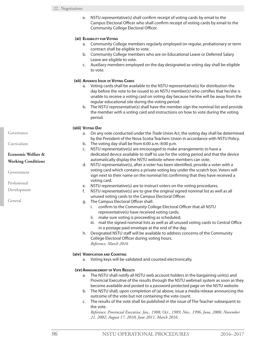e. NSTU representative(s) shall confirm receipt of voting cards by email to the Campus Electoral Officer who shall confirm receipt of voting cards by email to the Community College Electoral Officer.

# **(xi) Eligibility for Voting**

- a. Community College members regularly employed on regular, probationary or term contract shall be eligible to vote.
- b. Community College members who are on Educational Leave or Deferred Salary Leave are eligible to vote.
- c. Auxiliary members employed on the day designated as voting day shall be eligible to vote.

### **(xii) Advance Issue of Voting Cards**

- a. Voting cards shall be available to the NSTU representative(s) for distribution the day before the vote to be issued to an NSTU member(s) who certifies that he/she is unable to receive a voting card on voting day because he/she will be away from the regular educational site during the voting period.
- b. The NSTU representative(s) shall have the member sign the nominal list and provide the member with a voting card and instructions on how to vote during the voting period.

### **(xiii) Voting Day**

- a. On any vote conducted under the *Trade Union Act*, the voting day shall be determined by the President of the Nova Scotia Teachers Union in accordance with NSTU Policy.
- b. The voting day shall be from 6:00 a.m.-8:00 p.m.
- c. NSTU representative(s) are encouraged to make arrangements to have a dedicated device available to staff to use for the voting period and that the device automatically display the NSTU website where members can vote.
- d. NSTU representative(s), after a voter has been identified, provide a voter with a voting card which contains a private voting key under the scratch box. Voters will sign next to their name on the nominal list confirming that they have received a voting card.
- e. NSTU representative(s) are to instruct voters on the voting procedures.
- f. NSTU representative(s) are to give the original signed nominal list as well as all unused voting cards to the Campus Electoral Officer.
- g. The Campus Electoral Officer shall:
	- i. confirm to the Community College Electoral Officer that all NSTU representative(s) have received voting cards;
	- ii. make sure voting is proceeding as scheduled;
	- iii. mail the signed nominal lists as well as all unused voting cards to Central Office in a postage paid envelope at the end of the day.
- h. Designated NSTU staff will be available to address concerns of the Community College Electoral Officer during voting hours. *Reference: March 2016*

# **(xiv) Verification and Counting**

a. Voting keys will be validated and counted electronically.

# **(xv)Announcement of Vote Results**

- a. The NSTU shall notify all NSTU web account holders in the bargaining unit(s) and Provincial Executive of the results through the NSTU webmail system as soon as they become available and posted to a password protected page on the NSTU website.
- b. The NSTU shall, upon completion of (a) above, issue a media release announcing the outcome of the vote but not containing the vote count.
- c. The results of the vote shall be published in the issue of The Teacher subsequent to the vote.

*Reference: Provincial Executive: Jan., 1988; Oct., 1989; Nov., 1996, June, 2000, November 21, 2002; August 17, 2010; June 2011, March 2016.*

Governance

Curriculum

# **Economic Welfare & Working Conditions**

Government

Professional

Development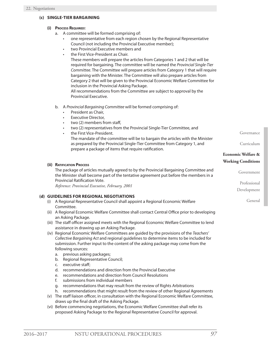# **(c) SINGLE-TIER BARGAINING**

# **(i) Process Required:**

- a. A committee will be formed comprising of:
	- one representative from each region chosen by the Regional Representative Council (not including the Provincial Executive member);
	- two Provincial Executive members and
	- the First Vice-President as Chair.

These members will prepare the articles from Categories 1 and 2 that will be required for bargaining. The committee will be named the *Provincial Single-Tier Committee*. The Committee will prepare articles from Category 1 that will require bargaining with the Minister. The Committee will also prepare articles from Category 2 that will be given to the Provincial Economic Welfare Committee for inclusion in the Provincial Asking Package.

All recommendations from the Committee are subject to approval by the Provincial Executive.

- b. A *Provincial Bargaining Committee* will be formed comprising of:
	- President as Chair,
	- **Executive Director,**
	- two (2) members from staff,
	- two (2) representatives from the Provincial Single-Tier Committee, and
	- the First Vice-President.
		- The mandate of the committee will be to bargain the articles with the Minister as prepared by the Provincial Single-Tier Committee from Category 1, and prepare a package of items that require ratification.

### **(ii) Ratification Process**

The package of articles mutually agreed to by the Provincial Bargaining Committee and the Minister shall become part of the tentative agreement put before the members in a Provincial Ratification Vote.

*Reference: Provincial Executive, February, 2001*

# **(d) GUIDELINES FOR REGIONAL NEGOTIATIONS**

- (i) A Regional Representative Council shall appoint a Regional Economic Welfare Committee.
- (ii) A Regional Economic Welfare Committee shall contact Central Office prior to developing an Asking Package.
- (iii) The staff officer assigned meets with the Regional Economic Welfare Committee to lend assistance in drawing up an Asking Package.
- (iv) Regional Economic Welfare Committees are guided by the provisions of the *Teachers' Collective Bargaining Act* and regional guidelines to determine items to be included for submission. Further input to the content of the asking package may come from the following sources:
	- a. previous asking packages;
	- b. Regional Representative Council;
	- c. executive staff;
	- d. recommendations and direction from the Provincial Executive
	- e. recommendations and direction from Council Resolutions
	- f. submissions from individual members
	- g. recommendations that may result from the review of Rights Arbitrations
	- h. recommendations that might result from the review of other Regional Agreements
- (v) The staff liaison officer, in consultation with the Regional Economic Welfare Committee, draws up the final draft of the Asking Package.
- (vi) Before commencing negotiations, the Economic Welfare Committee shall refer its proposed Asking Package to the Regional Representative Council for approval.

Governance

Curriculum

# **Economic Welfare & Working Conditions**

Government

Professional

Development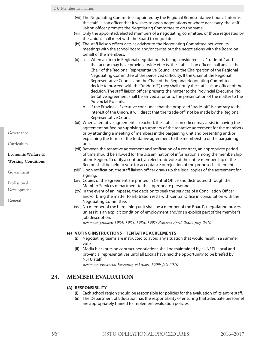- (vii) The Negotiating Committee appointed by the Regional Representative Council informs the staff liaison officer that it wishes to open negotiations or where necessary, the staff liaison officer prompts the Negotiating Committee to do the same.
- (viii) Only the appointed/elected members of a negotiating committee, or those requested by the Union, shall meet with the Board to negotiate.
- (ix) The staff liaison officer acts as advisor to the Negotiating Committee between its meetings with the school board and/or carries out the negotiations with the Board on behalf of the members.
- (x) a. When an item in Regional negotiations is being considered as a "trade-off" and that action may have province-wide effects, the staff liaison officer shall advise the Chair of the Regional Representative Council and the Chairperson of the Regional Negotiating Committee of the perceived difficulty. If the Chair of the Regional Representative Council and the Chair of the Regional Negotiating Committee decide to proceed with the "trade-off", they shall notify the staff liaison officer of the decision. The staff liaison officer presents the matter to the Provincial Executive. No tentative agreement shall be arrived at prior to the presentation of the matter to the Provincial Executive.
	- b. If the Provincial Executive concludes that the proposed "trade-off" is contrary to the interest of the Union, it will direct that the "trade-off" not be made by the Regional Representative Council.
- (xi) When a tentative agreement is reached, the staff liaison officer may assist in having the agreement ratified by supplying a summary of the tentative agreement for the members or by attending a meeting of members in the bargaining unit and presenting and/or explaining the terms of the tentative agreement to the membership of the bargaining unit.
- (xii) Between the tentative agreement and ratification of a contract, an appropriate period of time should be allowed for the dissemination of information among the membership of the Region. To ratify a contract, an electronic vote of the entire membership of the Region shall be held to vote for acceptance or rejection of the proposed settlement.
- (xiii) Upon ratification, the staff liaison officer draws up the legal copies of the agreement for signing.
- (xiv) Copies of the agreement are printed in Central Office and distributed through the Member Services department to the appropriate personnel.
- (xv) In the event of an impasse, the decision to seek the services of a Conciliation Officer and/or bring the matter to arbitration rests with Central Office in consultation with the Negotiating Committee.
- (xvi) No member of the bargaining unit shall be a member of the Board's negotiating process unless it is an explicit condition of employment and/or an explicit part of the member's job description.

*Reference: January, 1984; 1985, 1986, 1997; Replaced April, 2002; July, 2010*

# **(e) VOTING INSTRUCTIONS – TENTATIVE AGREEMENTS**

- (i) Negotiating teams are instructed to avoid any situation that would result in a summer vote.
- (ii) Media blackouts on contract negotiations shall be maintained by all NSTU Local and provincial representatives until all Locals have had the opportunity to be briefed by NSTU staff.

*Reference: Provincial Executive, February, 1999; July 2010*

# **23. MEMBER EVALUATION**

# **(A) RESPONSIBILITY**

- (i) Each school region should be responsible for policies for the evaluation of its entire staff.
- (ii) The Department of Education has the responsibility of ensuring that adequate personnel are appropriately trained to implement evaluation policies.

Governance

Curriculum

# **Economic Welfare & Working Conditions**

Government

Professional

Development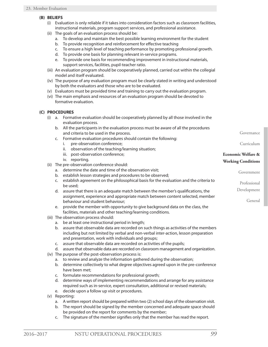### **(B) BELIEFS**

- (i) Evaluation is only reliable if it takes into consideration factors such as classroom facilities, instructional materials, program support services, and professional assistance.
- (ii) The goals of an evaluation process should be:
	- a. To develop and maintain the best possible learning environment for the student
	- b. To provide recognition and reinforcement for effective teaching
	- c. To ensure a high level of teaching performance by promoting professional growth.
	- d. To provide one basis for planning relevant in-service programs.
	- e. To provide one basis for recommending improvement in instructional materials, support services, facilities, pupil-teacher ratio.
- (iii) An evaluation program should be cooperatively planned, carried out within the collegial model and itself evaluated.
- (iv) The purpose of any evaluation program must be clearly stated in writing and understood by both the evaluators and those who are to be evaluated.
- (v) Evaluators must be provided time and training to carry out the evaluation program.
- (vi) The main emphasis and resources of an evaluation program should be devoted to formative evaluation.

### **(C) PROCEDURES**

- (i) a. Formative evaluation should be cooperatively planned by all those involved in the evaluation process.
	- b. All the participants in the evaluation process must be aware of all the procedures and criteria to be used in the process.
	- c. Formative evaluation procedures should contain the following:
		- i. pre-observation conference;
		- ii. observation of the teaching/learning situation;
		- iii. post-observation conference;
		- iv. reporting.
- (ii) The pre-observation conference should:
	- a. determine the date and time of the observation visit;
	- b. establish lesson strategies and procedures to be observed;
	- c. establish agreement on the philosophical basis for the evaluation and the criteria to be used;
	- d. assure that there is an adequate match between the member's qualifications, the assignment, experience and appropriate match between content selected, member behaviour and student behaviour;
	- e. provide the member with opportunity to give background data on the class, the facilities, materials and other teaching/learning conditions.
- (iii) The observation process should:
	- a. be at least one instructional period in length;
	- b. assure that observable data are recorded on such things as activities of the members including but not limited by verbal and non-verbal inter-action, lesson preparation and presentation, work with individuals and groups;
	- c. assure that observable data are recorded on activities of the pupils;
	- d. assure that observable data are recorded on classroom management and organization.
- (iv) The purpose of the post-observation process is:
	- a. to review and analyze the information gathered during the observation;
	- b. determine collectively to what degree objectives agreed upon in the pre-conference have been met;
	- c. formulate recommendations for professional growth;
	- d. determine ways of implementing recommendations and arrange for any assistance required such as in-service, expert consultation, additional or revised materials;
	- e. decide upon a follow up visit or procedures.
- (v) Reporting:
	- a. A written report should be prepared within two (2) school days of the observation visit.
	- b. The report should be signed by the member concerned and adequate space should be provided on the report for comments by the member;
	- c. The signature of the member signifies only that the member has read the report.

Governance

Curriculum

Government

Professional Development

General

**Economic Welfare & Working Conditions**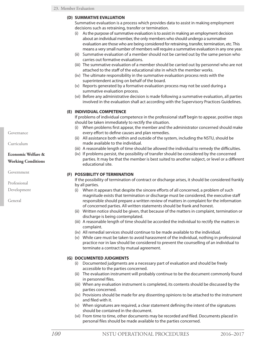# **(D) SUMMATIVE EVALUATION**

Summative evaluation is a process which provides data to assist in making employment decisions such as retraining, transfer or termination.

- (i) As the purpose of summative evaluation is to assist in making an employment decision about an individual member, the only members who should undergo a summative evaluation are those who are being considered for retraining, transfer, termination, etc. This means a very small number of members will require a summative evaluation in any one year.
- (ii) Summative evaluation of a member should not be carried out by the same person who carries out formative evaluations.
- (iii) The summative evaluation of a member should be carried out by personnel who are not attached to the staff of the educational site in which the member works.
- (iv) The ultimate responsibility in the summative evaluation process rests with the superintendent acting on behalf of the board.
- (v) Reports generated by a formative evaluation process may not be used during a summative evaluation process.
- (vi) Before any administrative decision is made following a summative evaluation, all parties involved in the evaluation shall act according with the Supervisory Practices Guidelines.

# **(E) INDIVIDUAL COMPETENCE**

If problems of individual competence in the professional staff begin to appear, positive steps should be taken immediately to rectify the situation.

- (i) When problems first appear, the member and the administrator concerned should make every effort to define causes and plan remedies.
- (ii) All assistance both within and outside of the system, including the NSTU, should be made available to the individual.
- (iii) A reasonable length of time should be allowed the individual to remedy the difficulties.
- (iv) If problems persist, the possibility of transfer should be considered by the concerned parties. It may be that the member is best suited to another subject, or level or a different educational site.

# **(F) POSSIBILITY OF TERMINATION**

If the possibility of termination of contract or discharge arises, it should be considered frankly by all parties.

- (i) When it appears that despite the sincere efforts of all concerned, a problem of such magnitude exists that termination or discharge must be considered, the executive staff responsible should prepare a written review of matters in complaint for the information of concerned parties. All written statements should be frank and honest.
- (ii) Written notice should be given, that because of the matters in complaint, termination or discharge is being contemplated.
- (iii) A reasonable length of time should be accorded the individual to rectify the matters in complaint.
- (iv) All remedial services should continue to be made available to the individual.
- (v) While care must be taken to avoid harassment of the individual, nothing in professional practice nor in law should be considered to prevent the counselling of an individual to terminate a contract by mutual agreement.

# **(G) DOCUMENTED JUDGMENTS**

- (i) Documented judgments are a necessary part of evaluation and should be freely accessible to the parties concerned.
- (ii) The evaluation instrument will probably continue to be the document commonly found in personnel files.
- (iii) When any evaluation instrument is completed, its contents should be discussed by the parties concerned.
- (iv) Provisions should be made for any dissenting opinions to be attached to the instrument and filed with it.
- (v) When signatures are required, a clear statement defining the intent of the signatures should be contained in the document.
- (vi) From time to time, other documents may be recorded and filed. Documents placed in personal files should be made available to the parties concerned.

Governance

Curriculum

# **Economic Welfare & Working Conditions**

Government

Professional

Development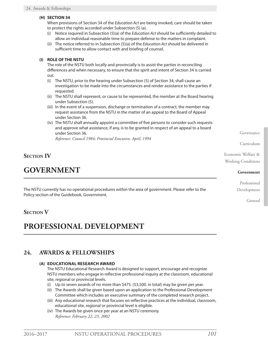# **(H) SECTION 34**

When provisions of Section 34 of the *Education Act* are being invoked, care should be taken to protect the rights accorded under Subsection (5) (a).

- (i) Notice required in Subsection (5)(a) of the *Education Act* should be sufficiently detailed to allow an individual reasonable time to prepare defense to the matters in complaint.
- (ii) The notice referred to in Subsection (5)(a) of the *Education Act* should be delivered in sufficient time to allow contact with and briefing of counsel.

# **(I) ROLE OF THE NSTU**

The role of the NSTU both locally and provincially is to assist the parties in reconciling differences and when necessary, to ensure that the spirit and intent of Section 34 is carried out.

- (i) The NSTU, prior to the hearing under Subsection (5) of Section 34, shall cause an investigation to be made into the circumstances and render assistance to the parties if requested.
- (ii) The NSTU shall represent, or cause to be represented, the member at the Board hearing under Subsection (5).
- (iii) In the event of a suspension, discharge or termination of a contract, the member may request assistance from the NSTU in the matter of an appeal to the Board of Appeal under Section 36.
- (iv) The NSTU shall annually appoint a committee of five persons to consider such requests and approve what assistance, if any, is to be granted in respect of an appeal to a board under Section 36.

*Reference: Council 1984; Provincial Executive, April, 1994*

# **Section IV**

# **GOVERNMENT**

The NSTU currently has no operational procedures within the area of government. Please refer to the Policy section of the Guidebook, Government.

# **SECTION V**

# **PROFESSIONAL DEVELOPMENT**

# **24. AWARDS & FELLOWSHIPS**

# **(A) EDUCATIONAL RESEARCH AWARD**

The NSTU Educational Research Award is designed to support, encourage and recognize NSTU members who engage in reflective professional inquiry at the classroom, educational site, regional or provincial levels.

- (i) Up to seven awards of no more than \$475. (\$3,500. in total) may be given per year.
- (ii) The Awards shall be given based upon an application to the Professional Development Committee which includes an executive summary of the completed research project.
- (iii) Any educational research that focuses on reflective practices at the individual, classroom, educational site, regional or provincial level is eligible.
- (iv) The Awards be given once per year at an NSTU ceremony. *Reference: February 22, 23, 2002*

Governance

Curriculum

Economic Welfare & Working Conditions

#### **Government**

Professional Development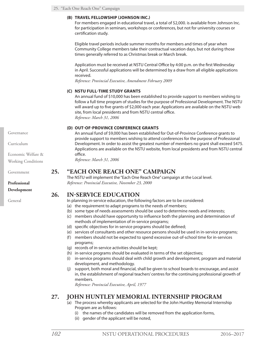# **(B) TRAVEL FELLOWSHIP (JOHNSON INC.)**

For members engaged in educational travel, a total of \$2,000. is available from Johnson Inc. for participation in seminars, workshops or conferences, but not for university courses or certification study.

Eligible travel periods include summer months for members and times of year when Community College members take their contractual vacation days, but not during those times generally referred to as Christmas break or March break.

Application must be received at NSTU Central Office by 4:00 p.m. on the first Wednesday in April. Successful applications will be determined by a draw from all eligible applications received.

*Reference: Provincial Executive, Amendment February 2009*

# **(C) NSTU FULL-TIME STUDY GRANTS**

An annual fund of \$10,000 has been established to provide support to members wishing to follow a full time program of studies for the purpose of Professional Development. The NSTU will award up to five grants of \$2,000 each year. Applications are available on the NSTU web site, from local presidents and from NSTU central office. *Reference: March 31, 2006*

# **(D) OUT-OF-PROVINCE CONFERENCE GRANTS**

An annual fund of \$9,000 has been established for Out-of-Province Conference grants to provide support to members wishing to attend conferences for the purpose of Professional Development. In order to assist the greatest number of members no grant shall exceed \$475. Applications are available on the NSTU website, from local presidents and from NSTU central office.

*Reference: March 31, 2006*

# **25. "EACH ONE REACH ONE" CAMPAIGN**

The NSTU will implement the "Each One Reach One" campaign at the Local level. *Reference: Provincial Executive, November 23, 2000*

# **26. IN-SERVICE EDUCATION**

In planning in-service education, the following factors are to be considered:

- (a) the requirement to adapt programs to the needs of members;
- (b) some type of needs assessments should be used to determine needs and interests;
- (c) members should have opportunity to influence both the planning and determination of methods of implementation of in-service programs;
- (d) specific objectives for in-service programs should be defined;
- (e) services of consultants and other resource persons should be used in in-service programs;
- (f) members should not be expected to spend excessive out-of-school time for in-services programs;
- (g) records of in-service activities should be kept;
- (h) in-service programs should be evaluated in terms of the set objectives;
- (i) in-service programs should deal with child growth and development, program and material development, and methodology.
- (j) support, both moral and financial, shall be given to school boards to encourage, and assist in, the establishment of regional teachers' centres for the continuing professional growth of members.

*Reference: Provincial Executive, April, 1977*

# **27. JOHN HUNTLEY MEMORIAL INTERNSHIP PROGRAM**

- (a) The process whereby applicants are selected for the John Huntley Memorial Internship Program are as follows:
	- (i) the names of the candidates will be removed from the application forms,
	- (ii) gender of the applicant will be noted,

Governance

Curriculum

Economic Welfare & Working Conditions

Government

**Professional**

**Development**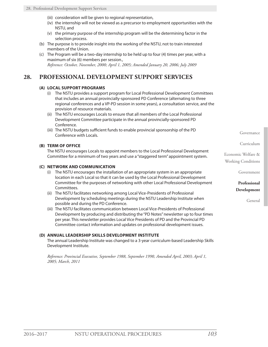- (iii) consideration will be given to regional representation,
- (iv) the internship will not be viewed as a precursor to employment opportunities with the NSTU, and
- (v) the primary purpose of the internship program will be the determining factor in the selection process.
- (b) The purpose is to provide insight into the working of the NSTU, not to train interested members of the Union.
- (c) The Program will be a two-day internship to be held up to four (4) times per year, with a maximum of six (6) members per session., *Reference: October, November, 2000; April 1, 2005; Amended January 20, 2006; July 2009*

## **28. PROFESSIONAL DEVELOPMENT SUPPORT SERVICES**

## **(A) LOCAL SUPPORT PROGRAMS**

- (i) The NSTU provides a support program for Local Professional Development Committees that includes an annual provincially-sponsored PD Conference (alternating to three regional conferences and a VP-PD session in some years), a consultation service, and the provision of resource materials.
- (ii) The NSTU encourages Locals to ensure that all members of the Local Professional Development Committee participate in the annual provincially-sponsored PD Conference.
- (iii) The NSTU budgets sufficient funds to enable provincial sponsorship of the PD Conference with Locals.

#### **(B) TERM OF OFFICE**

The NSTU encourages Locals to appoint members to the Local Professional Development Committee for a minimum of two years and use a "staggered term" appointment system.

#### **(C) NETWORK AND COMMUNICATION**

- (i) The NSTU encourages the installation of an appropriate system in an appropriate location in each Local so that it can be used by the Local Professional Development Committee for the purposes of networking with other Local Professional Development Committees.
- (ii) The NSTU facilitates networking among Local Vice-Presidents of Professional Development by scheduling meetings during the NSTU Leadership Institute when possible and during the PD Conference.
- (iii) The NSTU facilitates communication between Local Vice-Presidents of Professional Development by producing and distributing the "PD Notes" newsletter up to four times per year. This newsletter provides Local Vice Presidents of PD and the Provincial PD Committee contact information and updates on professional development issues.

#### **(D) ANNUAL LEADERSHIP SKILLS DEVELOPMENT INSTITUTE**

The annual Leadership Institute was changed to a 3-year curriculum-based Leadership Skills Development Institute.

*Reference: Provincial Executive, September 1988, September 1990, Amended April, 2003; April 1, 2005; March, 2011*

Governance

Curriculum

Economic Welfare & Working Conditions

Government

**Professional Development**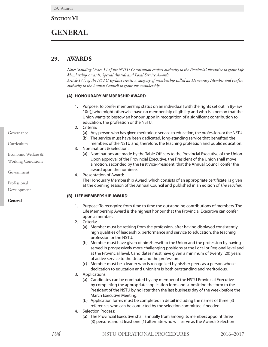## **SECTION VI**

## **GENERAL**

## **29. AWARDS**

*Note: Standing Order 14 of the NSTU Constitution confers authority to the Provincial Executive to grant Life Membership Awards, Special Awards and Local Service Awards. Article I (7) of the NSTU By-laws creates a category of membership called an Honourary Member and confers authority to the Annual Council to grant this membership.*

#### **(A) HONOURARY MEMBERSHIP AWARD**

- 1. Purpose: To confer membership status on an individual [with the rights set out in By-law 10(f)] who might otherwise have no membership eligibility and who is a person that the Union wants to bestow an honour upon in recognition of a significant contribution to education, the profession or the NSTU.
- 2. Criteria:
	- (a) Any person who has given meritorious service to education, the profession, or the NSTU.
	- (b) The service must have been dedicated, long-standing service that benefited the members of the NSTU and, therefore, the teaching profession and public education.
- 3. Nominations & Selection:
	- (a) Nominations are made by the Table Officers to the Provincial Executive of the Union. Upon approval of the Provincial Executive, the President of the Union shall move a motion, seconded by the First Vice-President, that the Annual Council confer the award upon the nominee.
- 4. Presentation of Award:

The Honourary Membership Award, which consists of an appropriate certificate, is given at the opening session of the Annual Council and published in an edition of *The Teacher*.

#### **(B) LIFE MEMBERSHIP AWARD**

- 1. Purpose: To recognize from time to time the outstanding contributions of members. The Life Membership Award is the highest honour that the Provincial Executive can confer upon a member.
- 2. Criteria:
	- (a) Member must be retiring from the profession, after having displayed consistently high qualities of leadership, performance and service to education, the teaching profession or the NSTU.
	- (b) Member must have given of him/herself to the Union and the profession by having served in progressively more challenging positions at the Local or Regional level and at the Provincial level. Candidates must have given a minimum of twenty (20) years of active service to the Union and the profession.
	- (c) Member must be a leader who is recognized by his/her peers as a person whose dedication to education and unionism is both outstanding and meritorious.
- 3. Applications:
	- (a) Candidates can be nominated by any member of the NSTU Provincial Executive by completing the appropriate application form and submitting the form to the President of the NSTU by no later than the last business day of the week before the March Executive Meeting.
	- (b) Application forms must be completed in detail including the names of three (3) references who can be contacted by the selection committee if needed.
- 4. Selection Process:
	- (a) The Provincial Executive shall annually from among its members appoint three (3) persons and at least one (1) alternate who will serve as the Awards Selection

Governance

Curriculum

Economic Welfare &

Working Conditions

Government

Professional

Development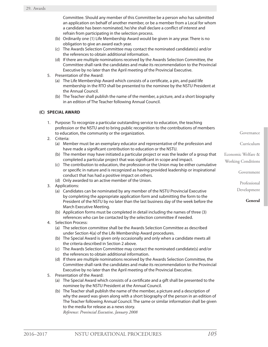Committee. Should any member of this Committee be a person who has submitted an application on behalf of another member, or be a member from a Local for whom a candidate has been nominated, he/she shall declare a conflict of interest and refrain from participating in the selection process.

- (b) Ordinarily one (1) Life Membership Award would be given in any year. There is no obligation to give an award each year.
- (c) The Awards Selection Committee may contact the nominated candidate(s) and/or the references to obtain additional information.
- (d) If there are multiple nominations received by the Awards Selection Committee, the Committee shall rank the candidates and make its recommendation to the Provincial Executive by no later than the April meeting of the Provincial Executive.
- 5. Presentation of the Award:
	- (a) The Life Membership Award which consists of a certificate, a pin, and paid life membership in the RTO shall be presented to the nominee by the NSTU President at the Annual Council.
	- (b) The Teacher shall publish the name of the member, a picture, and a short biography in an edition of The Teacher following Annual Council.

## **(C) SPECIAL AWARD**

- 1. Purpose: To recognize a particular outstanding service to education, the teaching profession or the NSTU and to bring public recognition to the contributions of members to education, the community or the organization.
- 2. Criteria:
	- (a) Member must be an exemplary educator and representative of the profession and have made a significant contribution to education or the NSTU.
	- (b) The member may have initiated a particular project or was the leader of a group that completed a particular project that was significant in scope and impact.
	- (c) The contribution to education, the profession or the Union may be either cumulative or specific in nature and is recognized as having provided leadership or inspirational conduct that has had a positive impact on others.
	- (d) Only awarded to an active member of the Union.
- 3. Applications:
	- (a) Candidates can be nominated by any member of the NSTU Provincial Executive by completing the appropriate application form and submitting the form to the President of the NSTU by no later than the last business day of the week before the March Executive Meeting.
	- (b) Application forms must be completed in detail including the names of three (3) references who can be contacted by the selection committee if needed.
- 4. Selection Process:
	- (a) The selection committee shall be the Awards Selection Committee as described under Section 4(a) of the Life Membership Award procedures.
	- (b) The Special Award is given only occasionally and only when a candidate meets all the criteria described in Section 2 above.
	- (c) The Awards Selection Committee may contact the nominated candidate(s) and/or the references to obtain additional information.
	- (d) If there are multiple nominations received by the Awards Selection Committee, the Committee shall rank the candidates and make its recommendation to the Provincial Executive by no later than the April meeting of the Provincial Executive.
- 5. Presentation of the Award:
	- (a) The Special Award which consists of a certificate and a gift shall be presented to the nominee by the NSTU President at the Annual Council.
	- (b) The Teacher shall publish the name of the member, a picture and a description of why the award was given along with a short biography of the person in an edition of The Teacher following Annual Council. The same or similar information shall be given to the media for release as a news story.

*Reference: Provincial Executive, January 2008*

Governance

Curriculum

Economic Welfare & Working Conditions

Government

Professional

Development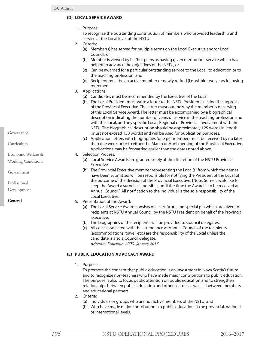## **(D) LOCAL SERVICE AWARD**

1. Purpose:

To recognize the outstanding contribution of members who provided leadership and service at the Local level of the NSTU.

- 2. Criteria:
	- (a) Member(s) has served for multiple terms on the Local Executive and/or Local Council, or
	- (b) Member is viewed by his/her peers as having given meritorious service which has helped to advance the objectives of the NSTU, or
	- (c) Can be awarded for a particular outstanding service to the Local, to education or to the teaching profession, and
	- (d) Recipient must be an active member or newly retired (i.e. within two years following retirement.
- 3. Applications:
	- (a) Candidates must be recommended by the Executive of the Local.
	- (b) The Local President must write a letter to the NSTU President seeking the approval of the Provincial Executive. The letter must outline why the member is deserving of this Local Service Award. The letter must be accompanied by a biographical description indicating the number of years of service in the teaching profession and with the Local, and any specific Local, Regional or Provincial involvement with the NSTU. The biographical description should be approximately 125 words in length (must not exceed 150 words) and will be used for publication purposes.
	- (c) Application letters with biographies (one per member) must be received by no later than one week prior to either the March or April meeting of the Provincial Executive. Applications may be forwarded earlier than the dates noted above.
- 4. Selection Process:
	- (a) Local Service Awards are granted solely at the discretion of the NSTU Provincial Executive.
	- (b) The Provincial Executive member representing the Local(s) from which the names have been submitted will be responsible for notifying the President of the Local of the outcome of the decision of the Provincial Executive. [Note: Some Locals like to keep the Award a surprise, if possible, until the time the Award is to be received at Annual Council.] All notification to the individual is the sole responsibility of the Local Executive.
- 5. Presentation of the Award:
	- (a) The Local Service Award consists of a certificate and special pin which are given to recipients at NSTU Annual Council by the NSTU President on behalf of the Provincial Executive.
	- (b) The biographies of the recipients will be provided to Council delegates.
	- (c) All costs associated with the attendance at Annual Council of the recipients (accommodations, travel, etc.) are the responsibility of the Local unless the candidate is also a Council delegate. *Reference: September 2008, January 2013*

## **(E) PUBLIC EDUCATION ADVOCACY AWARD**

1. Purpose:

To promote the concept that public education is an investment in Nova Scotia's future and to recognize non-teachers who have made major contributions to public education. The purpose is also to focus public attention on public education and to strengthen relationships between public education and other sectors as well as between members and educational partners.

- 2. Criteria:
	- (a) Individuals or groups who are not active members of the NSTU; and
	- (b) Who have made major contributions to public education at the provincial, national or international levels.

Governance

Curriculum

Economic Welfare &

Working Conditions

Government

Professional

Development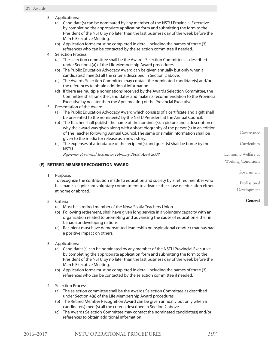- 3. Applications:
	- (a) Candidate(s) can be nominated by any member of the NSTU Provincial Executive by completing the appropriate application form and submitting the form to the President of the NSTU by no later than the last business day of the week before the March Executive Meeting.
	- (b) Application forms must be completed in detail including the names of three (3) references who can be contacted by the selection committee if needed.
- 4. Selection Process:
	- (a) The selection committee shall be the Awards Selection Committee as described under Section 4(a) of the Life Membership Award procedures.
	- (b) The Public Education Advocacy Award can be given annually but only when a candidate(s) meet(s) all the criteria described in Section 2 above.
	- (c) The Awards Selection Committee may contact the nominated candidate(s) and/or the references to obtain additional information.
	- (d) If there are multiple nominations received by the Awards Selection Committee, the Committee shall rank the candidates and make its recommendation to the Provincial Executive by no later than the April meeting of the Provincial Executive.
- 5. Presentation of the Award:
	- (a) The Public Education Advocacy Award which consists of a certificate and a gift shall be presented to the nominee(s) by the NSTU President at the Annual Council.
	- (b) The Teacher shall publish the name of the nominee(s), a picture and a description of why the award was given along with a short biography of the person(s) in an edition of The Teacher following Annual Council. The same or similar information shall be given to the media for release as a news story.
	- (c) The expenses of attendance of the recipient(s) and guest(s) shall be borne by the NSTU.

*Reference: Provincial Executive: February 2008, April 2008*

#### **(F) RETIRED MEMBER RECOGNITION AWARD**

1. Purpose:

To recognize the contribution made to education and society by a retired member who has made a significant voluntary commitment to advance the cause of education either at home or abroad.

- 2. Criteria:
	- (a) Must be a retired member of the Nova Scotia Teachers Union.
	- (b) Following retirement, shall have given long service in a voluntary capacity with an organization related to promoting and advancing the cause of education either in Canada or developing nations.
	- (c) Recipient must have demonstrated leadership or inspirational conduct that has had a positive impact on others.
- 3. Applications:
	- (a) Candidates(s) can be nominated by any member of the NSTU Provincial Executive by completing the appropriate application form and submitting the form to the President of the NSTU by no later than the last business day of the week before the March Executive Meeting.
	- (b) Application forms must be completed in detail including the names of three (3) references who can be contacted by the selection committee if needed.
- 4. Selection Process:
	- (a) The selection committee shall be the Awards Selection Committee as described under Section 4(a) of the Life Membership Award procedures.
	- (b) The Retired Member Recognition Award can be given annually but only when a candidate(s) meet(s) all the criteria described in Section 2 above.
	- (c) The Awards Selection Committee may contact the nominated candidate(s) and/or references to obtain additional information.

Governance

Curriculum

Economic Welfare & Working Conditions

Government

Professional Development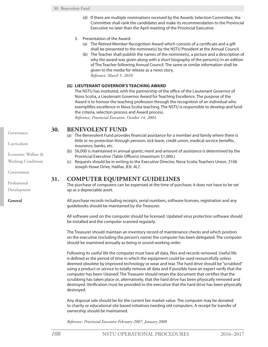- (d) If there are multiple nominations received by the Awards Selection Committee, the Committee shall rank the candidates and make its recommendation to the Provincial Executive no later than the April meeting of the Provincial Executive.
- 5. Presentation of the Award:
	- (a) The Retired Member Recognition Award which consists of a certificate and a gift shall be presented to the nominee(s) by the NSTU President at the Annual Council.
	- (b) The Teacher shall publish the names of the nominee(s), a picture and a description of why the award was given along with a short biography of the person(s) in an edition of The Teacher following Annual Council. The same or similar information shall be given to the media for release as a news story. *Reference: March 5, 2010*

#### **(G) LIEUTENANT GOVERNOR'S TEACHING AWARD**

The NSTU has instituted, with the partnership of the office of the Lieutenant Governor of Nova Scotia, a Lieutenant Governor Award for Teaching Excellence. The purpose of the Award is to honour the teaching profession through the recognition of an individual who exemplifies excellence in Nova Scotia teaching. The NSTU is responsible to develop and fund the criteria, selection process and Award process.

*Reference: Provincial Executive, October 14, 2004*

## **30. BENEVOLENT FUND**

- (a) The Benevolent Fund provides financial assistance for a member and family where there is little or no protection through pension, sick leave, credit union, medical service benefits, insurance, banks, etc.
- (b) \$6,000 is maintained in annual grants; merit and amount of assistance is determined by the Provincial Executive (Table Officers) (maximum \$1,000.)
- (c) Requests should be in writing to the Executive Director, Nova Scotia Teachers Union, 3106 Joseph Howe Drive, Halifax, B3L 4L7.

## **31. COMPUTER EQUIPMENT GUIDELINES**

The purchase of computers can be expensed at the time of purchase; it does not have to be set up as a depreciable asset.

All purchase records including receipts, serial numbers, software licenses, registration and any guidebooks should be maintained by the Treasurer.

All software used on the computer should be licensed. Updated virus protection software should be installed and the computer scanned regularly.

The Treasurer should maintain an inventory record of maintenance checks and which position on the executive (including the person's name) the computer has been delegated. The computer should be examined annually as being in sound working order.

Following its useful life the computer must have all data, files and records removed. Useful life is defined as the period of time in which the equipment could be used resourcefully unless deemed obsolete by improved technology or wear and tear. The hard drive should be "scrubbed" using a product or service to totally remove all data and if possible have an expert verify that the computer has been 'cleaned'. The Treasurer should retain the document that certifies that the scrubbing has taken place or, alternatively, that the hard drive has been physically removed and destroyed. Verification must be provided to the executive that the hard drive has been physically destroyed.

Any disposal sale should be for the current fair market value. The computer may be donated to charity or educational site based initiatives needing old computers. A receipt for transfer of ownership should be maintained.

*Reference: Provincial Executive February 2007, January 2008*

Governance

Curriculum

Economic Welfare &

Working Conditions

Government

Professional Development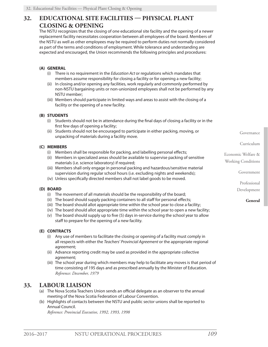## **32. EDUCATIONAL SITE FACILITIES — PHYSICAL PLANT CLOSING & OPENING**

The NSTU recognizes that the closing of one educational site facility and the opening of a newer replacement facility necessitates cooperation between all employees of the board. Members of the NSTU as well as other employees may be required to perform duties not normally considered as part of the terms and conditions of employment. While tolerance and understanding are expected and encouraged, the Union recommends the following principles and procedures:

## **(A) GENERAL**

- (i) There is no requirement in the *Education Act* or regulations which mandates that members assume responsibility for closing a facility or for opening a new facility;
- (ii) In closing and/or opening any facilities, work regularly and commonly performed by non-NSTU bargaining units or non-unionized employees shall not be performed by any NSTU member;
- (iii) Members should participate in limited ways and areas to assist with the closing of a facility or the opening of a new facility.

#### **(B) STUDENTS**

- (i) Students should not be in attendance during the final days of closing a facility or in the first few days of opening a facility;
- (ii) Students should not be encouraged to participate in either packing, moving, or unpacking of materials during a facility move.

#### **(C) MEMBERS**

- (i) Members shall be responsible for packing, and labelling personal effects;
- (ii) Members in specialized areas should be available to supervise packing of sensitive materials (i.e. science laboratory) if required;
- (iii) Members shall only engage in personal packing and hazardous/sensitive material supervision during regular school hours (i.e. excluding nights and weekends);
- (iv) Unless specifically directed members shall not label goods to be moved.

#### **(D) BOARD**

- (i) The movement of all materials should be the responsibility of the board;
- (ii) The board should supply packing containers to all staff for personal effects;
- (iii) The board should allot appropriate time within the school year to close a facility;
- (iv) The board should allot appropriate time within the school year to open a new facility;
- (v) The board should supply up to five (5) days in-service during the school year to allow staff to prepare for the opening of a new facility.

#### **(E) CONTRACTS**

- (i) Any use of members to facilitate the closing or opening of a facility must comply in all respects with either the *Teachers' Provincial Agreement* or the appropriate regional agreement;
- (ii) Advance reporting credit may be used as provided in the appropriate collective agreement;
- (iii) The school year during which members may help to facilitate any moves is that period of time consisting of 195 days and as prescribed annually by the Minister of Education. *Reference: December, 1979*

## **33. LABOUR LIAISON**

- (a) The Nova Scotia Teachers Union sends an official delegate as an observer to the annual meeting of the Nova Scotia Federation of Labour Convention.
- (b) Highlights of contacts between the NSTU and public sector unions shall be reported to Annual Council.

*Reference: Provincial Executive, 1992, 1993, 1998*

Governance

Curriculum

Economic Welfare & Working Conditions

Government

Professional Development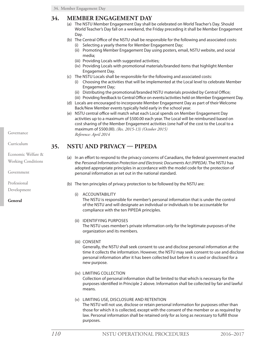## **34. MEMBER ENGAGEMENT DAY**

- (a) The NSTU Member Engagement Day shall be celebrated on World Teacher's Day. Should World Teacher's Day fall on a weekend, the Friday preceding it shall be Member Engagement Day.
- (b) The Central Office of the NSTU shall be responsible for the following and associated costs:
	- (i) Selecting a yearly theme for Member Engagement Day;
	- (ii) Promoting Member Engagement Day using posters, email, NSTU website, and social media;
	- (iii) Providing Locals with suggested activities;
	- (iv) Providing Locals with promotional materials/branded items that highlight Member Engagement Day.
- (c) The NSTU Locals shall be responsible for the following and associated costs:
	- (i) Choosing the activities that will be implemented at the Local level to celebrate Member Engagement Day;
	- (ii) Distributing the promotional/branded NSTU materials provided by Central Office;
	- (iii) Providing feedback to Central Office on events/activities held on Member Engagement Day.
- (d) Locals are encouraged to incorporate Member Engagement Day as part of their Welcome Back/New Member events typically held early in the school year.
- (e) NSTU central office will match what each Local spends on Member Engagement Day activities up to a maximum of \$500.00 each year. The Local will be reimbursed based on cost sharing of the Member Engagement activities (one half of the cost to the Local to a maximum of \$500.00). *(Res. 2015-13) (October 2015) Reference: April 2014*

## **35. NSTU AND PRIVACY — PIPEDA**

- (a) In an effort to respond to the privacy concerns of Canadians, the federal government enacted the *Personal Information Protection and Electronic Documents Act (PIPEDA)*. The NSTU has adopted appropriate principles in accordance with the model code for the protection of personal information as set out in the national standard.
- (b) The ten principles of privacy protection to be followed by the NSTU are:
	- (i) ACCOUNTABILITY

The NSTU is responsible for member's personal information that is under the control of the NSTU and will designate an individual or individuals to be accountable for compliance with the ten PIPEDA principles.

#### (ii) IDENTIFYING PURPOSES

The NSTU uses member's private information only for the legitimate purposes of the organization and its members.

(iii) CONSENT

Generally, the NSTU shall seek consent to use and disclose personal information at the time it collects the information. However, the NSTU may seek consent to use and disclose personal information after it has been collected but before it is used or disclosed for a new purpose.

(iv) LIMITING COLLECTION

Collection of personal information shall be limited to that which is necessary for the purposes identified in Principle 2 above. Information shall be collected by fair and lawful means.

(v) LIMITING USE, DISCLOSURE AND RETENTION

The NSTU will not use, disclose or retain personal information for purposes other than those for which it is collected, except with the consent of the member or as required by law. Personal information shall be retained only for as long as necessary to fulfill those purposes.

Governance

Curriculum

Economic Welfare & Working Conditions

Government

Professional

Development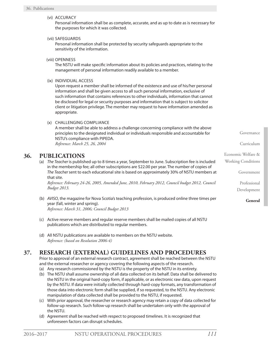Governance Curriculum Economic Welfare & Working Conditions Government (vi) ACCURACY Personal information shall be as complete, accurate, and as up to date as is necessary for the purposes for which it was collected. (vii) SAFEGUARDS Personal information shall be protected by security safeguards appropriate to the sensitivity of the information. (viii) OPENNESS The NSTU will make specific information about its policies and practices, relating to the management of personal information readily available to a member. (ix) INDIVIDUAL ACCESS Upon request a member shall be informed of the existence and use of his/her personal information and shall be given access to all such personal information, exclusive of such information that contains references to other individuals, information that cannot be disclosed for legal or security purposes and information that is subject to solicitor client or litigation privilege. The member may request to have information amended as appropriate. (x) CHALLENGING COMPLIANCE A member shall be able to address a challenge concerning compliance with the above principles to the designated individual or individuals responsible and accountable for NSTU's compliance with PIPEDA. *Reference: March 25, 26, 2004* **36. PUBLICATIONS** (a) *The Teacher* is published up to 8 times a year, September to June. Subscription fee is included in the membership fee; all other subscriptions are \$22.00 per year. The number of copies of *The Teacher* sent to each educational site is based on approximately 30% of NSTU members at that site.

*Reference: February 24-26, 2005, Amended June, 2010, February 2012, Council budget 2012, Council Budget 2013.*

- (b) *AVISO*, the magazine for Nova Scotia's teaching profession, is produced online three times per year (fall, winter and spring). *Reference: March 31, 2006; Council Budget 2013*
- (c) Active reserve members and regular reserve members shall be mailed copies of all NSTU publications which are distributed to regular members.
- (d) All NSTU publications are available to members on the NSTU website. *Reference: (based on Resolution 2006-4)*

## **37. RESEARCH (EXTERNAL) GUIDELINES AND PROCEDURES**

Prior to approval of an external research contract, agreement shall be reached between the NSTU and the external researcher or agency covering the following aspects of the research.

- (a) Any research commissioned by the NSTU is the property of the NSTU in its entirety.
- (b) The NSTU shall assume ownership of all data collected on its behalf. Data shall be delivered to the NSTU in the original hard-copy form, if applicable, or as electronic raw data, upon request by the NSTU. If data were initially collected through hard-copy formats, any transformation of those data into electronic form shall be supplied, if so requested, to the NSTU. Any electronic manipulation of data collected shall be provided to the NSTU, if requested.
- (c) With prior approval, the researcher or research agency may retain a copy of data collected for follow-up research. Such follow-up research shall be undertaken only with the approval of the NSTU.
- (d) Agreement shall be reached with respect to proposed timelines. It is recognized that unforeseen factors can disrupt schedules.

Professional

Development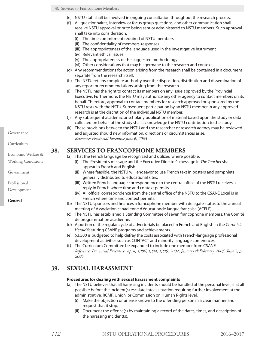- (e) NSTU staff shall be involved in ongoing consultation throughout the research process.
- (f) All questionnaires, interview or focus group questions, and other communication shall receive NSTU approval prior to being sent or administered to NSTU members. Such approval shall take into consideration:
	- (i) The time commitment required of NSTU members
	- (ii) The confidentiality of members' responses
	- (iii) The appropriateness of the language used in the investigative instrument
	- (iv) Relevant ethical issues
	- (v) The appropriateness of the suggested methodology
	- (vi) Other considerations that may be germane to the research and context
- (g) Any recommendations for action arising from the research shall be contained in a document separate from the research itself.
- (h) The NSTU retains complete authority over the disposition, distribution and dissemination of any report or recommendations arising from the research.
- (i) The NSTU has the right to contact its members on any issue approved by the Provincial Executive. Furthermore, the NSTU may authorize any other agency to contact members on its behalf. Therefore, approval to contact members for research approved or sponsored by the NSTU rests with the NSTU. Subsequent participation by an NSTU member in any approved research is at the discretion of the individual NSTU member.
- (j) Any subsequent academic or scholarly publication of material based upon the study or data collected on behalf of the study shall acknowledge the NSTU contribution to the study.
- (k) These provisions between the NSTU and the researcher or research agency may be reviewed and adjusted should new information, directions or circumstances arise. *Reference: Provincial Executive June 6, 2003*

## **38. SERVICES TO FRANCOPHONE MEMBERS**

- (a) That the French language be recognized and utilized where possible:
	- (i) The President's message and the Executive Director's message in *The Teacher* shall appear in French and English.
	- (ii) Where feasible, the NSTU will endeavor to use French text in posters and pamphlets generally distributed to educational sites.
	- (iii) Written French language correspondence to the central office of the NSTU receives a reply in French where time and context permits.
	- (iv) All official correspondence from the central office of the NSTU to the CSANE Local is in French where time and context permits.
- (b) The NSTU sponsors and finances a francophone member with delegate status to the annual meeting of Association canadienne d'éducationde langue française (ACELF).
- (c) The NSTU has established a Standing Committee of seven francophone members, the Comité de programmation acadienne.
- (d) A portion of the regular cycle of advertorials be placed in French and English in the *Chronicle Herald* featuring CSANE programs and achievements.
- (e) \$3,500 is budgeted to help defray the costs associated with French-language professional development activities such as CONTACT and minority language conferences.
- (f) The Curriculum Committee be expanded to include one member from CSANE. *Reference: Provincial Executive, April, 1986; 1994; 1995, 2002; January & February, 2005; June 2, 3, 2005*

## **39. SEXUAL HARASSMENT**

#### **Procedures for dealing with sexual harassment complaints**

- (a) The NSTU believes that all harassing incidents should be handled at the personal level, if at all possible before the incident(s) escalate into a situation requiring further involvement at the administrative, RCMP, Union, or Commission on Human Rights level.
	- (i) Make the objection or unease known to the offending person in a clear manner and request that it stop.
	- (ii) Document the offence(s) by maintaining a record of the dates, times, and description of the harassing incident(s).

Governance

Curriculum

Economic Welfare & Working Conditions

Government

Professional

Development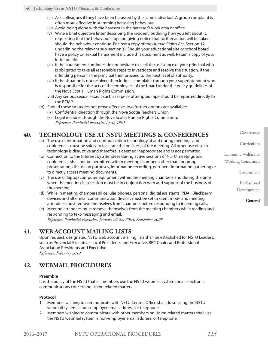- (iii) Ask colleagues if they have been harassed by the same individual. A group complaint is often more effective in stemming harassing behaviour.
- (iv) Avoid being alone with the harasser in the harasser's work area or office.
- (v) Write a brief objective letter describing the incident, outlining how you felt about it, requesting that the behaviour stop and giving notice that further action will be taken should the behaviour continue. Enclose a copy of the *Human Rights Act*, Section 12 underlining the relevant sub-section(s). Should your educational site or school board have a policy on sexual harassment include this document as well. Retain a copy of your letter on file.
- (vi) If the harassment continues do not hesitate to seek the assistance of your principal who is obligated to take all reasonable steps to investigate and resolve the situation. If the offending person is the principal then proceed to the next level of authority.
- (vii) If the situation is not resolved then lodge a complaint through your superintendent who is responsible for the acts of the employees of the board under the policy guidelines of the Nova Scotia Human Rights Commission.
- (viii) Any serious sexual assault such as rape or attempted rape should be reported directly to the RCMP.
- (b) Should these strategies not prove effective, two further options are available:
	- (ix) Confidential direction through the Nova Scotia Teachers Union.
	- (x) Legal recourse through the Nova Scotia Human Rights Commission. *Reference: Provincial Executive April, 1991*

## **40. TECHNOLOGY USE AT NSTU MEETINGS & CONFERENCES**

- (a) The use of information and communication technology at and during meetings and conferences must be solely to facilitate the business of the meeting. All other use of such technology is disruptive and therefore is deemed inappropriate and is not permitted.
- (b) Connection to the Internet by attendees during active sessions of NSTU meetings and conferences shall not be permitted within meeting chambers other than for group presentation, discussion purposes, information recording, pertinent information gathering or to directly access meeting documents.
- (c) The use of laptop computer equipment within the meeting chambers and during the time when the meeting is in session must be in conjunction with and support of the business of the meeting.
- (d) While in meeting chambers all cellular phones, personal digital assistants (PDA), Blackberry devices and all similar communication devices must be set to silent mode and meeting attendees must remove themselves from chambers before responding to incoming calls.
- (e) Meeting attendees must remove themselves from the meeting chambers while reading and responding to text-messaging and email. *Reference: Provincial Executive, January 20-22, 2005; September 2008*

## **41. WEB ACCOUNT MAILING LISTS**

Upon request, designated NSTU web account mailing lists shall be established for NSTU Leaders, such as Provincial Executive, Local Presidents and Executive, RRC Chairs and Professional Association Presidents and Executive. *Reference: February 2012*

## **42. WEBMAIL PROCEDURES**

## **Preamble**

It is the policy of the NSTU that all members use the NSTU webmail system for all electronic communications concerning Union related matters.

## **Protocol**

- 1. Members wishing to communicate with NSTU Central Office shall do so using the NSTU webmail system, a non-employer email address, or telephone.
- 2. Members wishing to communicate with other members on Union related matters shall use the NSTU webmail system, a non-employer email address, or telephone.

Governance

Curriculum

Economic Welfare & Working Conditions

Government

Professional

Development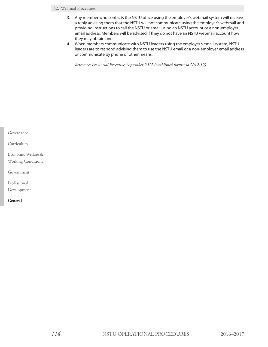#### 42. Webmail Procedures

- 3. Any member who contacts the NSTU office using the employer's webmail system will receive a reply advising them that the NSTU will not communicate using the employer's webmail and providing instructions to call the NSTU or email using an NSTU account or a non-employer email address. Members will be advised if they do not have an NSTU webmail account how they may obtain one.
- 4. When members communicate with NSTU leaders using the employer's email system, NSTU leaders are to respond advising them to use the NSTU email or a non-employer email address or communicate by phone or other means.

*Reference: Provincial Executive, September 2012 (established further to 2012-12)*

| Governance         |  |
|--------------------|--|
| Curriculum         |  |
| Economic Welfare & |  |
| Working Conditions |  |
| Government         |  |
| Professional       |  |
| Development        |  |
| General            |  |
|                    |  |
|                    |  |
|                    |  |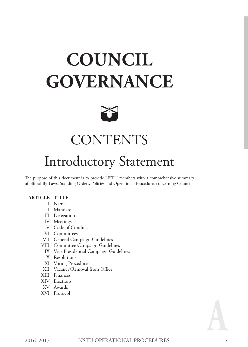# **COUNCIL GOVERNANCE**



# **CONTENTS**

## Introductory Statement

The purpose of this document is to provide NSTU members with a comprehensive summary of official By-Laws, Standing Orders, Policies and Operational Procedures concerning Council.

## **ARTICLE TITLE**

- I Name
- II Mandate
- III Delegation
- IV Meetings
- V Code of Conduct
- VI Committees
- VII General Campaign Guidelines
- VIII Committee Campaign Guidelines
	- IX Vice Presidential Campaign Guidelines
	- X Resolutions
- XI Voting Procedures
- XII Vacancy/Removal from Office
- XIII Finances
- XIV Elections
- XV Awards
- XVI Protocol

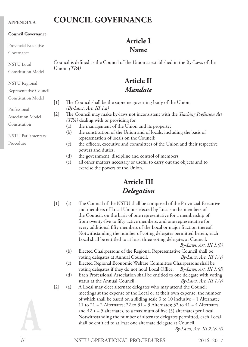#### **APPENDIX A**

## **COUNCIL GOVERNANCE**

#### **Council Governance**

Provincial Executive

Governance

NSTU Local Constitution Model

NSTU Regional

Representative Council

Constitution Model

Professional

Association Model

Constitution

NSTU Parliamentary

Procedure

Council is defined as the Council of the Union as established in the By-Laws of the Union. *(TPA)*

**Article I Name**

## **Article II** *Mandate*

[1] The Council shall be the supreme governing body of the Union. *(By-Laws, Art. III 1.a)*

[2] The Council may make by-laws not inconsistent with the *Teaching Profession Act (TPA)* dealing with or providing for

- (a) the management of the Union and its property;
- (b) the constitution of the Union and of locals, including the basis of representation of locals on the Council;
- (c) the officers, executive and committees of the Union and their respective powers and duties;
- (d) the government, discipline and control of members;
- (e) all other matters necessary or useful to carry out the objects and to exercise the powers of the Union.

## **Article III** *Delegation*

[1] (a) The Council of the NSTU shall be composed of the Provincial Executive and members of Local Unions elected by Locals to be members of the Council, on the basis of one representative for a membership of from twenty-five to fifty active members, and one representative for every additional fifty members of the Local or major fraction thereof. Notwithstanding the number of voting delegates permitted herein, each Local shall be entitled to at least three voting delegates at Council.

*By-Laws, Art. III 1.(b)*

- (b) Elected Chairpersons of the Regional Representative Council shall be voting delegates at Annual Council. *By-Laws, Art. III 1.(c)*
- (c) Elected Regional Economic Welfare Committee Chairpersons shall be voting delegates if they do not hold Local Office. *By-Laws, Art. III 1.(d)*
- (d) Each Professional Association shall be entitled to one delegate with voting status at the Annual Council. *By-Laws, Art. III 1.(e)*
- [2] (a) A Local may elect alternate delegates who may attend the Council meetings at the expense of the Local or at their own expense, the number of which shall be based on a sliding scale 3 to 10 inclusive = 1 Alternate; 11 to 21 = 2 Alternates; 22 to 31 = 3 Alternates; 32 to 41 = 4 Alternates; and  $42 + 5$  alternates, to a maximum of five (5) alternates per Local. Notwithstanding the number of alternate delegates permitted, each Local shall be entitled to at least one alternate delegate at Council.

*By-Laws, Art. III 2.(c) (i)*

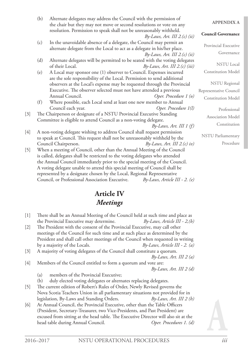|       | (b) | Alternate delegates may address the Council with the permission of<br>the chair but they may not move or second resolutions or vote on any                                        | <b>APPENDIXA</b>                   |  |
|-------|-----|-----------------------------------------------------------------------------------------------------------------------------------------------------------------------------------|------------------------------------|--|
|       |     | resolution. Permission to speak shall not be unreasonably withheld.<br>$By-Laws, Art. III 2.(c)$ (ii)                                                                             | <b>Council Governance</b>          |  |
|       | (c) | In the unavoidable absence of a delegate, the Council may permit an<br>alternate delegate from the Local to act as a delegate in his/her place.<br>By-Laws, Art. III $2.(c)$ (ii) | Provincial Executive<br>Governance |  |
|       | (d) | Alternate delegates will be permitted to be seated with the voting delegates<br>of their Local.<br>By-Laws, Art. III $2.(c)$ (iii)                                                | <b>NSTU</b> Local                  |  |
|       | (e) | A Local may sponsor one (1) observer to Council. Expenses incurred                                                                                                                | <b>Constitution Model</b>          |  |
|       |     | are the sole responsibility of the Local. Permission to send additional<br>observers at the Local's expense may be requested through the Provincial                               | <b>NSTU</b> Regional               |  |
|       |     | Executive. The observer selected must not have attended a previous                                                                                                                | Representative Council             |  |
|       |     | Annual Council.<br>Oper. Procedure 1 (o)                                                                                                                                          | <b>Constitution Model</b>          |  |
|       | (f) | Where possible, each Local send at least one new member to Annual                                                                                                                 |                                    |  |
|       |     | Council each year.<br>Oper. Procedure 1(l)                                                                                                                                        | Professional                       |  |
| $[3]$ |     | The Chairperson or designate of a NSTU Provincial Executive Standing                                                                                                              | <b>Association Model</b>           |  |
|       |     | Committee is eligible to attend Council as a non-voting delegate.                                                                                                                 | Constitution                       |  |
| $[4]$ |     | $By-Laws, Art. III 1 (f)$<br>A non-voting delegate wishing to address Council shall request permission                                                                            |                                    |  |
|       |     | to speak at Council. This request shall not be unreasonably withheld by the                                                                                                       | <b>NSTU</b> Parliamentary          |  |
|       |     | Council Chairperson.<br>By-Laws, Art. III $2(c)$ iv)                                                                                                                              | Procedure                          |  |
| $[5]$ |     | When a meeting of Council, other than the Annual Meeting of the Council                                                                                                           |                                    |  |
|       |     | is called, delegates shall be restricted to the voting delegates who attended                                                                                                     |                                    |  |
|       |     | the Annual Council immediately prior to the special meeting of the Council.                                                                                                       |                                    |  |
|       |     | A voting delegate unable to attend this special meeting of Council shall be                                                                                                       |                                    |  |
|       |     | represented by a designate chosen by the Local, Regional Representative                                                                                                           |                                    |  |
|       |     | Council, or Professional Association Executive.<br>By-Laws, Article III - 2. (e)                                                                                                  |                                    |  |

## **Article IV** *Meetings*

| There shall be an Annual Meeting of the Council held at such time and place as |                                 |
|--------------------------------------------------------------------------------|---------------------------------|
| the Provincial Executive may determine.                                        | By-Laws, Article III - 2, $(b)$ |
| The Dresident with the consent of the Dressingial Executive may cell other     |                                 |

- [2] The President with the consent of the Provincial Executive, may call other meetings of the Council for such time and at such place as determined by the President and shall call other meetings of the Council when requested in writing by a majority of the Locals. *By-Laws, Article III - 2. (a)*
- [3] A majority of voting delegates of the Council shall constitute a quorum.

*By-Laws, Art. III 2 (a)* 

[4] Members of the Council entitled to form a quorum and vote are:

*By-Laws, Art. III 2 (d)*

- (a) members of the Provincial Executive;
- (b) duly elected voting delegates or alternates replacing delegates.
- [5] The current edition of Robert's Rules of Order, Newly Revised governs the Nova Scotia Teachers Union in all parliamentary situations not provided for in legislation, By-Laws and Standing Orders. *By-Laws, Art. III 2 (h)*
- [6] At Annual Council, the Provincial Executive, other than the Table Officers (President, Secretary-Treasurer, two Vice-Presidents, and Past President) are excused from sitting at the head table. The Executive Director will also sit at the head table during Annual Council. *Oper. Procedures 1. (d)*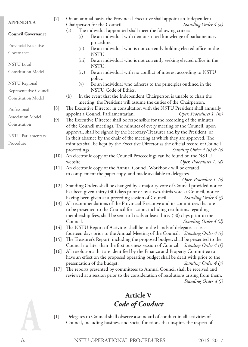| <b>APPENDIX A</b>                                   | $[7]$                |              | On an annual basis, the Provincial Executive shall appoint an Independent<br>Chairperson for the Council.                                                          | Standing Order 4 (a)          |
|-----------------------------------------------------|----------------------|--------------|--------------------------------------------------------------------------------------------------------------------------------------------------------------------|-------------------------------|
| <b>Council Governance</b>                           |                      | (a)<br>(i)   | The individual appointed shall meet the following criteria.<br>Be an individual with demonstrated knowledge of parliamentary                                       |                               |
| Provincial Executive                                |                      | (ii)         | procedure.<br>Be an individual who is not currently holding elected office in the                                                                                  |                               |
| Governance                                          |                      |              | NSTU.                                                                                                                                                              |                               |
| <b>NSTU</b> Local                                   |                      | (iii)        | Be an individual who is not currently seeking elected office in the<br>NSTU.                                                                                       |                               |
| <b>Constitution Model</b>                           |                      | (iv)         | Be an individual with no conflict of interest according to NSTU<br>policy.                                                                                         |                               |
| <b>NSTU</b> Regional                                |                      | (v)          | Be an individual who adheres to the principles outlined in the<br>NSTU Code of Ethics.                                                                             |                               |
| Representative Council<br><b>Constitution Model</b> |                      | (b)          | In the event that the Independent Chairperson is unable to chair the                                                                                               |                               |
|                                                     |                      |              | meeting, the President will assume the duties of the Chairperson.                                                                                                  |                               |
| Professional                                        | [8]                  |              | The Executive Director in consultation with the NSTU President shall annually                                                                                      |                               |
| <b>Association Model</b>                            |                      |              | appoint a Council Parliamentarian.                                                                                                                                 | Oper. Procedures 1. (m)       |
| Constitution                                        | $[9]$                |              | The Executive Director shall be responsible for the recording of the minutes                                                                                       |                               |
|                                                     |                      |              | of the Council meetings. The minutes of every meeting of the Council, upon<br>approval, shall be signed by the Secretary-Treasurer and by the President, or        |                               |
| <b>NSTU Parliamentary</b>                           |                      |              | in their absence by the chair of the meeting at which they are approved. The                                                                                       |                               |
| Procedure                                           |                      |              | minutes shall be kept by the Executive Director as the official record of Council                                                                                  |                               |
|                                                     |                      | proceedings. |                                                                                                                                                                    | Standing Order $4(b)$ & $(c)$ |
|                                                     | $[10]$               |              | An electronic copy of the Council Proceedings can be found on the NSTU                                                                                             |                               |
|                                                     |                      | website.     |                                                                                                                                                                    | Oper. Procedures 1. (d)       |
|                                                     | $[11]$               |              | An electronic copy of the Annual Council Workbook will be created                                                                                                  |                               |
|                                                     |                      |              | to complement the paper copy, and made available to delegates.                                                                                                     |                               |
|                                                     |                      |              |                                                                                                                                                                    | Oper. Procedure 1. (e)        |
|                                                     | $[12]$               |              | Standing Orders shall be changed by a majority vote of Council provided notice<br>has been given thirty (30) days prior or by a two-thirds vote at Council, notice |                               |
|                                                     |                      |              | having been given at a preceding session of Council.                                                                                                               | Standing Order 4 (j)          |
|                                                     | $[13]$               |              | All recommendations of the Provincial Executive and its committees that are                                                                                        |                               |
|                                                     |                      |              | to be presented to the Council for action, including resolutions regarding                                                                                         |                               |
|                                                     |                      | Council.     | membership fees, shall be sent to Locals at least thirty (30) days prior to the                                                                                    | Standing Order 4 (d)          |
|                                                     | 14                   |              | The NSTU Report of Activities shall be in the hands of delegates at least                                                                                          |                               |
|                                                     | $[15]$               |              | fourteen days prior to the Annual Meeting of the Council. Standing Order 4 (e)<br>The Treasurer's Report, including the proposed budget, shall be presented to the |                               |
|                                                     |                      |              | Council no later than the first business session of Council. Standing Order 4 (f)                                                                                  |                               |
|                                                     | $\lceil 16 \rceil$   |              | All resolutions that are identified by the Finance and Property Committee to<br>have an effect on the proposed operating budget shall be dealt with prior to the   |                               |
|                                                     |                      |              | presentation of the budget.                                                                                                                                        | Standing Order 4 (g)          |
|                                                     | $\lfloor 17 \rfloor$ |              | The reports presented by committees to Annual Council shall be received and                                                                                        |                               |
|                                                     |                      |              | reviewed at a session prior to the consideration of resolutions arising from them.                                                                                 | Standing Order 4 (i)          |
|                                                     |                      |              | <b>Article V</b>                                                                                                                                                   |                               |
|                                                     |                      |              |                                                                                                                                                                    |                               |
|                                                     |                      |              | Code of Conduct                                                                                                                                                    |                               |
|                                                     |                      |              |                                                                                                                                                                    |                               |
|                                                     | $[1]$                |              | Delegates to Council shall observe a standard of conduct in all activities of<br>Council, including business and social functions that inspires the respect of     |                               |
| iv                                                  |                      |              | NSTU OPERATIONAL PROCEDURES                                                                                                                                        | 2016-2017                     |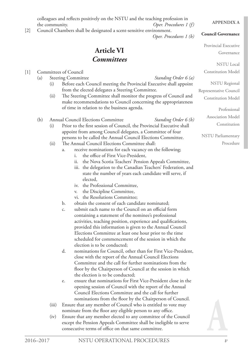colleagues and reflects positively on the NSTU and the teaching profession in the community. *Oper. Procedures 1 (f)*

> **Article VI** *Committees*

## [2] Council Chambers shall be designated a scent-sensitive environment.

## *Oper. Procedures 1 (b)*

## **Council Governance**

**APPENDIX A**

Provincial Executive Governance

> NSTU Local nstitution Model

> NSTU Regional

entative Council stitution Model

> Professional sociation Model Constitution

U Parliamentary Procedure

| $[1]$ |     |       | <b>Committees of Council</b>                                          | Con        |
|-------|-----|-------|-----------------------------------------------------------------------|------------|
|       | (a) |       | <b>Steering Committee</b><br>Standing Order 6 (a)                     |            |
|       |     | (i)   | Before each Council meeting the Provincial Executive shall appoint    |            |
|       |     |       | from the elected delegates a Steering Committee.                      | Represe    |
|       |     | (ii)  | The Steering Committee shall monitor the progress of Council and      | Con        |
|       |     |       | make recommendations to Council concerning the appropriateness        |            |
|       |     |       | of time in relation to the business agenda.                           |            |
|       | (b) |       | Annual Council Elections Committee<br>Standing Order 6 (b)            | As         |
|       |     | (i)   | Prior to the first session of Council, the Provincial Executive shall |            |
|       |     |       | appoint from among Council delegates, a Committee of four             |            |
|       |     |       | persons to be called the Annual Council Elections Committee.          | <b>NST</b> |
|       |     | (ii)  | The Annual Council Elections Committee shall:                         |            |
|       |     |       | receive nominations for each vacancy on the following;<br>a.          |            |
|       |     |       | the office of First Vice-President,<br>i.                             |            |
|       |     |       | the Nova Scotia Teachers' Pension Appeals Committee,<br>ii.           |            |
|       |     |       | iii. the delegation to the Canadian Teachers' Federation, and         |            |
|       |     |       | state the number of years each candidate will serve, if               |            |
|       |     |       | elected,                                                              |            |
|       |     |       | iv. the Professional Committee,                                       |            |
|       |     |       | the Discipline Committee,<br>V.<br>vi. the Resolutions Committee;     |            |
|       |     |       | obtain the consent of each candidate nominated;<br>b.                 |            |
|       |     |       | submit each name to the Council on an official form<br>C.             |            |
|       |     |       | containing a statement of the nominee's professional                  |            |
|       |     |       | activities, teaching position, experience and qualifications,         |            |
|       |     |       | provided this information is given to the Annual Council              |            |
|       |     |       | Elections Committee at least one hour prior to the time               |            |
|       |     |       | scheduled for commencement of the session in which the                |            |
|       |     |       | election is to be conducted;                                          |            |
|       |     |       | d.<br>nominations for Council, other than for First Vice-President,   |            |
|       |     |       | close with the report of the Annual Council Elections                 |            |
|       |     |       | Committee and the call for further nominations from the               |            |
|       |     |       | floor by the Chairperson of Council at the session in which           |            |
|       |     |       | the election is to be conducted;                                      |            |
|       |     |       | ensure that nominations for First Vice-President close in the<br>e.   |            |
|       |     |       | opening session of Council with the report of the Annual              |            |
|       |     |       | Council Elections Committee and the call for further                  |            |
|       |     |       | nominations from the floor by the Chairperson of Council.             |            |
|       |     | (iii) | Ensure that any member of Council who is entitled to vote may         |            |
|       |     |       | nominate from the floor any eligible person to any office.            |            |
|       |     | (iv)  | Ensure that any member elected to any committee of the Council        |            |
|       |     |       | except the Pension Appeals Committee shall be ineligible to serve     |            |



consecutive terms of office on that same committee.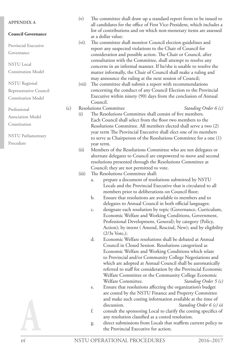#### **APPENDIX A**

#### **Council Governance**

Provincial Executive

Governance

NSTU Local

Constitution Model

NSTU Regional Representative Council

Constitution Model

Professional Association Model

Constitution

NSTU Parliamentary Procedure

(v) The committee shall draw up a standard report form to be issued to all candidates for the office of First Vice-President, which includes a list of contributions and on which non-monetary items are assessed at a dollar value;

(vi) The committee shall monitor Council election guidelines and report any suspected violations to the Chair of Council for consideration and possible action. The Chair or Council, after consultation with the Committee, shall attempt to resolve any concerns in an informal manner. If he/she is unable to resolve the matter informally, the Chair of Council shall make a ruling and may announce the ruling at the next session of Council;

(vii) The committee shall submit a report with recommendations concerning the conduct of any Council Election to the Provincial Executive within ninety (90) days from the conclusion of Annual Council.

## (c) Resolutions Committee *Standing Order 6 (c)*

- (i) The Resolutions Committee shall consist of five members. Each Council shall select from the floor two members to the Resolutions Committee. All members elected shall serve a two (2) year term The Provincial Executive shall elect one of its members to serve as Chairperson of the Resolutions Committee for a one (1) year term.
- (ii) Members of the Resolutions Committee who are not delegates or alternate delegates to Council are empowered to move and second resolutions presented through the Resolutions Committee at Council; they are not permitted to vote.
- (iii) The Resolutions Committee shall:
	- a. prepare a document of resolutions submitted by NSTU Locals and the Provincial Executive that is circulated to all members prior to deliberations on Council floor;
	- b. Ensure that resolutions are available to members and to delegates to Annual Council in both official languages;
	- c. designate each resolution by topic (Governance, Curriculum, Economic Welfare and Working Conditions, Government, Professional Development, General); by category (Policy, Action); by intent ( Amend, Rescind, New); and by eligibility (2/3s Vote,);
	- d. Economic Welfare resolutions shall be debated at Annual Council in Closed Session. Resolutions categorized as Economic Welfare and Working Conditions which relate to Provincial and/or Community College Negotiations and which are adopted at Annual Council shall be automatically referred to staff for consideration by the Provincial Economic Welfare Committee or the Community College Economic Welfare Committee. *Standing Order 5 (c)*
	- e. Ensure that resolutions affecting the organization's budget are costed by the NSTU Finance and Property Committee and make such costing information available at the time of discussion. *Standing Order 6 (c) iii*
	- f. consult the sponsoring Local to clarify the costing specifics of any resolution classified as a costed resolution.
	- g. direct submissions from Locals that reaffirm current policy to the Provincial Executive for action;

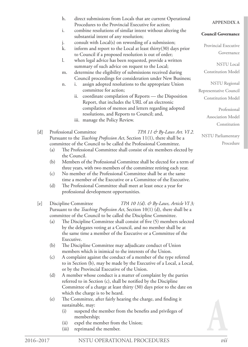|       |     | h.<br>direct submissions from Locals that are current Operational<br>Procedures to the Provincial Executive for action;                                                  | <b>APPENDIXA</b>          |
|-------|-----|--------------------------------------------------------------------------------------------------------------------------------------------------------------------------|---------------------------|
|       |     | combine resolutions of similar intent without altering the<br>i.<br>substantial intent of any resolution;                                                                | <b>Council Governance</b> |
|       |     | consult with Local(s) on rewording of a submission;<br>j.                                                                                                                | Provincial Executive      |
|       |     | k.<br>inform and report to the Local at least thirty $(30)$ days prior                                                                                                   | Governance                |
|       |     | to Council if a proposed resolution is out of order;<br>1.<br>when legal advice has been requested, provide a written<br>summary of such advice on request to the Local; | <b>NSTU</b> Local         |
|       |     | determine the eligibility of submissions received during<br>m.                                                                                                           | <b>Constitution Model</b> |
|       |     | Council proceedings for consideration under New Business;<br>assign adopted resolutions to the appropriate Union<br>i.<br>n.                                             | <b>NSTU</b> Regional      |
|       |     | committee for action;                                                                                                                                                    | Representative Council    |
|       |     | coordinate compilation of Reports - the Disposition<br>ii.                                                                                                               | <b>Constitution Model</b> |
|       |     | Report, that includes the URL of an electronic                                                                                                                           |                           |
|       |     | compilation of memos and letters regarding adopted                                                                                                                       | Professional              |
|       |     | resolutions, and Reports to Council; and,                                                                                                                                | Association Model         |
|       |     | iii. manage the Policy Review.                                                                                                                                           |                           |
|       |     |                                                                                                                                                                          | Constitution              |
| [d]   |     | Professional Committee<br>TPA 11 & By-Laws Art. VI 2.                                                                                                                    | <b>NSTU</b> Parliamentary |
|       |     | Pursuant to the Teaching Profession Act, Section 11(1), there shall be a                                                                                                 | Procedure                 |
|       |     | committee of the Council to be called the Professional Committee.                                                                                                        |                           |
|       | (a) | The Professional Committee shall consist of six members elected by                                                                                                       |                           |
|       | (b) | the Council.<br>Members of the Professional Committee shall be elected for a term of                                                                                     |                           |
|       |     | three years, with two members of the committee retiring each year.                                                                                                       |                           |
|       | (c) | No member of the Professional Committee shall be at the same                                                                                                             |                           |
|       |     | time a member of the Executive or a Committee of the Executive.                                                                                                          |                           |
|       | (d) | The Professional Committee shall meet at least once a year for                                                                                                           |                           |
|       |     | professional development opportunities.                                                                                                                                  |                           |
|       |     |                                                                                                                                                                          |                           |
| [e]   |     | TPA 10 $1(d)$ . & By-Laws, Article VI 3;<br>Discipline Committee<br>Pursuant to the Teaching Profession Act, Section 10(1) (d), there shall be a                         |                           |
|       |     | committee of the Council to be called the Discipline Committee.                                                                                                          |                           |
|       | (a) | The Discipline Committee shall consist of five (5) members selected                                                                                                      |                           |
|       |     | by the delegates voting at a Council, and no member shall be at                                                                                                          |                           |
|       |     | the same time a member of the Executive or a Committee of the                                                                                                            |                           |
|       |     | Executive.                                                                                                                                                               |                           |
|       | (b) | The Discipline Committee may adjudicate conduct of Union                                                                                                                 |                           |
|       |     | members which is inimical to the interests of the Union.                                                                                                                 |                           |
|       | (c) | A complaint against the conduct of a member of the type referred                                                                                                         |                           |
|       |     | to in Section (b), may be made by the Executive of a Local, a Local,                                                                                                     |                           |
|       |     | or by the Provincial Executive of the Union.                                                                                                                             |                           |
|       | (d) | A member whose conduct is a matter of complaint by the parties                                                                                                           |                           |
|       |     | referred to in Section (c), shall be notified by the Discipline                                                                                                          |                           |
|       |     | Committee of a charge at least thirty (30) days prior to the date on                                                                                                     |                           |
|       |     | which the charge is to be heard.                                                                                                                                         |                           |
|       | (e) | The Committee, after fairly hearing the charge, and finding it<br>sustainable, may:                                                                                      |                           |
|       |     | suspend the member from the benefits and privileges of<br>(i)                                                                                                            |                           |
|       |     | membership;                                                                                                                                                              |                           |
|       |     | expel the member from the Union;<br>(ii)                                                                                                                                 |                           |
|       |     | reprimand the member.<br>(iii)                                                                                                                                           |                           |
| -2017 |     | NSTU OPERATIONAL PROCEDURES                                                                                                                                              | vii                       |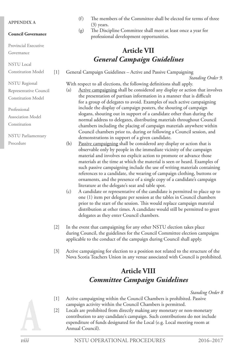#### **APPENDIX A**

**Council Governance**

Provincial Executive

Governance

NSTU Local

NSTU Regional

Professional

Procedure

Association Model Constitution

NSTU Parliamentary

Constitution Model

Representative Council Constitution Model

- (f) The members of the Committee shall be elected for terms of three (3) years.
- (g) The Discipline Committee shall meet at least once a year for professional development opportunities.

## **Article VII** *General Campaign Guidelines*

[1] General Campaign Guidelines – Active and Passive Campaigning *Standing Order 9.*

With respect to all elections, the following definitions shall apply.

- (a) Active campaigning shall be considered any display or action that involves the presentation of partisan information in a manner that is difficult for a group of delegates to avoid. Examples of such active campaigning include the display of campaign posters, the shouting of campaign slogans, shouting out in support of a candidate other than during the normal address to delegates, distributing materials throughout Council chambers including the placing of campaign materials anywhere within Council chambers prior to, during or following a Council session, and demonstrations in support of a given candidate.
- (b) Passive campaigning shall be considered any display or action that is observable only by people in the immediate vicinity of the campaign material and involves no explicit action to promote or advance those materials at the time at which the material is seen or heard. Examples of such passive campaigning include the use of writing materials containing references to a candidate, the wearing of campaign clothing, buttons or ornaments, and the presence of a single copy of a candidate's campaign literature at the delegate's seat and table spot.
- (c) A candidate or representative of the candidate is permitted to place up to one (1) item per delegate per session at the tables in Council chambers prior to the start of the session. This would replace campaign material distribution at other times. A candidate would still be permitted to greet delegates as they enter Council chambers.
- [2] In the event that campaigning for any other NSTU election takes place during Council, the guidelines for the Council Committee election campaigns applicable to the conduct of the campaign during Council shall apply.
- [3] Active campaigning for election to a position not related to the structure of the Nova Scotia Teachers Union in any venue associated with Council is prohibited.

## **Article VIII** *Committee Campaign Guidelines*

*Standing Order 8*

- [1] Active campaigning within the Council Chambers is prohibited. Passive campaign activity within the Council Chambers is permitted.
- [2] Locals are prohibited from directly making any monetary or non-monetary contribution to any candidate's campaign. Such contributions do not include expenditure of funds designated for the Local (e.g. Local meeting room at Annual Council).

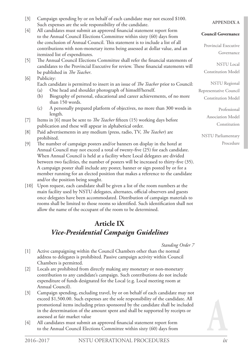- [3] Campaign spending by or on behalf of each candidate may not exceed \$100. Such expenses are the sole responsibility of the candidate.
- [4] All candidates must submit an approved financial statement report form to the Annual Council Elections Committee within sixty (60) days from the conclusion of Annual Council. This statement is to include a list of all contributions with non-monetary items being assessed at dollar value, and an itemized list of expenditures.
- [5] The Annual Council Elections Committee shall refer the financial statements of candidates to the Provincial Executive for review. These financial statements will be published in *The Teacher*.
- [6] Publicity:
	- Each candidate is permitted to insert in an issue of *The Teacher* prior to Council:
	- (a) One head and shoulder photograph of himself/herself.
	- (b) Biography of personal, educational and career achievements, of no more than 150 words.
	- (c) A personally prepared platform of objectives, no more than 300 words in length.
- [7] Items in [6] must be sent to *The Teacher* fifteen (15) working days before publication and these will appear in alphabetical order.
- [8] Paid advertisements in any medium (press, radio, TV, *The Teacher*) are prohibited.
- [9] The number of campaign posters and/or banners on display in the hotel at Annual Council may not exceed a total of twenty-five (25) for each candidate. When Annual Council is held at a facility where Local delegates are divided between two facilities, the number of posters will be increased to thirty-five (35). A campaign poster shall include any poster, banner or sign posted by or for a member running for an elected position that makes a reference to the candidate and/or the position being sought.
- [10] Upon request, each candidate shall be given a list of the room numbers at the main facility used by NSTU delegates, alternates, official observers and guests once delegates have been accommodated. Distribution of campaign materials to rooms shall be limited to those rooms so identified. Such identification shall not allow the name of the occupant of the room to be determined.

## **Article IX** *Vice-Presidential Campaign Guidelines*

- *Standing Order 7*
- [1] Active campaigning within the Council Chambers other than the normal address to delegates is prohibited. Passive campaign activity within Council Chambers is permitted.
- [2] Locals are prohibited from directly making any monetary or non-monetary contribution to any candidate's campaign. Such contributions do not include expenditure of funds designated for the Local (e.g. Local meeting room at Annual Council).
- [3] Campaign spending, excluding travel, by or on behalf of each candidate may not exceed \$1,500.00. Such expenses are the sole responsibility of the candidate. All promotional items including prizes sponsored by the candidate shall be included in the determination of the amount spent and shall be supported by receipts or assessed at fair market value
- [4] All candidates must submit an approved financial statement report form to the Annual Council Elections Committee within sixty (60) days from

## **APPENDIX A**

## **Council Governance**

Provincial Executive Governance

NSTU Local Constitution Model

NSTU Regional

Representative Council Constitution Model

> Professional Association Model Constitution

NSTU Parliamentary Procedure

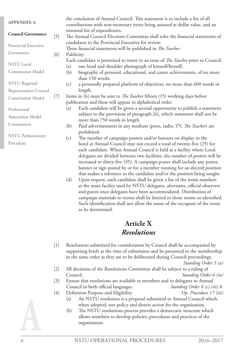| <b>APPENDIX A</b>         |       |     | the conclusion of Annual Council. This statement is to include a list of all<br>contributions with non-monetary items being assessed at dollar value, and an                                                                                                                                                 |
|---------------------------|-------|-----|--------------------------------------------------------------------------------------------------------------------------------------------------------------------------------------------------------------------------------------------------------------------------------------------------------------|
| <b>Council Governance</b> | $[5]$ |     | itemized list of expenditures.<br>The Annual Council Elections Committee shall refer the financial statements of                                                                                                                                                                                             |
| Provincial Executive      |       |     | candidates to the Provincial Executive for review.<br>These financial statements will be published in The Teacher.                                                                                                                                                                                           |
| Governance                | [6]   |     | Publicity:                                                                                                                                                                                                                                                                                                   |
| <b>NSTU</b> Local         |       | (a) | Each candidate is permitted to insert in an issue of <i>The Teacher</i> prior to Council:<br>one head and shoulder photograph of himself/herself;                                                                                                                                                            |
| <b>Constitution Model</b> |       | (b) | biography of personal, educational, and career achievements, of no more<br>than 150 words;                                                                                                                                                                                                                   |
| <b>NSTU</b> Regional      |       | (c) | a personally prepared platform of objectives, no more than 600 words in                                                                                                                                                                                                                                      |
| Representative Council    |       |     | length.                                                                                                                                                                                                                                                                                                      |
| <b>Constitution Model</b> | $[7]$ |     | Items in [6] must be sent to <i>The Teacher</i> fifteen (15) working days before                                                                                                                                                                                                                             |
|                           |       |     | publication and these will appear in alphabetical order.                                                                                                                                                                                                                                                     |
| Professional              |       | (a) | Each candidate will be given a second opportunity to publish a statement                                                                                                                                                                                                                                     |
| <b>Association Model</b>  |       |     | subject to the provisions of paragraph [6], which statement shall not be<br>more than 750 words in length.                                                                                                                                                                                                   |
| Constitution              |       | (b) | Paid advertisements in any medium (press, radio, TV, The Teacher) are<br>prohibited.                                                                                                                                                                                                                         |
| NSTU Parliamentary        |       | (c) | The number of campaign posters and/or banners on display in the                                                                                                                                                                                                                                              |
| Procedure                 |       |     | hotel at Annual Council may not exceed a total of twenty-five (25) for<br>each candidate. When Annual Council is held at a facility where Local<br>delegates are divided between two facilities, the number of posters will be<br>increased to thirty-five (35). A campaign poster shall include any poster, |

that makes a reference to the candidate and/or the position being sought. (d) Upon request, each candidate shall be given a list of the room numbers at the main facility used by NSTU delegates, alternates, official observers and guests once delegates have been accommodated. Distribution of campaign materials to rooms shall be limited to those rooms so identified. Such identification shall not allow the name of the occupant of the room to be determined.

banner or sign posted by or for a member running for an elected position

## **Article X** *Resolutions*

[1] Resolutions submitted for consideration by Council shall be accompanied by supporting briefs at the time of submission and be presented to the membership in the same order as they are to be deliberated during Council proceedings.

- [2] All decisions of the Resolutions Committee shall be subject to a ruling of Council. *Standing Order 6 (m)*
- [3] Ensure that resolutions are available to members and to delegates to Annual Council in both official languages. *Standing Order 6 (c) (iii) b.*
- [4] Definition Purpose and Eligibility *Op. Procedure 17 (iii)*
	- (a) An NSTU resolution is a proposal submitted to Annual Council which, when adopted, sets policy and directs action for the organization.
	- (b) The NSTU resolutions process provides a democratic structure which allows members to develop policies, procedures and practices of the organization.

*Standing Order 5 (a)*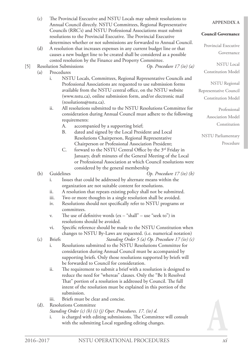|       | (c)       |               |                               | The Provincial Executive and NSTU Locals may submit resolutions to<br>Annual Council directly. NSTU Committees, Regional Representative           | <b>APPENDIX A</b>                  |
|-------|-----------|---------------|-------------------------------|---------------------------------------------------------------------------------------------------------------------------------------------------|------------------------------------|
|       |           |               |                               | Councils (RRC's) and NSTU Professional Associations must submit<br>resolutions to the Provincial Executive. The Provincial Executive              | <b>Council Governance</b>          |
|       | (d)       |               |                               | determines whether or not submissions are forwarded to Annual Council.<br>A resolution that increases expenses in any current budget line or that | Provincial Executive<br>Governance |
|       |           |               |                               | causes a new budget line to be created shall be considered as a possible<br>costed resolution by the Finance and Property Committee.              | <b>NSTU</b> Local                  |
| $[5]$ |           |               | <b>Resolution Submissions</b> | Op. Procedure $17(iv)$ (a)                                                                                                                        |                                    |
|       | (a)       |               | Procedures                    |                                                                                                                                                   | <b>Constitution Model</b>          |
|       |           | i.            |                               | NSTU Locals, Committees, Regional Representative Councils and                                                                                     | <b>NSTU</b> Regional               |
|       |           |               |                               | Professional Associations are requested to use submission forms<br>available from the NSTU central office, on the NSTU website                    |                                    |
|       |           |               |                               | (www.nstu.ca), online submission form, and/or electronic mail                                                                                     | Representative Council             |
|       |           |               |                               | (resolutions@nstu.ca).                                                                                                                            | <b>Constitution Model</b>          |
|       |           | ii.           |                               | All resolutions submitted to the NSTU Resolutions Committee for                                                                                   |                                    |
|       |           |               |                               | consideration during Annual Council must adhere to the following                                                                                  | Professional                       |
|       |           |               |                               | requirements:                                                                                                                                     | <b>Association Model</b>           |
|       |           |               | A.                            | accompanied by a supporting brief;                                                                                                                | Constitution                       |
|       |           |               | <b>B.</b>                     | dated and signed by the Local President and Local                                                                                                 |                                    |
|       |           |               |                               | Resolutions Chairperson, Regional Representative                                                                                                  | <b>NSTU</b> Parliamentary          |
|       |           |               |                               | Chairperson or Professional Association President;                                                                                                | Procedure                          |
|       |           |               | C.                            | forward to the NSTU Central Office by the 3 <sup>rd</sup> Friday in                                                                               |                                    |
|       |           |               |                               | January, draft minutes of the General Meeting of the Local                                                                                        |                                    |
|       |           |               |                               | or Professional Association at which Council resolutions were                                                                                     |                                    |
|       |           |               |                               | considered by the general membership                                                                                                              |                                    |
|       | (b)       |               | Guidelines                    | Op. Procedure $17(iv)$ (b)                                                                                                                        |                                    |
|       |           | i.            |                               | Issues that could be addressed by alternate means within the                                                                                      |                                    |
|       |           |               |                               | organization are not suitable content for resolutions.                                                                                            |                                    |
|       |           | ii.           |                               | A resolution that repeats existing policy shall not be submitted.                                                                                 |                                    |
|       |           | iii.          |                               | Two or more thoughts in a single resolution shall be avoided.                                                                                     |                                    |
|       |           | iv.           |                               | Resolutions should not specifically refer to NSTU programs or                                                                                     |                                    |
|       |           |               |                               | committees.                                                                                                                                       |                                    |
|       |           | V.            |                               | The use of definitive words $(ex - "shall" - use "seek to")$ in                                                                                   |                                    |
|       |           |               |                               | resolutions should be avoided.                                                                                                                    |                                    |
|       |           | vi.           |                               | Specific reference should be made to the NSTU Constitution when                                                                                   |                                    |
|       | (c)       | <b>Briefs</b> |                               | changes to NSTU By-Laws are requested. (i.e. numerical notation)<br>Standing Order 5 (a) Op. Procedure 17 (iv) (c)                                |                                    |
|       |           | i.            |                               | Resolutions submitted to the NSTU Resolutions Committee for                                                                                       |                                    |
|       |           |               |                               | consideration during Annual Council must be accompanied by                                                                                        |                                    |
|       |           |               |                               | supporting briefs. Only those resolutions supported by briefs will                                                                                |                                    |
|       |           |               |                               | be forwarded to Council for consideration.                                                                                                        |                                    |
|       |           | ii.           |                               | The requirement to submit a brief with a resolution is designed to                                                                                |                                    |
|       |           |               |                               | reduce the need for "whereas" clauses. Only the "Be It Resolved                                                                                   |                                    |
|       |           |               |                               | That" portion of a resolution is addressed by Council. The full                                                                                   |                                    |
|       |           |               |                               | intent of the resolution must be explained in this portion of the                                                                                 |                                    |
|       |           |               |                               | submission.                                                                                                                                       |                                    |
|       |           | iii.          |                               | Briefs must be clear and concise.                                                                                                                 |                                    |
|       | (d).      |               |                               | <b>Resolutions Committee</b>                                                                                                                      |                                    |
|       |           |               |                               | Standing Order (c) (h) (i) (j) Oper. Procedures. 17. (iv) d.                                                                                      |                                    |
|       |           | i.            |                               | is charged with editing submissions. The Committee will consult                                                                                   |                                    |
|       |           |               |                               | with the submitting Local regarding editing changes.                                                                                              |                                    |
|       |           |               |                               |                                                                                                                                                   |                                    |
|       | 2016–2017 |               |                               | NSTU OPERATIONAL PROCEDURES                                                                                                                       | xi                                 |
|       |           |               |                               |                                                                                                                                                   |                                    |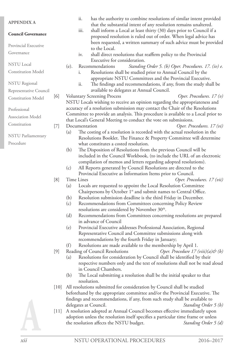|                           |                      |      | ii.           | has the authority to combine resolutions of similar intent provided                                                                                  |
|---------------------------|----------------------|------|---------------|------------------------------------------------------------------------------------------------------------------------------------------------------|
| <b>APPENDIX A</b>         |                      |      |               | that the substantial intent of any resolution remains unaltered.                                                                                     |
| <b>Council Governance</b> |                      |      | iii.          | shall inform a Local at least thirty (30) days prior to Council if a                                                                                 |
|                           |                      |      |               | proposed resolution is ruled out of order. When legal advice has                                                                                     |
| Provincial Executive      |                      |      |               | been requested, a written summary of such advice must be provided<br>to the Local.                                                                   |
| Governance                |                      |      | iv.           | shall direct resolutions that reaffirm policy to the Provincial                                                                                      |
|                           |                      |      |               | Executive for consideration.                                                                                                                         |
| <b>NSTU</b> Local         |                      | (e). |               | Recommendations<br>Standing Order 5. (b) Oper. Procedures. 17. (iv) e.                                                                               |
| <b>Constitution Model</b> |                      |      | i.            | Resolutions shall be studied prior to Annual Council by the                                                                                          |
|                           |                      |      |               | appropriate NSTU Committees and the Provincial Executive.                                                                                            |
| <b>NSTU</b> Regional      |                      |      | ii.           | The findings and recommendations, if any, from the study shall be                                                                                    |
| Representative Council    |                      |      |               | available to delegates at Annual Council.                                                                                                            |
| <b>Constitution Model</b> | [6]                  |      |               | <b>Voluntary Screening Process</b><br>Oper. Procedures. $17(v)$                                                                                      |
|                           |                      |      |               | NSTU Locals wishing to receive an opinion regarding the appropriateness and                                                                          |
| Professional              |                      |      |               | accuracy of a resolution submission may contact the Chair of the Resolutions                                                                         |
| Association Model         |                      |      |               | Committee to provide an analysis. This procedure is available to a Local prior to                                                                    |
| Constitution              | $[7]$                |      | Documentation | that Local's General Meeting to conduct the vote on submissions.<br>Oper. Procedures. 17 (vi)                                                        |
|                           |                      | (a)  |               | The costing of a resolution is recorded with the actual resolution in the                                                                            |
| <b>NSTU</b> Parliamentary |                      |      |               | Resolutions Booklet. The Finance & Property Committee will determine                                                                                 |
| Procedure                 |                      |      |               | what constitutes a costed resolution.                                                                                                                |
|                           |                      | (b)  |               | The Disposition of Resolutions from the previous Council will be                                                                                     |
|                           |                      |      |               | included in the Council Workbook, (to include the URL of an electronic                                                                               |
|                           |                      |      |               | compilation of memos and letters regarding adopted resolutions).                                                                                     |
|                           |                      | (c)  |               | All Reports generated by Council Resolutions are directed to the                                                                                     |
|                           |                      |      |               | Provincial Executive as Information Items prior to Council.                                                                                          |
|                           | [8]                  |      | Time Lines    | Oper. Procedures. 17 (vii)                                                                                                                           |
|                           |                      | (a)  |               | Locals are requested to appoint the Local Resolution Committee                                                                                       |
|                           |                      |      |               | Chairpersons by October 1 <sup>st</sup> and submit names to Central Office.                                                                          |
|                           |                      | (b)  |               | Resolution submission deadline is the third Friday in December.                                                                                      |
|                           |                      | (c)  |               | Recommendations from Committees concerning Policy Review<br>resolutions are considered by November 30 <sup>th</sup> .                                |
|                           |                      | (d)  |               | Recommendations from Committees concerning resolutions are prepared                                                                                  |
|                           |                      |      |               | in advance of Council                                                                                                                                |
|                           |                      | (e)  |               | Provincial Executive addresses Professional Association, Regional                                                                                    |
|                           |                      |      |               | Representative Council and Committee submissions along with                                                                                          |
|                           |                      |      |               | recommendations by the fourth Friday in January;                                                                                                     |
|                           |                      | (f)  |               | Resolutions are made available to the membership by April 1.                                                                                         |
|                           | [9]                  |      |               | Reading of Council Resolutions<br>Oper. Procedure $17 \, (viii)(a)$ & (b)                                                                            |
|                           |                      | (a)  |               | Resolutions for consideration by Council shall be identified by their                                                                                |
|                           |                      |      |               | respective numbers only and the text of resolutions shall not be read aloud                                                                          |
|                           |                      |      |               | in Council Chambers.                                                                                                                                 |
|                           |                      | (b)  | resolution.   | The Local submitting a resolution shall be the initial speaker to that                                                                               |
|                           | $\lfloor 10 \rfloor$ |      |               | All resolutions submitted for consideration by Council shall be studied                                                                              |
|                           |                      |      |               | beforehand by the appropriate committee and/or the Provincial Executive. The                                                                         |
|                           |                      |      |               | findings and recommendations, if any, from such study shall be available to                                                                          |
|                           |                      |      |               | delegates at Council.<br>Standing Order 5 (b)                                                                                                        |
|                           | $[11]$               |      |               | A resolution adopted at Annual Council becomes effective immediately upon                                                                            |
|                           |                      |      |               | adoption unless the resolution itself specifies a particular time frame or unless<br>the resolution affects the NSTU budget.<br>Standing Order 5 (d) |
|                           |                      |      |               |                                                                                                                                                      |
|                           |                      |      |               |                                                                                                                                                      |
|                           |                      |      |               |                                                                                                                                                      |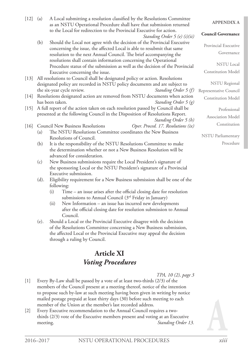| $[12]$ | (a)  | A Local submitting a resolution classified by the Resolutions Committee<br>as an NSTU Operational Procedure shall have that submission returned    | <b>APPENDIX A</b>         |
|--------|------|----------------------------------------------------------------------------------------------------------------------------------------------------|---------------------------|
|        |      | to the Local for redirection to the Provincial Executive for action.<br>Standing Order 5 (e) (i)(ii)                                               | <b>Council Governance</b> |
|        | (b)  | Should the Local not agree with the decision of the Provincial Executive<br>concerning the issue, the affected Local is able to resubmit that same | Provincial Executive      |
|        |      | resolution to the next Annual Council. The brief accompanying the                                                                                  | Governance                |
|        |      | resolutions shall contain information concerning the Operational                                                                                   |                           |
|        |      | Procedure status of the submission as well as the decision of the Provincial                                                                       | <b>NSTU</b> Local         |
|        |      | Executive concerning the issue.                                                                                                                    | <b>Constitution Model</b> |
| $[13]$ |      | All resolutions to Council shall be designated policy or action. Resolutions                                                                       |                           |
|        |      | designated policy are recorded in NSTU policy documents and are subject to                                                                         | <b>NSTU</b> Regional      |
|        |      | the six-year cycle review.<br>Standing Order 5 (f)                                                                                                 | Representative Council    |
| $[14]$ |      | Resolutions designated action are removed from NSTU documents when action                                                                          | <b>Constitution Model</b> |
|        |      | has been taken.<br>Standing Order 5 (g)                                                                                                            |                           |
| $[15]$ |      | A full report of the action taken on each resolution passed by Council shall be                                                                    | Professional              |
|        |      | presented at the following Council in the Disposition of Resolutions Report.                                                                       | Association Model         |
|        |      | Standing Order 5 (h)                                                                                                                               | Constitution              |
| [16]   |      | Oper. Proced. 17. Resolutions (ix)<br><b>Council New Business Resolutions</b>                                                                      |                           |
|        | (a)  | The NSTU Resolutions Committee coordinates the New Business                                                                                        | <b>NSTU</b> Parliamentary |
|        |      | Resolutions of Council.                                                                                                                            |                           |
|        | (b)  | It is the responsibility of the NSTU Resolutions Committee to make                                                                                 | Procedure                 |
|        |      | the determination whether or not a New Business Resolution will be                                                                                 |                           |
|        |      | advanced for consideration.                                                                                                                        |                           |
|        | (c)  | New Business submissions require the Local President's signature of                                                                                |                           |
|        |      | the sponsoring Local or the NSTU President's signature of a Provincial                                                                             |                           |
|        |      | Executive submission.                                                                                                                              |                           |
|        | (d). | Eligibility requirement for a New Business submission shall be one of the                                                                          |                           |
|        |      | following:                                                                                                                                         |                           |
|        |      | (i)<br>Time - an issue arises after the official closing date for resolution                                                                       |                           |
|        |      | submissions to Annual Council (3rd Friday in January)                                                                                              |                           |
|        |      | (ii)<br>New Information – an issue has incurred new developments                                                                                   |                           |
|        |      | after the official closing date for resolution submission to Annual<br>Council.                                                                    |                           |
|        | (e). | Should a Local or the Provincial Executive disagree with the decision                                                                              |                           |

of the Resolutions Committee concerning a New Business submission, the affected Local or the Provincial Executive may appeal the decision through a ruling by Council.

## **Article XI** *Voting Procedures*

*TPA, 10 (2), page 3*

- [1] Every By-Law shall be passed by a vote of at least two-thirds (2/3) of the members of the Council present at a meeting thereof, notice of the intention to propose such by-law at such meeting having been given in writing by notice mailed postage prepaid at least thirty days (30) before such meeting to each member of the Union at the member's last recorded address.
- [2] Every Executive recommendation to the Annual Council requires a twothirds (2/3) vote of the Executive members present and voting at an Executive meeting. **Standing Order 13.**

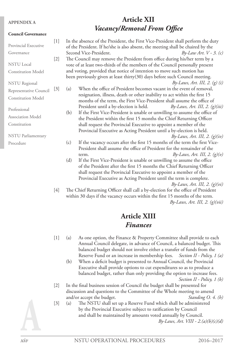#### **APPENDIX A**

#### **Council Governance**

## **Article XII** *Vacancy/Removal From Office*

| Provincial Executive      | $[1]$ | In the absence of the President, the First Vice-President shall perform the duty<br>of the President. If he/she is also absent, the meeting shall be chaired by the |                                                                                  |  |  |  |  |  |
|---------------------------|-------|---------------------------------------------------------------------------------------------------------------------------------------------------------------------|----------------------------------------------------------------------------------|--|--|--|--|--|
| Governance                |       | Second Vice-President.<br>$By-Law Art. V-3. (c)$                                                                                                                    |                                                                                  |  |  |  |  |  |
|                           | $[2]$ |                                                                                                                                                                     | The Council may remove the President from office during his/her term by a        |  |  |  |  |  |
| <b>NSTU</b> Local         |       |                                                                                                                                                                     | vote of at least two-thirds of the members of the Council personally present     |  |  |  |  |  |
| <b>Constitution Model</b> |       | and voting, provided that notice of intention to move such motion has                                                                                               |                                                                                  |  |  |  |  |  |
|                           |       |                                                                                                                                                                     | been previously given at least thirty(30) days before such Council meeting.      |  |  |  |  |  |
| <b>NSTU</b> Regional      |       |                                                                                                                                                                     | By-Laws, Art. III, 2. $(g)(i)$                                                   |  |  |  |  |  |
| Representative Council    | $[3]$ | (a)                                                                                                                                                                 | When the office of President becomes vacant in the event of removal,             |  |  |  |  |  |
| <b>Constitution Model</b> |       |                                                                                                                                                                     | resignation, illness, death or other inability to act within the first 15        |  |  |  |  |  |
|                           |       |                                                                                                                                                                     | months of the term, the First Vice-President shall assume the office of          |  |  |  |  |  |
| Professional              |       |                                                                                                                                                                     | President until a by-election is held.<br>By-Laws, Art. III, 2. $(g)(iii)$       |  |  |  |  |  |
| <b>Association Model</b>  |       | (b)                                                                                                                                                                 | If the First Vice-President is unable or unwilling to assume the office of       |  |  |  |  |  |
|                           |       |                                                                                                                                                                     | the President within the first 15 months the Chief Returning Officer             |  |  |  |  |  |
| Constitution              |       |                                                                                                                                                                     | shall request the Provincial Executive to appoint a member of the                |  |  |  |  |  |
|                           |       |                                                                                                                                                                     | Provincial Executive as Acting President until a by-election is held.            |  |  |  |  |  |
| <b>NSTU</b> Parliamentary |       |                                                                                                                                                                     | By-Laws, Art. III, 2. $(g)(iv)$                                                  |  |  |  |  |  |
| Procedure                 |       | (c)                                                                                                                                                                 | If the vacancy occurs after the first 15 months of the term the first Vice-      |  |  |  |  |  |
|                           |       |                                                                                                                                                                     | President shall assume the office of President for the remainder of the          |  |  |  |  |  |
|                           |       |                                                                                                                                                                     | By-Laws, Art. III, 2. $(g)(v)$<br>term.                                          |  |  |  |  |  |
|                           |       | (d)                                                                                                                                                                 | If the First Vice-President is unable or unwilling to assume the office          |  |  |  |  |  |
|                           |       |                                                                                                                                                                     | of the President after the first 15 months the Chief Returning Officer           |  |  |  |  |  |
|                           |       |                                                                                                                                                                     | shall request the Provincial Executive to appoint a member of the                |  |  |  |  |  |
|                           |       |                                                                                                                                                                     | Provincial Executive as Acting President until the term is complete.             |  |  |  |  |  |
|                           |       |                                                                                                                                                                     | By-Laws, Art. III, 2. $(q)(vi)$                                                  |  |  |  |  |  |
|                           | 14 I  |                                                                                                                                                                     | The Chief Returning Officer shall call a by-election for the office of President |  |  |  |  |  |

[4] The Chief Returning Officer shall call a by-election for the office of President within 30 days if the vacancy occurs within the first 15 months of the term. *By-Laws, Art. III, 2. (g)(vii)*

## **Article XIII** *Finances*

- [1] (a) As one option, the Finance & Property Committee shall provide to each Annual Council delegate, in advance of Council, a balanced budget. This balanced budget should not involve either a transfer of funds from the Reserve Fund or an increase in membership fees. *Section II - Policy, 1 (a)*
	- (b) When a deficit budget is presented to Annual Council, the Provincial Executive shall provide options to cut expenditures so as to produce a balanced budget, rather than only providing the option to increase fees. *Section II - Policy, 1 (b)*
- [2] In the final business session of Council the budget shall be presented for discussion and questions to the Committee of the Whole meeting to amend and/or accept the budget. *Standing O. 4. (h)*
- [3] (a) The NSTU shall set up a Reserve Fund which shall be administered by the Provincial Executive subject to ratification by Council and shall be maintained by amounts voted annually by Council. *By-Laws, Art. VIII - 2.(a)(b)(c)(d)*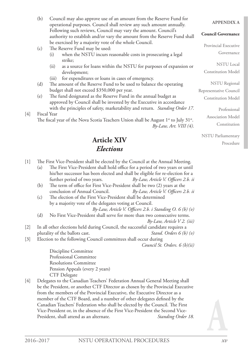(b) Council may also approve use of an amount from the Reserve Fund for operational purposes. Council shall review any such amount annually. Following such reviews, Council may vary the amount. Council's authority to establish and/or vary the amount from the Reserve Fund shall be exercised by a majority vote of the whole Council.

## (c) The Reserve Fund may be used:

- (i) when the NSTU incurs reasonable costs in prosecuting a legal strike;
- (ii) as a source for loans within the NSTU for purposes of expansion or development;
- (iii) for expenditures or loans in cases of emergency.
- (d) The amount of the Reserve Fund to be used to balance the operating budget shall not exceed \$350,000 per year.
- (e) The fund designated as the Reserve Fund in the annual budget as approved by Council shall be invested by the Executive in accordance with the principles of safety, marketability and return. *Standing Order 17.*
- [4] Fiscal Year The fiscal year of the Nova Scotia Teachers Union shall be August  $1^{st}$  to July  $31^{st}$ .

*By-Law, Art. VIII (4).*

## **Article XIV** *Elections*

- [1] The First Vice-President shall be elected by the Council at the Annual Meeting. (a) The First Vice-President shall hold office for a period of two years or until his/her successor has been elected and shall be eligible for re-election for a further period of two years. *By-Law, Article V. Officers 2.b. ii*
	- (b) The term of office for First Vice-President shall be two (2) years at the conclusion of Annual Council. *By-Law, Article V. Officers 2.b. ii*
	- (c) The election of the First Vice-President shall be determined by a majority vote of the delegates voting at Council.
		- *By-Law, Article V. Officers 2.b. i Standing O. 6 (b) (v)*
	- (d) No First Vice-President shall serve for more than two consecutive terms. *By-Law, Article V 2. (iii)*
- [2] In all other elections held during Council, the successful candidate requires a plurality of the ballots cast. *Stand. Orders 6 (b) (v)*
- [3] Election to the following Council committees shall occur during

*Council St. Orders. 6 (b)(ii)*

Discipline Committee Professional Committee Resolutions Committee Pension Appeals (every 2 years) CTF Delegate

[4] Delegates to the Canadian Teachers' Federation Annual General Meeting shall be the President, or another CTF Director as chosen by the Provincial Executive from the members of the Provincial Executive, the Executive Director as a member of the CTF Board, and a number of other delegates defined by the Canadian Teachers' Federation who shall be elected by the Council. The First Vice-President or, in the absence of the First Vice-President the Second Vice-President, shall attend as an alternate. *Standing Order 18.*

#### **APPENDIX A**

#### **Council Governance**

Provincial Executive Governance

NSTU Local Constitution Model

NSTU Regional Representative Council Constitution Model

> Professional Association Model Constitution

NSTU Parliamentary Procedure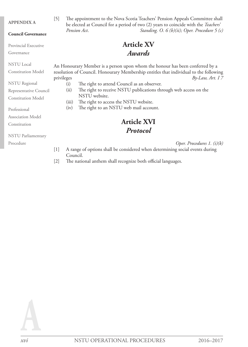#### **APPENDIX A**

#### **Council Governance**

Provincial Executive

Governance

NSTU Local

Constitution Model

NSTU Regional

Representative Council

Constitution Model

Professional

Association Model

Constitution

NSTU Parliamentary

Procedure

[5] The appointment to the Nova Scotia Teachers' Pension Appeals Committee shall be elected at Council for a period of two (2) years to coincide with the *Teachers' Pension Act*. *Standing. O. 6 (b)(ii); Oper. Procedure 5 (c)*

## **Article XV** *Awards*

An Honourary Member is a person upon whom the honour has been conferred by a resolution of Council. Honourary Membership entitles that individual to the following privileges *By-Law, Art. I 7*

- (i) The right to attend Council as an observer.
- (ii) The right to receive NSTU publications through web access on the NSTU website.
- (iii) The right to access the NSTU website.
- (iv) The right to an NSTU web mail account.

## **Article XVI** *Protocol*

*Oper. Procedures 1. (i)(k)*

- [1] A range of options shall be considered when determining social events during Council.
- [2] The national anthem shall recognize both official languages.

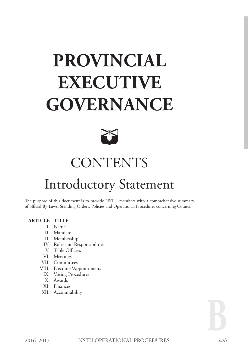# **PROVINCIAL EXECUTIVE GOVERNANCE**



# **CONTENTS**

## Introductory Statement

The purpose of this document is to provide NSTU members with a comprehensive summary of official By-Laws, Standing Orders, Policies and Operational Procedures concerning Council.

### **ARTICLE TITLE**

- I. Name
- II. Mandate
- III. Membership
- IV. Roles and Responsibilities
- V. Table Officers
- VI. Meetings
- VII. Committees
- VIII. Elections/Appointments
	- IX. Voting Procedures
	- X. Awards
	- XI. Finances
- XII. Accountability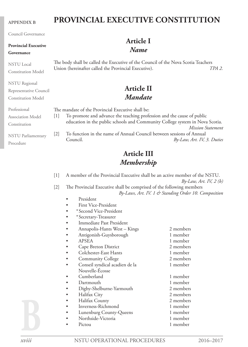#### **APPENDIX B**

#### Council Governance

## **Provincial Executive**

## **Governance**

NSTU Local Constitution Model

NSTU Regional Representative Council Constitution Model

## **PROVINCIAL EXECUTIVE CONSTITUTION**

## **Article I** *Name*

The body shall be called the Executive of the Council of the Nova Scotia Teachers<br>Union (hereinafter called the Provincial Executive). TPA 2. Union (hereinafter called the Provincial Executive).

## **Article II** *Mandate*

| Professional              | The mandate of the Provincial Executive shall be: |                                                                              |  |  |  |  |  |
|---------------------------|---------------------------------------------------|------------------------------------------------------------------------------|--|--|--|--|--|
| Association Model         |                                                   | To promote and advance the teaching profession and the cause of public       |  |  |  |  |  |
| Constitution              |                                                   | education in the public schools and Community College system in Nova Scotia. |  |  |  |  |  |
|                           |                                                   | Mission Statement                                                            |  |  |  |  |  |
| <b>NSTU Parliamentary</b> | 2                                                 | To function in the name of Annual Council between sessions of Annual         |  |  |  |  |  |
|                           |                                                   | Council.<br>By-Law, Art. IV, 3. Duties                                       |  |  |  |  |  |
| Procedure                 |                                                   |                                                                              |  |  |  |  |  |

## **Article III** *Membership*

| $[1]$ | A member of the Provincial Executive shall be an active member of the NSTU.<br>$By-Law, Art. IV, 2(b)$                       |           |  |  |  |  |  |  |  |  |  |
|-------|------------------------------------------------------------------------------------------------------------------------------|-----------|--|--|--|--|--|--|--|--|--|
| $[2]$ | The Provincial Executive shall be comprised of the following members<br>By-Laws, Art. IV. 1 & Standing Order 10. Composition |           |  |  |  |  |  |  |  |  |  |
|       | President                                                                                                                    |           |  |  |  |  |  |  |  |  |  |
|       | First Vice-President                                                                                                         |           |  |  |  |  |  |  |  |  |  |
|       | *Second Vice-President<br>$\bullet$                                                                                          |           |  |  |  |  |  |  |  |  |  |
|       | *Secretary-Treasurer                                                                                                         |           |  |  |  |  |  |  |  |  |  |
|       | Immediate Past President<br>٠                                                                                                |           |  |  |  |  |  |  |  |  |  |
|       | Annapolis-Hants West - Kings                                                                                                 | 2 members |  |  |  |  |  |  |  |  |  |
|       | Antigonish-Guysborough                                                                                                       | 1 member  |  |  |  |  |  |  |  |  |  |
|       | <b>APSEA</b>                                                                                                                 | 1 member  |  |  |  |  |  |  |  |  |  |
|       | Cape Breton District                                                                                                         | 2 members |  |  |  |  |  |  |  |  |  |
|       | Colchester-East Hants<br>$\bullet$                                                                                           | 1 member  |  |  |  |  |  |  |  |  |  |
|       | <b>Community College</b>                                                                                                     | 2 members |  |  |  |  |  |  |  |  |  |
|       | Conseil syndical acadien de la                                                                                               | 1 member  |  |  |  |  |  |  |  |  |  |
|       | Nouvelle-Écosse                                                                                                              |           |  |  |  |  |  |  |  |  |  |
|       | Cumberland                                                                                                                   | 1 member  |  |  |  |  |  |  |  |  |  |
|       | Dartmouth                                                                                                                    | 1 member  |  |  |  |  |  |  |  |  |  |
|       | Digby-Shelburne-Yarmouth                                                                                                     | 2 members |  |  |  |  |  |  |  |  |  |
|       | Halifax City<br>$\bullet$                                                                                                    | 2 members |  |  |  |  |  |  |  |  |  |
|       | Halifax County                                                                                                               | 2 members |  |  |  |  |  |  |  |  |  |
|       | Inverness-Richmond                                                                                                           | 1 member  |  |  |  |  |  |  |  |  |  |
|       | Lunenburg County-Queens                                                                                                      | 1 member  |  |  |  |  |  |  |  |  |  |
|       | Northside-Victoria                                                                                                           | 1 member  |  |  |  |  |  |  |  |  |  |
|       | Pictou                                                                                                                       | 1 member  |  |  |  |  |  |  |  |  |  |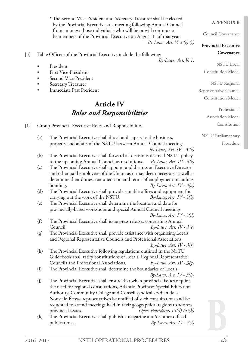[3] Table Officers of the Provincial Executive include the following: *By-Laws, Art. V. 1.* President • First Vice-President Second Vice-President Secretary Treasurer Immediate Past President **Article IV** *Roles and Responsibilities* [1] Group Provincial Executive Roles and Responsibilities. (a) The Provincial Executive shall direct and supervise the business, property and affairs of the NSTU between Annual Council meetings. *By-Laws, Art. IV - 3 (c)* (b) The Provincial Executive shall forward all decisions deemed NSTU policy to the upcoming Annual Council as resolutions. *By-Laws, Art. IV - 3(c)* (c) The Provincial Executive shall appoint and dismiss an Executive Director and other paid employees of the Union as it may deem necessary as well as determine their duties, remuneration and terms of employment including bonding. *By-Laws, Art. IV - 3(a)* (d) The Provincial Executive shall provide suitable offices and equipment for carrying out the work of the NSTU. *By-Laws, Art. IV - 3(b)* (e) The Provincial Executive shall determine the location and date for provincially-based workshops and special Annual Council meetings. *By-Laws, Art. IV - 3(d)* (f) The Provincial Executive shall issue press releases concerning Annual Council. *By-Laws, Art. IV - 3(e)* (g) The Provincial Executive shall provide assistance with organizing Locals and Regional Representative Councils and Professional Associations. *By-Laws, Art. IV - 3(f)* (h) The Provincial Executive following regulations outlined in the NSTU Guidebook shall ratify constitutions of Locals, Regional Representative Councils and Professional Associations. *By-Laws, Art. IV - 3(g)* (i) The Provincial Executive shall determine the boundaries of Locals. *By-Laws, Art. IV - 3(h)* (j) The Provincial Executive shall ensure that when provincial issues require the need for regional consultations, Atlantic Provinces Special Education Authority, Community College and Conseil syndical acadien de la Nouvelle-Écosse representatives be notified of such consultations and be requested to attend meetings held in their geographical regions to address provincial issues. *Oper. Procedures 15(d) (a)(b)* (k) The Provincial Executive shall publish a magazine and/or other official publications. *By-Laws, Art. IV - 3(i)*

\* The Second Vice-President and Secretary-Treasurer shall be elected by the Provincial Executive at a meeting following Annual Council from amongst those individuals who will be or will continue to be members of the Provincial Executive on August  $1<sup>st</sup>$  of that year.

#### **APPENDIX B**

Council Governance

#### **Provincial Executive Governance**

*By-Laws, Art. V. 2 (c) (i)*

NSTU Local Constitution Model

NSTU Regional

Representative Council Constitution Model

> Professional Association Model Constitution

NSTU Parliamentary

Procedure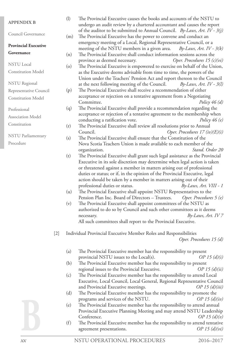| <b>APPENDIX B</b>           |       | (1)     | The Provincial Executive causes the books and accounts of the NSTU to<br>undergo an audit review by a chartered accountant and causes the report   |
|-----------------------------|-------|---------|----------------------------------------------------------------------------------------------------------------------------------------------------|
| Council Governance          |       |         | of the auditor to be submitted to Annual Council. By-Laws, Art. IV - $3(j)$                                                                        |
|                             |       | (m)     | The Provincial Executive has the power to convene and conduct an<br>emergency meeting of a Local, Regional Representative Council, or a            |
| <b>Provincial Executive</b> |       |         | meeting of the NSTU members in a given area.<br>$By-Laws, Art. IV - 3(k)$                                                                          |
| Governance                  |       | (n)     | The Provincial Executive shall conduct information sessions across the                                                                             |
|                             |       |         | province as deemed necessary.<br>Oper. Procedures $15(c)(vi)$                                                                                      |
| <b>NSTU</b> Local           |       | $\circ$ | The Provincial Executive is empowered to exercise on behalf of the Union,                                                                          |
| <b>Constitution Model</b>   |       |         | as the Executive deems advisable from time to time, the powers of the                                                                              |
|                             |       |         | Union under the Teachers' Pension Act and report thereon to the Council                                                                            |
| <b>NSTU</b> Regional        |       |         | at the next following meeting of the Council.<br>$By-Laws, Art. IV - 3(l)$                                                                         |
| Representative Council      |       | (p)     | The Provincial Executive shall receive a recommendation of either                                                                                  |
| <b>Constitution Model</b>   |       |         | acceptance or rejection on a tentative agreement from a Negotiating                                                                                |
|                             |       |         | Committee.<br>Policy $46(d)$                                                                                                                       |
| Professional                |       | (q)     | The Provincial Executive shall provide a recommendation regarding the                                                                              |
| <b>Association Model</b>    |       |         | acceptance or rejection of a tentative agreement to the membership when                                                                            |
| Constitution                |       |         | conducting a ratification vote.<br>Policy $46(e)$                                                                                                  |
|                             |       | (r)     | The Provincial Executive shall review all resolutions prior to Annual                                                                              |
| <b>NSTU Parliamentary</b>   |       |         | Oper. Procedures $17(iv)(E)(i)$<br>Council.                                                                                                        |
| Procedure                   |       | (s)     | The Provincial Executive shall ensure that the Constitution of the                                                                                 |
|                             |       |         | Nova Scotia Teachers Union is made available to each member of the                                                                                 |
|                             |       |         | Stand. Order 20<br>organization.                                                                                                                   |
|                             |       | (t)     | The Provincial Executive shall grant such legal assistance as the Provincial                                                                       |
|                             |       |         | Executive in its sole discretion may determine when legal action is taken<br>or threatened against a member in matters arising out of professional |
|                             |       |         | duties or status; or if, in the opinion of the Provincial Executive, legal                                                                         |
|                             |       |         | action should be taken by a member in matters arising out of their                                                                                 |
|                             |       |         | professional duties or status.<br>$By-Laws, Art. VIII - 1$                                                                                         |
|                             |       | (u)     | The Provincial Executive shall appoint NSTU Representatives to the                                                                                 |
|                             |       |         | Pension Plan Inc. Board of Directors - Trustees.<br>Oper. Procedures 5 (e)                                                                         |
|                             |       | (v)     | The Provincial Executive shall appoint committees of the NSTU as                                                                                   |
|                             |       |         | authorized to do so by Council and such other committees as it deems                                                                               |
|                             |       |         | By-Laws, Art. IV 7<br>necessary.                                                                                                                   |
|                             |       |         | All such committees shall report to the Provincial Executive.                                                                                      |
|                             |       |         |                                                                                                                                                    |
|                             | $[2]$ |         | Individual Provincial Executive Member Roles and Responsibilities                                                                                  |
|                             |       |         | Oper. Procedures 15 (d)                                                                                                                            |
|                             |       | (a)     | The Provincial Executive member has the responsibility to present                                                                                  |
|                             |       |         | OP 15 $(d)(i)$<br>provincial NSTU issues to the Local(s).                                                                                          |
|                             |       | (b)     | The Provincial Executive member has the responsibility to present                                                                                  |
|                             |       |         | regional issues to the Provincial Executive.<br>OP 15 $(d)(ii)$                                                                                    |
|                             |       | (c)     | The Provincial Executive member has the responsibility to attend Local                                                                             |
|                             |       |         | Executive, Local Council, Local General, Regional Representative Council                                                                           |
|                             |       |         | OP 15 $(d)(iii)$<br>and Provincial Executive meetings.                                                                                             |
|                             |       | (d)     | The Provincial Executive member has the responsibility to promote the                                                                              |
|                             |       |         | programs and services of the NSTU.<br>OP 15 $(d)(iv)$                                                                                              |
|                             |       | (e)     | The Provincial Executive member has the responsibility to attend annual                                                                            |
|                             |       |         | Provincial Executive Planning Meeting and may attend NSTU Leadership                                                                               |
|                             |       |         | Conference.<br>OP 15 $(d)(v)$                                                                                                                      |
|                             |       | (f)     | The Provincial Executive member has the responsibility to attend tentative                                                                         |
|                             |       |         | OP 15 $(d)(vi)$<br>agreement presentations.                                                                                                        |
|                             |       |         |                                                                                                                                                    |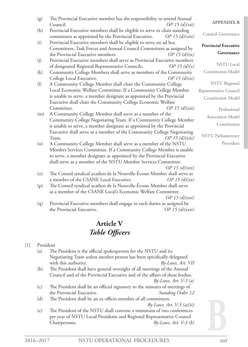| (g) | The Provincial Executive member has the responsibility to attend Annual<br>Council.<br>OP 15 $(d)(vii)$                                                | <b>APPENDIX B</b>           |
|-----|--------------------------------------------------------------------------------------------------------------------------------------------------------|-----------------------------|
| (h) | Provincial Executive members shall be eligible to serve or chair standing<br>committees as appointed by the Provincial Executive.<br>$OP$ 15 (d)(viii) | Council Governance          |
| (i) | Provincial Executive members shall be eligible to serve on ad hoc<br>Committees, Task Forces and Annual Council Committees as assigned by              | <b>Provincial Executive</b> |
|     | the Provincial Executive members.<br>OP 15 $(d)(ix)$                                                                                                   | Governance                  |
| (i) | Provincial Executive members shall serve as Provincial Executive members                                                                               |                             |
|     | of designated Regional Representative Councils.<br>OP 15 $(d)(x)$                                                                                      | <b>NSTU Local</b>           |
| (k) | Community College Members shall serve as members of the Community                                                                                      | <b>Constitution Model</b>   |
|     | OP 15 $(d)(xi)$<br>College Local Executive.                                                                                                            |                             |
| (1) | A Community College Member shall chair the Community College                                                                                           | <b>NSTU</b> Regional        |
|     | Local Economic Welfare Committee. If a Community College Member                                                                                        | Representative Council      |
|     | is unable to serve, a member designate as appointed by the Provincial                                                                                  | <b>Constitution Model</b>   |
|     | Executive shall chair the Community College Economic Welfare                                                                                           |                             |
|     | OP 15 $(d)(xii)$<br>Committee.                                                                                                                         | Professional                |
| (m) | A Community College Member shall serve as a member of the                                                                                              | Association Model           |
|     | Community College Negotiating Team. If a Community College Member                                                                                      |                             |
|     | is unable to serve, a member designate as appointed by the Provincial                                                                                  | Constitution                |
|     | Executive shall serve as a member of the Community College Negotiating                                                                                 |                             |
|     | OP 15 $(d)(xiii)$<br>Team.                                                                                                                             | <b>NSTU</b> Parliamentary   |
| (n) | A Community College Member shall serve as a member of the NSTU                                                                                         | Procedure                   |
|     | Member Services Committee. If a Community College Member is unable                                                                                     |                             |
|     | to serve, a member designate as appointed by the Provincial Executive                                                                                  |                             |
|     | shall serve as a member of the NSTU Member Services Committee.                                                                                         |                             |
|     | OP 15 $(d)(xiv)$                                                                                                                                       |                             |
| (o) | The Conseil syndical acadien de la Nouvelle-Écosse Member shall serve as                                                                               |                             |
|     | a member of the CSANE Local Executive.<br>OP 15 $(d)(xv)$                                                                                              |                             |
| (p) | The Conseil syndical acadien de la Nouvelle-Écosse Member shall serve                                                                                  |                             |
|     | as a member of the CSANE Local's Economic Welfare Committee.                                                                                           |                             |
|     | OP 15 $(d)(xvi)$                                                                                                                                       |                             |
| (q) | Provincial Executive members shall engage in such duties as assigned by                                                                                |                             |
|     | the Provincial Executive.<br>OP 15 $(d)(xvii)$                                                                                                         |                             |

## **Article V** *Table Officers*

### [1] President

(a) The President is the official spokesperson for the NSTU and its Negotiating Team unless another person has been specifically delegated with this authority. *By-Laws, Art. VII* 

(b) The President shall have general oversight of all meetings of the Annual Council and of the Provincial Executive and of the affairs of these bodies.

*By-Laws, Art. V-3 (a)*

- (c) The President shall be an official signatory to the minutes of meetings of the Provincial Executive. *Standing Order 12*
- (d) The President shall be an ex officio member of all committees.

*By-Laws, Art. V-3 (a)(ii)*

(e) The President of the NSTU shall convene a minimum of two conferences per year of NSTU Local Presidents and Regional Representative Council Chairpersons. *By-Laws, Art. V-3 (b)*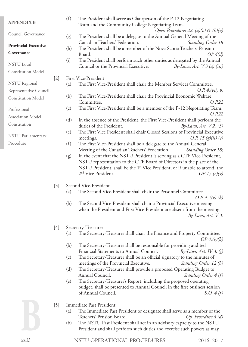| <b>APPENDIX B</b>                                   |       | (f)        | The President shall serve as Chairperson of the P-12 Negotiating<br>Team and the Community College Negotiating Team.                                                                                                                                                                                       |
|-----------------------------------------------------|-------|------------|------------------------------------------------------------------------------------------------------------------------------------------------------------------------------------------------------------------------------------------------------------------------------------------------------------|
| Council Governance                                  |       | (g)        | Oper. Procedures 22. (a)(v) & (b)(v)<br>The President shall be a delegate to the Annual General Meeting of the                                                                                                                                                                                             |
| <b>Provincial Executive</b><br>Governance           |       | (h)        | Canadian Teachers' Federation.<br><b>Standing Order 18</b><br>The President shall be a member of the Nova Scotia Teachers' Pension<br>Board.<br>$OP_4(d)$                                                                                                                                                  |
| <b>NSTU</b> Local                                   |       | (i)        | The President shall perform such other duties as delegated by the Annual<br>Council or the Provincial Executive.<br>$By-Laws, Art. V3 (a) (iii)$                                                                                                                                                           |
| <b>Constitution Model</b>                           |       |            |                                                                                                                                                                                                                                                                                                            |
| <b>NSTU</b> Regional                                | $[2]$ | (a)        | First Vice-President<br>The First Vice-President shall chair the Member Services Committee.                                                                                                                                                                                                                |
| Representative Council<br><b>Constitution Model</b> |       | (b)        | O.P. 4. (vii) b.<br>The First Vice-President shall chair the Provincial Economic Welfare<br>O.P.22<br>Committee.                                                                                                                                                                                           |
| Professional                                        |       | (c)        | The First Vice-President shall be a member of the P-12 Negotiating Team.<br>O.P.22                                                                                                                                                                                                                         |
| Association Model<br>Constitution                   |       | (d)        | In the absence of the President, the First Vice-President shall perform the<br>duties of the President.<br>$By-Laws, Art. V2. (3)$                                                                                                                                                                         |
| <b>NSTU Parliamentary</b>                           |       | (e)        | The First Vice President shall chair Closed Sessions of Provincial Executive<br><i>O.P.</i> 15 $(g)(ii)(c)$<br>meetings.                                                                                                                                                                                   |
| Procedure                                           |       | (f)        | The First Vice-President shall be a delegate to the Annual General<br>Meeting of the Canadian Teachers' Federation.<br>Standing Order 18;                                                                                                                                                                  |
|                                                     |       | (g)        | In the event that the NSTU President is serving as a CTF Vice-President,<br>NSTU representation to the CTF Board of Directors in the place of the<br>NSTU President, shall be the 1 <sup>st</sup> Vice President, or if unable to attend, the<br>2 <sup>nd</sup> Vice President.<br><i>OP</i> 15. $(e)(x)$ |
|                                                     | $[3]$ |            | Second Vice-President                                                                                                                                                                                                                                                                                      |
|                                                     |       | (a)        | The Second Vice-President shall chair the Personnel Committee.<br><i>O.P.</i> 4. (ix) (b)                                                                                                                                                                                                                  |
|                                                     |       | (b)        | The Second Vice-President shall chair a Provincial Executive meeting<br>when the President and First Vice-President are absent from the meeting.<br>$By-Laws, Art. V3.$                                                                                                                                    |
|                                                     | $[4]$ |            | Secretary-Treasurer                                                                                                                                                                                                                                                                                        |
|                                                     |       | (a)        | The Secretary-Treasurer shall chair the Finance and Property Committee.<br>OP $4.(v)(b)$                                                                                                                                                                                                                   |
|                                                     |       | (b)        | The Secretary-Treasurer shall be responsible for providing audited<br>Financial Statements to Annual Council.<br>$By-Laws, Art. IV3. (i)$                                                                                                                                                                  |
|                                                     |       | (c)        | The Secretary-Treasurer shall be an official signatory to the minutes of<br>meetings of the Provincial Executive.<br>Standing Order 12 (b)                                                                                                                                                                 |
|                                                     |       | (d)        | The Secretary-Treasurer shall provide a proposed Operating Budget to<br>Annual Council.<br>Standing Order 4 (f)                                                                                                                                                                                            |
|                                                     |       | (e)        | The Secretary-Treasurer's Report, including the proposed operating<br>budget, shall be presented to Annual Council in the first business session<br>of Annual Council.<br>S.O. 4(f)                                                                                                                        |
|                                                     | $[5]$ |            | Immediate Past President                                                                                                                                                                                                                                                                                   |
|                                                     |       | (a)<br>(b) | The Immediate Past President or designate shall serve as a member of the<br>Teachers' Pension Board.<br>Op. Procedure 4 (d)<br>The NSTU Past President shall act in an advisory capacity to the NSTU<br>President and shall perform such duties and exercise such powers as may                            |
|                                                     |       |            |                                                                                                                                                                                                                                                                                                            |

NSTU OPERATIONAL PROCEDURES 2016–2017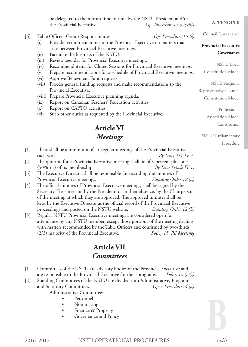**APPENDIX B** Council Governance **Provincial Executive Governance** NSTU Local Constitution Model NSTU Regional Representative Council Constitution Model Professional Association Model Constitution NSTU Parliamentary Procedure be delegated to them from time to time by the NSTU President and/or the Provincial Executive. *Op. Procedure 15 (e)(xiii)* [6] Table Officers-Group Responsibilities *Op. Procedures 15 (e)* (i) Provide recommendations to the Provincial Executive on matters that arise between Provincial Executive meetings. (ii) Facilitate the business of the NSTU. (iii) Review agendas for Provincial Executive meetings. (iv) Recommend items for Closed Sessions for Provincial Executive meetings. (v) Prepare recommendations for a schedule of Provincial Executive meetings. (vi) Approve Benevolent Fund requests. (vii) Process general funding requests and make recommendations to the Provincial Executive. (viii) Prepare Provincial Executive planning agenda. (ix) Report on Canadian Teachers' Federation activities. (x) Report on CAPTO activities. (xi) Such other duties as requested by the Provincial Executive. **Article VI** *Meetings* [1] There shall be a minimum of six regular meetings of the Provincial Executive each year. *By-Law, Art. IV 4.* [2] The quorum for a Provincial Executive meeting shall be fifty percent plus one (50% +1) of its membership. *By-Law Article IV 1.* [3] The Executive Director shall be responsible for recording the minutes of Provincial Executive meetings. *Standing Order 12 (a)* [4] The official minutes of Provincial Executive meetings, shall be signed by the Secretary-Treasurer and by the President, or in their absence, by the Chairperson of the meeting at which they are approved. The approved minutes shall be kept by the Executive Director as the official record of the Provincial Executive proceedings and posted on the NSTU website. *Standing Order 12 (b)* [5] Regular NSTU Provincial Executive meetings are considered open for attendance by any NSTU member, except those portions of the meeting dealing with matters recommended by the Table Officers and confirmed by two-thirds (2/3) majority of the Provincial Executive. *Policy 15, PE Meetings*

## **Article VII** *Committees*

- [1] Committees of the NSTU are advisory bodies of the Provincial Executive and are responsible to the Provincial Executive for their programs. *Policy 13 (c)(i)*
- [2] Standing Committees of the NSTU are divided into Administrative, Program and Statutory Committees. *Oper. Procedures 4 (a)*

Administrative Committees

- Personnel
- Nominating
- Finance & Property
- Governance and Policy

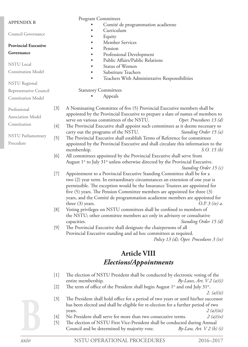|                             |                   | <b>Program Committees</b>                                                                              |
|-----------------------------|-------------------|--------------------------------------------------------------------------------------------------------|
| <b>APPENDIX B</b>           |                   | Comité de programmation acadienne                                                                      |
| Council Governance          |                   | Curriculum                                                                                             |
|                             |                   | Equity                                                                                                 |
| <b>Provincial Executive</b> |                   | Member Services<br>Pension<br>$\bullet$                                                                |
| Governance                  |                   | Professional Development<br>$\bullet$                                                                  |
|                             |                   | Public Affairs/Public Relations<br>$\bullet$                                                           |
| <b>NSTU</b> Local           |                   | Status of Women<br>$\bullet$                                                                           |
| <b>Constitution Model</b>   |                   | Substitute Teachers<br>$\bullet$                                                                       |
|                             |                   | Teachers With Administrative Responsibilities<br>$\bullet$                                             |
| <b>NSTU</b> Regional        |                   |                                                                                                        |
| Representative Council      |                   | <b>Statutory Committees</b>                                                                            |
| <b>Constitution Model</b>   |                   | Appeals                                                                                                |
|                             | $[3]$             | A Nominating Committee of five (5) Provincial Executive members shall be                               |
| Professional                |                   | appointed by the Provincial Executive to prepare a slate of names of members to                        |
| <b>Association Model</b>    |                   | serve on various committees of the NSTU.<br>Oper. Procedures 13 (d)                                    |
| Constitution                | $[4]$             | The Provincial Executive shall appoint such committees as it deems necessary to                        |
|                             |                   | carry out the programs of the NSTU.<br>Standing Order 15 (a)                                           |
| <b>NSTU</b> Parliamentary   | $[5]$             | The Provincial Executive shall establish Terms of Reference for committees                             |
| Procedure                   |                   | appointed by the Provincial Executive and shall circulate this information to the                      |
|                             |                   | S.O. 15 $(b)$<br>membership.                                                                           |
|                             | [6]               | All committees appointed by the Provincial Executive shall serve from                                  |
|                             |                   | August 1 <sup>st</sup> to July 31 <sup>st</sup> unless otherwise directed by the Provincial Executive. |
|                             | $[7]$             | Standing Order 15 (c)<br>Appointment to a Provincial Executive Standing Committee shall be for a       |
|                             |                   | two (2) year term. In extraordinary circumstances an extension of one year is                          |
|                             |                   | permissible. The exception would be the Insurance Trustees are appointed for                           |
|                             |                   | five (5) years. The Pension Committee members are appointed for three (3)                              |
|                             |                   | years, and the Comité de programmation acadienne members are appointed for                             |
|                             |                   | three $(3)$ years.<br>$O.P. 3$ (iv) a.                                                                 |
|                             | [8]               | Voting privileges on NSTU committees shall be confined to members of                                   |
|                             |                   | the NSTU; other committee members act only in advisory or consultative                                 |
|                             |                   | Standing Order 15 (d)<br>capacities.                                                                   |
|                             | [9]               | The Provincial Executive shall designate the chairpersons of all                                       |
|                             |                   | Provincial Executive standing and ad hoc committees as required.                                       |
|                             |                   | Policy 13 (d); Oper. Procedures 3 (iv)                                                                 |
|                             |                   | <b>Article VIII</b>                                                                                    |
|                             |                   | <b>Elections/Appointments</b>                                                                          |
|                             | $[1]$             | The election of NSTU President shall be conducted by electronic voting of the                          |
|                             |                   | entire membership.<br>By-Laws, Art. $V2(a)(i)$                                                         |
|                             | $[2]$             | The term of office of the President shall begin August $1st$ and end July 31 $st$ .                    |
|                             |                   | 2. $(a)(ii)$                                                                                           |
|                             | $\lceil 2 \rceil$ | The President shell hold office for a period of two years or until his/her successor                   |

[3] The President shall hold office for a period of two years or until his/her successor has been elected and shall be eligible for re-election for a further period of two  $2 (a)(iii)$ 

- [4] No President shall serve for more than two consecutive terms. *2 (a)(iv)*
- [5] The election of NSTU First Vice-President shall be conducted during Annual Council and be determined by majority vote. *By-Law, Art. V 2 (b) (i)*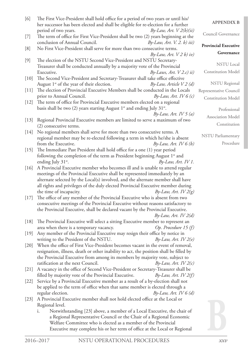| [6]    | The First Vice-President shall hold office for a period of two years or until his/<br>her successor has been elected and shall be eligible for re-election for a further | <b>APPENDIX B</b>           |
|--------|--------------------------------------------------------------------------------------------------------------------------------------------------------------------------|-----------------------------|
| $[7]$  | period of two years.<br>$By-Law, Art. V2(b)(ii)$<br>The term of office for First Vice-President shall be two (2) years beginning at the                                  | Council Governance          |
| [8]    | conclusion of Annual Council.<br>$By-Law, Art. V. 2. b) iii)$<br>No First Vice-President shall serve for more than two consecutive terms.                                | <b>Provincial Executive</b> |
|        | $By-Law, Art. V2 b) iv)$                                                                                                                                                 | Governance                  |
| $[9]$  | The election of the NSTU Second Vice-President and NSTU Secretary-<br>Treasurer shall be conducted annually by a majority vote of the Provincial                         | <b>NSTU</b> Local           |
|        | Executive.<br>$By-Laws, Art. V2.c)ii)$                                                                                                                                   | <b>Constitution Model</b>   |
| $[10]$ | The Second Vice-President and Secretary-Treasurer shall take office effective<br>August 1 <sup>st</sup> of the year of their election.<br>$By-Law, Article V2 (d)$       | <b>NSTU</b> Regional        |
| $[11]$ | The election of Provincial Executive Members shall be conducted in the Locals                                                                                            | Representative Council      |
|        | prior to Annual Council.<br>$By-Law, Art. IV6(c)$                                                                                                                        | <b>Constitution Model</b>   |
| $[12]$ | The term of office for Provincial Executive members elected on a regional                                                                                                |                             |
|        | basis shall be two (2) years starting August $1^{st}$ and ending July 31 $^{st}$ .                                                                                       | Professional                |
|        | $By-Law, Art. IV 5 (a)$                                                                                                                                                  | Association Model           |
| $[13]$ | Regional Provincial Executive members are limited to serve a maximum of two                                                                                              | Constitution                |
|        | (2) consecutive terms.                                                                                                                                                   |                             |
| $[14]$ | No regional members shall serve for more than two consecutive terms. A                                                                                                   | <b>NSTU</b> Parliamentary   |
|        | regional member may be re-elected following a term in which he/she is absent<br>from the Executive.<br>$By-Law, Art. IV 6 (b)$                                           | Procedure                   |
| $[15]$ | The Immediate Past President shall hold office for a one (1) year period                                                                                                 |                             |
|        | following the completion of the term as President beginning August 1 <sup>st</sup> and                                                                                   |                             |
|        | ending July 31 <sup>st</sup> .<br>$By-Law, Art. IV 1.$                                                                                                                   |                             |
| $[16]$ | A Provincial Executive member who becomes ill and is unable to attend regular<br>meetings of the Provincial Executive shall be represented immediately by an             |                             |
|        | alternate selected by the Local(s) involved, and the alternate member shall have                                                                                         |                             |
|        | all rights and privileges of the duly elected Provincial Executive member during                                                                                         |                             |
|        | the time of incapacity.<br>$By-Law, Art. IV 2(g)$                                                                                                                        |                             |
| $[17]$ | The office of any member of the Provincial Executive who is absent from two                                                                                              |                             |
|        | consecutive meetings of the Provincial Executive without reasons satisfactory to                                                                                         |                             |
|        | the Provincial Executive, shall be declared vacant by the Provincial Executive.<br>$By-Law, Art. IV 2(d)$                                                                |                             |
|        | [18] The Provincial Executive will select a sitting Executive member to represent an                                                                                     |                             |
|        | Op. Procedure 15 $(f)$<br>area when there is a temporary vacancy.                                                                                                        |                             |
| $[19]$ | Any member of the Provincial Executive may resign their office by notice in                                                                                              |                             |
|        | writing to the President of the NSTU.<br>$By-Law, Art. IV2(e)$                                                                                                           |                             |
| $[20]$ | When the office of First Vice-President becomes vacant in the event of removal,                                                                                          |                             |
|        | resignation, illness, death or other inability to act, the position shall be filled by                                                                                   |                             |
|        | the Provincial Executive from among its members by majority vote, subject to                                                                                             |                             |
| $[21]$ | ratification at the next Council.<br>$By-Law, Art. IV 2(c)$<br>A vacancy in the office of Second Vice-President or Secretary-Treasurer shall be                          |                             |
|        | filled by majority vote of the Provincial Executive.<br>$By-Law, Art. IV 2(f)$                                                                                           |                             |
| $[22]$ | Service by a Provincial Executive member as a result of a by-election shall not                                                                                          |                             |
|        | be applied to the term of office when that same member is elected through a                                                                                              |                             |
|        | regular election.<br>$By-Law, Art. IV 6 (d)$                                                                                                                             |                             |
| $[23]$ | A Provincial Executive member shall not hold elected office at the Local or                                                                                              |                             |
|        | Regional level.                                                                                                                                                          |                             |
|        | Notwithstanding [23] above, a member of a Local Executive, the chair of<br>i.                                                                                            |                             |
|        | a Regional Representative Council or the Chair of a Regional Economic                                                                                                    |                             |
|        | Welfare Committee who is elected as a member of the Provincial<br>Executive may complete his or her term of office at the Local or Regional                              |                             |
|        |                                                                                                                                                                          |                             |

*xxv*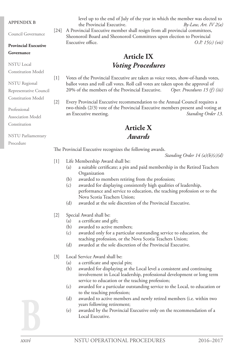#### **APPENDIX B**

Council Governance

#### **Provincial Executive**

#### **Governance**

NSTU Local

Constitution Model

NSTU Regional Representative Council

Constitution Model

Professional

Association Model

Constitution

NSTU Parliamentary

Procedure

level up to the end of July of the year in which the member was elected to the Provincial Executive. *By-Law, Art. IV 2(a)* [24] A Provincial Executive member shall resign from all provincial committees, Sheonoroil Board and Sheonoroil Committees upon election to Provincial Executive office.  $O.P. 15(c)$  (*vii*)

## **Article IX** *Voting Procedures*

[1] Votes of the Provincial Executive are taken as voice votes, show-of-hands votes, ballot votes and roll call votes. Roll call votes are taken upon the approval of 20% of the members of the Provincial Executive. *Oper. Procedures 15 (f) (iii)*

[2] Every Provincial Executive recommendation to the Annual Council requires a two-thirds (2/3) vote of the Provincial Executive members present and voting at an Executive meeting. *Standing Order 13.*

### **Article X** *Awards*

The Provincial Executive recognizes the following awards.

*Standing Order 14 (a)(b)(c)(d)*

- [1] Life Membership Award shall be:
	- (a) a suitable certificate; a pin and paid membership in the Retired Teachers Organization
	- (b) awarded to members retiring from the profession;
	- (c) awarded for displaying consistently high qualities of leadership, performance and service to education, the teaching profession or to the Nova Scotia Teachers Union;
	- (d) awarded at the sole discretion of the Provincial Executive.
- [2] Special Award shall be:
	- (a) a certificate and gift;
	- (b) awarded to active members;
	- (c) awarded only for a particular outstanding service to education, the teaching profession, or the Nova Scotia Teachers Union;
	- (d) awarded at the sole discretion of the Provincial Executive.
- [3] Local Service Award shall be:
	- (a) a certificate and special pin;
	- (b) awarded for displaying at the Local level a consistent and continuing involvement in Local leadership, professional development or long term service to education or the teaching profession;
	- (c) awarded for a particular outstanding service to the Local, to education or to the teaching profession;
	- (d) awarded to active members and newly retired members (i.e. within two years following retirement;
	- (e) awarded by the Provincial Executive only on the recommendation of a Local Executive.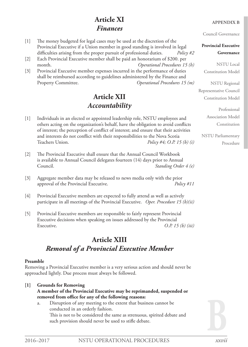## **Article XI** *Finances*

- [1] The money budgeted for legal cases may be used at the discretion of the Provincial Executive if a Union member in good standing is involved in legal difficulties arising from the proper pursuit of professional duties. *Policy #2*
- [2] Each Provincial Executive member shall be paid an honorarium of \$200. per month. *Operational Procedures 15 (h)*
- [3] Provincial Executive member expenses incurred in the performance of duties shall be reimbursed according to guidelines administered by the Finance and Property Committee. *Operational Procedures 15 (m)*

## **Article XII** *Accountability*

- [1] Individuals in an elected or appointed leadership role, NSTU employees and others acting on the organization's behalf, have the obligation to avoid conflicts of interest; the perception of conflict of interest; and ensure that their activities and interests do not conflict with their responsibilities to the Nova Scotia Teachers Union. *Policy #4; O.P. 15 (b) (i)*
- [2] The Provincial Executive shall ensure that the Annual Council Workbook is available to Annual Council delegates fourteen (14) days prior to Annual Council. *Standing Order 4 (e)*
- [3] Aggregate member data may be released to news media only with the prior approval of the Provincial Executive. *Policy #11*
- [4] Provincial Executive members are expected to fully attend as well as actively participate in all meetings of the Provincial Executive. *Oper. Procedure 15 (b)(ii)*
- [5] Provincial Executive members are responsible to fairly represent Provincial Executive decisions when speaking on issues addressed by the Provincial Executive. *O.P. 15 (b) (iii)*

## **Article XIII** *Removal of a Provincial Executive Member*

#### **Preamble**

Removing a Provincial Executive member is a very serious action and should never be approached lightly. Due process must always be followed.

#### **[1] Grounds for Removing A member of the Provincial Executive may be reprimanded, suspended or removed from office for any of the following reasons:** a. Disruption of any meeting to the extent that business cannot be

conducted in an orderly fashion. This is not to be considered the same as strenuous, spirited debate and such provision should never be used to stifle debate.

#### **APPENDIX B**

Council Governance

#### **Provincial Executive Governance**

NSTU Local Constitution Model

NSTU Regional

Representative Council Constitution Model

> Professional Association Model Constitution

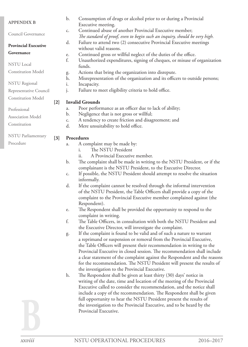| <b>APPENDIX B</b>           |                  | $\mathbf{b}$ . | Consumption of drugs or alcohol prior to or during a Provincial            |
|-----------------------------|------------------|----------------|----------------------------------------------------------------------------|
|                             |                  |                | Executive meeting.                                                         |
|                             |                  | c.             | Continued abuse of another Provincial Executive member;                    |
| Council Governance          |                  |                | The standard of proof, even to begin such an inquiry, should be very high. |
| <b>Provincial Executive</b> |                  | d.             | Failure to attend two (2) consecutive Provincial Executive meetings        |
|                             |                  |                | without valid reasons.                                                     |
| Governance                  |                  | e.             | Continued gross or willful neglect of the duties of the office.            |
|                             |                  | f.             | Unauthorized expenditures, signing of cheques, or misuse of organization   |
| <b>NSTU</b> Local           |                  |                | funds.                                                                     |
| <b>Constitution Model</b>   |                  | g.             | Actions that bring the organization into disrepute.                        |
|                             |                  | h.             | Misrepresentation of the organization and its officers to outside persons; |
| <b>NSTU</b> Regional        |                  | i.             | Incapacity.                                                                |
| Representative Council      |                  | j.             | Failure to meet eligibility criteria to hold office.                       |
| <b>Constitution Model</b>   |                  |                |                                                                            |
|                             | $[2]$            |                | <b>Invalid Grounds</b>                                                     |
| Professional                |                  | a.             | Poor performance as an officer due to lack of ability;                     |
| <b>Association Model</b>    |                  | b.             | Negligence that is not gross or willful;                                   |
|                             |                  | $C_{\bullet}$  | A tendency to create friction and disagreement; and                        |
| Constitution                |                  | d.             | Mere unsuitability to hold office.                                         |
| NSTU Parliamentary          | $\left[3\right]$ |                | Procedures                                                                 |
| Procedure                   |                  | a.             | A complaint may be made by:                                                |
|                             |                  |                |                                                                            |

- i. The NSTU President ii. A Provincial Executive member.
- b. The complaint shall be made in writing to the NSTU President, or if the complainant is the NSTU President, to the Executive Director.
- c. If possible, the NSTU President should attempt to resolve the situation informally.
- d. If the complaint cannot be resolved through the informal intervention of the NSTU President, the Table Officers shall provide a copy of the complaint to the Provincial Executive member complained against (the Respondent).
- e. The Respondent shall be provided the opportunity to respond to the complaint in writing.
- f. The Table Officers, in consultation with both the NSTU President and the Executive Director, will investigate the complaint.
- g. If the complaint is found to be valid and of such a nature to warrant a reprimand or suspension or removal from the Provincial Executive, the Table Officers will present their recommendation in writing to the Provincial Executive in closed session. The recommendation shall include a clear statement of the complaint against the Respondent and the reasons for the recommendation. The NSTU President will present the results of the investigation to the Provincial Executive.
- h. The Respondent shall be given at least thirty (30) days' notice in writing of the date, time and location of the meeting of the Provincial Executive called to consider the recommendation, and the notice shall include a copy of the recommendation. The Respondent shall be given full opportunity to hear the NSTU President present the results of the investigation to the Provincial Executive, and to be heard by the Provincial Executive.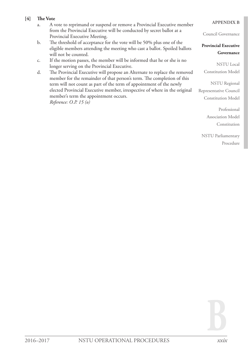#### **[4] The Vote**

- a. A vote to reprimand or suspend or remove a Provincial Executive member from the Provincial Executive will be conducted by secret ballot at a Provincial Executive Meeting.
- b. The threshold of acceptance for the vote will be 50% plus one of the eligible members attending the meeting who cast a ballot. Spoiled ballots will not be counted.
- c. If the motion passes, the member will be informed that he or she is no longer serving on the Provincial Executive.
- d. The Provincial Executive will propose an Alternate to replace the removed member for the remainder of that person's term. The completion of this term will not count as part of the term of appointment of the newly elected Provincial Executive member, irrespective of where in the original member's term the appointment occurs. *Reference: O.P. 15 (o)*

#### **APPENDIX B**

Council Governance

#### **Provincial Executive Governance**

NSTU Local Constitution Model

NSTU Regional Representative Council Constitution Model

> Professional Association Model Constitution

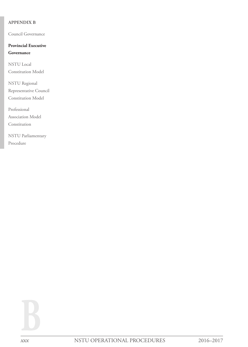#### **APPENDIX B**

Council Governance

#### **Provincial Executive**

#### **Governance**

NSTU Local Constitution Model

NSTU Regional Representative Council Constitution Model

Professional Association Model Constitution

NSTU Parliamentary Procedure

**B**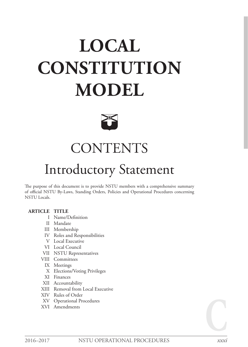# **LOCAL CONSTITUTION MODEL**



# **CONTENTS**

## Introductory Statement

The purpose of this document is to provide NSTU members with a comprehensive summary of official NSTU By-Laws, Standing Orders, Policies and Operational Procedures concerning NSTU Locals.

#### **ARTICLE TITLE**

- I Name/Definition
- II Mandate
- III Membership
- IV Roles and Responsibilities
- V Local Executive
- VI Local Council
- VII NSTU Representatives
- VIII Committees
	- IX Meetings
	- X Elections/Voting Privileges
- XI Finances
- XII Accountability
- XIII Removal from Local Executive
- XIV Rules of Order
- XV Operational Procedures
- XVI Amendments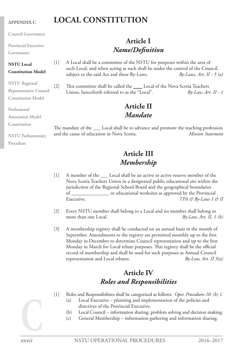#### **APPENDIX C**

Council Governance

Provincial Executive

Governance

## **NSTU Local**

#### **Constitution Model**

NSTU Regional Representative Council Constitution Model

Professional

Association Model

Constitution

NSTU Parliamentary Procedure

#### [1] A Local shall be a committee of the NSTU for purposes within the area of such Local, and when acting as such shall be under the control of the Council, subject to the said Act and these By-Laws. *By-Laws, Art. II - 5 (a)*

**Article I** *Name/Definition*

**LOCAL CONSTITUTION**

[2] This committee shall be called the *Local* of the Nova Scotia Teachers Union, henceforth referred to as the "Local". *By-Law, Art. II - 1*

## **Article II** *Mandate*

The mandate of the \_\_\_ Local shall be to advance and promote the teaching profession and the cause of education in Nova Scotia. *Mission Statement*

## **Article III** *Membership*

- [1] A member of the <u>Local</u> shall be an active or active reserve member of the Nova Scotia Teachers Union in a designated public educational site within the jurisdiction of the Regional School Board and the geographical boundaries of \_\_\_\_\_\_\_\_\_\_\_\_\_\_\_ or educational worksites as approved by the Provincial Executive. *TPA & By-Laws I & II*
- [2] Every NSTU member shall belong to a Local and no member shall belong to more than one Local. *By-Law, Art. II, 1 (b)*
- [3] A membership registry shall be conducted on an annual basis in the month of September. Amendments to the registry are permitted monthly up to the first Monday in December to determine Council representation and up to the first Monday in March for Local rebate purposes. This registry shall be the official record of membership and shall be used for such purposes as Annual Council representation and Local rebates. *By-Law, Art. II 3(a)*

## **Article IV** *Roles and Responsibilities*

- [1] Roles and Responsibilities shall be categorized as follows: *Oper. Procedures 10. (b) 1.*
	- Local Executive planning and implementation of the policies and directives of the Provincial Executive.
	- (b) Local Council information sharing, problem solving and decision making.
	- (c) General Membership information gathering and information sharing.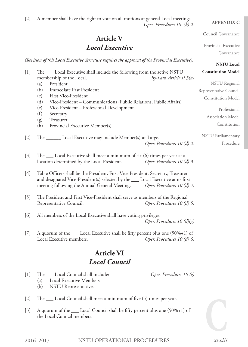[2] A member shall have the right to vote on all motions at general Local meetings. *Oper. Procedures 10. (b) 2.*

## **Article V** *Local Executive*

*(Revision of this Local Executive Structure requires the approval of the Provincial Executive).*

|       | $\cdots$                                                                           | <b>NSTU Local</b>            |
|-------|------------------------------------------------------------------------------------|------------------------------|
| $[1]$ | The ____ Local Executive shall include the following from the active NSTU          | <b>Constitution Model</b>    |
|       | membership of the Local.                                                           | $By-Law$ , Article II $5(a)$ |
|       | President<br>(a)                                                                   | <b>NSTU</b> Regional         |
|       | Immediate Past President<br>(b)                                                    | Representative Council       |
|       | First Vice-President<br>(c)                                                        | <b>Constitution Model</b>    |
|       | (d)<br>Vice-President - Communications (Public Relations, Public Affairs)          |                              |
|       | Vice-President - Professional Development<br>(e)                                   | Professional                 |
|       | (f)<br>Secretary                                                                   | Association Model            |
|       | Treasurer<br>(g)                                                                   |                              |
|       | Provincial Executive Member(s)<br>(h)                                              | Constitution                 |
|       |                                                                                    | <b>NSTU</b> Parliamentary    |
| $[2]$ | The ________ Local Executive may include Member(s)-at-Large.                       |                              |
|       | Oper. Procedures 10 (d) 2.                                                         | Procedure                    |
| $[3]$ | The ____ Local Executive shall meet a minimum of six (6) times per year at a       |                              |
|       | location determined by the Local President.<br>Oper. Procedures 10 (d) 3.          |                              |
|       |                                                                                    |                              |
| $[4]$ | Table Officers shall be the President, First-Vice President, Secretary, Treasurer  |                              |
|       | and designated Vice-President(s) selected by the ____ Local Executive at its first |                              |
|       | meeting following the Annual General Meeting. Oper. Procedures 10 (d) 4.           |                              |
|       |                                                                                    |                              |
| $[5]$ | The President and First Vice-President shall serve as members of the Regional      |                              |
|       | Representative Council.<br>Oper. Procedures 10 (d) 5.                              |                              |
|       |                                                                                    |                              |
| [6]   | All members of the Local Executive shall have voting privileges.                   |                              |
|       |                                                                                    | Oper. Procedures 10 $(d)(g)$ |

[7] A quorum of the \_\_\_\_ Local Executive shall be fifty percent plus one (50%+1) of Local Executive members. *Oper. Procedures 10 (d) 6.*

## **Article VI** *Local Council*

[1] The Local Council shall include: *Oper. Procedures 10 (e)*

- (a) Local Executive Members
	- (b) NSTU Representatives
- [2] The \_\_\_ Local Council shall meet a minimum of five (5) times per year.
- [3] A quorum of the \_\_\_ Local Council shall be fifty percent plus one (50%+1) of the Local Council members.

**APPENDIX C**

Council Governance

Provincial Executive

Governance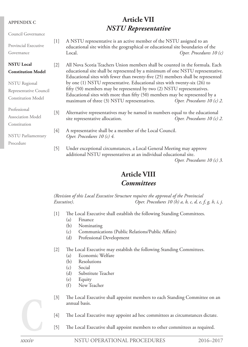| <b>APPENDIX C</b>                  |       | 711 11110 V 11                                                                                                                                                    |                             |
|------------------------------------|-------|-------------------------------------------------------------------------------------------------------------------------------------------------------------------|-----------------------------|
|                                    |       | <b>NSTU</b> Representative                                                                                                                                        |                             |
| Council Governance                 |       |                                                                                                                                                                   |                             |
| Provincial Executive<br>Governance | $[1]$ | A NSTU representative is an active member of the NSTU assigned to an<br>educational site within the geographical or educational site boundaries of the<br>Local.  | Oper. Procedures $10(c)$    |
| <b>NSTU Local</b>                  | $[2]$ | All Nova Scotia Teachers Union members shall be counted in the formula. Each                                                                                      |                             |
| <b>Constitution Model</b>          |       | educational site shall be represented by a minimum of one NSTU representative.<br>Educational sites with fewer than twenty-five (25) members shall be represented |                             |
| <b>NSTU</b> Regional               |       | by one (1) NSTU representative. Educational sites with twenty-six (26) to                                                                                         |                             |
| Representative Council             |       | fifty (50) members may be represented by two (2) NSTU representatives.                                                                                            |                             |
| <b>Constitution Model</b>          |       | Educational sites with more than fifty (50) members may be represented by a<br>maximum of three (3) NSTU representatives.                                         | Oper. Procedures $10(c)$ 2. |
| Professional                       | $[3]$ | Alternative representatives may be named in numbers equal to the educational                                                                                      |                             |
| <b>Association Model</b>           |       | site representative allocation.                                                                                                                                   | Oper. Procedures 10 (c) 2.  |
| Constitution                       |       |                                                                                                                                                                   |                             |
|                                    | $[4]$ | A representative shall be a member of the Local Council.                                                                                                          |                             |
| <b>NSTU</b> Parliamentary          |       | Oper. Procedures 10 (c) 4.                                                                                                                                        |                             |
| Procedure                          |       |                                                                                                                                                                   |                             |
|                                    | $[5]$ | Under exceptional circumstances, a Local General Meeting may approve<br>additional NSTU representatives at an individual educational site.                        |                             |

*Oper. Procedures 10 (c) 3.*

## **Article VIII**

**Article VII**

### *Committees*

*(Revision of this Local Executive Structure requires the approval of the Provincial Executive)*. *Oper. Procedures 10 (h) a, b, c, d, e, f, g, h, i, j.*

- [1] The Local Executive shall establish the following Standing Committees.
	- (a) Finance
	- (b) Nominating
	- (c) Communications (Public Relations/Public Affairs)
	- (d) Professional Development
- [2] The Local Executive may establish the following Standing Committees.
	- (a) Economic Welfare
	- (b) Resolutions
	- (c) Social
	- (d) Substitute Teacher
	- (e) Equity
	- (f) New Teacher
- [3] The Local Executive shall appoint members to each Standing Committee on an annual basis.
- [4] The Local Executive may appoint ad hoc committees as circumstances dictate.
- [5] The Local Executive shall appoint members to other committees as required.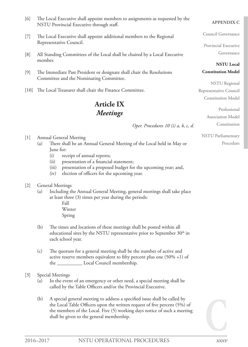- [6] The Local Executive shall appoint members to assignments as requested by the NSTU Provincial Executive through staff.
- [7] The Local Executive shall appoint additional members to the Regional Representative Council.
- [8] All Standing Committees of the Local shall be chaired by a Local Executive member.
- [9] The Immediate Past President or designate shall chair the Resolutions Committee and the Nominating Committee.
- [10] The Local Treasurer shall chair the Finance Committee.

## **Article IX** *Meetings*

*Oper. Procedures 10 (i) a, b, c, d.*

[1] Annual General Meeting

- (a) There shall be an Annual General Meeting of the Local held in May or June for:
	- (i) receipt of annual reports;
	- (ii) presentation of a financial statement;
	- (iii) presentation of a proposed budget for the upcoming year; and,
	- (iv) election of officers for the upcoming year.

#### [2] General Meetings

- (a) Including the Annual General Meeting, general meetings shall take place at least three (3) times per year during the periods:
	- Fall Winter Spring
- (b) The times and locations of these meetings shall be posted within all educational sites by the NSTU representative prior to September  $30<sup>th</sup>$  in each school year.
- (c) The quorum for a general meeting shall be the number of active and active reserve members equivalent to fifty percent plus one (50% +1) of the \_\_\_\_\_\_\_\_\_\_ Local Council membership.
- [3] Special Meetings
	- (a) In the event of an emergency or other need, a special meeting shall be called by the Table Officers and/or the Provincial Executive.
	- (b) A special general meeting to address a specified issue shall be called by the Local Table Officers upon the written request of five percent (5%) of the members of the Local. Five (5) working days notice of such a meeting shall be given to the general membership.

#### **APPENDIX C**

Council Governance

Provincial Executive Governance

**NSTU Local Constitution Model**

NSTU Regional Representative Council Constitution Model

> Professional Association Model

NSTU Parliamentary

Procedure

Constitution

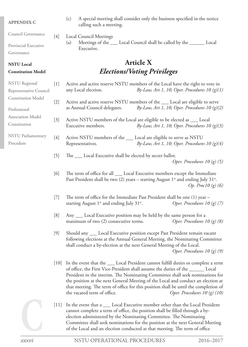#### **APPENDIX C**

Council Governance

Provincial Executive

Governance

#### **NSTU Local**

#### **Constitution Model**

| <b>NSTU</b> Regional      |    |
|---------------------------|----|
| Representative Council    |    |
| <b>Constitution Model</b> | D  |
|                           |    |
| Professional              |    |
| <b>Association Model</b>  | ſ. |
| Constitution              |    |
| NSTU Parliamentary        | ŗ. |
| Procedure                 |    |
|                           |    |

- (c) A special meeting shall consider only the business specified in the notice calling such a meeting.
- [4] Local Council Meetings
	- (a) Meetings of the *Local Council shall be called by the Local* Executive.

## **Article X** *Elections/Voting Privileges*

- [1] Active and active reserve NSTU members of the Local have the right to vote in any Local election. *By-Law, Art 1, 10; Oper. Procedures 10 (g)(1)*
- 2] Active and active reserve NSTU members of the *\_\_\_\_* Local are eligible to serve as Annual Council delegates. *By-Law, Art 1, 10; Oper. Procedures 10 (g)(2)*
- 3] Active NSTU members of the Local are eligible to be elected as \_\_\_ Local Executive members. *By-Law, Art 1, 10; Oper. Procedures 10 (g)(3)*
- 4] Active NSTU members of the *Local are eligible to serve as NSTU* Representatives. *By-Law, Art 1, 10; Oper. Procedures 10 (g)(4)*
- [5] The *Local Executive shall be elected by secret ballot.*

*Oper. Procedures 10 (g) (5)*

- [6] The term of office for all \_\_\_ Local Executive members except the Immediate Past President shall be two (2) years – starting August  $1^{st}$  and ending July 31 $^{st}$ . *Op. Proc10 (g) (6)*
- [7] The term of office for the Immediate Past President shall be one (1) year starting August 1<sup>st</sup> and ending July 31<sup>st</sup>. *Oper. Procedures 10 (g) (7)*
- [8] Any Local Executive position may be held by the same person for a maximum of two (2) consecutive terms. *Oper. Procedures 10 (g) (8)*
- [9] Should any Local Executive position except Past President remain vacant following elections at the Annual General Meeting, the Nominating Committee shall conduct a by-election at the next General Meeting of the Local. *Oper. Procedures 10 (g) (9)*
- [10] In the event that the \_\_\_\_ Local President cannot fulfill duties or complete a term of office, the First Vice-President shall assume the duties of the \_\_\_\_\_\_\_\_ Local President in the interim. The Nominating Committee shall seek nominations for the position at the next General Meeting of the Local and conduct an election at that meeting. The term of office for this position shall be until the completion of the vacated term of office. *Oper. Procedures 10 (g) (10)*
- [11] In the event that a \_\_\_\_ Local Executive member other than the Local President cannot complete a term of office, the position shall be filled through a byelection administered by the Nominating Committee. The Nominating Committee shall seek nominations for the position at the next General Meeting of the Local and an election conducted at that meeting. The term of office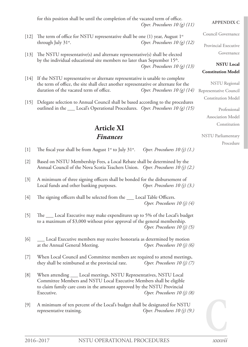for this position shall be until the completion of the vacated term of office. *Oper. Procedures 10 (g) (11)*

- [12] The term of office for NSTU representative shall be one (1) year, August  $1^{st}$ through July 31st. *Oper. Procedures 10 (g) (12)*
- [13] The NSTU representative(s) and alternate representative(s) shall be elected by the individual educational site members no later than September 15<sup>th</sup>. *Oper. Procedures 10 (g) (13)*
- [14] If the NSTU representative or alternate representative is unable to complete the term of office, the site shall elect another representative or alternate for the duration of the vacated term of office. *Oper. Procedures 10 (g) (14)*
- [15] Delegate selection to Annual Council shall be based according to the procedures outlined in the Local's Operational Procedures. *Oper. Procedures 10 (g) (15)*

## **Article XI** *Finances*

#### **APPENDIX C**

Council Governance

Provincial Executive Governance

#### **NSTU Local Constitution Model**

NSTU Regional Representative Council Constitution Model

> Professional Association Model Constitution

- [1] The fiscal year shall be from August 1st to July 31st. *Oper. Procedures 10 (j) (1.)*
- [2] Based on NSTU Membership Fees, a Local Rebate shall be determined by the Annual Council of the Nova Scotia Teachers Union. *Oper. Procedures 10 (j) (2.)*
- [3] A minimum of three signing officers shall be bonded for the disbursement of Local funds and other banking purposes. *Oper. Procedures 10 (j) (3.)*
- [4] The signing officers shall be selected from the *\_\_\_\_* Local Table Officers. *Oper. Procedures 10 (j) (4)*
- [5] The Local Executive may make expenditures up to 5% of the Local's budget to a maximum of \$3,000 without prior approval of the general membership. *Oper. Procedures 10 (j) (5)*
- [6] Local Executive members may receive honoraria as determined by motion at the Annual General Meeting. *Oper. Procedures 10 (j) (6)*
- [7] When Local Council and Committee members are required to attend meetings, they shall be reimbursed at the provincial rate. *Oper. Procedures 10 (j) (7)*
- [8] When attending \_\_\_ Local meetings, NSTU Representatives, NSTU Local Committee Members and NSTU Local Executive Members shall be eligible to claim family care costs in the amount approved by the NSTU Provincial Executive. *Oper. Procedures 10 (j) (8)*
- [9] A minimum of ten percent of the Local's budget shall be designated for NSTU representative training. *Oper. Procedures 10 (j) (9.)*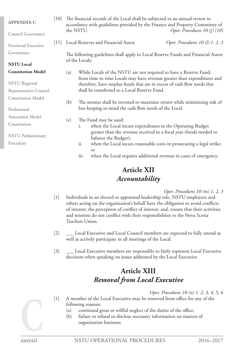| <b>APPENDIX C</b>                                                                                                                                                                                                                                                                                                                               | $[10]$ |                                                                                                                                                     | The financial records of the Local shall be subjected to an annual review in<br>accordance with guidelines provided by the Finance and Property Committee of<br>the NSTU. | Oper. Procedures 10 (j) (10)    |  |
|-------------------------------------------------------------------------------------------------------------------------------------------------------------------------------------------------------------------------------------------------------------------------------------------------------------------------------------------------|--------|-----------------------------------------------------------------------------------------------------------------------------------------------------|---------------------------------------------------------------------------------------------------------------------------------------------------------------------------|---------------------------------|--|
| Council Governance                                                                                                                                                                                                                                                                                                                              |        |                                                                                                                                                     |                                                                                                                                                                           |                                 |  |
| Provincial Executive                                                                                                                                                                                                                                                                                                                            | 11     | Local Reserves and Financial Assets                                                                                                                 |                                                                                                                                                                           | Oper. Procedures 10 (l) 1. 2. 3 |  |
| Governance                                                                                                                                                                                                                                                                                                                                      |        |                                                                                                                                                     | The following guidelines shall apply to Local Reserve Funds and Financial Assets                                                                                          |                                 |  |
| <b>NSTU Local</b>                                                                                                                                                                                                                                                                                                                               |        |                                                                                                                                                     | of the Locals:                                                                                                                                                            |                                 |  |
| <b>Constitution Model</b>                                                                                                                                                                                                                                                                                                                       |        | While Locals of the NSTU are not required to have a Reserve Fund,<br>(a)<br>from time to time Locals may have revenue greater than expenditures and |                                                                                                                                                                           |                                 |  |
| <b>NSTU</b> Regional                                                                                                                                                                                                                                                                                                                            |        |                                                                                                                                                     | therefore, have surplus funds that are in excess of cash flow needs that                                                                                                  |                                 |  |
| Representative Council                                                                                                                                                                                                                                                                                                                          |        |                                                                                                                                                     | shall be transferred to a Local Reserve Fund.                                                                                                                             |                                 |  |
| <b>Constitution Model</b>                                                                                                                                                                                                                                                                                                                       |        | (b)                                                                                                                                                 | The monies shall be invested to maximize return while minimizing risk of                                                                                                  |                                 |  |
| Professional                                                                                                                                                                                                                                                                                                                                    |        |                                                                                                                                                     | loss keeping in mind the cash flow needs of the Local.                                                                                                                    |                                 |  |
| <b>Association Model</b>                                                                                                                                                                                                                                                                                                                        |        |                                                                                                                                                     |                                                                                                                                                                           |                                 |  |
| The Fund may be used:<br>(c)<br>Constitution<br>when the Local incurs expenditures in the Operating Budget<br>i.<br>greater than the revenue received in a fiscal year (funds needed to<br><b>NSTU</b> Parliamentary<br>balance the Budget);<br>Procedure<br>when the Local incurs reasonable costs in prosecuting a legal strike;<br>ii.<br>or |        |                                                                                                                                                     |                                                                                                                                                                           |                                 |  |
|                                                                                                                                                                                                                                                                                                                                                 |        |                                                                                                                                                     |                                                                                                                                                                           |                                 |  |
|                                                                                                                                                                                                                                                                                                                                                 |        |                                                                                                                                                     |                                                                                                                                                                           |                                 |  |
|                                                                                                                                                                                                                                                                                                                                                 |        |                                                                                                                                                     | when the Local requires additional revenue in cases of emergency.<br>iii.                                                                                                 |                                 |  |

## **Article XII** *Accountability*

#### *Oper. Procedures 10 (m) 1, 2, 3*

- [1] Individuals in an elected or appointed leadership role, NSTU employees and others acting on the organization's behalf have the obligation to avoid conflicts of interest; the perception of conflict of interest; and, ensure that their activities and interests do not conflict with their responsibilities to the Nova Scotia Teachers Union.
- [2] Local Executive and Local Council members are expected to fully attend as well as actively participate in all meetings of the Local.
- [3] Local Executive members are responsible to fairly represent Local Executive decisions when speaking on issues addressed by the Local Executive.

## **Article XIII** *Removal from Local Executive*

#### *Oper. Procedures 10 (n) 1, 2, 3, 4, 5, 6*

[1] A member of the Local Executive may be removed from office for any of the following reasons:

- (a) continued gross or willful neglect of the duties of the office;
- (b) failure or refusal to disclose necessary information on matters of organization business;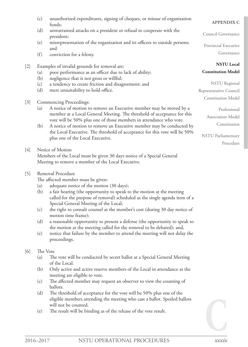- (c) unauthorized expenditures, signing of cheques, or misuse of organization funds;
- (d) unwarranted attacks on a president or refusal to cooperate with the president;
- (e) misrepresentation of the organization and its officers to outside persons; and
- (f) conviction for a felony.

#### [2] Examples of invalid grounds for removal are:

- (a) poor performance as an officer due to lack of ability;
- (b) negligence that is not gross or willful;
- (c) a tendency to create friction and disagreement; and
- (d) mere unsuitability to hold office.

#### [3] Commencing Proceedings:

- (a) A notice of motion to remove an Executive member may be moved by a member at a Local General Meeting. The threshold of acceptance for this vote will be 50% plus one of those members in attendance who vote.
- (b) A notice of motion to remove an Executive member may be conducted by the Local Executive. The threshold of acceptance for this vote will be 50% plus one of the Local Executive.

#### [4] Notice of Motion

Members of the Local must be given 30 days notice of a Special General Meeting to remove a member of the Local Executive.

#### [5] Removal Procedure

The affected member must be given:

- (a) adequate notice of the motion (30 days);
- (b) a fair hearing (the opportunity to speak to the motion at the meeting called for the purpose of removal) scheduled as the single agenda item of a Special General Meeting of the Local;
- (c) the right to consult counsel at the member's cost (during 30 day notice of motion time frame);
- (d) a reasonable opportunity to present a defense (the opportunity to speak to the motion at the meeting called for the removal to be debated); and,
- (e) notice that failure by the member to attend the meeting will not delay the proceedings.

#### [6] The Vote

- (a) The vote will be conducted by secret ballot at a Special General Meeting of the Local.
- (b) Only active and active reserve members of the Local in attendance at the meeting are eligible to vote.
- (c) The affected member may request an observer to view the counting of ballots.
- (d) The threshold of acceptance for the vote will be 50% plus one of the eligible members attending the meeting who cast a ballot. Spoiled ballots will not be counted.
- (e) The result will be binding as of the release of the vote result.

#### **APPENDIX C**

Council Governance

Provincial Executive Governance

#### **NSTU Local Constitution Model**

NSTU Regional Representative Council Constitution Model

> Professional Association Model Constitution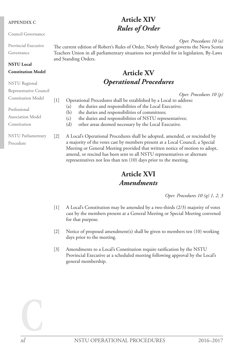#### **APPENDIX C**

Council Governance

Provincial Executive Governance

**NSTU Local** 

## **Constitution Model**

NSTU Regional Representative Council Constitution Model Professional Association Model Constitution NSTU Parliamentary Procedure

## **Article XIV** *Rules of Order*

*Oper. Procedures 10 (o)*

The current edition of Robert's Rules of Order, Newly Revised governs the Nova Scotia Teachers Union in all parliamentary situations not provided for in legislation, By-Laws and Standing Orders.

## **Article XV** *Operational Procedures*

*Oper. Procedures 10 (p)*

[1] Operational Procedures shall be established by a Local to address:

- (a) the duties and responsibilities of the Local Executive;
- (b) the duties and responsibilities of committees;
- (c) the duties and responsibilities of NSTU representatives;
- (d) other areas deemed necessary by the Local Executive.

[2] A Local's Operational Procedures shall be adopted, amended, or rescinded by a majority of the votes cast by members present at a Local Council, a Special Meeting or General Meeting provided that written notice of motion to adopt, amend, or rescind has been sent to all NSTU representatives or alternate representatives not less than ten (10) days prior to the meeting.

## **Article XVI** *Amendments*

*Oper. Procedures 10 (q) 1, 2, 3*

- [1] A Local's Constitution may be amended by a two-thirds (2/3) majority of votes cast by the members present at a General Meeting or Special Meeting convened for that purpose.
- [2] Notice of proposed amendment(s) shall be given to members ten (10) working days prior to the meeting.
- [3] Amendments to a Local's Constitution require ratification by the NSTU Provincial Executive at a scheduled meeting following approval by the Local's general membership.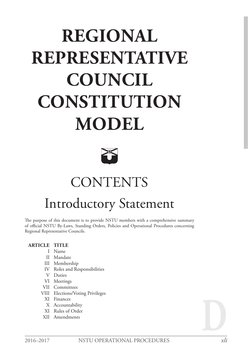# **REGIONAL REPRESENTATIVE COUNCIL CONSTITUTION MODEL**



# **CONTENTS**

## Introductory Statement

The purpose of this document is to provide NSTU members with a comprehensive summary of official NSTU By-Laws, Standing Orders, Policies and Operational Procedures concerning Regional Representative Councils.

#### **ARTICLE TITLE**

- I Name
- II Mandate
- III Membership
- IV Roles and Responsibilities
- V Duties
- VI Meetings
- VII Committees
- VIII Elections/Voting Privileges
	- XI Finances
	- X Accountability
	- XI Rules of Order
- XII Amendments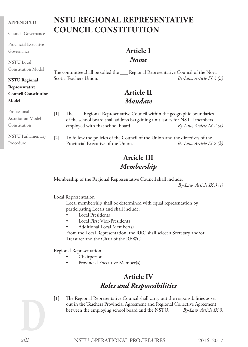#### **APPENDIX D**

Council Governance

Provincial Executive Governance

NSTU Local Constitution Model

#### **NSTU Regional Representative**

#### **Council Constitution Model**

## **NSTU REGIONAL REPRESENTATIVE COUNCIL CONSTITUTION**

## **Article I** *Name*

The committee shall be called the \_\_\_ Regional Representative Council of the Nova Scotia Teachers Union. *By-Law, Article IX 3 (a)*

## **Article II** *Mandate*

| Professional<br>Association Model<br>Constitution | $\vert 1 \vert$             | The ___ Regional Representative Council within the geographic boundaries<br>of the school board shall address bargaining unit issues for NSTU members<br>employed with that school board. | $By-Law, Article IX 2 (a)$ |
|---------------------------------------------------|-----------------------------|-------------------------------------------------------------------------------------------------------------------------------------------------------------------------------------------|----------------------------|
| <b>NSTU</b> Parliamentary<br>Procedure            | $\left\lceil 2\right\rceil$ | To follow the policies of the Council of the Union and the directives of the<br>Provincial Executive of the Union.                                                                        | $By-Law, Article IX 2 (b)$ |

## **Article III** *Membership*

Membership of the Regional Representative Council shall include:

*By-Law, Article IX 3 (c)*

Local Representation

Local membership shall be determined with equal representation by participating Locals and shall include:

- **Local Presidents**
- **Local First Vice-Presidents**
- Additional Local Member(s)

From the Local Representation, the RRC shall select a Secretary and/or Treasurer and the Chair of the REWC.

Regional Representation

- **Chairperson**
- Provincial Executive Member(s)

## **Article IV** *Roles and Responsibilities*

[1] The Regional Representative Council shall carry out the responsibilities as set out in the Teachers Provincial Agreement and Regional Collective Agreement between the employing school board and the NSTU. *By-Law, Article IX 9.*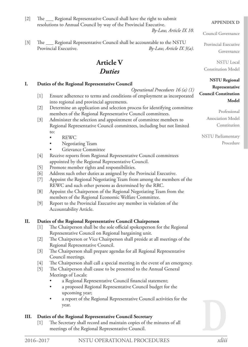[2] The <u>Same Regional Representative Council shall have the right to submit</u> resolutions to Annual Council by way of the Provincial Executive.

[3] The <u>Same Regional Representative Council shall be accountable to the NSTU</u> Provincial Executive. *By-Law, Article IX 3(a).*

## **Article V**

## *Duties*

#### **I. Duties of the Regional Representative Council**

*Operational Procedures 16 (a) (1)*

*By-Law, Article IX 10.*

- [1] Ensure adherence to terms and conditions of employment as incorporated into regional and provincial agreements.
- [2] Determine an application and selection process for identifying committee members of the Regional Representative Council committees.
- [3] Administer the selection and appointment of committee members to Regional Representative Council committees, including but not limited to:
	- **REWC**
	- Negotiating Team
	- **Grievance Committee**
- [4] Receive reports from Regional Representative Council committees appointed by the Regional Representative Council.
- [5] Promote member rights and responsibilities.
- [6] Address such other duties as assigned by the Provincial Executive.
- [7] Appoint the Regional Negotiating Team from among the members of the REWC and such other persons as determined by the RRC.
- [8] Appoint the Chairperson of the Regional Negotiating Team from the members of the Regional Economic Welfare Committee.
- [9] Report to the Provincial Executive any member in violation of the Accountability Article.

#### **II. Duties of the Regional Representative Council Chairperson**

- [1] The Chairperson shall be the sole official spokesperson for the Regional Representative Council on Regional bargaining unit.
- [2] The Chairperson or Vice Chairperson shall preside at all meetings of the Regional Representative Council.
- [3] The Chairperson shall prepare agendas for all Regional Representative Council meetings.
- [4] The Chairperson shall call a special meeting in the event of an emergency.
- [5] The Chairperson shall cause to be presented to the Annual General Meetings of Locals:
	- a Regional Representative Council financial statement;
	- a proposed Regional Representative Council budget for the upcoming year;
	- a report of the Regional Representative Council activities for the year.

### **III. Duties of the Regional Representative Council Secretary**

[1] The Secretary shall record and maintain copies of the minutes of all meetings of the Regional Representative Council.

#### **APPENDIX D**

Council Governance

Provincial Executive Governance

NSTU Local Constitution Model

#### **NSTU Regional**

#### **Representative Council Constitution Model**

Professional Association Model Constitution

NSTU Parliamentary Procedure

**D**

*xliii*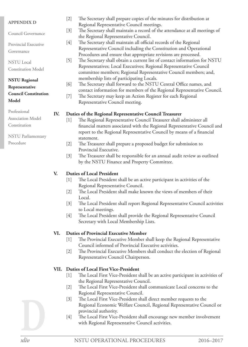#### **APPENDIX D**

| AFFEINDIA D                 |       | Regional Representative Council meetings.                                  |
|-----------------------------|-------|----------------------------------------------------------------------------|
| Council Governance          | $[3]$ | The Secretary shall maintain a record of the attendance at all meetings of |
|                             |       | the Regional Representative Council.                                       |
| Provincial Executive        | $[4]$ | The Secretary shall maintain all official records of the Regional          |
| Governance                  |       | Representative Council including the Constitution and Operational          |
|                             |       | Procedures and ensure that appropriate revisions are processed.            |
| <b>NSTU</b> Local           | $[5]$ | The Secretary shall obtain a current list of contact information for NSTU  |
| <b>Constitution Model</b>   |       | Representatives; Local Executives; Regional Representative Council         |
|                             |       | committee members; Regional Representative Council members; and,           |
| <b>NSTU Regional</b>        |       | membership lists of participating Locals.                                  |
| Representative              | [6]   | The Secretary shall forward to the NSTU Central Office names, and          |
| <b>Council Constitution</b> |       | contact information for members of the Regional Representative Council.    |
|                             | $[7]$ | The Secretary may keep an Action Register for each Regional                |
| Model                       |       | Representative Council meeting.                                            |
| Professional                |       |                                                                            |
| <b>Association Model</b>    | IV.   | Duties of the Regional Representative Council Treasurer                    |
|                             | [1]   | The Regional Representative Council Treasurer shall administer all         |
| Constitution                |       | financial matters associated with the Regional Representative Council and  |
|                             |       | report to the Regional Representative Council by means of a financial      |
| NSTU Parliamentary          |       | statement.                                                                 |
| Procedure                   |       | The Treasurer shall prepare a proposed budget for submission to            |
|                             |       | Provincial Executive.                                                      |

[3] The Treasurer shall be responsible for an annual audit review as outlined by the NSTU Finance and Property Committee.

[2] The Secretary shall prepare copies of the minutes for distribution at

#### **V. Duties of Local President**

- [1] The Local President shall be an active participant in activities of the Regional Representative Council.
- [2] The Local President shall make known the views of members of their Local.
- [3] The Local President shall report Regional Representative Council activities to Local meetings.
- [4] The Local President shall provide the Regional Representative Council Secretary with Local Membership Lists.

#### **VI. Duties of Provincial Executive Member**

- [1] The Provincial Executive Member shall keep the Regional Representative Council informed of Provincial Executive activities.
- [2] The Provincial Executive Members shall conduct the election of Regional Representative Council Chairperson.

#### **VII. Duties of Local First Vice-President**

- [1] The Local First Vice-President shall be an active participant in activities of the Regional Representative Council.
- [2] The Local First Vice-President shall communicate Local concerns to the Regional Representative Council.
- [3] The Local First Vice-President shall direct member requests to the Regional Economic Welfare Council, Regional Representative Council or provincial authority.
- [4] The Local First Vice-President shall encourage new member involvement with Regional Representative Council activities.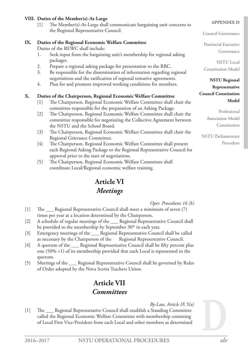#### **VIII. Duties of the Member(s)-At-Large**

[1] The Member(s)-At-Large shall communicate bargaining unit concerns to the Regional Representative Council.

#### **IX. Duties of the Regional Economic Welfare Committee**

Duties of the REWC shall include:

- 1. Seek input from the bargaining unit's membership for regional asking packages.
- 2. Prepare a regional asking package for presentation to the RRC.
- 3. Be responsible for the dissemination of information regarding regional negotiations and the ratification of regional tentative agreements.
- 4. Plan for and promote improved working conditions for members.

#### **X. Duties of the Chairperson, Regional Economic Welfare Committee**

- [1] The Chairperson, Regional Economic Welfare Committee shall chair the committee responsible for the preparation of an Asking Package.
- [2] The Chairperson, Regional Economic Welfare Committee shall chair the committee responsible for negotiating the Collective Agreement between the NSTU and the School Board.
- [3] The Chairperson, Regional Economic Welfare Committee shall chair the Regional Grievance Committee.
- [4] The Chairperson, Regional Economic Welfare Committee shall present each Regional Asking Package to the Regional Representative Council for approval prior to the start of negotiations.
- [5] The Chairperson, Regional Economic Welfare Committee shall coordinate Local/Regional economic welfare training.

## **Article VI** *Meetings*

*Oper. Procedures 16 (b)*

- [1] The <u>executional Representative Council shall meet a minimum of seven</u> (7) times per year at a location determined by the Chairperson.
- [2] A schedule of regular meetings of the \_\_ Regional Representative Council shall be provided to the membership by September  $30<sup>th</sup>$  in each year.
- [3] Emergency meetings of the \_\_\_ Regional Representative Council shall be called as necessary by the Chairperson of the Regional Representative Council.
- [4] A quorum of the \_\_\_ Regional Representative Council shall be fifty percent plus one (50% +1) of its membership provided that each Local is represented in the quorum.
- [5] Meetings of the <u>Sandal Representative Council shall be governed by Rules</u> of Order adopted by the Nova Scotia Teachers Union.

## **Article VII** *Committees*

*By-Law, Article IX 5(a)*

[1] The <u>Seegional Representative Council shall establish a Standing Committee</u> called the Regional Economic Welfare Committee with membership consisting of Local First Vice-President from each Local and other members as determined

#### **APPENDIX D**

Council Governance

Provincial Executive Governance

NSTU Local Constitution Model

**NSTU Regional Representative Council Constitution Model**

> Professional Association Model Constitution

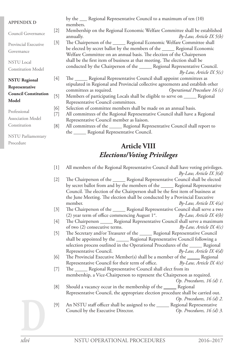| <b>APPENDIX D</b>           |       | by the <u>exercised</u> Representative Council to a maximum of ten (10)<br>members. |  |  |  |
|-----------------------------|-------|-------------------------------------------------------------------------------------|--|--|--|
| Council Governance          | $[2]$ | Membership on the Regional Economic Welfare Committee shall be established          |  |  |  |
|                             |       | annually.<br>$By-Law, Article IX 5(b)$                                              |  |  |  |
| Provincial Executive        | $[3]$ | The Chairperson of the ______ Regional Economic Welfare Committee shall             |  |  |  |
| Governance                  |       | be elected by secret ballot by the members of the ______ Regional Economic          |  |  |  |
|                             |       | Welfare Committee on an annual basis. The election of the Chairperson               |  |  |  |
| <b>NSTU</b> Local           |       | shall be the first item of business at that meeting. The election shall be          |  |  |  |
| <b>Constitution Model</b>   |       | conducted by the Chairperson of the _______ Regional Representative Council.        |  |  |  |
|                             |       | $By-Law, Article IX 5(c)$                                                           |  |  |  |
| <b>NSTU Regional</b>        | $[4]$ | The _______ Regional Representative Council shall appoint committees as             |  |  |  |
| Representative              |       | stipulated in Regional and Provincial collective agreements and establish other     |  |  |  |
| <b>Council Constitution</b> |       | committees as required.<br>Operational Procedure 16 $(c)$                           |  |  |  |
|                             | $[5]$ | Members of participating Locals shall be eligible to serve on ______ Regional       |  |  |  |
| Model                       |       | Representative Council committees.                                                  |  |  |  |
| Professional                | [6]   | Selection of committee members shall be made on an annual basis.                    |  |  |  |
|                             | [7]   | All committees of the Regional Representative Council shall have a Regional         |  |  |  |
| <b>Association Model</b>    |       | Representative Council member as liaison.                                           |  |  |  |
| Constitution                | [8]   | All committees of the ______ Regional Representative Council shall report to        |  |  |  |
| <b>NSTU</b> Parliamentary   |       | the _______ Regional Representative Council.                                        |  |  |  |
| Procedure                   |       | $\Lambda$ : $\Lambda$ . VAII                                                        |  |  |  |

## **Article VIII** *Elections/Voting Privileges*

| $[1]$             | All members of the Regional Representative Council shall have voting privileges. |
|-------------------|----------------------------------------------------------------------------------|
|                   | $By-Law, Article IX 3(d)$                                                        |
| $[2]$             | The Chairperson of the ______ Regional Representative Council shall be elected   |
|                   | by secret ballot from and by the members of the ______ Regional Representative   |
|                   | Council. The election of the Chairperson shall be the first item of business at  |
|                   | the June Meeting. The election shall be conducted by a Provincial Executive      |
|                   | member.<br>$By-Law$ , Article IX $4(a)$                                          |
| $[3]$             | The Chairperson of the ______ Regional Representative Council shall serve a two  |
|                   | (2) year term of office commencing August $1^{st}$ . By-Law, Article IX $4(b)$   |
| $[4]$             | The Chairperson ______ Regional Representative Council shall serve a maximum     |
|                   | of two (2) consecutive terms.<br>$By-Law, Article IX 4(c)$                       |
| $\lceil 5 \rceil$ | The Secretary and/or Treasurer of the ______ Regional Representative Council     |
|                   | shall be appointed by the ______ Regional Representative Council following a     |
|                   | selection process outlined in the Operational Procedures of the ______ Regional  |
|                   | Representative Council.<br>$By-Law$ , Article IX $4(d)$                          |
| [6]               | The Provincial Executive Member(s) shall be a member of the ______ Regional      |
|                   | Representative Council for their term of office. $By-Law$ , Article IX $4(e)$    |
| $[7]$             | The ______ Regional Representative Council shall elect from its                  |
|                   | membership, a Vice-Chairperson to represent the Chairperson as required.         |
|                   | Op. Procedures, $16$ (d) 1.                                                      |
| [8]               | Should a vacancy occur in the membership of the _______ Regional                 |
|                   | Representative Council, the appropriate election procedure shall be carried out. |
|                   | Op. Procedures, $16$ (d) 2.                                                      |
| [9]               | An NSTU staff officer shall be assigned to the ______ Regional Representative    |
|                   | Council by the Executive Director.<br>Op. Procedures, $16(d)$ 3.                 |
|                   |                                                                                  |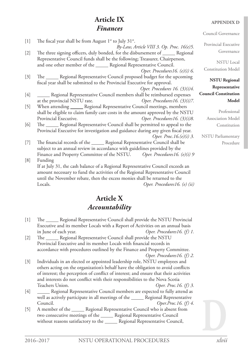## **Article IX** *Finances*

#### [1] The fiscal year shall be from August  $1^{st}$  to July  $31^{st}$ . *By-Law, Article VIII 3. Op. Proc. 16(e)5.* [2] The three signing officers, duly bonded, for the disbursement of \_\_\_\_\_\_ Regional Representative Council funds shall be the following; Treasurer, Chairperson, and one other member of the \_\_\_\_\_\_ Regional Representative Council. *Oper. Procedures16. (e)(i) 6.* [3] The <u>Council</u> Regional Representative Council proposed budget for the upcoming fiscal year shall be submitted to the Provincial Executive for approval. *Oper. Procedures 16. (3)(i)4.* [4] Regional Representative Council members shall be reimbursed expenses at the provincial NSTU rate. *Oper. Procedures16. (3)(i)7.* [5] When attending Regional Representative Council meetings, members shall be eligible to claim family care costs in the amount approved by the NSTU Provincial Executive. *Oper. Procedures16. (3)(i)8.* [6] The Regional Representative Council shall be permitted to appeal to the Provincial Executive for investigation and guidance during any given fiscal year. *Oper. Proc.16.(e)(i) 3.* [7] The financial records of the \_\_\_\_\_\_ Regional Representative Council shall be subject to an annual review in accordance with guidelines provided by the Finance and Property Committee of the NSTU. *Oper. Procedures16. (e)(i) 9* [8] Funding If at July 31, the cash balance of a Regional Representative Council exceeds an amount necessary to fund the activities of the Regional Representative Council until the November rebate, then the excess monies shall be returned to the Locals. *Oper. Procedures16. (e) (ii)*

## **Article X** *Accountability*

- [1] The <u>Cauce Regional Representative Council shall provide the NSTU Provincial</u> Executive and its member Locals with a Report of Activities on an annual basis in June of each year. *Oper. Procedures16. (f) 1.*
- [2] The \_\_\_\_\_\_ Regional Representative Council shall provide the NSTU Provincial Executive and its member Locals with financial records in accordance with procedures outlined by the Finance and Property Committee.

*Oper. Procedures16. (f) 2.*

[3] Individuals in an elected or appointed leadership role, NSTU employees and others acting on the organization's behalf have the obligation to avoid conflicts of interest; the perception of conflict of interest; and ensure that their activities and interests do not conflict with their responsibilities to the Nova Scotia Teachers Union. *Oper. Proc.16. (f) 3.*

#### [4] \_\_\_\_\_\_ Regional Representative Council members are expected to fully attend as well as actively participate in all meetings of the \_\_\_\_\_\_ Regional Representative Council. *Oper.Proc.16. (f) 4.*

[5] A member of the \_\_\_\_\_ Regional Representative Council who is absent from two consecutive meetings of the \_\_\_\_\_ Regional Representative Council without reasons satisfactory to the \_\_\_\_\_\_ Regional Representative Council,

#### **APPENDIX D**

Provincial Executive Governance

NSTU Local Constitution Model

#### **NSTU Regional Representative Council Constitution Model**

Professional Association Model Constitution

NSTU Parliamentary Procedure

**D** *xlvii*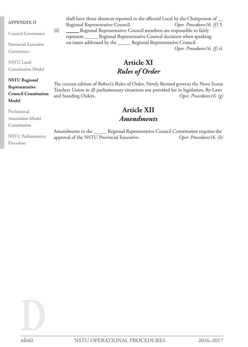#### **APPENDIX D**

Council Governance

Provincial Executive Governance

NSTU Local Constitution Model

#### **NSTU Regional**

#### **Representative Council Constitution Model**

Professional

Association Model

Constitution

Procedure

shall have those absences reported to the affected Local by the Chairperson of Regional Representative Council. *Oper. Procedures16. (f) 5.* [6] Regional Representative Council members are responsible to fairly represent \_\_\_\_\_ Regional Representative Council decisions when speaking on issues addressed by the \_\_\_\_\_ Regional Representative Council. *Oper. Procedures16. (f) 6.*

> **Article XI** *Rules of Order*

The current edition of Robert's Rules of Order, Newly Revised governs the Nova Scotia Teachers Union in all parliamentary situations not provided for in legislation, By-Laws and Standing Orders. *Oper. Procedures16. (g)*

## **Article XII** *Amendments*

NSTU Parliamentary Amendments to the \_\_\_\_\_ Regional Representative Council Constitution requires the approval of the NSTU Provincial Executive. *Oper. Procedures16. (h)*

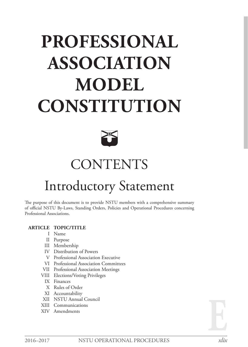# **PROFESSIONAL ASSOCIATION MODEL CONSTITUTION**



## **CONTENTS**

## Introductory Statement

The purpose of this document is to provide NSTU members with a comprehensive summary of official NSTU By-Laws, Standing Orders, Policies and Operational Procedures concerning Professional Associations.

#### **ARTICLE TOPIC/TITLE**

- I Name
- II Purpose
- III Membership
- IV Distribution of Powers
- V Professional Association Executive
- VI Professional Association Committees
- VII Professional Association Meetings
- VIII Elections/Voting Privileges
	- IX Finances
	- X Rules of Order
- XI Accountability
- XII NSTU Annual Council
- XIII Communications
- XIV Amendments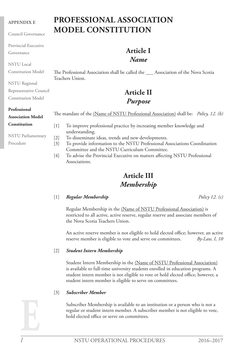#### **APPENDIX E**

Council Governance

Provincial Executive

Governance

NSTU Local

Constitution Model

NSTU Regional

Representative Council

Constitution Model

#### **Professional**

**Association Model Constitution**

NSTU Parliamentary Procedure

## **PROFESSIONAL ASSOCIATION MODEL CONSTITUTION**

## **Article I** *Name*

The Professional Association shall be called the \_\_\_ Association of the Nova Scotia Teachers Union.

## **Article II** *Purpose*

The mandate of the (Name of NSTU Professional Association) shall be: *Policy, 12. (b)*

- [1] To improve professional practice by increasing member knowledge and understanding.
- [2] To disseminate ideas, trends and new developments.
- [3] To provide information to the NSTU Professional Associations Coordination Committee and the NSTU Curriculum Committee.
- [4] To advise the Provincial Executive on matters affecting NSTU Professional Associations.

## **Article III** *Membership*

#### [1] *Regular Membership Policy 12. (c)*

Regular Membership in the (Name of NSTU Professional Association) is restricted to all active, active reserve, regular reserve and associate members of the Nova Scotia Teachers Union.

An active reserve member is not eligible to hold elected office; however, an active reserve member is eligible to vote and serve on committees. *By-Law, I, 10*

#### [2] *Student Intern Membership*

Student Intern Membership in the (Name of NSTU Professional Association) is available to full-time university students enrolled in education programs. A student intern member is not eligible to vote or hold elected office; however, a student intern member is eligible to serve on committees.

#### [3] *Subscriber Member*

Subscriber Membership is available to an institution or a person who is not a regular or student intern member. A subscriber member is not eligible to vote, hold elected office or serve on committees.

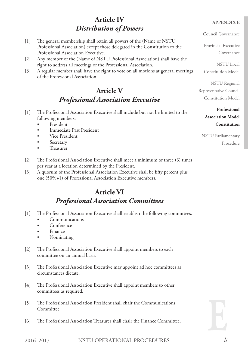## **Article IV** *Distribution of Powers*

Council Governance

Provincial Executive Governance

NSTU Local

Constitution Model

NSTU Regional Representative Council Constitution Model

> **Professional Association Model Constitution**

NSTU Parliamentary Procedure

- [1] The general membership shall retain all powers of the (Name of NSTU Professional Association) except those delegated in the Constitution to the Professional Association Executive.
- [2] Any member of the (Name of NSTU Professional Association) shall have the right to address all meetings of the Professional Association.
- [3] A regular member shall have the right to vote on all motions at general meetings of the Professional Association.

## **Article V** *Professional Association Executive*

- [1] The Professional Association Executive shall include but not be limited to the following members:
	- • President
	- Immediate Past President
	- Vice President
	- **Secretary**
	- **Treasurer**
- [2] The Professional Association Executive shall meet a minimum of three (3) times per year at a location determined by the President.
- [3] A quorum of the Professional Association Executive shall be fifty percent plus one (50%+1) of Professional Association Executive members.

## **Article VI** *Professional Association Committees*

- [1] The Professional Association Executive shall establish the following committees.
	- **Communications**
	- Conference
	- **Finance**
	- Nominating
- [2] The Professional Association Executive shall appoint members to each committee on an annual basis.
- [3] The Professional Association Executive may appoint ad hoc committees as circumstances dictate.
- [4] The Professional Association Executive shall appoint members to other committees as required.
- [5] The Professional Association President shall chair the Communications Committee.
- [6] The Professional Association Treasurer shall chair the Finance Committee.

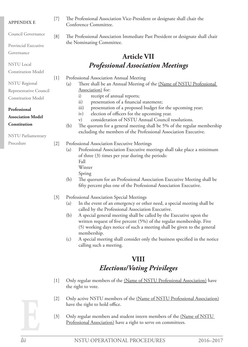#### **APPENDIX E**

Council Governance

Provincial Executive

Governance

NSTU Local

Constitution Model

- NSTU Regional
- Representative Council Constitution Model
- **Professional**
- **Association Model**

#### **Constitution**

NSTU Parliamentary

Procedure

- [7] The Professional Association Vice-President or designate shall chair the Conference Committee.
- [8] The Professional Association Immediate Past President or designate shall chair the Nominating Committee.

## **Article VII** *Professional Association Meetings*

[1] Professional Association Annual Meeting

- (a) There shall be an Annual Meeting of the (Name of NSTU Professional Association) for:
	- i) receipt of annual reports;
	- ii) presentation of a financial statement;
	- iii) presentation of a proposed budget for the upcoming year;
	- iv) election of officers for the upcoming year.
	- v) consideration of NSTU Annual Council resolutions.
- (b) The quorum for a general meeting shall be 5% of the regular membership excluding the members of the Professional Association Executive.
- [2] Professional Association Executive Meetings
	- (a) Professional Association Executive meetings shall take place a minimum of three (3) times per year during the periods:
		- Fall
		- Winter
		- Spring
	- (b) The quorum for an Professional Association Executive Meeting shall be fifty percent plus one of the Professional Association Executive.

#### [3] Professional Association Special Meetings

- (a) In the event of an emergency or other need, a special meeting shall be called by the Professional Association Executive.
- (b) A special general meeting shall be called by the Executive upon the written request of five percent (5%) of the regular membership. Five (5) working days notice of such a meeting shall be given to the general membership.
- (c) A special meeting shall consider only the business specified in the notice calling such a meeting.

## **VIII** *Elections/Voting Privileges*

- [1] Only regular members of the (Name of NSTU Professional Association) have the right to vote.
- [2] Only active NSTU members of the (Name of NSTU Professional Association) have the right to hold office.
- [3] Only regular members and student intern members of the (Name of NSTU Professional Association) have a right to serve on committees.

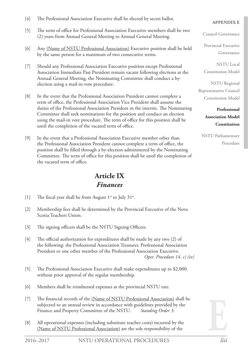- [4] The Professional Association Executive shall be elected by secret ballot.
- [5] The term of office for Professional Association Executive members shall be two (2) years from Annual General Meeting to Annual General Meeting.
- [6] Any (Name of NSTU Professional Association) Executive position shall be held by the same person for a maximum of two consecutive terms.
- [7] Should any Professional Association Executive position except Professional Association Immediate Past President remain vacant following elections at the Annual General Meeting, the Nominating Committee shall conduct a byelection using a mail-in vote procedure.
- [8] In the event that the Professional Association President cannot complete a term of office, the Professional Association Vice President shall assume the duties of the Professional Association President in the interim. The Nominating Committee shall seek nominations for the position and conduct an election using the mail-in vote procedure. The term of office for this position shall be until the completion of the vacated term of office.
- [9] In the event that a Professional Association Executive member other than the Professional Association President cannot complete a term of office, the position shall be filled through a by-election administered by the Nominating Committee. The term of office for this position shall be until the completion of the vacated term of office.

## **Article IX** *Finances*

- [1] The fiscal year shall be from August  $1^{st}$  to July  $31^{st}$ .
- [2] Membership fees shall be determined by the Provincial Executive of the Nova Scotia Teachers Union.
- [3] The signing officers shall be the NSTU Signing Officers.
- [4] The official authorization for expenditures shall be made by any two (2) of the following: the Professional Association Treasurer, Professional Association President or one other member of the Professional Association Executive. *Oper. Procedure 14. c) (iv)*
- [5] The Professional Association Executive shall make expenditures up to \$2,000. without prior approval of the regular membership.
- [6] Members shall be reimbursed expenses at the provincial NSTU rate.
- [7] The financial records of the (Name of NSTU Professional Association) shall be subjected to an annual review in accordance with guidelines provided by the Finance and Property Committee of the NSTU. *Standing Order 3.*
- [8] All operational expenses (including substitute teacher costs) incurred by the (Name of NSTU Professional Association) are the sole responsibility of the

#### **APPENDIX E**

Council Governance

Provincial Executive Governance

NSTU Local Constitution Model

NSTU Regional Representative Council Constitution Model

> **Professional Association Model Constitution**

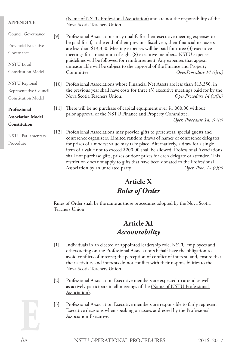| <b>APPENDIX E</b>         |        | (Name of NSTU Professional Association) and are not the responsibility of the<br>Nova Scotia Teachers Union.                                                                                                                                                 |                              |  |
|---------------------------|--------|--------------------------------------------------------------------------------------------------------------------------------------------------------------------------------------------------------------------------------------------------------------|------------------------------|--|
| Council Governance        | $[9]$  | Professional Associations may qualify for their executive meeting expenses to                                                                                                                                                                                |                              |  |
| Provincial Executive      |        | be paid for if, at the end of their previous fiscal year, their financial net assets                                                                                                                                                                         |                              |  |
| Governance                |        | are less than \$13,350. Meeting expenses will be paid for three (3) executive<br>meetings for a maximum of eight (8) executive members. NSTU expense                                                                                                         |                              |  |
| <b>NSTU</b> Local         |        | guidelines will be followed for reimbursement. Any expenses that appear<br>unreasonable will be subject to the approval of the Finance and Property                                                                                                          |                              |  |
| <b>Constitution Model</b> |        | Committee.                                                                                                                                                                                                                                                   | Oper.Procedure $14(c)(ii)$   |  |
| <b>NSTU</b> Regional      | $[10]$ | Professional Associations whose Financial Net Assets are less than \$13,350. in                                                                                                                                                                              |                              |  |
| Representative Council    |        | the previous year shall have costs for three (3) executive meetings paid for by the                                                                                                                                                                          |                              |  |
| <b>Constitution Model</b> |        | Nova Scotia Teachers Union.                                                                                                                                                                                                                                  | Oper. Procedure $14(c)(iii)$ |  |
| Professional              | [11]   | There will be no purchase of capital equipment over $$1,000.00$ without                                                                                                                                                                                      |                              |  |
| <b>Association Model</b>  |        | prior approval of the NSTU Finance and Property Committee.                                                                                                                                                                                                   |                              |  |
| Constitution              |        |                                                                                                                                                                                                                                                              | Oper. Procedure 14. c) (iv)  |  |
| <b>NSTU</b> Parliamentary | $[12]$ | Professional Associations may provide gifts to presenters, special guests and<br>conference organizers. Limited random draws of names of conference delegates                                                                                                |                              |  |
| Procedure                 |        | for prizes of a modest value may take place. Alternatively, a draw for a single<br>item of a value not to exceed \$200.00 shall be allowed. Professional Associations<br>shall not purchase gifts, prizes or door prizes for each delegate or attendee. This |                              |  |

## **Article X** *Rules of Order*

restriction does not apply to gifts that have been donated to the Professional Association by an unrelated party. *Oper. Proc. 14 (c)(v)*

Rules of Order shall be the same as those procedures adopted by the Nova Scotia Teachers Union.

## **Article XI** *Accountability*

- [1] Individuals in an elected or appointed leadership role, NSTU employees and others acting on the Professional Association's behalf have the obligation to avoid conflicts of interest; the perception of conflict of interest; and, ensure that their activities and interests do not conflict with their responsibilities to the Nova Scotia Teachers Union.
- [2] Professional Association Executive members are expected to attend as well as actively participate in all meetings of the (Name of NSTU Professional Association).
- [3] Professional Association Executive members are responsible to fairly represent Executive decisions when speaking on issues addressed by the Professional Association Executive.

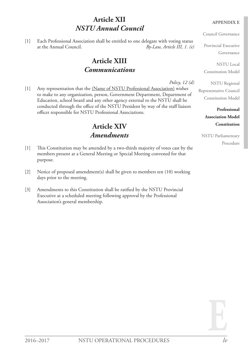## **Article XII** *NSTU Annual Council*

[1] Each Professional Association shall be entitled to one delegate with voting status at the Annual Council. *By-Law, Article III, 1. (e)*

## **Article XIII** *Communications*

*Policy, 12 (d)* [1] Any representation that the (Name of NSTU Professional Association) wishes to make to any organization, person, Government Department, Department of Education, school board and any other agency external to the NSTU shall be conducted through the office of the NSTU President by way of the staff liaison officer responsible for NSTU Professional Associations.

## **Article XIV** *Amendments*

- [1] This Constitution may be amended by a two-thirds majority of votes cast by the members present at a General Meeting or Special Meeting convened for that purpose.
- [2] Notice of proposed amendment(s) shall be given to members ten (10) working days prior to the meeting.
- [3] Amendments to this Constitution shall be ratified by the NSTU Provincial Executive at a scheduled meeting following approval by the Professional Association's general membership.

#### **APPENDIX E**

Council Governance

Provincial Executive Governance

NSTU Local Constitution Model

NSTU Regional

Representative Council Constitution Model

> **Professional Association Model Constitution**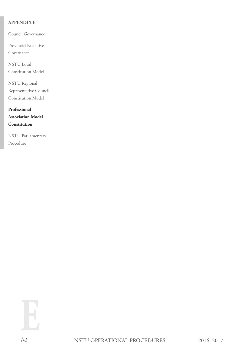#### **APPENDIX E**

Council Governance

Provincial Executive Governance

NSTU Local Constitution Model

NSTU Regional Representative Council Constitution Model

**Professional Association Model Constitution**

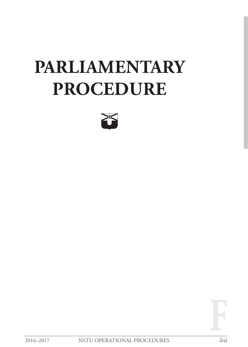# **PARLIAMENTARY PROCEDURE**



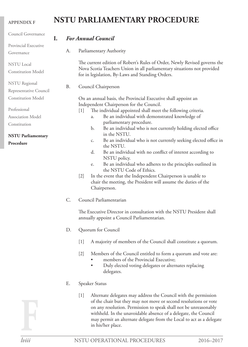## **NSTU PARLIAMENTARY PROCEDURE**

| Council Governance                                                                                                                                                                                                                            | I.        | <b>For Annual Council</b>                                                                                                                                                                                                                                                                                                                                                                                                                                                                                                                                                                                                                                                                          |
|-----------------------------------------------------------------------------------------------------------------------------------------------------------------------------------------------------------------------------------------------|-----------|----------------------------------------------------------------------------------------------------------------------------------------------------------------------------------------------------------------------------------------------------------------------------------------------------------------------------------------------------------------------------------------------------------------------------------------------------------------------------------------------------------------------------------------------------------------------------------------------------------------------------------------------------------------------------------------------------|
| Provincial Executive                                                                                                                                                                                                                          |           |                                                                                                                                                                                                                                                                                                                                                                                                                                                                                                                                                                                                                                                                                                    |
| Governance                                                                                                                                                                                                                                    | А.        | Parliamentary Authority                                                                                                                                                                                                                                                                                                                                                                                                                                                                                                                                                                                                                                                                            |
| <b>NSTU</b> Local<br><b>Constitution Model</b>                                                                                                                                                                                                |           | The current edition of Robert's Rules of Order, Newly Revised governs the<br>Nova Scotia Teachers Union in all parliamentary situations not provided                                                                                                                                                                                                                                                                                                                                                                                                                                                                                                                                               |
| <b>NSTU</b> Regional                                                                                                                                                                                                                          | <b>B.</b> | for in legislation, By-Laws and Standing Orders.<br>Council Chairperson                                                                                                                                                                                                                                                                                                                                                                                                                                                                                                                                                                                                                            |
| Representative Council<br><b>Constitution Model</b><br>Professional<br> 1 <br>Association Model<br>a.<br>Constitution<br>b.<br>in the NSTU.<br><b>NSTU Parliamentary</b><br>c.<br>Procedure<br>the NSTU.<br>d.<br>NSTU policy.<br>e.<br>$[2]$ |           | On an annual basis, the Provincial Executive shall appoint an<br>Independent Chairperson for the Council.<br>The individual appointed shall meet the following criteria.<br>Be an individual with demonstrated knowledge of<br>parliamentary procedure.<br>Be an individual who is not currently holding elected office<br>Be an individual who is not currently seeking elected office in<br>Be an individual with no conflict of interest according to<br>Be an individual who adheres to the principles outlined in<br>the NSTU Code of Ethics.<br>In the event that the Independent Chairperson is unable to<br>chair the meeting, the President will assume the duties of the<br>Chairperson. |
|                                                                                                                                                                                                                                               | C.        | Council Parliamentarian                                                                                                                                                                                                                                                                                                                                                                                                                                                                                                                                                                                                                                                                            |
|                                                                                                                                                                                                                                               |           | The Executive Director in consultation with the NSTU President shall<br>annually appoint a Council Parliamentarian.                                                                                                                                                                                                                                                                                                                                                                                                                                                                                                                                                                                |
|                                                                                                                                                                                                                                               | D.        | Quorum for Council                                                                                                                                                                                                                                                                                                                                                                                                                                                                                                                                                                                                                                                                                 |
|                                                                                                                                                                                                                                               |           | $[1]$<br>A majority of members of the Council shall constitute a quorum.                                                                                                                                                                                                                                                                                                                                                                                                                                                                                                                                                                                                                           |
|                                                                                                                                                                                                                                               |           | $\lceil 2 \rceil$<br>Members of the Council entitled to form a quorum and vote are:                                                                                                                                                                                                                                                                                                                                                                                                                                                                                                                                                                                                                |

- members of the Provincial Executive;
- Duly elected voting delegates or alternates replacing delegates.

#### E. Speaker Status

[1] Alternate delegates may address the Council with the permission of the chair but they may not move or second resolutions or vote on any resolution. Permission to speak shall not be unreasonably withheld. In the unavoidable absence of a delegate, the Council may permit an alternate delegate from the Local to act as a delegate in his/her place.

**APPENDIX F**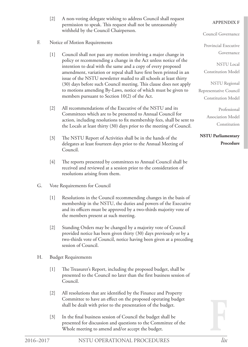[2] A non-voting delegate wishing to address Council shall request permission to speak. This request shall not be unreasonably withheld by the Council Chairperson.

#### F. Notice of Motion Requirements

- [1] Council shall not pass any motion involving a major change in policy or recommending a change in the Act unless notice of the intention to deal with the same and a copy of every proposed amendment, variation or repeal shall have first been printed in an issue of the NSTU newsletter mailed to all schools at least thirty (30) days before such Council meeting. This clause does not apply to motions amending By-Laws, notice of which must be given to members pursuant to Section 10(2) of the Act.
- [2] All recommendations of the Executive of the NSTU and its Committees which are to be presented to Annual Council for action, including resolutions to fix membership fees, shall be sent to the Locals at least thirty (30) days prior to the meeting of Council.
- [3] The NSTU Report of Activities shall be in the hands of the delegates at least fourteen days prior to the Annual Meeting of Council.
- [4] The reports presented by committees to Annual Council shall be received and reviewed at a session prior to the consideration of resolutions arising from them.
- G. Vote Requirements for Council
	- [1] Resolutions in the Council recommending changes in the basis of membership in the NSTU, the duties and powers of the Executive and its officers must be approved by a two-thirds majority vote of the members present at such meeting.
	- [2] Standing Orders may be changed by a majority vote of Council provided notice has been given thirty (30) days previously or by a two-thirds vote of Council, notice having been given at a preceding session of Council.
- H. Budget Requirements
	- [1] The Treasurer's Report, including the proposed budget, shall be presented to the Council no later than the first business session of Council.
	- [2] All resolutions that are identified by the Finance and Property Committee to have an effect on the proposed operating budget shall be dealt with prior to the presentation of the budget.
	- [3] In the final business session of Council the budget shall be presented for discussion and questions to the Committee of the Whole meeting to amend and/or accept the budget.

#### **APPENDIX F**

Council Governance

Provincial Executive Governance

NSTU Local Constitution Model

NSTU Regional Representative Council Constitution Model

> Professional Association Model Constitution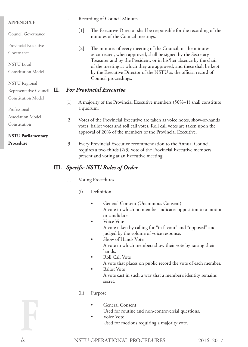| <b>APPENDIX F</b>          | I.                | Recording of Council Minutes                                                                                                                                                                                                                                                                                                                          |
|----------------------------|-------------------|-------------------------------------------------------------------------------------------------------------------------------------------------------------------------------------------------------------------------------------------------------------------------------------------------------------------------------------------------------|
| Council Governance         |                   | The Executive Director shall be responsible for the recording of the<br>$[1]$<br>minutes of the Council meetings.                                                                                                                                                                                                                                     |
| Provincial Executive       |                   | The minutes of every meeting of the Council, or the minutes<br>$[2]$<br>as corrected, when approved, shall be signed by the Secretary-<br>Treasurer and by the President, or in his/her absence by the chair<br>of the meeting at which they are approved, and these shall be kept<br>by the Executive Director of the NSTU as the official record of |
| Governance                 |                   |                                                                                                                                                                                                                                                                                                                                                       |
| <b>NSTU</b> Local          |                   |                                                                                                                                                                                                                                                                                                                                                       |
| <b>Constitution Model</b>  |                   |                                                                                                                                                                                                                                                                                                                                                       |
| <b>NSTU</b> Regional       |                   | Council proceedings.                                                                                                                                                                                                                                                                                                                                  |
| Representative Council II. |                   | <b>For Provincial Executive</b>                                                                                                                                                                                                                                                                                                                       |
| <b>Constitution Model</b>  | $[1]$             | A majority of the Provincial Executive members $(50\% + 1)$ shall constitute                                                                                                                                                                                                                                                                          |
| Professional               |                   | a quorum.                                                                                                                                                                                                                                                                                                                                             |
| <b>Association Model</b>   | $\lceil 2 \rceil$ | Votes of the Provincial Executive are taken as voice notes, show-of-hands<br>votes, ballot votes and roll call votes. Roll call votes are taken upon the                                                                                                                                                                                              |
| Constitution               |                   |                                                                                                                                                                                                                                                                                                                                                       |
| <b>NSTU Parliamentary</b>  |                   | approval of 20% of the members of the Provincial Executive.                                                                                                                                                                                                                                                                                           |
| Procedure                  | $[3]$             | Every Provincial Executive recommendation to the Annual Council                                                                                                                                                                                                                                                                                       |

- (ii) Purpose
	- General Consent
		- Used for routine and non-controversial questions.

requires a two-thirds (2/3) vote of the Provincial Executive members

General Consent (Unanimous Consent)

judged by the volume of voice response.

A vote in which no member indicates opposition to a motion

A vote taken by calling for "in favour" and "opposed" and

A vote in which members show their vote by raising their

A vote that places on public record the vote of each member.

A vote cast in such a way that a member's identity remains

present and voting at an Executive meeting.

or candidate. Voice Vote

hands.

secret.

Roll Call Vote

**Ballot Vote** 

Show of Hands Vote

**III.** *Specific NSTU Rules of Order*

(i) Definition

[1] Voting Procedures

Voice Vote Used for motions requiring a majority vote.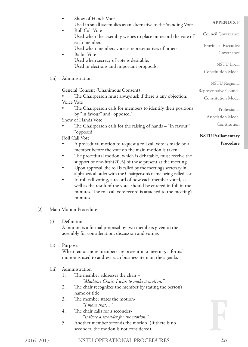|                   |       | Show of Hands Vote<br>Used in small assemblies as an alternative to the Standing Vote.                                                                                                                                                                                                                                                                                                                                                                                                                                                                                                                                                                                                                                                                                                                                                                                                                                                                             | <b>APPENDIX F</b>                                                                                                                                  |  |  |  |  |
|-------------------|-------|--------------------------------------------------------------------------------------------------------------------------------------------------------------------------------------------------------------------------------------------------------------------------------------------------------------------------------------------------------------------------------------------------------------------------------------------------------------------------------------------------------------------------------------------------------------------------------------------------------------------------------------------------------------------------------------------------------------------------------------------------------------------------------------------------------------------------------------------------------------------------------------------------------------------------------------------------------------------|----------------------------------------------------------------------------------------------------------------------------------------------------|--|--|--|--|
|                   |       | Roll Call Vote<br>$\bullet$<br>Used when the assembly wishes to place on record the vote of                                                                                                                                                                                                                                                                                                                                                                                                                                                                                                                                                                                                                                                                                                                                                                                                                                                                        | Council Governance                                                                                                                                 |  |  |  |  |
|                   |       | each member.<br>Used when members vote as representatives of others.<br><b>Ballot Vote</b>                                                                                                                                                                                                                                                                                                                                                                                                                                                                                                                                                                                                                                                                                                                                                                                                                                                                         | Provincial Executive<br>Governance                                                                                                                 |  |  |  |  |
|                   |       | Used when secrecy of vote is desirable.<br>Used in elections and important proposals.                                                                                                                                                                                                                                                                                                                                                                                                                                                                                                                                                                                                                                                                                                                                                                                                                                                                              | <b>NSTU</b> Local<br><b>Constitution Model</b>                                                                                                     |  |  |  |  |
|                   | (iii) | Administration                                                                                                                                                                                                                                                                                                                                                                                                                                                                                                                                                                                                                                                                                                                                                                                                                                                                                                                                                     | <b>NSTU</b> Regional                                                                                                                               |  |  |  |  |
|                   |       | General Consent (Unanimous Consent)<br>The Chairperson must always ask if there is any objection.<br>Voice Vote<br>The Chairperson calls for members to identify their positions<br>by "in favour" and "opposed."<br>Show of Hands Vote<br>The Chairperson calls for the raising of hands - "in favour,"<br>"opposed."<br>Roll Call Vote<br>A procedural motion to request a roll call vote is made by a<br>member before the vote on the main motion is taken.<br>The procedural motion, which is debatable, must receive the<br>support of one-fifth(20%) of those present at the meeting.<br>Upon approval, the roll is called by the meeting's secretary in<br>alphabetical order with the Chairperson's name being called last.<br>In roll call voting, a record of how each member voted, as<br>$\bullet$<br>well as the result of the vote, should be entered in full in the<br>minutes. The roll call vote record is attached to the meeting's<br>minutes. | Representative Council<br><b>Constitution Model</b><br>Professional<br>Association Model<br>Constitution<br><b>NSTU Parliamentary</b><br>Procedure |  |  |  |  |
| $\lceil 2 \rceil$ |       | Main Motion Procedure                                                                                                                                                                                                                                                                                                                                                                                                                                                                                                                                                                                                                                                                                                                                                                                                                                                                                                                                              |                                                                                                                                                    |  |  |  |  |
|                   | (i)   | Definition<br>A motion is a formal proposal by two members given to the<br>assembly for consideration, discussion and voting.                                                                                                                                                                                                                                                                                                                                                                                                                                                                                                                                                                                                                                                                                                                                                                                                                                      |                                                                                                                                                    |  |  |  |  |
|                   | (ii)  | Purpose<br>When ten or more members are present in a meeting, a formal<br>motion is used to address each business item on the agenda.                                                                                                                                                                                                                                                                                                                                                                                                                                                                                                                                                                                                                                                                                                                                                                                                                              |                                                                                                                                                    |  |  |  |  |
|                   | (iii) | Administration<br>The member addresses the chair -<br>1.<br>"Madame Chair, I wish to make a motion."<br>2.<br>The chair recognizes the member by stating the person's<br>name or title.<br>The member states the motion-<br>3.<br>"I move that"<br>The chair calls for a seconder-<br>4.<br>"Is there a seconder for the motion."<br>Another member seconds the motion. (If there is no<br>5.<br>seconder, the motion is not considered).                                                                                                                                                                                                                                                                                                                                                                                                                                                                                                                          |                                                                                                                                                    |  |  |  |  |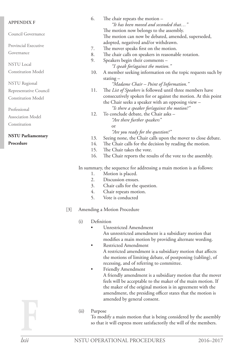| <b>APPENDIX F</b>                                                    | 6.  | The chair repeats the motion $-$                              |  |  |  |
|----------------------------------------------------------------------|-----|---------------------------------------------------------------|--|--|--|
|                                                                      |     | "It has been moved and seconded that"                         |  |  |  |
| Council Governance                                                   |     | The motion now belongs to the assembly.                       |  |  |  |
|                                                                      |     | The motion can now be debated, amended, superseded,           |  |  |  |
| <b>Provincial Executive</b>                                          |     | adopted, negatived and/or withdrawn.                          |  |  |  |
|                                                                      | 7.  | The mover speaks first on the motion.                         |  |  |  |
| Governance                                                           | 8.  | The chair calls on speakers in reasonable rotation.           |  |  |  |
|                                                                      | 9.  | Speakers begin their comments -                               |  |  |  |
| <b>NSTU</b> Local                                                    |     | "I speak for/against the motion."                             |  |  |  |
| <b>Constitution Model</b>                                            | 10. | A member seeking information on the topic requests such by    |  |  |  |
|                                                                      |     | stating $-$                                                   |  |  |  |
| <b>NSTU</b> Regional                                                 |     | "Madame Chair – Point of Information."                        |  |  |  |
| Representative Council                                               | 11. | The List of Speakers is followed until three members have     |  |  |  |
| <b>Constitution Model</b>                                            |     | consecutively spoken for or against the motion. At this point |  |  |  |
|                                                                      |     | the Chair seeks a speaker with an opposing view -             |  |  |  |
| Professional                                                         |     | "Is there a speaker forlagainst the motion?"                  |  |  |  |
| <b>Association Model</b>                                             |     | To conclude debate, the Chair asks -                          |  |  |  |
|                                                                      |     | "Are there further speakers"                                  |  |  |  |
| Constitution                                                         |     | or                                                            |  |  |  |
|                                                                      |     | "Are you ready for the question?"                             |  |  |  |
| <b>NSTU Parliamentary</b>                                            | 13. | Seeing none, the Chair calls upon the mover to close debate.  |  |  |  |
| Procedure                                                            | 14. | The Chair calls for the decision by reading the motion.       |  |  |  |
|                                                                      | 15. | The Chair takes the vote.                                     |  |  |  |
|                                                                      | 16. | The Chair reports the results of the vote to the assembly.    |  |  |  |
| In summary, the sequence for addressing a main motion is as follows: |     |                                                               |  |  |  |
|                                                                      | 1.  | Motion is placed.                                             |  |  |  |
|                                                                      | 2.  | Discussion ensues.                                            |  |  |  |

- 3. Chair calls for the question.
- 4. Chair repeats motion.
- 5. Vote is conducted
- [3] Amending a Motion Procedure
	- (i) Definition
		- Unrestricted Amendment An unrestricted amendment is a subsidiary motion that modifies a main motion by providing alternate wording.
		- Restricted Amendment A restricted amendment is a subsidiary motion that affects the motions of limiting debate, of postponing (tabling), of recessing, and of referring to committee.
		- • Friendly Amendment A friendly amendment is a subsidiary motion that the mover feels will be acceptable to the maker of the main motion. If the maker of the original motion is in agreement with the amendment, the presiding officer states that the motion is amended by general consent.
	- (ii) Purpose

To modify a main motion that is being considered by the assembly so that it will express more satisfactorily the will of the members.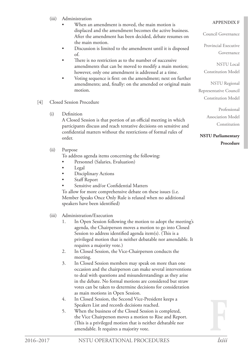- (iii) Administration
	- When an amendment is moved, the main motion is displaced and the amendment becomes the active business. After the amendment has been decided, debate resumes on the main motion.
	- Discussion is limited to the amendment until it is disposed of.
	- There is no restriction as to the number of successive amendments that can be moved to modify a main motion; however, only one amendment is addressed at a time.
	- Voting sequence is first: on the amendment; next on further amendments; and, finally: on the amended or original main motion.
- [4] Closed Session Procedure
	- (i) Definition

A Closed Session is that portion of an official meeting in which participants discuss and reach tentative decisions on sensitive and confidential matters without the restrictions of formal rules of order.

(ii) Purpose

To address agenda items concerning the following:

- Personnel (Salaries, Evaluation)
- Legal
- Disciplinary Actions
- Staff Report
- Sensitive and/or Confidential Matters

To allow for more comprehensive debate on these issues (i.e. Member Speaks Once Only Rule is relaxed when no additional speakers have been identified)

- (iii) Administration/Execution
	- 1. In Open Session following the motion to adopt the meeting's agenda, the Chairperson moves a motion to go into Closed Session to address identified agenda item(s). (This is a privileged motion that is neither debatable nor amendable. It requires a majority vote.)
	- 2. In Closed Session, the Vice-Chairperson conducts the meeting.
	- 3. In Closed Session members may speak on more than one occasion and the chairperson can make several interventions to deal with questions and misunderstandings as they arise in the debate. No formal motions are considered but straw votes can be taken to determine decisions for consideration as main motions in Open Session.
	- 4. In Closed Session, the Second Vice-President keeps a Speakers List and records decisions reached.
	- 5. When the business of the Closed Session is completed, the Vice Chairperson moves a motion to Rise and Report. (This is a privileged motion that is neither debatable nor amendable. It requires a majority vote.

## **APPENDIX F**

Council Governance

Provincial Executive Governance

NSTU Local Constitution Model

NSTU Regional Representative Council Constitution Model

> Professional Association Model Constitution

**NSTU Parliamentary Procedure**

**F**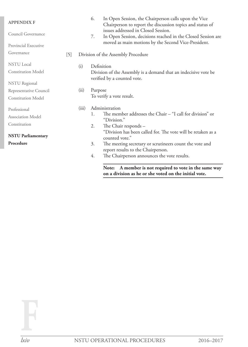| <b>APPENDIX F</b>         |  |                                                                                                | 6.<br>In Open Session, the Chairperson calls upon the Vice<br>Chairperson to report the discussion topics and status of |
|---------------------------|--|------------------------------------------------------------------------------------------------|-------------------------------------------------------------------------------------------------------------------------|
| Council Governance        |  | 7.                                                                                             | issues addressed in Closed Session.<br>In Open Session, decisions reached in the Closed Session are                     |
| Provincial Executive      |  |                                                                                                | moved as main motions by the Second Vice-President.                                                                     |
| Governance<br>$[5]$       |  |                                                                                                | Division of the Assembly Procedure                                                                                      |
| <b>NSTU</b> Local         |  | Definition<br>(i)                                                                              |                                                                                                                         |
| <b>Constitution Model</b> |  | Division of the Assembly is a demand that an indecisive vote be<br>verified by a counted vote. |                                                                                                                         |
| <b>NSTU</b> Regional      |  |                                                                                                |                                                                                                                         |
| Representative Council    |  | (ii)<br>Purpose                                                                                |                                                                                                                         |
| <b>Constitution Model</b> |  | To verify a vote result.                                                                       |                                                                                                                         |
| Professional              |  | (iii)                                                                                          | Administration                                                                                                          |
| <b>Association Model</b>  |  |                                                                                                | The member addresses the Chair – "I call for division" or<br>1.<br>"Division."                                          |
| Constitution              |  |                                                                                                | The Chair responds -<br>2.                                                                                              |
| <b>NSTU Parliamentary</b> |  |                                                                                                | "Division has been called for. The vote will be retaken as a<br>counted vote."                                          |
| Procedure                 |  |                                                                                                | 3.<br>The meeting secretary or scrutineers count the vote and<br>report results to the Chairperson.                     |
|                           |  |                                                                                                | The Chairperson announces the vote results.<br>4.                                                                       |
|                           |  |                                                                                                | A member is not required to vote in the same way<br>Note:                                                               |

**on a division as he or she voted on the initial vote.**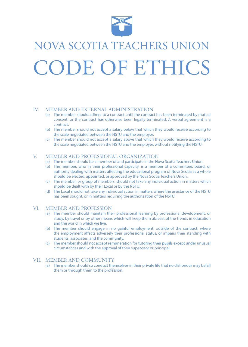

# NOVA SCOTIA TEACHERS UNION CODE OF ETHICS

### IV. MEMBER AND EXTERNAL ADMINISTRATION

- (a) The member should adhere to a contract until the contract has been terminated by mutual consent, or the contract has otherwise been legally terminated. A verbal agreement is a contract.
- (b) The member should not accept a salary below that which they would receive according to the scale negotiated between the NSTU and the employer.
- (c) The member should not accept a salary above that which they would receive according to the scale negotiated between the NSTU and the employer, without notifying the NSTU.

#### V. MEMBER AND PROFESSIONAL ORGANIZATION

- (a) The member should be a member of and participate in the Nova Scotia Teachers Union.
- (b) The member, who in their professional capacity, is a member of a committee, board, or authority dealing with matters affecting the educational program of Nova Scotia as a whole should be elected, appointed, or approved by the Nova Scotia Teachers Union.
- (c) The member, or group of members, should not take any individual action in matters which should be dealt with by their Local or by the NSTU.
- (d) The Local should not take any individual action in matters where the assistance of the NSTU has been sought, or in matters requiring the authorization of the NSTU.

#### VI. MEMBER AND PROFESSION

- (a) The member should maintain their professional learning by professional development, or study, by travel or by other means which will keep them abreast of the trends in education and the world in which we live.
- (b) The member should engage in no gainful employment, outside of the contract, where the employment affects adversely their professional status, or impairs their standing with students, associates, and the community.
- (c) The member should not accept remuneration for tutoring their pupils except under unusual circumstances and with the approval of their supervisor or principal.

#### VII. MEMBER AND COMMUNITY

(a) The member should so conduct themselves in their private life that no dishonour may befall them or through them to the profession.